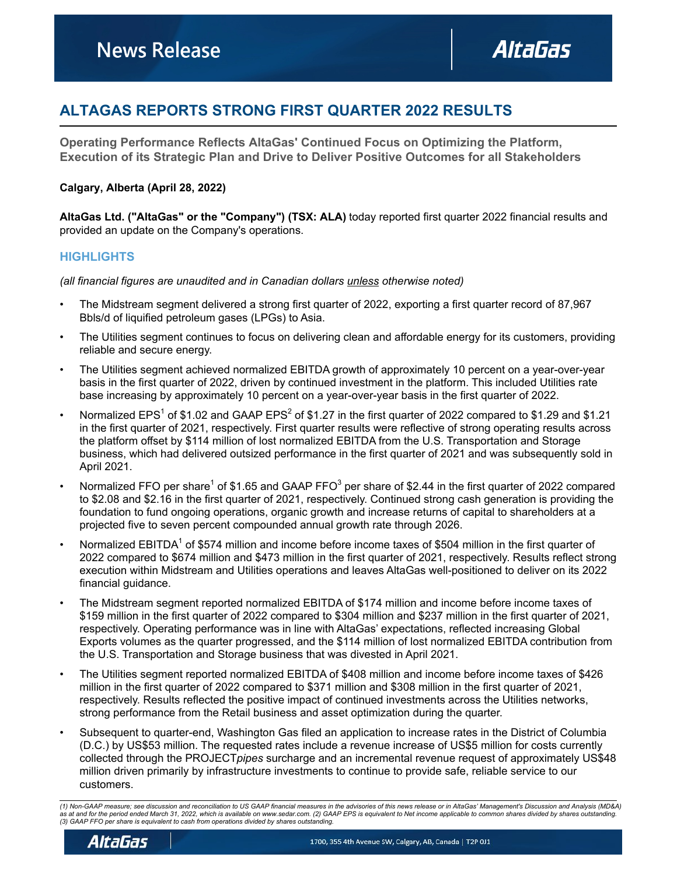# **ALTAGAS REPORTS STRONG FIRST QUARTER 2022 RESULTS**

**Operating Performance Reflects AltaGas' Continued Focus on Optimizing the Platform, Execution of its Strategic Plan and Drive to Deliver Positive Outcomes for all Stakeholders**

### **Calgary, Alberta (April 28, 2022)**

**AltaGas Ltd. ("AltaGas" or the "Company") (TSX: ALA)** today reported first quarter 2022 financial results and provided an update on the Company's operations.

### **HIGHLIGHTS**

*(all financial figures are unaudited and in Canadian dollars unless otherwise noted)*

- The Midstream segment delivered a strong first quarter of 2022, exporting a first quarter record of 87,967 Bbls/d of liquified petroleum gases (LPGs) to Asia.
- The Utilities segment continues to focus on delivering clean and affordable energy for its customers, providing reliable and secure energy.
- The Utilities segment achieved normalized EBITDA growth of approximately 10 percent on a year-over-year basis in the first quarter of 2022, driven by continued investment in the platform. This included Utilities rate base increasing by approximately 10 percent on a year-over-year basis in the first quarter of 2022.
- Normalized EPS<sup>1</sup> of \$1.02 and GAAP EPS<sup>2</sup> of \$1.27 in the first quarter of 2022 compared to \$1.29 and \$1.21 in the first quarter of 2021, respectively. First quarter results were reflective of strong operating results across the platform offset by \$114 million of lost normalized EBITDA from the U.S. Transportation and Storage business, which had delivered outsized performance in the first quarter of 2021 and was subsequently sold in April 2021.
- Normalized FFO per share<sup>1</sup> of \$1.65 and GAAP FFO<sup>3</sup> per share of \$2.44 in the first quarter of 2022 compared to \$2.08 and \$2.16 in the first quarter of 2021, respectively. Continued strong cash generation is providing the foundation to fund ongoing operations, organic growth and increase returns of capital to shareholders at a projected five to seven percent compounded annual growth rate through 2026.
- Normalized EBITDA<sup>1</sup> of \$574 million and income before income taxes of \$504 million in the first quarter of 2022 compared to \$674 million and \$473 million in the first quarter of 2021, respectively. Results reflect strong execution within Midstream and Utilities operations and leaves AltaGas well-positioned to deliver on its 2022 financial guidance.
- The Midstream segment reported normalized EBITDA of \$174 million and income before income taxes of \$159 million in the first quarter of 2022 compared to \$304 million and \$237 million in the first quarter of 2021, respectively. Operating performance was in line with AltaGas' expectations, reflected increasing Global Exports volumes as the quarter progressed, and the \$114 million of lost normalized EBITDA contribution from the U.S. Transportation and Storage business that was divested in April 2021.
- The Utilities segment reported normalized EBITDA of \$408 million and income before income taxes of \$426 million in the first quarter of 2022 compared to \$371 million and \$308 million in the first quarter of 2021, respectively. Results reflected the positive impact of continued investments across the Utilities networks, strong performance from the Retail business and asset optimization during the quarter.
- Subsequent to quarter-end, Washington Gas filed an application to increase rates in the District of Columbia (D.C.) by US\$53 million. The requested rates include a revenue increase of US\$5 million for costs currently collected through the PROJECT*pipes* surcharge and an incremental revenue request of approximately US\$48 million driven primarily by infrastructure investments to continue to provide safe, reliable service to our customers.

*<sup>(1)</sup> Non-GAAP measure; see discussion and reconciliation to US GAAP financial measures in the advisories of this news release or in AltaGas' Management's Discussion and Analysis (MD&A) as at and for the period ended March 31, 2022, which is available on www.sedar.com. (2) GAAP EPS is equivalent to Net income applicable to common shares divided by shares outstanding. (3) GAAP FFO per share is equivalent to cash from operations divided by shares outstanding.*

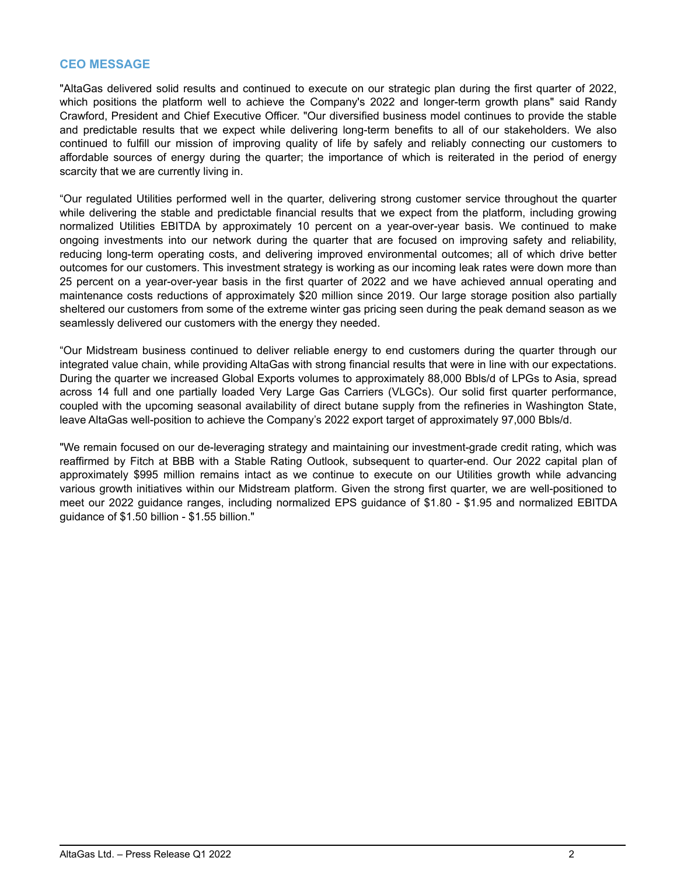## **CEO MESSAGE**

"AltaGas delivered solid results and continued to execute on our strategic plan during the first quarter of 2022, which positions the platform well to achieve the Company's 2022 and longer-term growth plans" said Randy Crawford, President and Chief Executive Officer. "Our diversified business model continues to provide the stable and predictable results that we expect while delivering long-term benefits to all of our stakeholders. We also continued to fulfill our mission of improving quality of life by safely and reliably connecting our customers to affordable sources of energy during the quarter; the importance of which is reiterated in the period of energy scarcity that we are currently living in.

"Our regulated Utilities performed well in the quarter, delivering strong customer service throughout the quarter while delivering the stable and predictable financial results that we expect from the platform, including growing normalized Utilities EBITDA by approximately 10 percent on a year-over-year basis. We continued to make ongoing investments into our network during the quarter that are focused on improving safety and reliability, reducing long-term operating costs, and delivering improved environmental outcomes; all of which drive better outcomes for our customers. This investment strategy is working as our incoming leak rates were down more than 25 percent on a year-over-year basis in the first quarter of 2022 and we have achieved annual operating and maintenance costs reductions of approximately \$20 million since 2019. Our large storage position also partially sheltered our customers from some of the extreme winter gas pricing seen during the peak demand season as we seamlessly delivered our customers with the energy they needed.

"Our Midstream business continued to deliver reliable energy to end customers during the quarter through our integrated value chain, while providing AltaGas with strong financial results that were in line with our expectations. During the quarter we increased Global Exports volumes to approximately 88,000 Bbls/d of LPGs to Asia, spread across 14 full and one partially loaded Very Large Gas Carriers (VLGCs). Our solid first quarter performance, coupled with the upcoming seasonal availability of direct butane supply from the refineries in Washington State, leave AltaGas well-position to achieve the Company's 2022 export target of approximately 97,000 Bbls/d.

"We remain focused on our de-leveraging strategy and maintaining our investment-grade credit rating, which was reaffirmed by Fitch at BBB with a Stable Rating Outlook, subsequent to quarter-end. Our 2022 capital plan of approximately \$995 million remains intact as we continue to execute on our Utilities growth while advancing various growth initiatives within our Midstream platform. Given the strong first quarter, we are well-positioned to meet our 2022 guidance ranges, including normalized EPS guidance of \$1.80 - \$1.95 and normalized EBITDA guidance of \$1.50 billion - \$1.55 billion."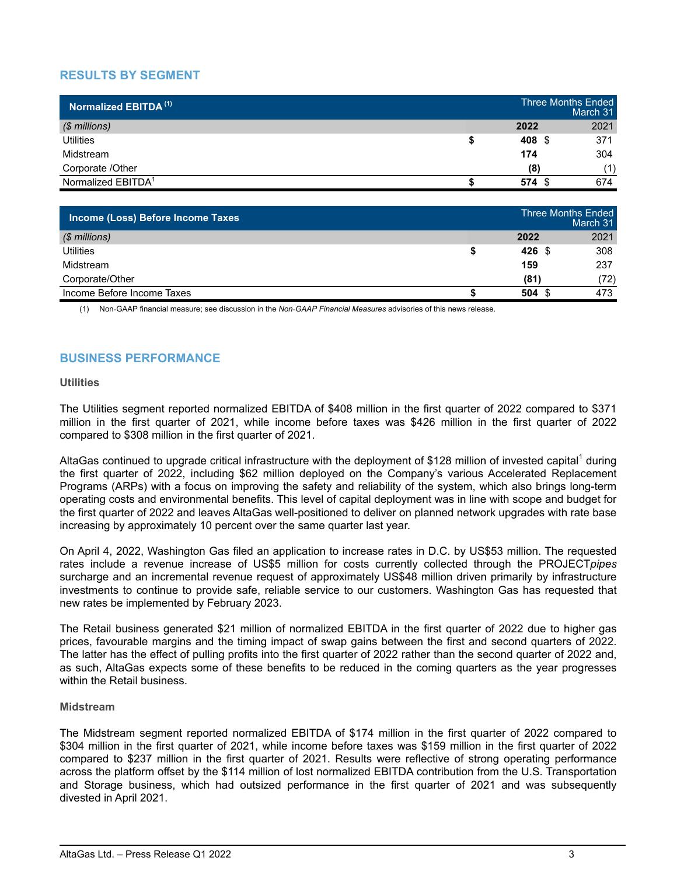## **RESULTS BY SEGMENT**

| Normalized EBITDA <sup>(1)</sup> | <b>Three Months Ended</b> | March 31 |
|----------------------------------|---------------------------|----------|
| $$$ millions)                    | 2022                      | 2021     |
| <b>Utilities</b>                 | 408 \$                    | 371      |
| Midstream                        | 174                       | 304      |
| Corporate /Other                 | (8)                       | (1)      |
| Normalized EBITDA <sup>1</sup>   | 574<br>-S                 | 674      |

| Income (Loss) Before Income Taxes |                  | <b>Three Months Ended</b><br>March 31 |
|-----------------------------------|------------------|---------------------------------------|
| $$$ millions)                     | 2022             | 2021                                  |
| Utilities                         | $426 \text{ } $$ | 308                                   |
| Midstream                         | 159              | 237                                   |
| Corporate/Other                   | (81)             | (72)                                  |
| Income Before Income Taxes        | $504 \text{ } $$ | 473                                   |

(1) Non-GAAP financial measure; see discussion in the *Non*-*GAAP Financial Measures* advisories of this news release.

## **BUSINESS PERFORMANCE**

### **Utilities**

The Utilities segment reported normalized EBITDA of \$408 million in the first quarter of 2022 compared to \$371 million in the first quarter of 2021, while income before taxes was \$426 million in the first quarter of 2022 compared to \$308 million in the first quarter of 2021.

AltaGas continued to upgrade critical infrastructure with the deployment of \$128 million of invested capital<sup>1</sup> during the first quarter of 2022, including \$62 million deployed on the Company's various Accelerated Replacement Programs (ARPs) with a focus on improving the safety and reliability of the system, which also brings long-term operating costs and environmental benefits. This level of capital deployment was in line with scope and budget for the first quarter of 2022 and leaves AltaGas well-positioned to deliver on planned network upgrades with rate base increasing by approximately 10 percent over the same quarter last year.

On April 4, 2022, Washington Gas filed an application to increase rates in D.C. by US\$53 million. The requested rates include a revenue increase of US\$5 million for costs currently collected through the PROJECT*pipes* surcharge and an incremental revenue request of approximately US\$48 million driven primarily by infrastructure investments to continue to provide safe, reliable service to our customers. Washington Gas has requested that new rates be implemented by February 2023.

The Retail business generated \$21 million of normalized EBITDA in the first quarter of 2022 due to higher gas prices, favourable margins and the timing impact of swap gains between the first and second quarters of 2022. The latter has the effect of pulling profits into the first quarter of 2022 rather than the second quarter of 2022 and, as such, AltaGas expects some of these benefits to be reduced in the coming quarters as the year progresses within the Retail business.

### **Midstream**

The Midstream segment reported normalized EBITDA of \$174 million in the first quarter of 2022 compared to \$304 million in the first quarter of 2021, while income before taxes was \$159 million in the first quarter of 2022 compared to \$237 million in the first quarter of 2021. Results were reflective of strong operating performance across the platform offset by the \$114 million of lost normalized EBITDA contribution from the U.S. Transportation and Storage business, which had outsized performance in the first quarter of 2021 and was subsequently divested in April 2021.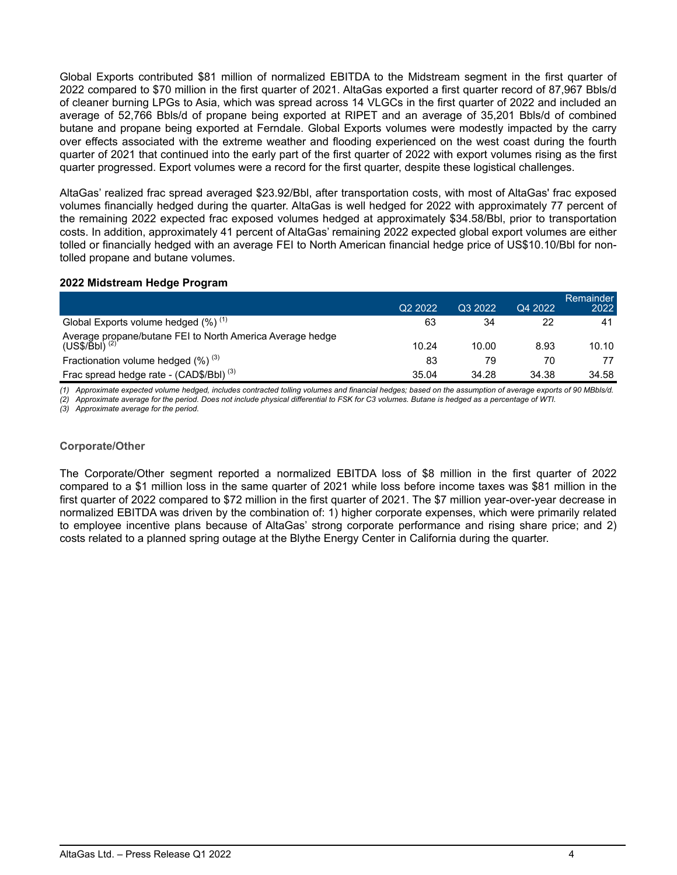Global Exports contributed \$81 million of normalized EBITDA to the Midstream segment in the first quarter of 2022 compared to \$70 million in the first quarter of 2021. AltaGas exported a first quarter record of 87,967 Bbls/d of cleaner burning LPGs to Asia, which was spread across 14 VLGCs in the first quarter of 2022 and included an average of 52,766 Bbls/d of propane being exported at RIPET and an average of 35,201 Bbls/d of combined butane and propane being exported at Ferndale. Global Exports volumes were modestly impacted by the carry over effects associated with the extreme weather and flooding experienced on the west coast during the fourth quarter of 2021 that continued into the early part of the first quarter of 2022 with export volumes rising as the first quarter progressed. Export volumes were a record for the first quarter, despite these logistical challenges.

AltaGas' realized frac spread averaged \$23.92/Bbl, after transportation costs, with most of AltaGas' frac exposed volumes financially hedged during the quarter. AltaGas is well hedged for 2022 with approximately 77 percent of the remaining 2022 expected frac exposed volumes hedged at approximately \$34.58/Bbl, prior to transportation costs. In addition, approximately 41 percent of AltaGas' remaining 2022 expected global export volumes are either tolled or financially hedged with an average FEI to North American financial hedge price of US\$10.10/Bbl for nontolled propane and butane volumes.

### **2022 Midstream Hedge Program**

|                                                                                        | Q <sub>2</sub> 2022 | Q3 2022 | Q4 2022 | <b>Remainder</b><br>2022 |
|----------------------------------------------------------------------------------------|---------------------|---------|---------|--------------------------|
| Global Exports volume hedged $(\%)$ <sup>(1)</sup>                                     | 63                  | 34      | 22      | 41                       |
| Average propane/butane FEI to North America Average hedge<br>(US\$/Bbl) <sup>(2)</sup> | 10.24               | 10.00   | 8.93    | 10.10                    |
| Fractionation volume hedged $(\%)^{(3)}$                                               | 83                  | 79      | 70      | 77                       |
| Frac spread hedge rate - (CAD\$/Bbl) <sup>(3)</sup>                                    | 35.04               | 34.28   | 34.38   | 34.58                    |

*(1) Approximate expected volume hedged, includes contracted tolling volumes and financial hedges; based on the assumption of average exports of 90 MBbls/d.*

*(2) Approximate average for the period. Does not include physical differential to FSK for C3 volumes. Butane is hedged as a percentage of WTI.*

*(3) Approximate average for the period.*

### **Corporate/Other**

The Corporate/Other segment reported a normalized EBITDA loss of \$8 million in the first quarter of 2022 compared to a \$1 million loss in the same quarter of 2021 while loss before income taxes was \$81 million in the first quarter of 2022 compared to \$72 million in the first quarter of 2021. The \$7 million year-over-year decrease in normalized EBITDA was driven by the combination of: 1) higher corporate expenses, which were primarily related to employee incentive plans because of AltaGas' strong corporate performance and rising share price; and 2) costs related to a planned spring outage at the Blythe Energy Center in California during the quarter.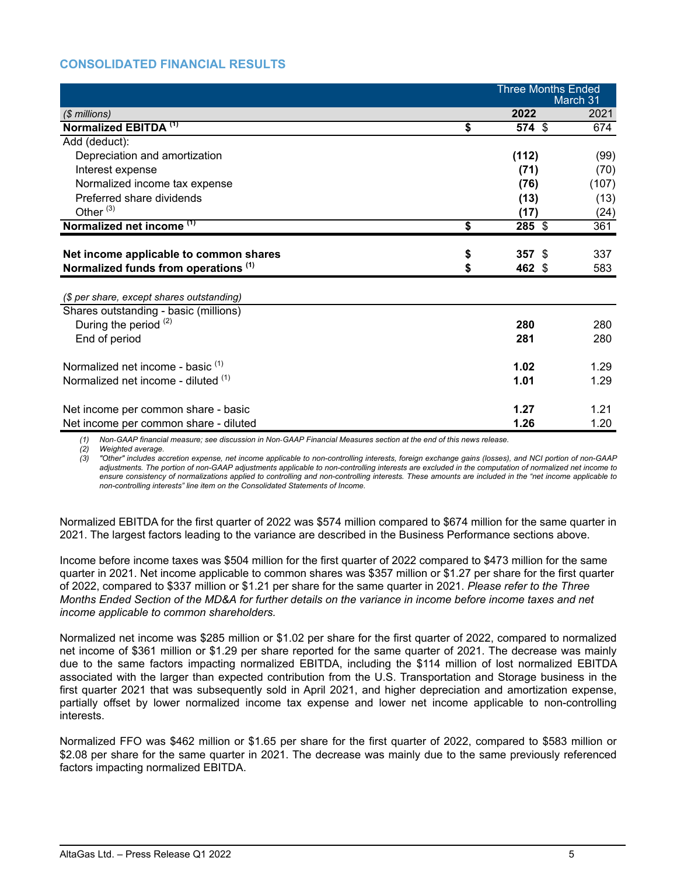## **CONSOLIDATED FINANCIAL RESULTS**

|                                                                                    |          |                | <b>Three Months Ended</b><br>March 31 |
|------------------------------------------------------------------------------------|----------|----------------|---------------------------------------|
| (\$ millions)                                                                      |          | 2022           | 2021                                  |
| Normalized EBITDA <sup>(1)</sup>                                                   | \$       | $574$ \$       | 674                                   |
| Add (deduct):                                                                      |          |                |                                       |
| Depreciation and amortization                                                      |          | (112)          | (99)                                  |
| Interest expense                                                                   |          | (71)           | (70)                                  |
| Normalized income tax expense                                                      |          | (76)           | (107)                                 |
| Preferred share dividends                                                          |          | (13)           | (13)                                  |
| Other $(3)$                                                                        |          | (17)           | (24)                                  |
| Normalized net income <sup>(1)</sup>                                               | \$       | $285$ \$       | 361                                   |
| Net income applicable to common shares<br>Normalized funds from operations (1)     | \$<br>\$ | 357S<br>462 \$ | 337<br>583                            |
| (\$ per share, except shares outstanding)<br>Shares outstanding - basic (millions) |          |                |                                       |
| During the period (2)                                                              |          | 280            | 280                                   |
| End of period                                                                      |          | 281            | 280                                   |
| Normalized net income - basic <sup>(1)</sup>                                       |          | 1.02           | 1.29                                  |
| Normalized net income - diluted (1)                                                |          | 1.01           | 1.29                                  |
| Net income per common share - basic                                                |          | 1.27           | 1.21                                  |
| Net income per common share - diluted                                              |          | 1.26           | 1.20                                  |

(1) Non-GAAP financial measure; see discussion in Non-GAAP Financial Measures section at the end of this news release.

*(2) Weighted average.*

*(3) "Other" includes accretion expense, net income applicable to non-controlling interests, foreign exchange gains (losses), and NCI portion of non-GAAP adjustments. The portion of non-GAAP adjustments applicable to non-controlling interests are excluded in the computation of normalized net income to ensure consistency of normalizations applied to controlling and non-controlling interests. These amounts are included in the "net income applicable to non-controlling interests" line item on the Consolidated Statements of Income.*

Normalized EBITDA for the first quarter of 2022 was \$574 million compared to \$674 million for the same quarter in 2021. The largest factors leading to the variance are described in the Business Performance sections above.

Income before income taxes was \$504 million for the first quarter of 2022 compared to \$473 million for the same quarter in 2021. Net income applicable to common shares was \$357 million or \$1.27 per share for the first quarter of 2022, compared to \$337 million or \$1.21 per share for the same quarter in 2021. *Please refer to the Three Months Ended Section of the MD&A for further details on the variance in income before income taxes and net income applicable to common shareholders.*

Normalized net income was \$285 million or \$1.02 per share for the first quarter of 2022, compared to normalized net income of \$361 million or \$1.29 per share reported for the same quarter of 2021. The decrease was mainly due to the same factors impacting normalized EBITDA, including the \$114 million of lost normalized EBITDA associated with the larger than expected contribution from the U.S. Transportation and Storage business in the first quarter 2021 that was subsequently sold in April 2021, and higher depreciation and amortization expense, partially offset by lower normalized income tax expense and lower net income applicable to non-controlling interests.

Normalized FFO was \$462 million or \$1.65 per share for the first quarter of 2022, compared to \$583 million or \$2.08 per share for the same quarter in 2021. The decrease was mainly due to the same previously referenced factors impacting normalized EBITDA.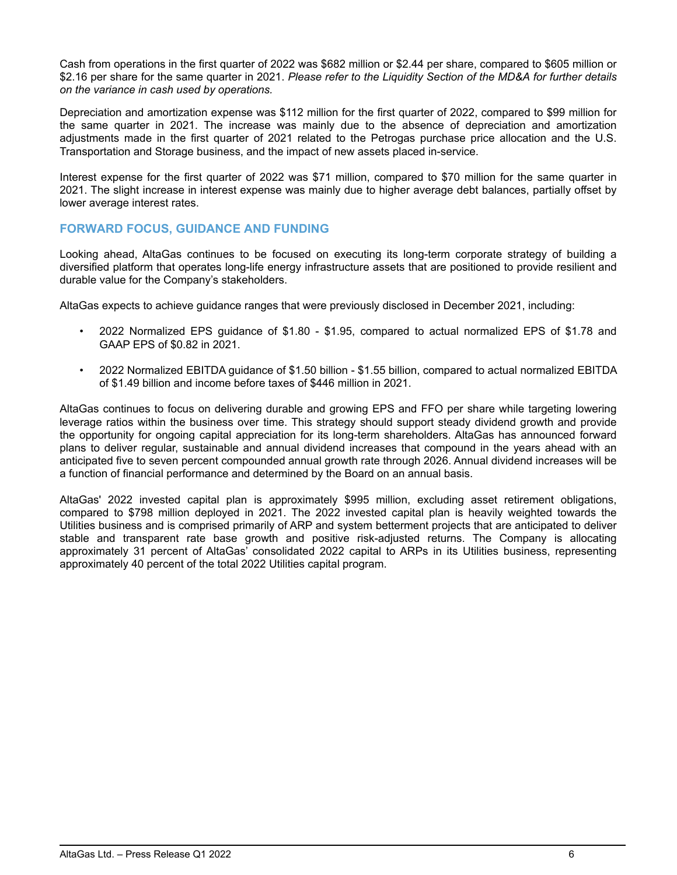Cash from operations in the first quarter of 2022 was \$682 million or \$2.44 per share, compared to \$605 million or \$2.16 per share for the same quarter in 2021. *Please refer to the Liquidity Section of the MD&A for further details on the variance in cash used by operations.*

Depreciation and amortization expense was \$112 million for the first quarter of 2022, compared to \$99 million for the same quarter in 2021. The increase was mainly due to the absence of depreciation and amortization adjustments made in the first quarter of 2021 related to the Petrogas purchase price allocation and the U.S. Transportation and Storage business, and the impact of new assets placed in-service.

Interest expense for the first quarter of 2022 was \$71 million, compared to \$70 million for the same quarter in 2021. The slight increase in interest expense was mainly due to higher average debt balances, partially offset by lower average interest rates.

## **FORWARD FOCUS, GUIDANCE AND FUNDING**

Looking ahead, AltaGas continues to be focused on executing its long-term corporate strategy of building a diversified platform that operates long-life energy infrastructure assets that are positioned to provide resilient and durable value for the Company's stakeholders.

AltaGas expects to achieve guidance ranges that were previously disclosed in December 2021, including:

- 2022 Normalized EPS guidance of \$1.80 \$1.95, compared to actual normalized EPS of \$1.78 and GAAP EPS of \$0.82 in 2021.
- 2022 Normalized EBITDA guidance of \$1.50 billion \$1.55 billion, compared to actual normalized EBITDA of \$1.49 billion and income before taxes of \$446 million in 2021.

AltaGas continues to focus on delivering durable and growing EPS and FFO per share while targeting lowering leverage ratios within the business over time. This strategy should support steady dividend growth and provide the opportunity for ongoing capital appreciation for its long-term shareholders. AltaGas has announced forward plans to deliver regular, sustainable and annual dividend increases that compound in the years ahead with an anticipated five to seven percent compounded annual growth rate through 2026. Annual dividend increases will be a function of financial performance and determined by the Board on an annual basis.

AltaGas' 2022 invested capital plan is approximately \$995 million, excluding asset retirement obligations, compared to \$798 million deployed in 2021. The 2022 invested capital plan is heavily weighted towards the Utilities business and is comprised primarily of ARP and system betterment projects that are anticipated to deliver stable and transparent rate base growth and positive risk-adjusted returns. The Company is allocating approximately 31 percent of AltaGas' consolidated 2022 capital to ARPs in its Utilities business, representing approximately 40 percent of the total 2022 Utilities capital program.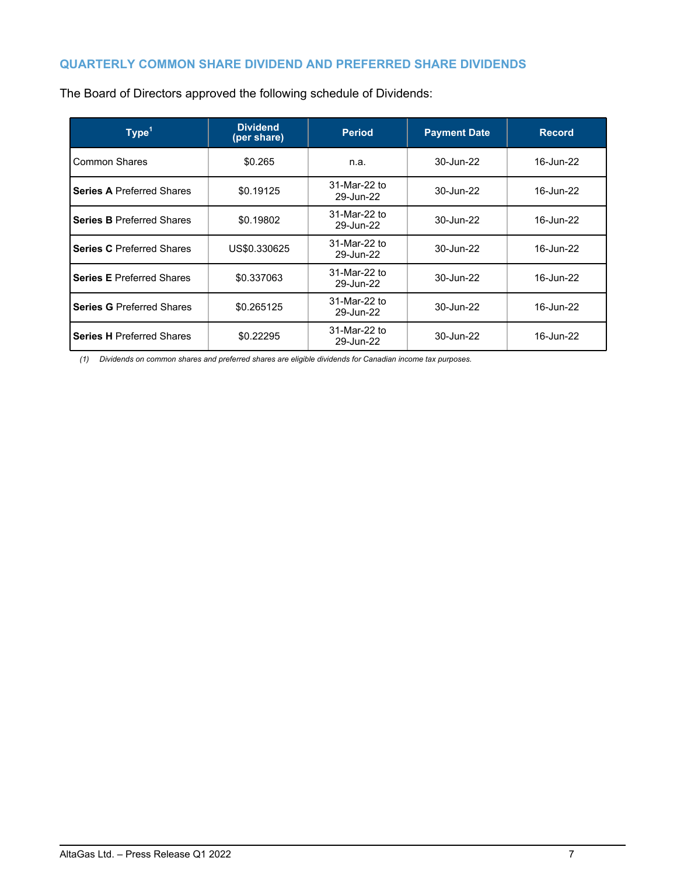## **QUARTERLY COMMON SHARE DIVIDEND AND PREFERRED SHARE DIVIDENDS**

| Type <sup>1</sup>                | <b>Dividend</b><br>(per share) | <b>Period</b>             | <b>Payment Date</b> | <b>Record</b> |
|----------------------------------|--------------------------------|---------------------------|---------------------|---------------|
| Common Shares                    | \$0.265                        | n.a.                      | 30-Jun-22           | 16-Jun-22     |
| <b>Series A Preferred Shares</b> | \$0.19125                      | 31-Mar-22 to<br>29-Jun-22 | 30-Jun-22           | 16-Jun-22     |
| <b>Series B Preferred Shares</b> | \$0.19802                      | 31-Mar-22 to<br>29-Jun-22 | 30-Jun-22           | 16-Jun-22     |
| <b>Series C</b> Preferred Shares | US\$0.330625                   | 31-Mar-22 to<br>29-Jun-22 | 30-Jun-22           | 16-Jun-22     |
| <b>Series E Preferred Shares</b> | \$0.337063                     | 31-Mar-22 to<br>29-Jun-22 | 30-Jun-22           | 16-Jun-22     |
| <b>Series G Preferred Shares</b> | \$0.265125                     | 31-Mar-22 to<br>29-Jun-22 | 30-Jun-22           | 16-Jun-22     |
| <b>Series H Preferred Shares</b> | \$0.22295                      | 31-Mar-22 to<br>29-Jun-22 | 30-Jun-22           | 16-Jun-22     |

The Board of Directors approved the following schedule of Dividends:

*(1) Dividends on common shares and preferred shares are eligible dividends for Canadian income tax purposes.*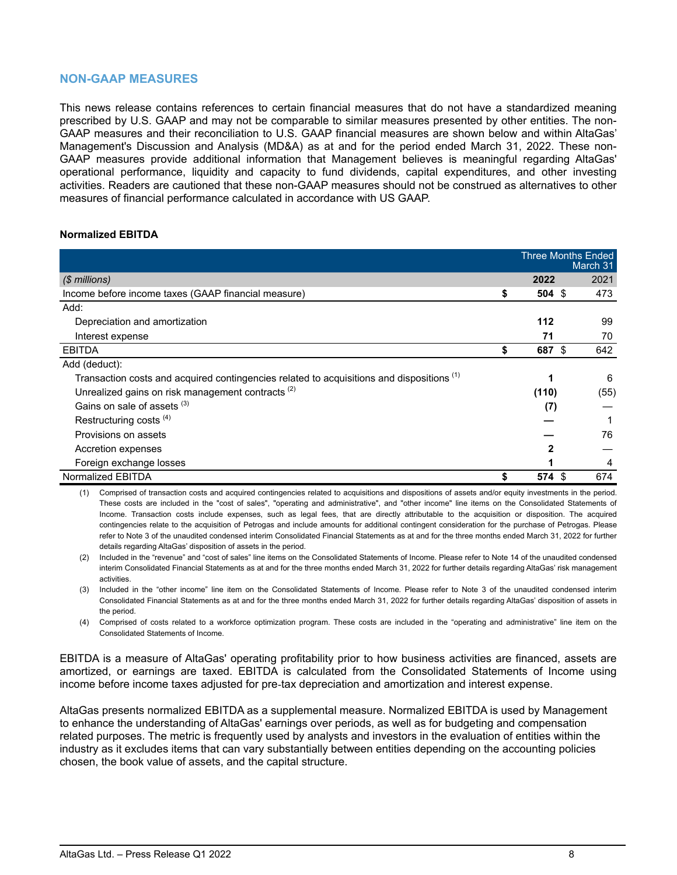## **NON-GAAP MEASURES**

This news release contains references to certain financial measures that do not have a standardized meaning prescribed by U.S. GAAP and may not be comparable to similar measures presented by other entities. The non-GAAP measures and their reconciliation to U.S. GAAP financial measures are shown below and within AltaGas' Management's Discussion and Analysis (MD&A) as at and for the period ended March 31, 2022. These non-GAAP measures provide additional information that Management believes is meaningful regarding AltaGas' operational performance, liquidity and capacity to fund dividends, capital expenditures, and other investing activities. Readers are cautioned that these non-GAAP measures should not be construed as alternatives to other measures of financial performance calculated in accordance with US GAAP.

### **Normalized EBITDA**

|                                                                                                      | <b>Three Months Ended</b> | March 31 |
|------------------------------------------------------------------------------------------------------|---------------------------|----------|
| $$$ millions)                                                                                        | 2022                      | 2021     |
| Income before income taxes (GAAP financial measure)                                                  | \$<br>$504 \text{ } $s$   | 473      |
| Add:                                                                                                 |                           |          |
| Depreciation and amortization                                                                        | 112                       | 99       |
| Interest expense                                                                                     | 71                        | 70       |
| EBITDA                                                                                               | \$<br>687<br>-\$          | 642      |
| Add (deduct):                                                                                        |                           |          |
| Transaction costs and acquired contingencies related to acquisitions and dispositions <sup>(1)</sup> |                           | 6        |
| Unrealized gains on risk management contracts <sup>(2)</sup>                                         | (110)                     | (55)     |
| Gains on sale of assets (3)                                                                          | (7)                       |          |
| Restructuring costs <sup>(4)</sup>                                                                   |                           |          |
| Provisions on assets                                                                                 |                           | 76       |
| Accretion expenses                                                                                   | 2                         |          |
| Foreign exchange losses                                                                              |                           | 4        |
| Normalized EBITDA                                                                                    | \$<br>574<br>-\$          | 674      |

(1) Comprised of transaction costs and acquired contingencies related to acquisitions and dispositions of assets and/or equity investments in the period. These costs are included in the "cost of sales", "operating and administrative", and "other income" line items on the Consolidated Statements of Income. Transaction costs include expenses, such as legal fees, that are directly attributable to the acquisition or disposition. The acquired contingencies relate to the acquisition of Petrogas and include amounts for additional contingent consideration for the purchase of Petrogas. Please refer to Note 3 of the unaudited condensed interim Consolidated Financial Statements as at and for the three months ended March 31, 2022 for further details regarding AltaGas' disposition of assets in the period.

(2) Included in the "revenue" and "cost of sales" line items on the Consolidated Statements of Income. Please refer to Note 14 of the unaudited condensed interim Consolidated Financial Statements as at and for the three months ended March 31, 2022 for further details regarding AltaGas' risk management activities.

(3) Included in the "other income" line item on the Consolidated Statements of Income. Please refer to Note 3 of the unaudited condensed interim Consolidated Financial Statements as at and for the three months ended March 31, 2022 for further details regarding AltaGas' disposition of assets in the period.

(4) Comprised of costs related to a workforce optimization program. These costs are included in the "operating and administrative" line item on the Consolidated Statements of Income.

EBITDA is a measure of AltaGas' operating profitability prior to how business activities are financed, assets are amortized, or earnings are taxed. EBITDA is calculated from the Consolidated Statements of Income using income before income taxes adjusted for pre-tax depreciation and amortization and interest expense.

AltaGas presents normalized EBITDA as a supplemental measure. Normalized EBITDA is used by Management to enhance the understanding of AltaGas' earnings over periods, as well as for budgeting and compensation related purposes. The metric is frequently used by analysts and investors in the evaluation of entities within the industry as it excludes items that can vary substantially between entities depending on the accounting policies chosen, the book value of assets, and the capital structure.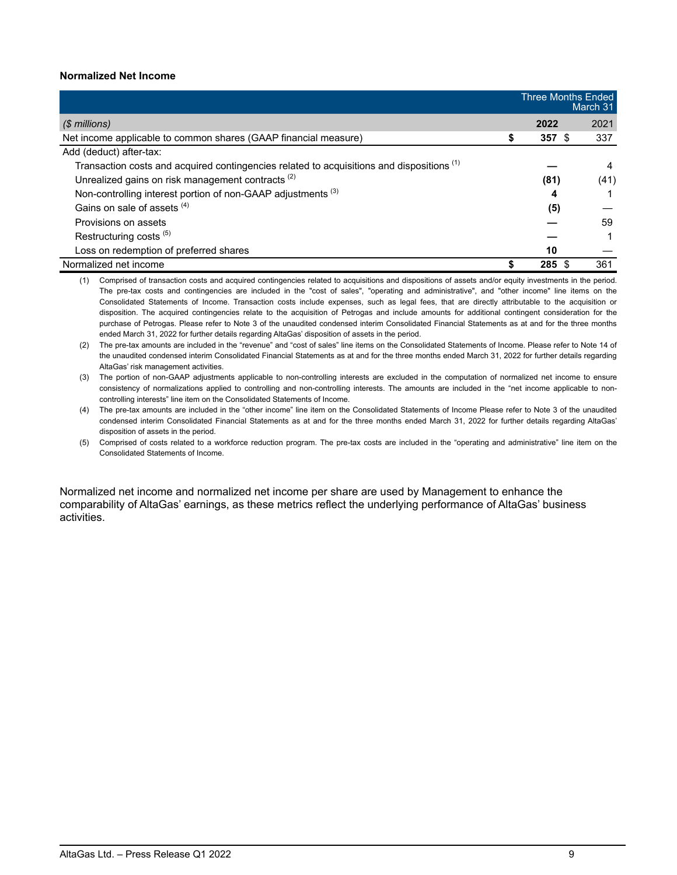### **Normalized Net Income**

|                                                                                                      | <b>Three Months Ended</b><br>March 31 |      |      |
|------------------------------------------------------------------------------------------------------|---------------------------------------|------|------|
| (\$ millions)                                                                                        |                                       | 2022 | 2021 |
| Net income applicable to common shares (GAAP financial measure)                                      | S                                     | 357S | 337  |
| Add (deduct) after-tax:                                                                              |                                       |      |      |
| Transaction costs and acquired contingencies related to acquisitions and dispositions <sup>(1)</sup> |                                       |      | 4    |
| Unrealized gains on risk management contracts <sup>(2)</sup>                                         |                                       | (81) | (41) |
| Non-controlling interest portion of non-GAAP adjustments <sup>(3)</sup>                              |                                       | 4    |      |
| Gains on sale of assets (4)                                                                          |                                       | (5)  |      |
| Provisions on assets                                                                                 |                                       |      | 59   |
| Restructuring costs <sup>(5)</sup>                                                                   |                                       |      |      |
| Loss on redemption of preferred shares                                                               |                                       | 10   |      |
| Normalized net income                                                                                |                                       | 285  | 361  |

(1) Comprised of transaction costs and acquired contingencies related to acquisitions and dispositions of assets and/or equity investments in the period. The pre-tax costs and contingencies are included in the "cost of sales", "operating and administrative", and "other income" line items on the Consolidated Statements of Income. Transaction costs include expenses, such as legal fees, that are directly attributable to the acquisition or disposition. The acquired contingencies relate to the acquisition of Petrogas and include amounts for additional contingent consideration for the purchase of Petrogas. Please refer to Note 3 of the unaudited condensed interim Consolidated Financial Statements as at and for the three months ended March 31, 2022 for further details regarding AltaGas' disposition of assets in the period.

(2) The pre-tax amounts are included in the "revenue" and "cost of sales" line items on the Consolidated Statements of Income. Please refer to Note 14 of the unaudited condensed interim Consolidated Financial Statements as at and for the three months ended March 31, 2022 for further details regarding AltaGas' risk management activities.

(3) The portion of non-GAAP adjustments applicable to non-controlling interests are excluded in the computation of normalized net income to ensure consistency of normalizations applied to controlling and non-controlling interests. The amounts are included in the "net income applicable to noncontrolling interests" line item on the Consolidated Statements of Income.

(4) The pre-tax amounts are included in the "other income" line item on the Consolidated Statements of Income Please refer to Note 3 of the unaudited condensed interim Consolidated Financial Statements as at and for the three months ended March 31, 2022 for further details regarding AltaGas' disposition of assets in the period.

(5) Comprised of costs related to a workforce reduction program. The pre-tax costs are included in the "operating and administrative" line item on the Consolidated Statements of Income.

Normalized net income and normalized net income per share are used by Management to enhance the comparability of AltaGas' earnings, as these metrics reflect the underlying performance of AltaGas' business activities.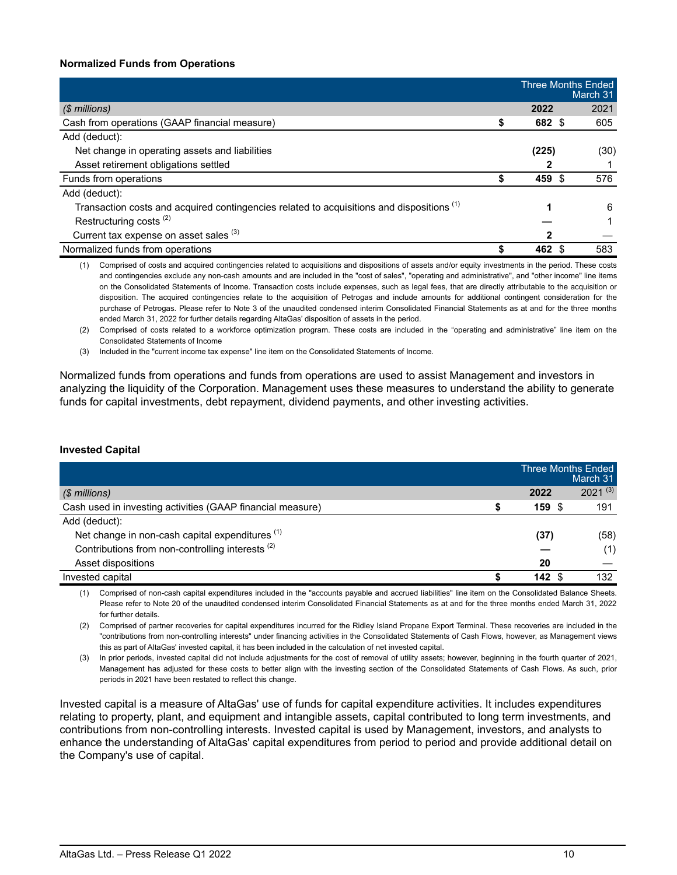### **Normalized Funds from Operations**

|                                                                                                      |        | <b>Three Months Ended</b><br>March 31 |
|------------------------------------------------------------------------------------------------------|--------|---------------------------------------|
| $$$ millions)                                                                                        | 2022   | 2021                                  |
| Cash from operations (GAAP financial measure)                                                        | 682 \$ | 605                                   |
| Add (deduct):                                                                                        |        |                                       |
| Net change in operating assets and liabilities                                                       | (225)  | (30)                                  |
| Asset retirement obligations settled                                                                 |        |                                       |
| Funds from operations                                                                                | 459 \$ | 576                                   |
| Add (deduct):                                                                                        |        |                                       |
| Transaction costs and acquired contingencies related to acquisitions and dispositions <sup>(1)</sup> |        | 6                                     |
| Restructuring costs <sup>(2)</sup>                                                                   |        |                                       |
| Current tax expense on asset sales (3)                                                               | 2      |                                       |
| Normalized funds from operations                                                                     | 462    | 583                                   |

(1) Comprised of costs and acquired contingencies related to acquisitions and dispositions of assets and/or equity investments in the period. These costs and contingencies exclude any non-cash amounts and are included in the "cost of sales", "operating and administrative", and "other income" line items on the Consolidated Statements of Income. Transaction costs include expenses, such as legal fees, that are directly attributable to the acquisition or disposition. The acquired contingencies relate to the acquisition of Petrogas and include amounts for additional contingent consideration for the purchase of Petrogas. Please refer to Note 3 of the unaudited condensed interim Consolidated Financial Statements as at and for the three months ended March 31, 2022 for further details regarding AltaGas' disposition of assets in the period.

(2) Comprised of costs related to a workforce optimization program. These costs are included in the "operating and administrative" line item on the Consolidated Statements of Income

(3) Included in the "current income tax expense" line item on the Consolidated Statements of Income.

Normalized funds from operations and funds from operations are used to assist Management and investors in analyzing the liquidity of the Corporation. Management uses these measures to understand the ability to generate funds for capital investments, debt repayment, dividend payments, and other investing activities.

#### **Invested Capital**

|                                                             | Three Months Ended | March 31     |
|-------------------------------------------------------------|--------------------|--------------|
| (\$ millions)                                               | 2022               | $2021^{(3)}$ |
| Cash used in investing activities (GAAP financial measure)  | 159 \$             | 191          |
| Add (deduct):                                               |                    |              |
| Net change in non-cash capital expenditures <sup>(1)</sup>  | (37)               | (58)         |
| Contributions from non-controlling interests <sup>(2)</sup> |                    | (1)          |
| Asset dispositions                                          | 20                 |              |
| Invested capital                                            | 142                | 132          |

(1) Comprised of non-cash capital expenditures included in the "accounts payable and accrued liabilities" line item on the Consolidated Balance Sheets. Please refer to Note 20 of the unaudited condensed interim Consolidated Financial Statements as at and for the three months ended March 31, 2022 for further details.

(2) Comprised of partner recoveries for capital expenditures incurred for the Ridley Island Propane Export Terminal. These recoveries are included in the "contributions from non-controlling interests" under financing activities in the Consolidated Statements of Cash Flows, however, as Management views this as part of AltaGas' invested capital, it has been included in the calculation of net invested capital.

(3) In prior periods, invested capital did not include adjustments for the cost of removal of utility assets; however, beginning in the fourth quarter of 2021, Management has adjusted for these costs to better align with the investing section of the Consolidated Statements of Cash Flows. As such, prior periods in 2021 have been restated to reflect this change.

Invested capital is a measure of AltaGas' use of funds for capital expenditure activities. It includes expenditures relating to property, plant, and equipment and intangible assets, capital contributed to long term investments, and contributions from non-controlling interests. Invested capital is used by Management, investors, and analysts to enhance the understanding of AltaGas' capital expenditures from period to period and provide additional detail on the Company's use of capital.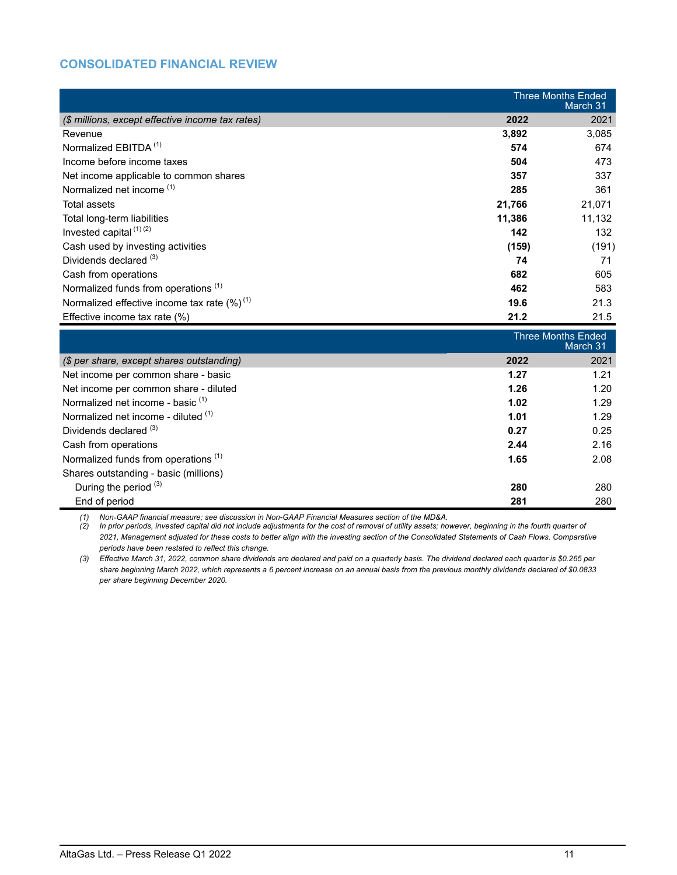## **CONSOLIDATED FINANCIAL REVIEW**

|                                                   | <b>Three Months Ended</b><br>March 31 |        |
|---------------------------------------------------|---------------------------------------|--------|
| (\$ millions, except effective income tax rates)  | 2022                                  | 2021   |
| Revenue                                           | 3,892                                 | 3,085  |
| Normalized EBITDA <sup>(1)</sup>                  | 574                                   | 674    |
| Income before income taxes                        | 504                                   | 473    |
| Net income applicable to common shares            | 357                                   | 337    |
| Normalized net income <sup>(1)</sup>              | 285                                   | 361    |
| Total assets                                      | 21,766                                | 21,071 |
| Total long-term liabilities                       | 11,386                                | 11,132 |
| Invested capital $(1)(2)$                         | 142                                   | 132    |
| Cash used by investing activities                 | (159)                                 | (191)  |
| Dividends declared (3)                            | 74                                    | 71     |
| Cash from operations                              | 682                                   | 605    |
| Normalized funds from operations <sup>(1)</sup>   | 462                                   | 583    |
| Normalized effective income tax rate $(\%)^{(1)}$ | 19.6                                  | 21.3   |
| Effective income tax rate $(\%)$                  | 21.2                                  | 21.5   |

|                                                 | <b>Three Months Ended</b><br>March 31 |      |
|-------------------------------------------------|---------------------------------------|------|
| (\$ per share, except shares outstanding)       | 2022                                  | 2021 |
| Net income per common share - basic             | 1.27                                  | 1.21 |
| Net income per common share - diluted           | 1.26                                  | 1.20 |
| Normalized net income - basic <sup>(1)</sup>    | 1.02                                  | 1.29 |
| Normalized net income - diluted (1)             | 1.01                                  | 1.29 |
| Dividends declared (3)                          | 0.27                                  | 0.25 |
| Cash from operations                            | 2.44                                  | 2.16 |
| Normalized funds from operations <sup>(1)</sup> | 1.65                                  | 2.08 |
| Shares outstanding - basic (millions)           |                                       |      |
| During the period (3)                           | 280                                   | 280  |
| End of period                                   | 281                                   | 280  |

*(1) Non*-*GAAP financial measure; see discussion in Non-GAAP Financial Measures section of the MD&A.* 

*(2) In prior periods, invested capital did not include adjustments for the cost of removal of utility assets; however, beginning in the fourth quarter of 2021, Management adjusted for these costs to better align with the investing section of the Consolidated Statements of Cash Flows. Comparative periods have been restated to reflect this change.*

*(3) Effective March 31, 2022, common share dividends are declared and paid on a quarterly basis. The dividend declared each quarter is \$0.265 per share beginning March 2022, which represents a 6 percent increase on an annual basis from the previous monthly dividends declared of \$0.0833 per share beginning December 2020.*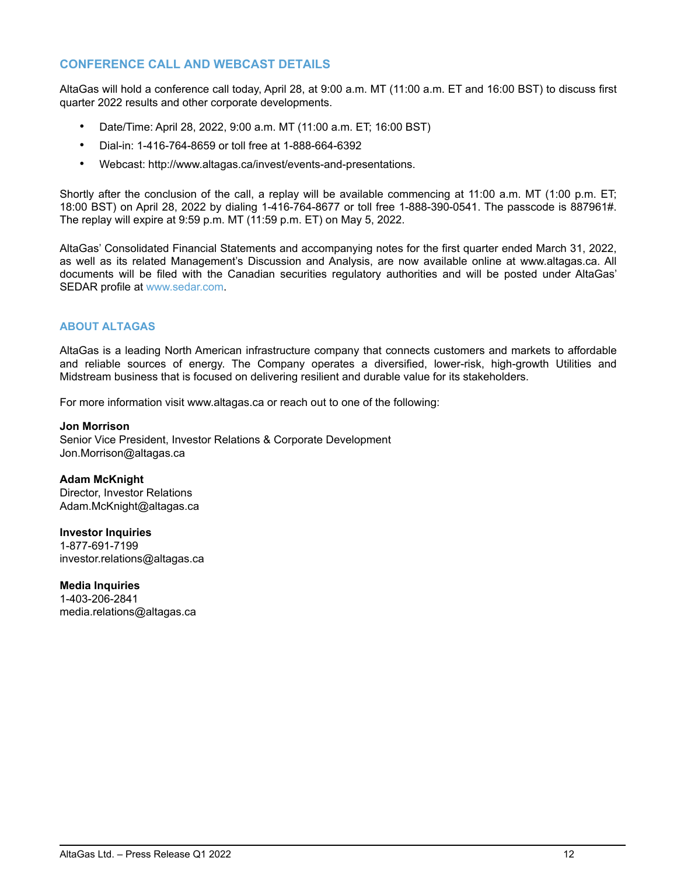## **CONFERENCE CALL AND WEBCAST DETAILS**

AltaGas will hold a conference call today, April 28, at 9:00 a.m. MT (11:00 a.m. ET and 16:00 BST) to discuss first quarter 2022 results and other corporate developments.

- Date/Time: April 28, 2022, 9:00 a.m. MT (11:00 a.m. ET; 16:00 BST)
- Dial-in: 1-416-764-8659 or toll free at 1-888-664-6392
- Webcast: http://www.altagas.ca/invest/events-and-presentations.

Shortly after the conclusion of the call, a replay will be available commencing at 11:00 a.m. MT (1:00 p.m. ET; 18:00 BST) on April 28, 2022 by dialing 1-416-764-8677 or toll free 1-888-390-0541. The passcode is 887961#. The replay will expire at 9:59 p.m. MT (11:59 p.m. ET) on May 5, 2022.

AltaGas' Consolidated Financial Statements and accompanying notes for the first quarter ended March 31, 2022, as well as its related Management's Discussion and Analysis, are now available online at www.altagas.ca. All documents will be filed with the Canadian securities regulatory authorities and will be posted under AltaGas' SEDAR profile at www.sedar.com.

### **ABOUT ALTAGAS**

AltaGas is a leading North American infrastructure company that connects customers and markets to affordable and reliable sources of energy. The Company operates a diversified, lower-risk, high-growth Utilities and Midstream business that is focused on delivering resilient and durable value for its stakeholders.

For more information visit www.altagas.ca or reach out to one of the following:

**Jon Morrison** Senior Vice President, Investor Relations & Corporate Development Jon.Morrison@altagas.ca

**Adam McKnight** Director, Investor Relations Adam.McKnight@altagas.ca

**Investor Inquiries** 1-877-691-7199 investor.relations@altagas.ca

**Media Inquiries** 1-403-206-2841 media.relations@altagas.ca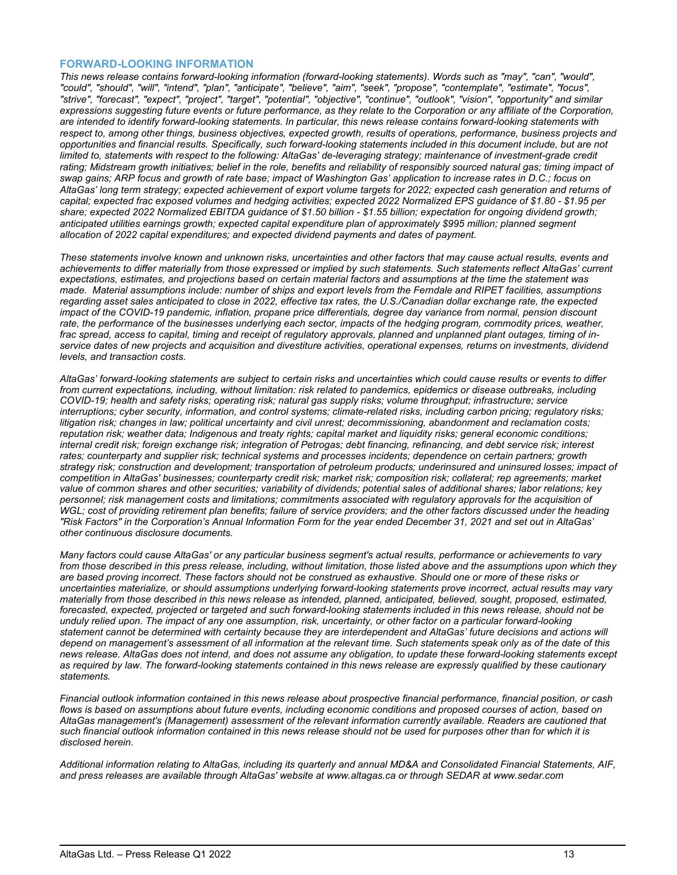#### **FORWARD-LOOKING INFORMATION**

*This news release contains forward-looking information (forward-looking statements). Words such as "may", "can", "would", "could", "should", "will", "intend", "plan", "anticipate", "believe", "aim", "seek", "propose", "contemplate", "estimate", "focus", "strive", "forecast", "expect", "project", "target", "potential", "objective", "continue", "outlook", "vision", "opportunity" and similar expressions suggesting future events or future performance, as they relate to the Corporation or any affiliate of the Corporation, are intended to identify forward-looking statements. In particular, this news release contains forward-looking statements with respect to, among other things, business objectives, expected growth, results of operations, performance, business projects and opportunities and financial results. Specifically, such forward-looking statements included in this document include, but are not limited to, statements with respect to the following: AltaGas' de-leveraging strategy; maintenance of investment-grade credit* rating; Midstream growth initiatives; belief in the role, benefits and reliability of responsibly sourced natural gas; timing impact of *swap gains; ARP focus and growth of rate base; impact of Washington Gas' application to increase rates in D.C.; focus on AltaGas' long term strategy; expected achievement of export volume targets for 2022; expected cash generation and returns of capital; expected frac exposed volumes and hedging activities; expected 2022 Normalized EPS guidance of \$1.80 - \$1.95 per share; expected 2022 Normalized EBITDA guidance of \$1.50 billion - \$1.55 billion; expectation for ongoing dividend growth; anticipated utilities earnings growth; expected capital expenditure plan of approximately \$995 million; planned segment allocation of 2022 capital expenditures; and expected dividend payments and dates of payment.*

*These statements involve known and unknown risks, uncertainties and other factors that may cause actual results, events and achievements to differ materially from those expressed or implied by such statements. Such statements reflect AltaGas' current expectations, estimates, and projections based on certain material factors and assumptions at the time the statement was made. Material assumptions include: number of ships and export levels from the Ferndale and RIPET facilities, assumptions regarding asset sales anticipated to close in 2022, effective tax rates, the U.S./Canadian dollar exchange rate, the expected impact of the COVID-19 pandemic, inflation, propane price differentials, degree day variance from normal, pension discount*  rate, the performance of the businesses underlying each sector, impacts of the hedging program, commodity prices, weather, *frac spread, access to capital, timing and receipt of regulatory approvals, planned and unplanned plant outages, timing of inservice dates of new projects and acquisition and divestiture activities, operational expenses, returns on investments, dividend levels, and transaction costs.*

*AltaGas' forward-looking statements are subject to certain risks and uncertainties which could cause results or events to differ from current expectations, including, without limitation: risk related to pandemics, epidemics or disease outbreaks, including COVID-19; health and safety risks; operating risk; natural gas supply risks; volume throughput; infrastructure; service interruptions; cyber security, information, and control systems; climate-related risks, including carbon pricing; regulatory risks; litigation risk; changes in law; political uncertainty and civil unrest; decommissioning, abandonment and reclamation costs; reputation risk; weather data; Indigenous and treaty rights; capital market and liquidity risks; general economic conditions; internal credit risk; foreign exchange risk; integration of Petrogas; debt financing, refinancing, and debt service risk; interest rates; counterparty and supplier risk; technical systems and processes incidents; dependence on certain partners; growth strategy risk; construction and development; transportation of petroleum products; underinsured and uninsured losses; impact of competition in AltaGas' businesses; counterparty credit risk; market risk; composition risk; collateral; rep agreements; market value of common shares and other securities; variability of dividends; potential sales of additional shares; labor relations; key personnel; risk management costs and limitations; commitments associated with regulatory approvals for the acquisition of WGL; cost of providing retirement plan benefits; failure of service providers; and the other factors discussed under the heading "Risk Factors" in the Corporation's Annual Information Form for the year ended December 31, 2021 and set out in AltaGas' other continuous disclosure documents.*

*Many factors could cause AltaGas' or any particular business segment's actual results, performance or achievements to vary from those described in this press release, including, without limitation, those listed above and the assumptions upon which they are based proving incorrect. These factors should not be construed as exhaustive. Should one or more of these risks or uncertainties materialize, or should assumptions underlying forward-looking statements prove incorrect, actual results may vary materially from those described in this news release as intended, planned, anticipated, believed, sought, proposed, estimated, forecasted, expected, projected or targeted and such forward-looking statements included in this news release, should not be unduly relied upon. The impact of any one assumption, risk, uncertainty, or other factor on a particular forward-looking statement cannot be determined with certainty because they are interdependent and AltaGas' future decisions and actions will depend on management's assessment of all information at the relevant time. Such statements speak only as of the date of this news release. AltaGas does not intend, and does not assume any obligation, to update these forward-looking statements except as required by law. The forward-looking statements contained in this news release are expressly qualified by these cautionary statements.*

*Financial outlook information contained in this news release about prospective financial performance, financial position, or cash flows is based on assumptions about future events, including economic conditions and proposed courses of action, based on AltaGas management's (Management) assessment of the relevant information currently available. Readers are cautioned that such financial outlook information contained in this news release should not be used for purposes other than for which it is disclosed herein.*

*Additional information relating to AltaGas, including its quarterly and annual MD&A and Consolidated Financial Statements, AIF, and press releases are available through AltaGas' website at www.altagas.ca or through SEDAR at www.sedar.com*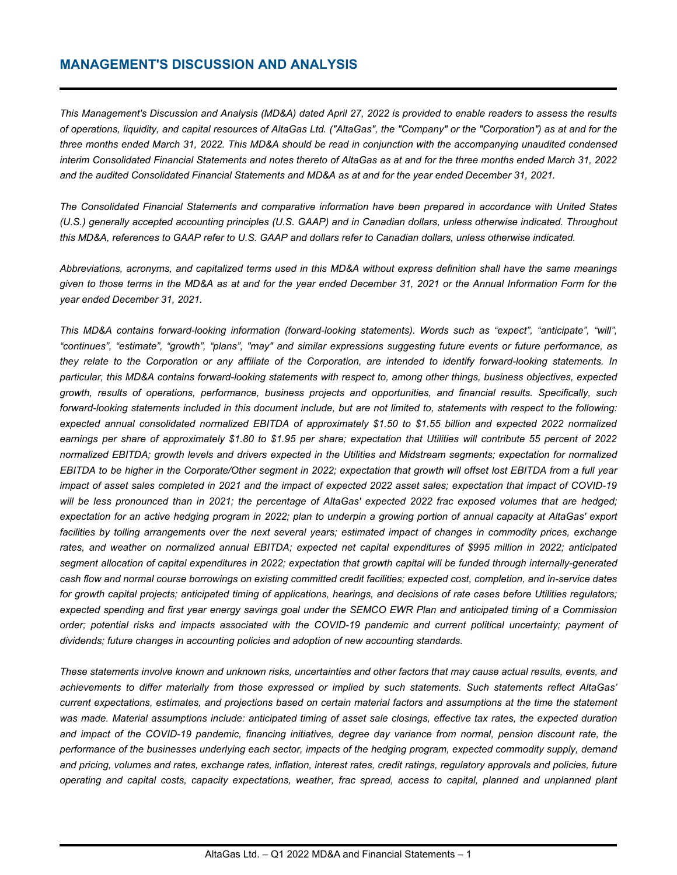## **MANAGEMENT'S DISCUSSION AND ANALYSIS**

*This Management's Discussion and Analysis (MD&A) dated April 27, 2022 is provided to enable readers to assess the results of operations, liquidity, and capital resources of AltaGas Ltd. ("AltaGas", the "Company" or the "Corporation") as at and for the three months ended March 31, 2022. This MD&A should be read in conjunction with the accompanying unaudited condensed interim Consolidated Financial Statements and notes thereto of AltaGas as at and for the three months ended March 31, 2022 and the audited Consolidated Financial Statements and MD&A as at and for the year ended December 31, 2021.* 

*The Consolidated Financial Statements and comparative information have been prepared in accordance with United States (U.S.) generally accepted accounting principles (U.S. GAAP) and in Canadian dollars, unless otherwise indicated. Throughout this MD&A, references to GAAP refer to U.S. GAAP and dollars refer to Canadian dollars, unless otherwise indicated.*

*Abbreviations, acronyms, and capitalized terms used in this MD&A without express definition shall have the same meanings given to those terms in the MD&A as at and for the year ended December 31, 2021 or the Annual Information Form for the year ended December 31, 2021.*

*This MD&A contains forward-looking information (forward-looking statements). Words such as "expect", "anticipate", "will", "continues", "estimate", "growth", "plans", "may" and similar expressions suggesting future events or future performance, as they relate to the Corporation or any affiliate of the Corporation, are intended to identify forward-looking statements. In particular, this MD&A contains forward-looking statements with respect to, among other things, business objectives, expected growth, results of operations, performance, business projects and opportunities, and financial results. Specifically, such forward-looking statements included in this document include, but are not limited to, statements with respect to the following: expected annual consolidated normalized EBITDA of approximately \$1.50 to \$1.55 billion and expected 2022 normalized earnings per share of approximately \$1.80 to \$1.95 per share; expectation that Utilities will contribute 55 percent of 2022 normalized EBITDA; growth levels and drivers expected in the Utilities and Midstream segments; expectation for normalized EBITDA to be higher in the Corporate/Other segment in 2022; expectation that growth will offset lost EBITDA from a full year impact of asset sales completed in 2021 and the impact of expected 2022 asset sales; expectation that impact of COVID-19 will be less pronounced than in 2021; the percentage of AltaGas' expected 2022 frac exposed volumes that are hedged; expectation for an active hedging program in 2022; plan to underpin a growing portion of annual capacity at AltaGas' export*  facilities by tolling arrangements over the next several years; estimated impact of changes in commodity prices, exchange *rates, and weather on normalized annual EBITDA; expected net capital expenditures of \$995 million in 2022; anticipated segment allocation of capital expenditures in 2022; expectation that growth capital will be funded through internally-generated cash flow and normal course borrowings on existing committed credit facilities; expected cost, completion, and in-service dates for growth capital projects; anticipated timing of applications, hearings, and decisions of rate cases before Utilities regulators; expected spending and first year energy savings goal under the SEMCO EWR Plan and anticipated timing of a Commission order; potential risks and impacts associated with the COVID-19 pandemic and current political uncertainty; payment of dividends; future changes in accounting policies and adoption of new accounting standards.* 

*These statements involve known and unknown risks, uncertainties and other factors that may cause actual results, events, and achievements to differ materially from those expressed or implied by such statements. Such statements reflect AltaGas' current expectations, estimates, and projections based on certain material factors and assumptions at the time the statement was made. Material assumptions include: anticipated timing of asset sale closings, effective tax rates, the expected duration and impact of the COVID-19 pandemic, financing initiatives, degree day variance from normal, pension discount rate, the performance of the businesses underlying each sector, impacts of the hedging program, expected commodity supply, demand and pricing, volumes and rates, exchange rates, inflation, interest rates, credit ratings, regulatory approvals and policies, future operating and capital costs, capacity expectations, weather, frac spread, access to capital, planned and unplanned plant*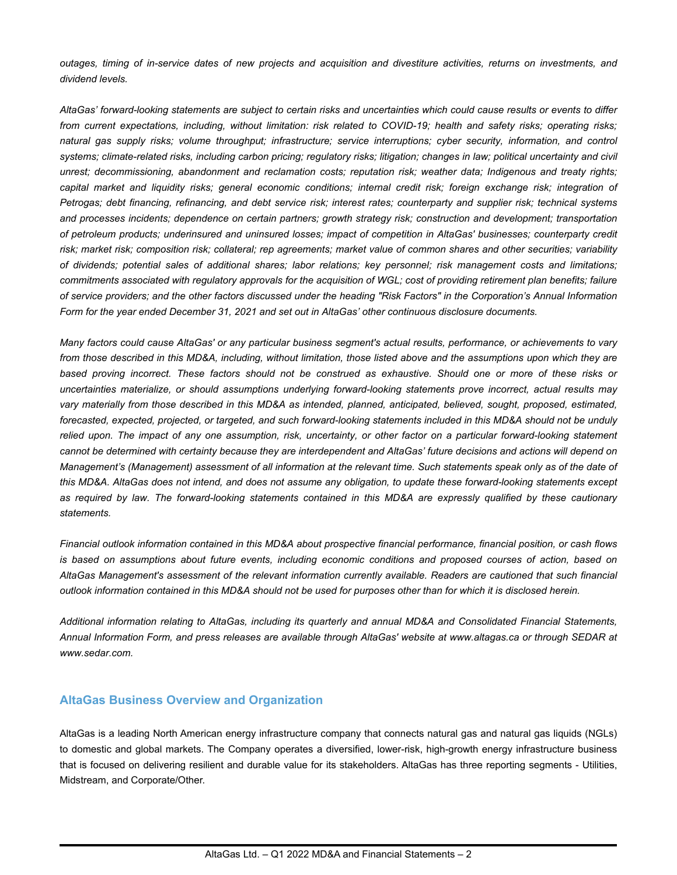*outages, timing of in-service dates of new projects and acquisition and divestiture activities, returns on investments, and dividend levels.*

*AltaGas' forward-looking statements are subject to certain risks and uncertainties which could cause results or events to differ from current expectations, including, without limitation: risk related to COVID-19; health and safety risks; operating risks; natural gas supply risks; volume throughput; infrastructure; service interruptions; cyber security, information, and control*  systems; climate-related risks, including carbon pricing; regulatory risks; litigation; changes in law; political uncertainty and civil *unrest; decommissioning, abandonment and reclamation costs; reputation risk; weather data; Indigenous and treaty rights; capital market and liquidity risks; general economic conditions; internal credit risk; foreign exchange risk; integration of Petrogas; debt financing, refinancing, and debt service risk; interest rates; counterparty and supplier risk; technical systems and processes incidents; dependence on certain partners; growth strategy risk; construction and development; transportation of petroleum products; underinsured and uninsured losses; impact of competition in AltaGas' businesses; counterparty credit risk; market risk; composition risk; collateral; rep agreements; market value of common shares and other securities; variability of dividends; potential sales of additional shares; labor relations; key personnel; risk management costs and limitations; commitments associated with regulatory approvals for the acquisition of WGL; cost of providing retirement plan benefits; failure of service providers; and the other factors discussed under the heading "Risk Factors" in the Corporation's Annual Information Form for the year ended December 31, 2021 and set out in AltaGas' other continuous disclosure documents.*

*Many factors could cause AltaGas' or any particular business segment's actual results, performance, or achievements to vary from those described in this MD&A, including, without limitation, those listed above and the assumptions upon which they are based proving incorrect. These factors should not be construed as exhaustive. Should one or more of these risks or uncertainties materialize, or should assumptions underlying forward-looking statements prove incorrect, actual results may vary materially from those described in this MD&A as intended, planned, anticipated, believed, sought, proposed, estimated, forecasted, expected, projected, or targeted, and such forward-looking statements included in this MD&A should not be unduly relied upon. The impact of any one assumption, risk, uncertainty, or other factor on a particular forward-looking statement cannot be determined with certainty because they are interdependent and AltaGas' future decisions and actions will depend on Management's (Management) assessment of all information at the relevant time. Such statements speak only as of the date of this MD&A. AltaGas does not intend, and does not assume any obligation, to update these forward-looking statements except as required by law. The forward-looking statements contained in this MD&A are expressly qualified by these cautionary statements.*

*Financial outlook information contained in this MD&A about prospective financial performance, financial position, or cash flows is based on assumptions about future events, including economic conditions and proposed courses of action, based on AltaGas Management's assessment of the relevant information currently available. Readers are cautioned that such financial outlook information contained in this MD&A should not be used for purposes other than for which it is disclosed herein.*

*Additional information relating to AltaGas, including its quarterly and annual MD&A and Consolidated Financial Statements, Annual Information Form, and press releases are available through AltaGas' website at www.altagas.ca or through SEDAR at www.sedar.com.*

### **AltaGas Business Overview and Organization**

AltaGas is a leading North American energy infrastructure company that connects natural gas and natural gas liquids (NGLs) to domestic and global markets. The Company operates a diversified, lower-risk, high-growth energy infrastructure business that is focused on delivering resilient and durable value for its stakeholders. AltaGas has three reporting segments - Utilities, Midstream, and Corporate/Other.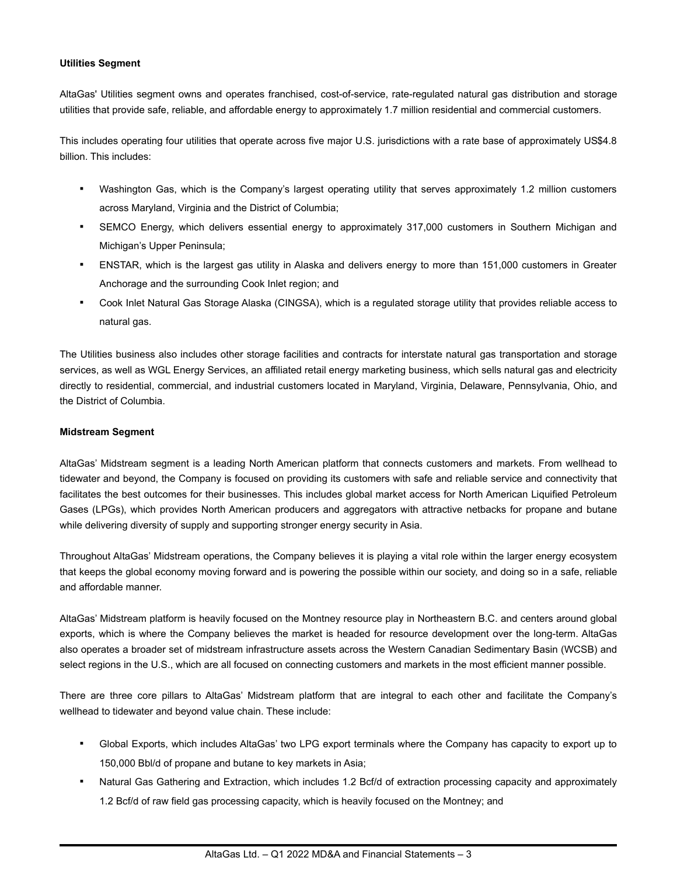### **Utilities Segment**

AltaGas' Utilities segment owns and operates franchised, cost-of-service, rate-regulated natural gas distribution and storage utilities that provide safe, reliable, and affordable energy to approximately 1.7 million residential and commercial customers.

This includes operating four utilities that operate across five major U.S. jurisdictions with a rate base of approximately US\$4.8 billion. This includes:

- Washington Gas, which is the Company's largest operating utility that serves approximately 1.2 million customers across Maryland, Virginia and the District of Columbia;
- SEMCO Energy, which delivers essential energy to approximately 317,000 customers in Southern Michigan and Michigan's Upper Peninsula;
- ENSTAR, which is the largest gas utility in Alaska and delivers energy to more than 151,000 customers in Greater Anchorage and the surrounding Cook Inlet region; and
- Cook Inlet Natural Gas Storage Alaska (CINGSA), which is a regulated storage utility that provides reliable access to natural gas.

The Utilities business also includes other storage facilities and contracts for interstate natural gas transportation and storage services, as well as WGL Energy Services, an affiliated retail energy marketing business, which sells natural gas and electricity directly to residential, commercial, and industrial customers located in Maryland, Virginia, Delaware, Pennsylvania, Ohio, and the District of Columbia.

#### **Midstream Segment**

AltaGas' Midstream segment is a leading North American platform that connects customers and markets. From wellhead to tidewater and beyond, the Company is focused on providing its customers with safe and reliable service and connectivity that facilitates the best outcomes for their businesses. This includes global market access for North American Liquified Petroleum Gases (LPGs), which provides North American producers and aggregators with attractive netbacks for propane and butane while delivering diversity of supply and supporting stronger energy security in Asia.

Throughout AltaGas' Midstream operations, the Company believes it is playing a vital role within the larger energy ecosystem that keeps the global economy moving forward and is powering the possible within our society, and doing so in a safe, reliable and affordable manner.

AltaGas' Midstream platform is heavily focused on the Montney resource play in Northeastern B.C. and centers around global exports, which is where the Company believes the market is headed for resource development over the long-term. AltaGas also operates a broader set of midstream infrastructure assets across the Western Canadian Sedimentary Basin (WCSB) and select regions in the U.S., which are all focused on connecting customers and markets in the most efficient manner possible.

There are three core pillars to AltaGas' Midstream platform that are integral to each other and facilitate the Company's wellhead to tidewater and beyond value chain. These include:

- Global Exports, which includes AltaGas' two LPG export terminals where the Company has capacity to export up to 150,000 Bbl/d of propane and butane to key markets in Asia;
- Natural Gas Gathering and Extraction, which includes 1.2 Bcf/d of extraction processing capacity and approximately 1.2 Bcf/d of raw field gas processing capacity, which is heavily focused on the Montney; and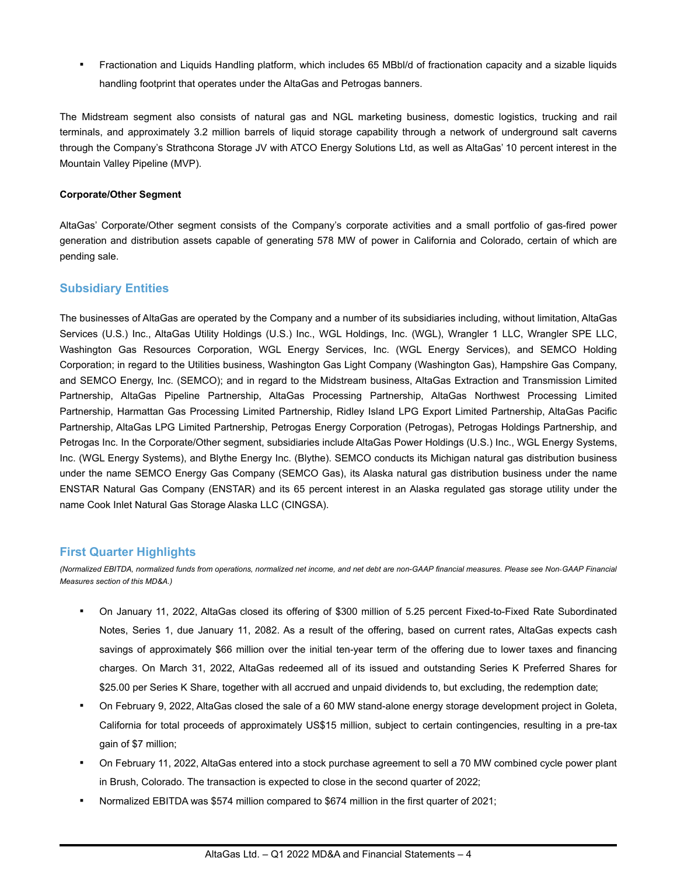▪ Fractionation and Liquids Handling platform, which includes 65 MBbl/d of fractionation capacity and a sizable liquids handling footprint that operates under the AltaGas and Petrogas banners.

The Midstream segment also consists of natural gas and NGL marketing business, domestic logistics, trucking and rail terminals, and approximately 3.2 million barrels of liquid storage capability through a network of underground salt caverns through the Company's Strathcona Storage JV with ATCO Energy Solutions Ltd, as well as AltaGas' 10 percent interest in the Mountain Valley Pipeline (MVP).

### **Corporate/Other Segment**

AltaGas' Corporate/Other segment consists of the Company's corporate activities and a small portfolio of gas-fired power generation and distribution assets capable of generating 578 MW of power in California and Colorado, certain of which are pending sale.

### **Subsidiary Entities**

The businesses of AltaGas are operated by the Company and a number of its subsidiaries including, without limitation, AltaGas Services (U.S.) Inc., AltaGas Utility Holdings (U.S.) Inc., WGL Holdings, Inc. (WGL), Wrangler 1 LLC, Wrangler SPE LLC, Washington Gas Resources Corporation, WGL Energy Services, Inc. (WGL Energy Services), and SEMCO Holding Corporation; in regard to the Utilities business, Washington Gas Light Company (Washington Gas), Hampshire Gas Company, and SEMCO Energy, Inc. (SEMCO); and in regard to the Midstream business, AltaGas Extraction and Transmission Limited Partnership, AltaGas Pipeline Partnership, AltaGas Processing Partnership, AltaGas Northwest Processing Limited Partnership, Harmattan Gas Processing Limited Partnership, Ridley Island LPG Export Limited Partnership, AltaGas Pacific Partnership, AltaGas LPG Limited Partnership, Petrogas Energy Corporation (Petrogas), Petrogas Holdings Partnership, and Petrogas Inc. In the Corporate/Other segment, subsidiaries include AltaGas Power Holdings (U.S.) Inc., WGL Energy Systems, Inc. (WGL Energy Systems), and Blythe Energy Inc. (Blythe). SEMCO conducts its Michigan natural gas distribution business under the name SEMCO Energy Gas Company (SEMCO Gas), its Alaska natural gas distribution business under the name ENSTAR Natural Gas Company (ENSTAR) and its 65 percent interest in an Alaska regulated gas storage utility under the name Cook Inlet Natural Gas Storage Alaska LLC (CINGSA).

### **First Quarter Highlights**

(Normalized EBITDA, normalized funds from operations, normalized net income, and net debt are non-GAAP financial measures. Please see Non-GAAP Financial *Measures section of this MD&A.)*

- On January 11, 2022, AltaGas closed its offering of \$300 million of 5.25 percent Fixed-to-Fixed Rate Subordinated Notes, Series 1, due January 11, 2082. As a result of the offering, based on current rates, AltaGas expects cash savings of approximately \$66 million over the initial ten-year term of the offering due to lower taxes and financing charges. On March 31, 2022, AltaGas redeemed all of its issued and outstanding Series K Preferred Shares for \$25.00 per Series K Share, together with all accrued and unpaid dividends to, but excluding, the redemption date;
- On February 9, 2022, AltaGas closed the sale of a 60 MW stand-alone energy storage development project in Goleta, California for total proceeds of approximately US\$15 million, subject to certain contingencies, resulting in a pre-tax gain of \$7 million;
- On February 11, 2022, AltaGas entered into a stock purchase agreement to sell a 70 MW combined cycle power plant in Brush, Colorado. The transaction is expected to close in the second quarter of 2022;
- Normalized EBITDA was \$574 million compared to \$674 million in the first quarter of 2021;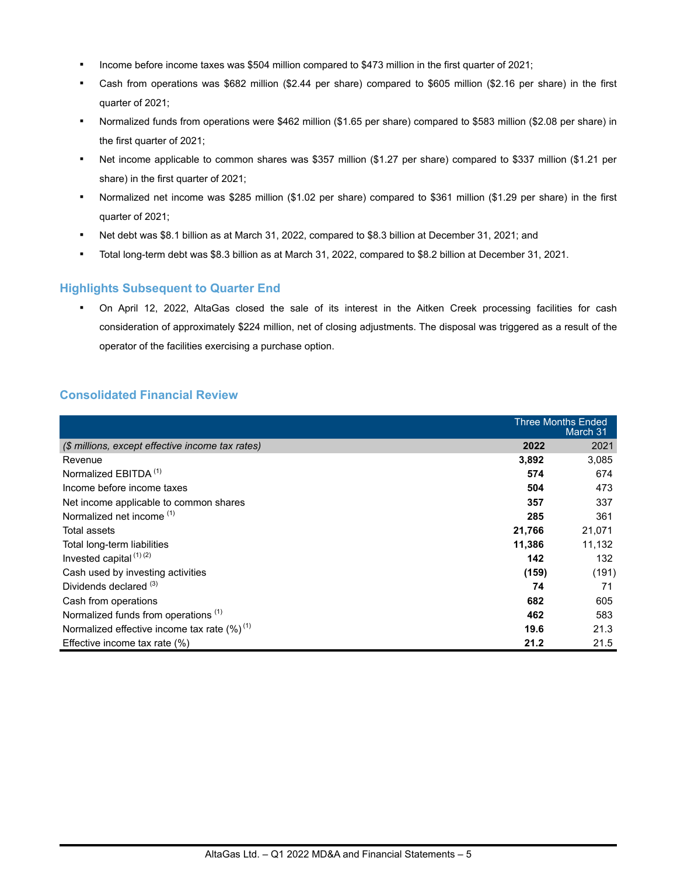- Income before income taxes was \$504 million compared to \$473 million in the first quarter of 2021;
- Cash from operations was \$682 million (\$2.44 per share) compared to \$605 million (\$2.16 per share) in the first quarter of 2021;
- Normalized funds from operations were \$462 million (\$1.65 per share) compared to \$583 million (\$2.08 per share) in the first quarter of 2021;
- Net income applicable to common shares was \$357 million (\$1.27 per share) compared to \$337 million (\$1.21 per share) in the first quarter of 2021;
- Normalized net income was \$285 million (\$1.02 per share) compared to \$361 million (\$1.29 per share) in the first quarter of 2021;
- Net debt was \$8.1 billion as at March 31, 2022, compared to \$8.3 billion at December 31, 2021; and
- Total long-term debt was \$8.3 billion as at March 31, 2022, compared to \$8.2 billion at December 31, 2021.

### **Highlights Subsequent to Quarter End**

On April 12, 2022, AltaGas closed the sale of its interest in the Aitken Creek processing facilities for cash consideration of approximately \$224 million, net of closing adjustments. The disposal was triggered as a result of the operator of the facilities exercising a purchase option.

## **Consolidated Financial Review**

|                                                   |        | <b>Three Months Ended</b><br>March 31 |
|---------------------------------------------------|--------|---------------------------------------|
| (\$ millions, except effective income tax rates)  | 2022   | 2021                                  |
| Revenue                                           | 3,892  | 3,085                                 |
| Normalized EBITDA <sup>(1)</sup>                  | 574    | 674                                   |
| Income before income taxes                        | 504    | 473                                   |
| Net income applicable to common shares            | 357    | 337                                   |
| Normalized net income <sup>(1)</sup>              | 285    | 361                                   |
| Total assets                                      | 21,766 | 21,071                                |
| Total long-term liabilities                       | 11,386 | 11,132                                |
| Invested capital $(1)(2)$                         | 142    | 132                                   |
| Cash used by investing activities                 | (159)  | (191)                                 |
| Dividends declared <sup>(3)</sup>                 | 74     | 71                                    |
| Cash from operations                              | 682    | 605                                   |
| Normalized funds from operations <sup>(1)</sup>   | 462    | 583                                   |
| Normalized effective income tax rate $(\%)^{(1)}$ | 19.6   | 21.3                                  |
| Effective income tax rate $(\%)$                  | 21.2   | 21.5                                  |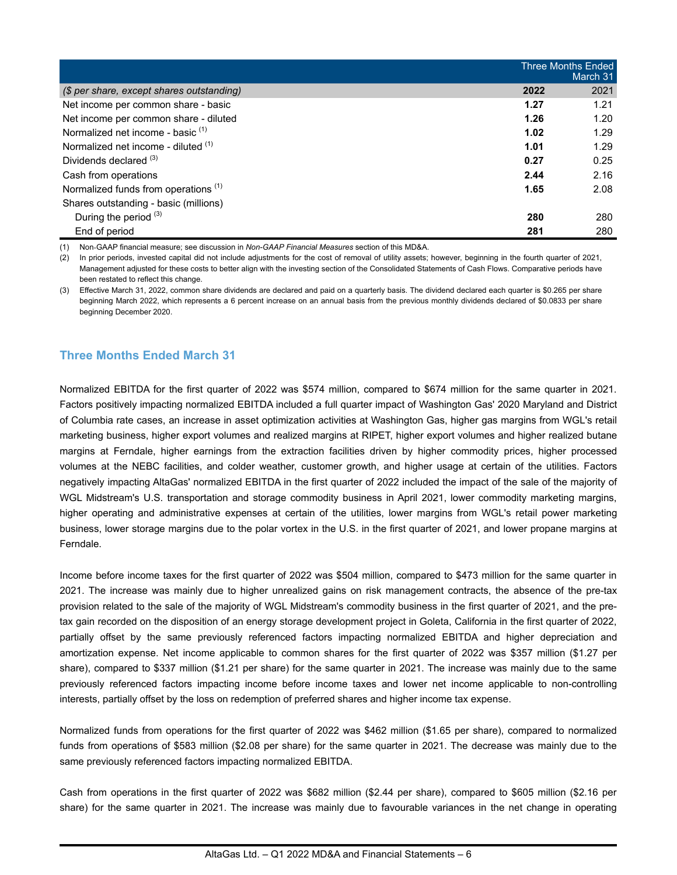|                                                 | <b>Three Months Ended</b><br>March 31 |      |  |
|-------------------------------------------------|---------------------------------------|------|--|
| (\$ per share, except shares outstanding)       | 2022                                  | 2021 |  |
| Net income per common share - basic             | 1.27                                  | 1.21 |  |
| Net income per common share - diluted           | 1.26                                  | 1.20 |  |
| Normalized net income - basic <sup>(1)</sup>    | 1.02                                  | 1.29 |  |
| Normalized net income - diluted (1)             | 1.01                                  | 1.29 |  |
| Dividends declared (3)                          | 0.27                                  | 0.25 |  |
| Cash from operations                            | 2.44                                  | 2.16 |  |
| Normalized funds from operations <sup>(1)</sup> | 1.65                                  | 2.08 |  |
| Shares outstanding - basic (millions)           |                                       |      |  |
| During the period $(3)$                         | 280                                   | 280  |  |
| End of period                                   | 281                                   | 280  |  |

(1) Non-GAAP financial measure; see discussion in *Non-GAAP Financial Measures* section of this MD&A.

(2) In prior periods, invested capital did not include adjustments for the cost of removal of utility assets; however, beginning in the fourth quarter of 2021, Management adjusted for these costs to better align with the investing section of the Consolidated Statements of Cash Flows. Comparative periods have been restated to reflect this change.

(3) Effective March 31, 2022, common share dividends are declared and paid on a quarterly basis. The dividend declared each quarter is \$0.265 per share beginning March 2022, which represents a 6 percent increase on an annual basis from the previous monthly dividends declared of \$0.0833 per share beginning December 2020.

## **Three Months Ended March 31**

Normalized EBITDA for the first quarter of 2022 was \$574 million, compared to \$674 million for the same quarter in 2021. Factors positively impacting normalized EBITDA included a full quarter impact of Washington Gas' 2020 Maryland and District of Columbia rate cases, an increase in asset optimization activities at Washington Gas, higher gas margins from WGL's retail marketing business, higher export volumes and realized margins at RIPET, higher export volumes and higher realized butane margins at Ferndale, higher earnings from the extraction facilities driven by higher commodity prices, higher processed volumes at the NEBC facilities, and colder weather, customer growth, and higher usage at certain of the utilities. Factors negatively impacting AltaGas' normalized EBITDA in the first quarter of 2022 included the impact of the sale of the majority of WGL Midstream's U.S. transportation and storage commodity business in April 2021, lower commodity marketing margins, higher operating and administrative expenses at certain of the utilities, lower margins from WGL's retail power marketing business, lower storage margins due to the polar vortex in the U.S. in the first quarter of 2021, and lower propane margins at Ferndale.

Income before income taxes for the first quarter of 2022 was \$504 million, compared to \$473 million for the same quarter in 2021. The increase was mainly due to higher unrealized gains on risk management contracts, the absence of the pre-tax provision related to the sale of the majority of WGL Midstream's commodity business in the first quarter of 2021, and the pretax gain recorded on the disposition of an energy storage development project in Goleta, California in the first quarter of 2022, partially offset by the same previously referenced factors impacting normalized EBITDA and higher depreciation and amortization expense. Net income applicable to common shares for the first quarter of 2022 was \$357 million (\$1.27 per share), compared to \$337 million (\$1.21 per share) for the same quarter in 2021. The increase was mainly due to the same previously referenced factors impacting income before income taxes and lower net income applicable to non-controlling interests, partially offset by the loss on redemption of preferred shares and higher income tax expense.

Normalized funds from operations for the first quarter of 2022 was \$462 million (\$1.65 per share), compared to normalized funds from operations of \$583 million (\$2.08 per share) for the same quarter in 2021. The decrease was mainly due to the same previously referenced factors impacting normalized EBITDA.

Cash from operations in the first quarter of 2022 was \$682 million (\$2.44 per share), compared to \$605 million (\$2.16 per share) for the same quarter in 2021. The increase was mainly due to favourable variances in the net change in operating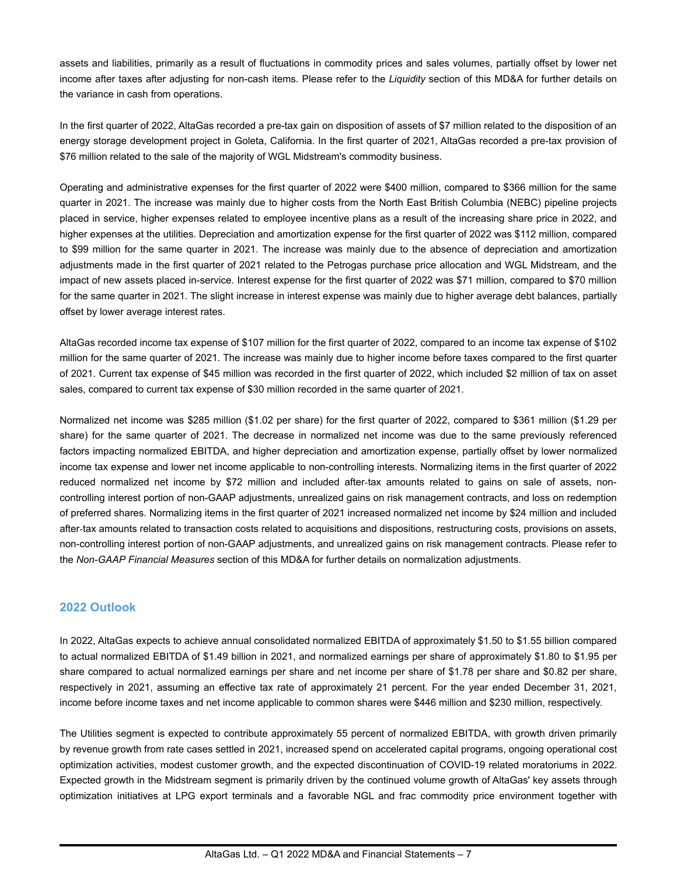assets and liabilities, primarily as a result of fluctuations in commodity prices and sales volumes, partially offset by lower net income after taxes after adjusting for non-cash items. Please refer to the *Liquidity* section of this MD&A for further details on the variance in cash from operations.

In the first quarter of 2022, AltaGas recorded a pre-tax gain on disposition of assets of \$7 million related to the disposition of an energy storage development project in Goleta, California. In the first quarter of 2021, AltaGas recorded a pre-tax provision of \$76 million related to the sale of the majority of WGL Midstream's commodity business.

Operating and administrative expenses for the first quarter of 2022 were \$400 million, compared to \$366 million for the same quarter in 2021. The increase was mainly due to higher costs from the North East British Columbia (NEBC) pipeline projects placed in service, higher expenses related to employee incentive plans as a result of the increasing share price in 2022, and higher expenses at the utilities. Depreciation and amortization expense for the first quarter of 2022 was \$112 million, compared to \$99 million for the same quarter in 2021. The increase was mainly due to the absence of depreciation and amortization adjustments made in the first quarter of 2021 related to the Petrogas purchase price allocation and WGL Midstream, and the impact of new assets placed in-service. Interest expense for the first quarter of 2022 was \$71 million, compared to \$70 million for the same quarter in 2021. The slight increase in interest expense was mainly due to higher average debt balances, partially offset by lower average interest rates.

AltaGas recorded income tax expense of \$107 million for the first quarter of 2022, compared to an income tax expense of \$102 million for the same quarter of 2021. The increase was mainly due to higher income before taxes compared to the first quarter of 2021. Current tax expense of \$45 million was recorded in the first quarter of 2022, which included \$2 million of tax on asset sales, compared to current tax expense of \$30 million recorded in the same quarter of 2021.

Normalized net income was \$285 million (\$1.02 per share) for the first quarter of 2022, compared to \$361 million (\$1.29 per share) for the same quarter of 2021. The decrease in normalized net income was due to the same previously referenced factors impacting normalized EBITDA, and higher depreciation and amortization expense, partially offset by lower normalized income tax expense and lower net income applicable to non-controlling interests. Normalizing items in the first quarter of 2022 reduced normalized net income by \$72 million and included after-tax amounts related to gains on sale of assets, noncontrolling interest portion of non-GAAP adjustments, unrealized gains on risk management contracts, and loss on redemption of preferred shares. Normalizing items in the first quarter of 2021 increased normalized net income by \$24 million and included after-tax amounts related to transaction costs related to acquisitions and dispositions, restructuring costs, provisions on assets, non-controlling interest portion of non-GAAP adjustments, and unrealized gains on risk management contracts. Please refer to the *Non-GAAP Financial Measures* section of this MD&A for further details on normalization adjustments.

### **2022 Outlook**

In 2022, AltaGas expects to achieve annual consolidated normalized EBITDA of approximately \$1.50 to \$1.55 billion compared to actual normalized EBITDA of \$1.49 billion in 2021, and normalized earnings per share of approximately \$1.80 to \$1.95 per share compared to actual normalized earnings per share and net income per share of \$1.78 per share and \$0.82 per share, respectively in 2021, assuming an effective tax rate of approximately 21 percent. For the year ended December 31, 2021, income before income taxes and net income applicable to common shares were \$446 million and \$230 million, respectively.

The Utilities segment is expected to contribute approximately 55 percent of normalized EBITDA, with growth driven primarily by revenue growth from rate cases settled in 2021, increased spend on accelerated capital programs, ongoing operational cost optimization activities, modest customer growth, and the expected discontinuation of COVID-19 related moratoriums in 2022. Expected growth in the Midstream segment is primarily driven by the continued volume growth of AltaGas' key assets through optimization initiatives at LPG export terminals and a favorable NGL and frac commodity price environment together with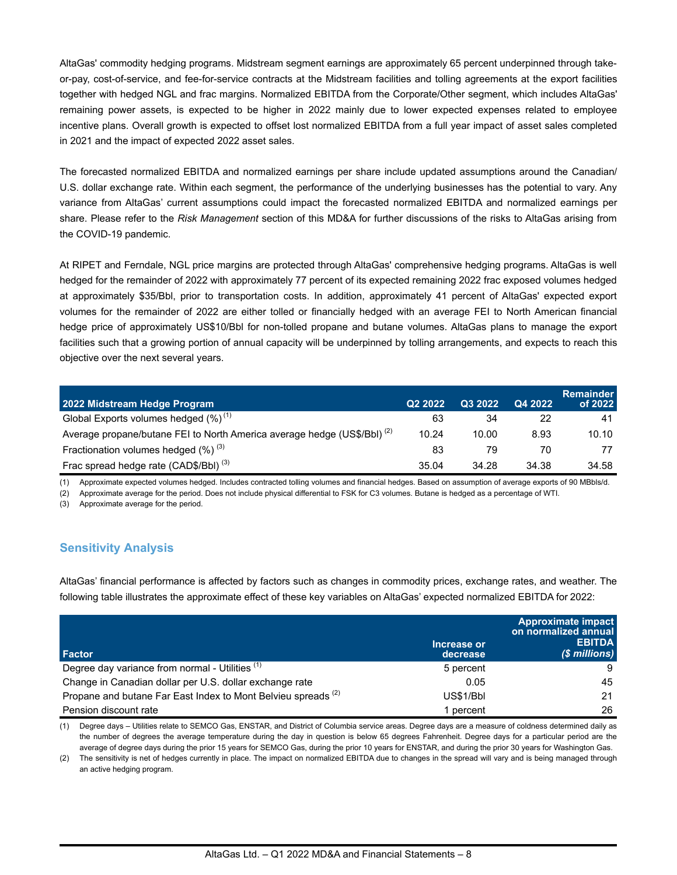AltaGas' commodity hedging programs. Midstream segment earnings are approximately 65 percent underpinned through takeor-pay, cost-of-service, and fee-for-service contracts at the Midstream facilities and tolling agreements at the export facilities together with hedged NGL and frac margins. Normalized EBITDA from the Corporate/Other segment, which includes AltaGas' remaining power assets, is expected to be higher in 2022 mainly due to lower expected expenses related to employee incentive plans. Overall growth is expected to offset lost normalized EBITDA from a full year impact of asset sales completed in 2021 and the impact of expected 2022 asset sales.

The forecasted normalized EBITDA and normalized earnings per share include updated assumptions around the Canadian/ U.S. dollar exchange rate. Within each segment, the performance of the underlying businesses has the potential to vary. Any variance from AltaGas' current assumptions could impact the forecasted normalized EBITDA and normalized earnings per share. Please refer to the *Risk Management* section of this MD&A for further discussions of the risks to AltaGas arising from the COVID-19 pandemic.

At RIPET and Ferndale, NGL price margins are protected through AltaGas' comprehensive hedging programs. AltaGas is well hedged for the remainder of 2022 with approximately 77 percent of its expected remaining 2022 frac exposed volumes hedged at approximately \$35/Bbl, prior to transportation costs. In addition, approximately 41 percent of AltaGas' expected export volumes for the remainder of 2022 are either tolled or financially hedged with an average FEI to North American financial hedge price of approximately US\$10/Bbl for non-tolled propane and butane volumes. AltaGas plans to manage the export facilities such that a growing portion of annual capacity will be underpinned by tolling arrangements, and expects to reach this objective over the next several years.

| 2022 Midstream Hedge Program                                                        | Q <sub>2</sub> 2022 | Q3 2022 | Q4 2022 | <b>Remainder</b><br>of 2022 |
|-------------------------------------------------------------------------------------|---------------------|---------|---------|-----------------------------|
| Global Exports volumes hedged $(\%)^{(1)}$                                          | 63                  | 34      | 22      | 41                          |
| Average propane/butane FEI to North America average hedge (US\$/BbI) <sup>(2)</sup> | 10.24               | 10.00   | 8.93    | 10.10                       |
| Fractionation volumes hedged $(\%)^{(3)}$                                           | 83                  | 79      | 70      | 77                          |
| Frac spread hedge rate (CAD\$/BbI) <sup>(3)</sup>                                   | 35.04               | 34.28   | 34.38   | 34.58                       |

(1) Approximate expected volumes hedged. Includes contracted tolling volumes and financial hedges. Based on assumption of average exports of 90 MBbls/d.

(2) Approximate average for the period. Does not include physical differential to FSK for C3 volumes. Butane is hedged as a percentage of WTI.

(3) Approximate average for the period.

## **Sensitivity Analysis**

AltaGas' financial performance is affected by factors such as changes in commodity prices, exchange rates, and weather. The following table illustrates the approximate effect of these key variables on AltaGas' expected normalized EBITDA for 2022:

| Factor                                                                   | Increase or<br>decrease | Approximate impact<br>on normalized annual<br><b>EBITDA</b><br>$($$ millions) |
|--------------------------------------------------------------------------|-------------------------|-------------------------------------------------------------------------------|
| Degree day variance from normal - Utilities (1)                          | 5 percent               | 9                                                                             |
| Change in Canadian dollar per U.S. dollar exchange rate                  | 0.05                    | 45                                                                            |
| Propane and butane Far East Index to Mont Belvieu spreads <sup>(2)</sup> | US\$1/Bbl               | 21                                                                            |
| Pension discount rate                                                    | percent                 | 26                                                                            |

(1) Degree days – Utilities relate to SEMCO Gas, ENSTAR, and District of Columbia service areas. Degree days are a measure of coldness determined daily as the number of degrees the average temperature during the day in question is below 65 degrees Fahrenheit. Degree days for a particular period are the average of degree days during the prior 15 years for SEMCO Gas, during the prior 10 years for ENSTAR, and during the prior 30 years for Washington Gas.

(2) The sensitivity is net of hedges currently in place. The impact on normalized EBITDA due to changes in the spread will vary and is being managed through an active hedging program.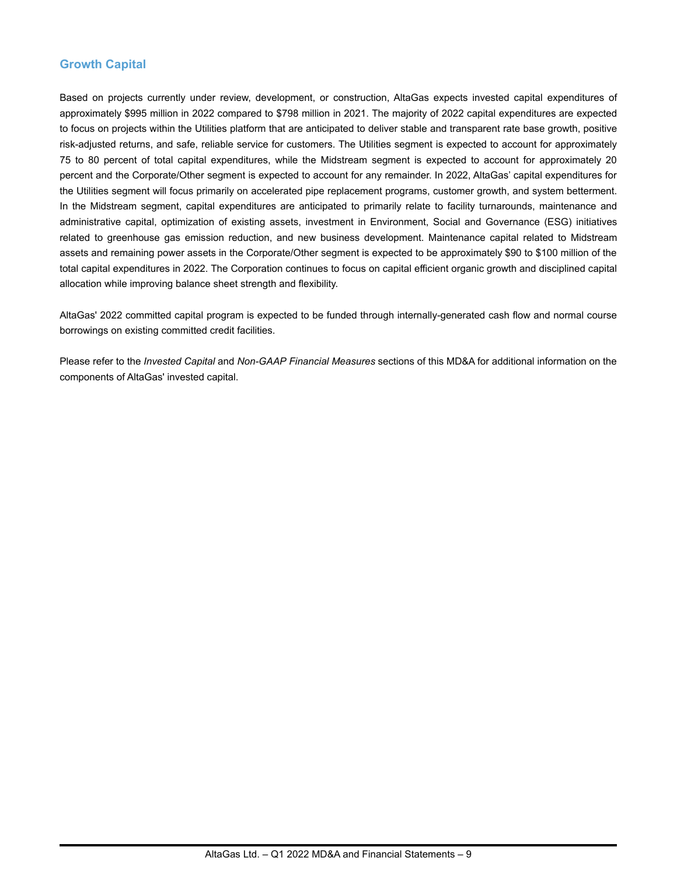## **Growth Capital**

Based on projects currently under review, development, or construction, AltaGas expects invested capital expenditures of approximately \$995 million in 2022 compared to \$798 million in 2021. The majority of 2022 capital expenditures are expected to focus on projects within the Utilities platform that are anticipated to deliver stable and transparent rate base growth, positive risk-adjusted returns, and safe, reliable service for customers. The Utilities segment is expected to account for approximately 75 to 80 percent of total capital expenditures, while the Midstream segment is expected to account for approximately 20 percent and the Corporate/Other segment is expected to account for any remainder. In 2022, AltaGas' capital expenditures for the Utilities segment will focus primarily on accelerated pipe replacement programs, customer growth, and system betterment. In the Midstream segment, capital expenditures are anticipated to primarily relate to facility turnarounds, maintenance and administrative capital, optimization of existing assets, investment in Environment, Social and Governance (ESG) initiatives related to greenhouse gas emission reduction, and new business development. Maintenance capital related to Midstream assets and remaining power assets in the Corporate/Other segment is expected to be approximately \$90 to \$100 million of the total capital expenditures in 2022. The Corporation continues to focus on capital efficient organic growth and disciplined capital allocation while improving balance sheet strength and flexibility.

AltaGas' 2022 committed capital program is expected to be funded through internally-generated cash flow and normal course borrowings on existing committed credit facilities.

Please refer to the *Invested Capital* and *Non-GAAP Financial Measures* sections of this MD&A for additional information on the components of AltaGas' invested capital.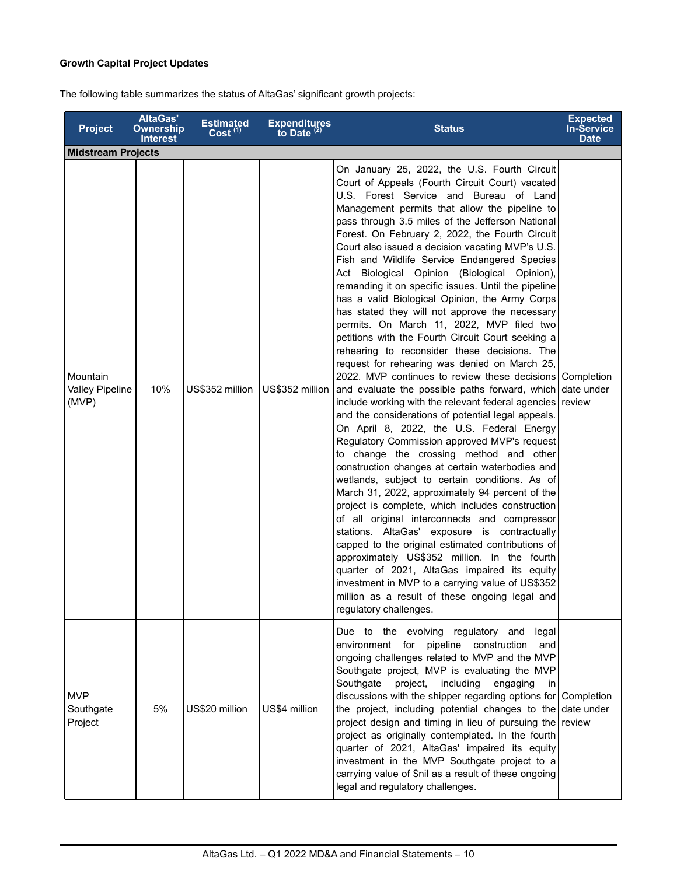## **Growth Capital Project Updates**

The following table summarizes the status of AltaGas' significant growth projects:

| <b>Project</b>                              | <b>AltaGas'</b><br><b>Ownership</b><br><b>Interest</b> | <b>Estimated</b><br>Cost <sup>(1)</sup> | Expenditures<br>to Date $(2)$ | <b>Status</b>                                                                                                                                                                                                                                                                                                                                                                                                                                                                                                                                                                                                                                                                                                                                                                                                                                                                                                                                                                                                                                                                                                                                                                                                                                                                                                                                                                                                                                                                                                                                                                                                                                                                                                                                                                                            | <b>Expected</b><br><b>In-Service</b><br><b>Date</b> |
|---------------------------------------------|--------------------------------------------------------|-----------------------------------------|-------------------------------|----------------------------------------------------------------------------------------------------------------------------------------------------------------------------------------------------------------------------------------------------------------------------------------------------------------------------------------------------------------------------------------------------------------------------------------------------------------------------------------------------------------------------------------------------------------------------------------------------------------------------------------------------------------------------------------------------------------------------------------------------------------------------------------------------------------------------------------------------------------------------------------------------------------------------------------------------------------------------------------------------------------------------------------------------------------------------------------------------------------------------------------------------------------------------------------------------------------------------------------------------------------------------------------------------------------------------------------------------------------------------------------------------------------------------------------------------------------------------------------------------------------------------------------------------------------------------------------------------------------------------------------------------------------------------------------------------------------------------------------------------------------------------------------------------------|-----------------------------------------------------|
| <b>Midstream Projects</b>                   |                                                        |                                         |                               |                                                                                                                                                                                                                                                                                                                                                                                                                                                                                                                                                                                                                                                                                                                                                                                                                                                                                                                                                                                                                                                                                                                                                                                                                                                                                                                                                                                                                                                                                                                                                                                                                                                                                                                                                                                                          |                                                     |
| Mountain<br><b>Valley Pipeline</b><br>(MVP) | 10%                                                    | US\$352 million                         | US\$352 million               | On January 25, 2022, the U.S. Fourth Circuit<br>Court of Appeals (Fourth Circuit Court) vacated<br>U.S. Forest Service and Bureau of Land<br>Management permits that allow the pipeline to<br>pass through 3.5 miles of the Jefferson National<br>Forest. On February 2, 2022, the Fourth Circuit<br>Court also issued a decision vacating MVP's U.S.<br>Fish and Wildlife Service Endangered Species<br>Act Biological Opinion (Biological Opinion),<br>remanding it on specific issues. Until the pipeline<br>has a valid Biological Opinion, the Army Corps<br>has stated they will not approve the necessary<br>permits. On March 11, 2022, MVP filed two<br>petitions with the Fourth Circuit Court seeking a<br>rehearing to reconsider these decisions. The<br>request for rehearing was denied on March 25,<br>2022. MVP continues to review these decisions Completion<br>and evaluate the possible paths forward, which date under<br>include working with the relevant federal agencies review<br>and the considerations of potential legal appeals.<br>On April 8, 2022, the U.S. Federal Energy<br>Regulatory Commission approved MVP's request<br>to change the crossing method and other<br>construction changes at certain waterbodies and<br>wetlands, subject to certain conditions. As of<br>March 31, 2022, approximately 94 percent of the<br>project is complete, which includes construction<br>of all original interconnects and compressor<br>stations. AltaGas' exposure is contractually<br>capped to the original estimated contributions of<br>approximately US\$352 million. In the fourth<br>quarter of 2021, AltaGas impaired its equity<br>investment in MVP to a carrying value of US\$352<br>million as a result of these ongoing legal and<br>regulatory challenges. |                                                     |
| <b>MVP</b><br>Southgate<br>Project          | 5%                                                     | US\$20 million                          | US\$4 million                 | Due to the evolving regulatory and<br>legal<br>environment for<br>pipeline construction<br>and<br>ongoing challenges related to MVP and the MVP<br>Southgate project, MVP is evaluating the MVP<br>Southgate<br>project,<br>including<br>engaging<br>in I<br>discussions with the shipper regarding options for Completion<br>the project, including potential changes to the date under<br>project design and timing in lieu of pursuing the review<br>project as originally contemplated. In the fourth<br>quarter of 2021, AltaGas' impaired its equity<br>investment in the MVP Southgate project to a<br>carrying value of \$nil as a result of these ongoing<br>legal and regulatory challenges.                                                                                                                                                                                                                                                                                                                                                                                                                                                                                                                                                                                                                                                                                                                                                                                                                                                                                                                                                                                                                                                                                                   |                                                     |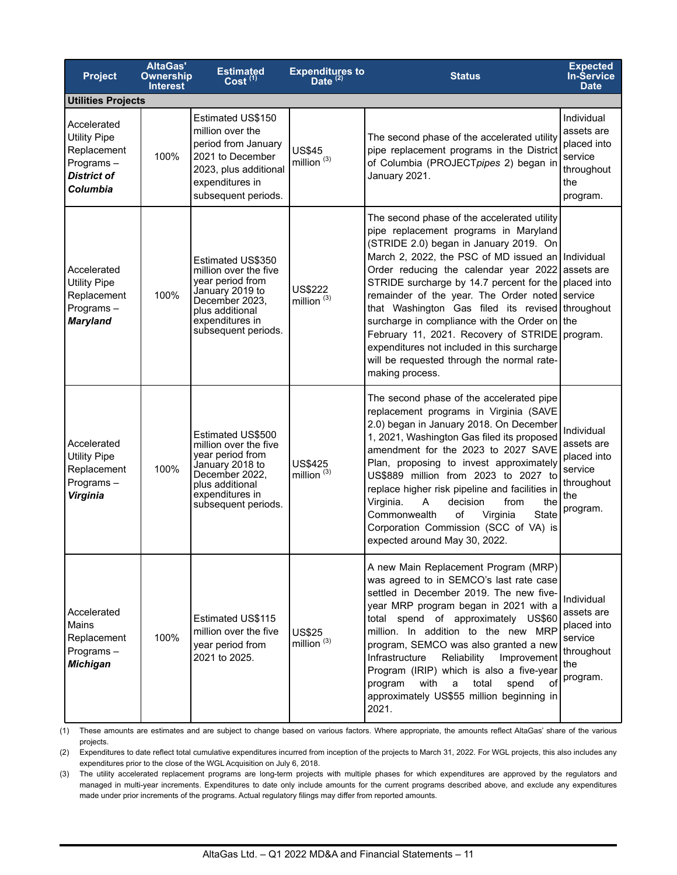| <b>Project</b>                                                                                   | <b>AltaGas'</b><br><b>Ownership</b><br><b>Interest</b> | <b>Estimated</b><br>Cost <sup>(1)</sup>                                                                                                                          | Expenditures to<br>Date $^{(2)}$ | <b>Status</b>                                                                                                                                                                                                                                                                                                                                                                                                                                                                                                                                                                                                   | <b>Expected</b><br><b>In-Service</b><br><b>Date</b>                                 |
|--------------------------------------------------------------------------------------------------|--------------------------------------------------------|------------------------------------------------------------------------------------------------------------------------------------------------------------------|----------------------------------|-----------------------------------------------------------------------------------------------------------------------------------------------------------------------------------------------------------------------------------------------------------------------------------------------------------------------------------------------------------------------------------------------------------------------------------------------------------------------------------------------------------------------------------------------------------------------------------------------------------------|-------------------------------------------------------------------------------------|
| <b>Utilities Projects</b>                                                                        |                                                        |                                                                                                                                                                  |                                  |                                                                                                                                                                                                                                                                                                                                                                                                                                                                                                                                                                                                                 |                                                                                     |
| Accelerated<br><b>Utility Pipe</b><br>Replacement<br>Programs-<br><b>District of</b><br>Columbia | 100%                                                   | Estimated US\$150<br>million over the<br>period from January<br>2021 to December<br>2023, plus additional<br>expenditures in<br>subsequent periods.              | <b>US\$45</b><br>million $(3)$   | The second phase of the accelerated utility<br>pipe replacement programs in the District<br>of Columbia (PROJECTpipes 2) began in<br>January 2021.                                                                                                                                                                                                                                                                                                                                                                                                                                                              | Individual<br>assets are<br>placed into<br>service<br>throughout<br>the<br>program. |
| Accelerated<br><b>Utility Pipe</b><br>Replacement<br>Programs-<br><b>Maryland</b>                | 100%                                                   | Estimated US\$350<br>million over the five<br>year period from<br>January 2019 to<br>December 2023,<br>plus additional<br>expenditures in<br>subsequent periods. | US\$222<br>million $(3)$         | The second phase of the accelerated utility<br>pipe replacement programs in Maryland<br>(STRIDE 2.0) began in January 2019. On<br>March 2, 2022, the PSC of MD issued an Individual<br>Order reducing the calendar year 2022 assets are<br>STRIDE surcharge by 14.7 percent for the placed into<br>remainder of the year. The Order noted service<br>that Washington Gas filed its revised throughout<br>surcharge in compliance with the Order on the<br>February 11, 2021. Recovery of STRIDE<br>expenditures not included in this surcharge<br>will be requested through the normal rate-<br>making process. | program.                                                                            |
| Accelerated<br><b>Utility Pipe</b><br>Replacement<br>Programs-<br>Virginia                       | 100%                                                   | Estimated US\$500<br>million over the five<br>year period from<br>January 2018 to<br>December 2022,<br>plus additional<br>expenditures in<br>subsequent periods. | <b>US\$425</b><br>million $(3)$  | The second phase of the accelerated pipe<br>replacement programs in Virginia (SAVE<br>2.0) began in January 2018. On December<br>1, 2021, Washington Gas filed its proposed<br>amendment for the 2023 to 2027 SAVE<br>Plan, proposing to invest approximately<br>US\$889 million from 2023 to 2027 to<br>replace higher risk pipeline and facilities in<br>Virginia.<br>A<br>decision<br>from<br>the<br>Commonwealth<br>of<br>Virginia<br>State<br>Corporation Commission (SCC of VA) is<br>expected around May 30, 2022.                                                                                       | Individual<br>assets are<br>placed into<br>service<br>throughout<br>the<br>program. |
| Accelerated<br><b>Mains</b><br>Replacement<br>Programs-<br><b>Michigan</b>                       | 100%                                                   | Estimated US\$115<br>million over the five<br>year period from<br>2021 to 2025.                                                                                  | <b>US\$25</b><br>million $(3)$   | A new Main Replacement Program (MRP)<br>was agreed to in SEMCO's last rate case<br>settled in December 2019. The new five-<br>year MRP program began in 2021 with a<br>total spend of approximately US\$60<br>million. In addition to the new MRP<br>program, SEMCO was also granted a new<br>Infrastructure<br>Reliability<br>Improvement<br>Program (IRIP) which is also a five-year<br>with<br>total<br>spend<br>program<br>a<br>оf<br>approximately US\$55 million beginning in<br>2021.                                                                                                                    | Individual<br>assets are<br>placed into<br>service<br>throughout<br>the<br>program. |

(1) These amounts are estimates and are subject to change based on various factors. Where appropriate, the amounts reflect AltaGas' share of the various projects.

(2) Expenditures to date reflect total cumulative expenditures incurred from inception of the projects to March 31, 2022. For WGL projects, this also includes any expenditures prior to the close of the WGL Acquisition on July 6, 2018.

(3) The utility accelerated replacement programs are long-term projects with multiple phases for which expenditures are approved by the regulators and managed in multi-year increments. Expenditures to date only include amounts for the current programs described above, and exclude any expenditures made under prior increments of the programs. Actual regulatory filings may differ from reported amounts.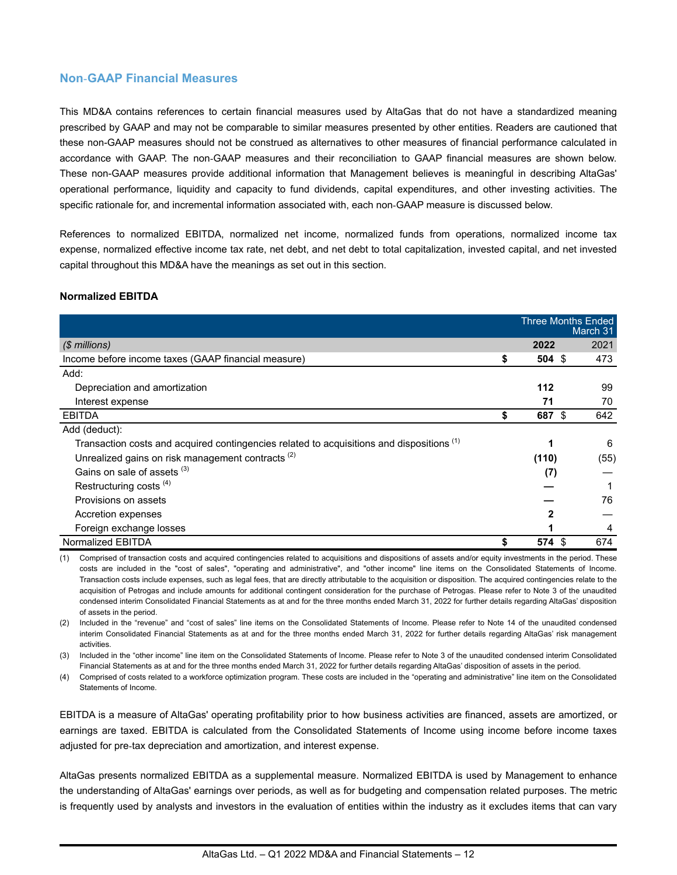### **Non**-**GAAP Financial Measures**

This MD&A contains references to certain financial measures used by AltaGas that do not have a standardized meaning prescribed by GAAP and may not be comparable to similar measures presented by other entities. Readers are cautioned that these non-GAAP measures should not be construed as alternatives to other measures of financial performance calculated in accordance with GAAP. The non-GAAP measures and their reconciliation to GAAP financial measures are shown below. These non-GAAP measures provide additional information that Management believes is meaningful in describing AltaGas' operational performance, liquidity and capacity to fund dividends, capital expenditures, and other investing activities. The specific rationale for, and incremental information associated with, each non-GAAP measure is discussed below.

References to normalized EBITDA, normalized net income, normalized funds from operations, normalized income tax expense, normalized effective income tax rate, net debt, and net debt to total capitalization, invested capital, and net invested capital throughout this MD&A have the meanings as set out in this section.

### **Normalized EBITDA**

|                                                                                                      | <b>Three Months Ended</b> | March 31 |
|------------------------------------------------------------------------------------------------------|---------------------------|----------|
| (\$ millions)                                                                                        | 2022                      | 2021     |
| Income before income taxes (GAAP financial measure)                                                  | \$<br>$504 \text{ } $$    | 473      |
| Add:                                                                                                 |                           |          |
| Depreciation and amortization                                                                        | 112                       | 99       |
| Interest expense                                                                                     | 71                        | 70       |
| <b>EBITDA</b>                                                                                        | 687 \$                    | 642      |
| Add (deduct):                                                                                        |                           |          |
| Transaction costs and acquired contingencies related to acquisitions and dispositions <sup>(1)</sup> |                           | 6        |
| Unrealized gains on risk management contracts <sup>(2)</sup>                                         | (110)                     | (55)     |
| Gains on sale of assets (3)                                                                          | (7)                       |          |
| Restructuring costs <sup>(4)</sup>                                                                   |                           |          |
| Provisions on assets                                                                                 |                           | 76       |
| Accretion expenses                                                                                   | 2                         |          |
| Foreign exchange losses                                                                              |                           | 4        |
| Normalized EBITDA                                                                                    | 574 \$                    | 674      |

(1) Comprised of transaction costs and acquired contingencies related to acquisitions and dispositions of assets and/or equity investments in the period. These costs are included in the "cost of sales", "operating and administrative", and "other income" line items on the Consolidated Statements of Income. Transaction costs include expenses, such as legal fees, that are directly attributable to the acquisition or disposition. The acquired contingencies relate to the acquisition of Petrogas and include amounts for additional contingent consideration for the purchase of Petrogas. Please refer to Note 3 of the unaudited condensed interim Consolidated Financial Statements as at and for the three months ended March 31, 2022 for further details regarding AltaGas' disposition of assets in the period.

(2) Included in the "revenue" and "cost of sales" line items on the Consolidated Statements of Income. Please refer to Note 14 of the unaudited condensed interim Consolidated Financial Statements as at and for the three months ended March 31, 2022 for further details regarding AltaGas' risk management activities.

(3) Included in the "other income" line item on the Consolidated Statements of Income. Please refer to Note 3 of the unaudited condensed interim Consolidated Financial Statements as at and for the three months ended March 31, 2022 for further details regarding AltaGas' disposition of assets in the period.

(4) Comprised of costs related to a workforce optimization program. These costs are included in the "operating and administrative" line item on the Consolidated Statements of Income.

EBITDA is a measure of AltaGas' operating profitability prior to how business activities are financed, assets are amortized, or earnings are taxed. EBITDA is calculated from the Consolidated Statements of Income using income before income taxes adjusted for pre-tax depreciation and amortization, and interest expense.

AltaGas presents normalized EBITDA as a supplemental measure. Normalized EBITDA is used by Management to enhance the understanding of AltaGas' earnings over periods, as well as for budgeting and compensation related purposes. The metric is frequently used by analysts and investors in the evaluation of entities within the industry as it excludes items that can vary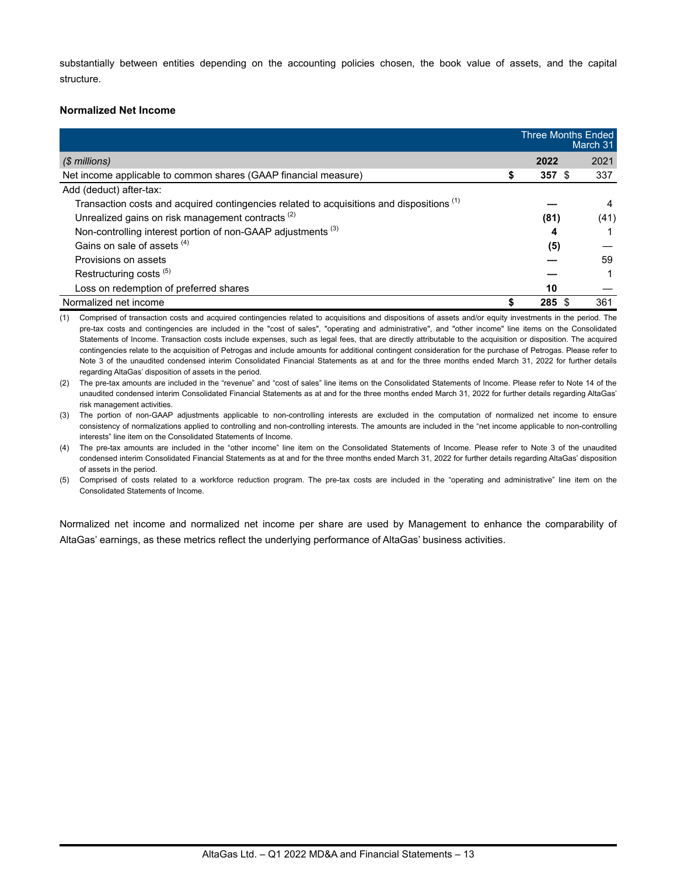substantially between entities depending on the accounting policies chosen, the book value of assets, and the capital structure.

#### **Normalized Net Income**

|                                                                                                      |   | <b>Three Months Ended</b> | March 31 |
|------------------------------------------------------------------------------------------------------|---|---------------------------|----------|
| $$$ millions)                                                                                        |   | 2022                      | 2021     |
| Net income applicable to common shares (GAAP financial measure)                                      | S | 357S                      | 337      |
| Add (deduct) after-tax:                                                                              |   |                           |          |
| Transaction costs and acquired contingencies related to acquisitions and dispositions <sup>(1)</sup> |   |                           | 4        |
| Unrealized gains on risk management contracts <sup>(2)</sup>                                         |   | (81)                      | (41)     |
| Non-controlling interest portion of non-GAAP adjustments <sup>(3)</sup>                              |   | 4                         |          |
| Gains on sale of assets (4)                                                                          |   | (5)                       |          |
| Provisions on assets                                                                                 |   |                           | 59       |
| Restructuring costs <sup>(5)</sup>                                                                   |   |                           |          |
| Loss on redemption of preferred shares                                                               |   | 10                        |          |
| Normalized net income                                                                                |   | 285 \$                    | 361      |

(1) Comprised of transaction costs and acquired contingencies related to acquisitions and dispositions of assets and/or equity investments in the period. The pre-tax costs and contingencies are included in the "cost of sales", "operating and administrative", and "other income" line items on the Consolidated Statements of Income. Transaction costs include expenses, such as legal fees, that are directly attributable to the acquisition or disposition. The acquired contingencies relate to the acquisition of Petrogas and include amounts for additional contingent consideration for the purchase of Petrogas. Please refer to Note 3 of the unaudited condensed interim Consolidated Financial Statements as at and for the three months ended March 31, 2022 for further details regarding AltaGas' disposition of assets in the period.

(2) The pre-tax amounts are included in the "revenue" and "cost of sales" line items on the Consolidated Statements of Income. Please refer to Note 14 of the unaudited condensed interim Consolidated Financial Statements as at and for the three months ended March 31, 2022 for further details regarding AltaGas' risk management activities.

(3) The portion of non-GAAP adjustments applicable to non-controlling interests are excluded in the computation of normalized net income to ensure consistency of normalizations applied to controlling and non-controlling interests. The amounts are included in the "net income applicable to non-controlling interests" line item on the Consolidated Statements of Income.

(4) The pre-tax amounts are included in the "other income" line item on the Consolidated Statements of Income. Please refer to Note 3 of the unaudited condensed interim Consolidated Financial Statements as at and for the three months ended March 31, 2022 for further details regarding AltaGas' disposition of assets in the period.

(5) Comprised of costs related to a workforce reduction program. The pre-tax costs are included in the "operating and administrative" line item on the Consolidated Statements of Income.

Normalized net income and normalized net income per share are used by Management to enhance the comparability of AltaGas' earnings, as these metrics reflect the underlying performance of AltaGas' business activities.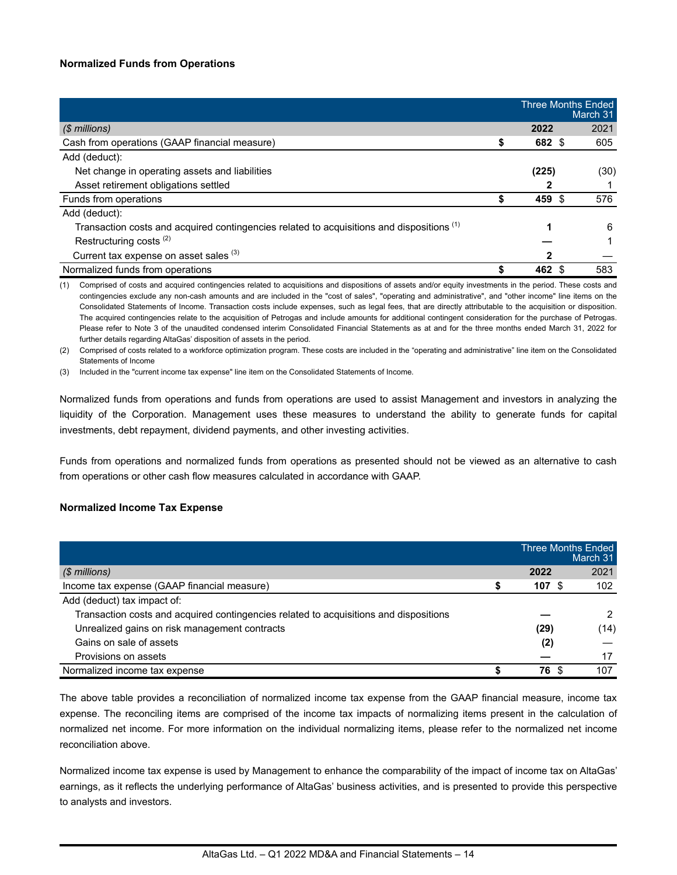### **Normalized Funds from Operations**

|                                                                                                      | <b>Three Months Ended</b> | March 31 |
|------------------------------------------------------------------------------------------------------|---------------------------|----------|
| (\$ millions)                                                                                        | 2022                      | 2021     |
| Cash from operations (GAAP financial measure)                                                        | 682 \$                    | 605      |
| Add (deduct):                                                                                        |                           |          |
| Net change in operating assets and liabilities                                                       | (225)                     | (30)     |
| Asset retirement obligations settled                                                                 |                           |          |
| Funds from operations                                                                                | 459 \$                    | 576      |
| Add (deduct):                                                                                        |                           |          |
| Transaction costs and acquired contingencies related to acquisitions and dispositions <sup>(1)</sup> | 1                         | 6        |
| Restructuring costs <sup>(2)</sup>                                                                   |                           |          |
| Current tax expense on asset sales (3)                                                               |                           |          |
| Normalized funds from operations                                                                     | 462                       | 583      |

(1) Comprised of costs and acquired contingencies related to acquisitions and dispositions of assets and/or equity investments in the period. These costs and contingencies exclude any non-cash amounts and are included in the "cost of sales", "operating and administrative", and "other income" line items on the Consolidated Statements of Income. Transaction costs include expenses, such as legal fees, that are directly attributable to the acquisition or disposition. The acquired contingencies relate to the acquisition of Petrogas and include amounts for additional contingent consideration for the purchase of Petrogas. Please refer to Note 3 of the unaudited condensed interim Consolidated Financial Statements as at and for the three months ended March 31, 2022 for further details regarding AltaGas' disposition of assets in the period.

(2) Comprised of costs related to a workforce optimization program. These costs are included in the "operating and administrative" line item on the Consolidated Statements of Income

(3) Included in the "current income tax expense" line item on the Consolidated Statements of Income.

Normalized funds from operations and funds from operations are used to assist Management and investors in analyzing the liquidity of the Corporation. Management uses these measures to understand the ability to generate funds for capital investments, debt repayment, dividend payments, and other investing activities.

Funds from operations and normalized funds from operations as presented should not be viewed as an alternative to cash from operations or other cash flow measures calculated in accordance with GAAP.

#### **Normalized Income Tax Expense**

|                                                                                       | Three Months Ended | March 31 |
|---------------------------------------------------------------------------------------|--------------------|----------|
| (\$ millions)                                                                         | 2022               | 2021     |
| Income tax expense (GAAP financial measure)                                           | 107                | 102      |
| Add (deduct) tax impact of:                                                           |                    |          |
| Transaction costs and acquired contingencies related to acquisitions and dispositions |                    | 2        |
| Unrealized gains on risk management contracts                                         | (29)               | (14)     |
| Gains on sale of assets                                                               | (2)                |          |
| Provisions on assets                                                                  |                    | 17       |
| Normalized income tax expense                                                         | 76.                | 107      |

The above table provides a reconciliation of normalized income tax expense from the GAAP financial measure, income tax expense. The reconciling items are comprised of the income tax impacts of normalizing items present in the calculation of normalized net income. For more information on the individual normalizing items, please refer to the normalized net income reconciliation above.

Normalized income tax expense is used by Management to enhance the comparability of the impact of income tax on AltaGas' earnings, as it reflects the underlying performance of AltaGas' business activities, and is presented to provide this perspective to analysts and investors.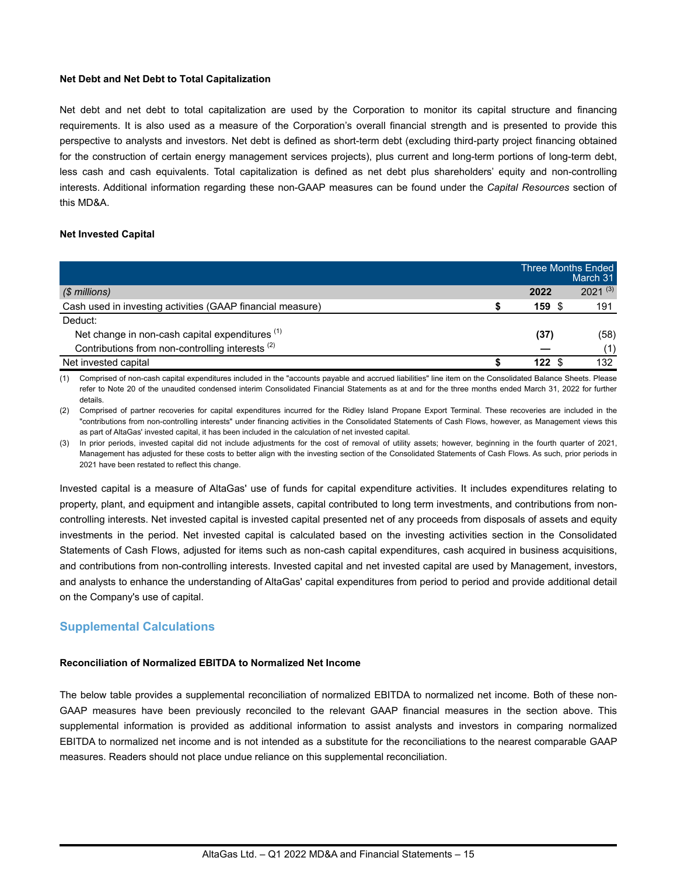#### **Net Debt and Net Debt to Total Capitalization**

Net debt and net debt to total capitalization are used by the Corporation to monitor its capital structure and financing requirements. It is also used as a measure of the Corporation's overall financial strength and is presented to provide this perspective to analysts and investors. Net debt is defined as short-term debt (excluding third-party project financing obtained for the construction of certain energy management services projects), plus current and long-term portions of long-term debt, less cash and cash equivalents. Total capitalization is defined as net debt plus shareholders' equity and non-controlling interests. Additional information regarding these non-GAAP measures can be found under the *Capital Resources* section of this MD&A.

#### **Net Invested Capital**

|                                                             |      | Three Months Ended<br>March 31 |
|-------------------------------------------------------------|------|--------------------------------|
| $$$ millions)                                               | 2022 | $2021^{(3)}$                   |
| Cash used in investing activities (GAAP financial measure)  | 159S | 191                            |
| Deduct:                                                     |      |                                |
| Net change in non-cash capital expenditures <sup>(1)</sup>  | (37) | (58)                           |
| Contributions from non-controlling interests <sup>(2)</sup> |      | (1)                            |
| Net invested capital                                        | 122  | 132                            |

(1) Comprised of non-cash capital expenditures included in the "accounts payable and accrued liabilities" line item on the Consolidated Balance Sheets. Please refer to Note 20 of the unaudited condensed interim Consolidated Financial Statements as at and for the three months ended March 31, 2022 for further details.

(2) Comprised of partner recoveries for capital expenditures incurred for the Ridley Island Propane Export Terminal. These recoveries are included in the "contributions from non-controlling interests" under financing activities in the Consolidated Statements of Cash Flows, however, as Management views this as part of AltaGas' invested capital, it has been included in the calculation of net invested capital.

(3) In prior periods, invested capital did not include adjustments for the cost of removal of utility assets; however, beginning in the fourth quarter of 2021, Management has adjusted for these costs to better align with the investing section of the Consolidated Statements of Cash Flows. As such, prior periods in 2021 have been restated to reflect this change.

Invested capital is a measure of AltaGas' use of funds for capital expenditure activities. It includes expenditures relating to property, plant, and equipment and intangible assets, capital contributed to long term investments, and contributions from noncontrolling interests. Net invested capital is invested capital presented net of any proceeds from disposals of assets and equity investments in the period. Net invested capital is calculated based on the investing activities section in the Consolidated Statements of Cash Flows, adjusted for items such as non-cash capital expenditures, cash acquired in business acquisitions, and contributions from non-controlling interests. Invested capital and net invested capital are used by Management, investors, and analysts to enhance the understanding of AltaGas' capital expenditures from period to period and provide additional detail on the Company's use of capital.

### **Supplemental Calculations**

### **Reconciliation of Normalized EBITDA to Normalized Net Income**

The below table provides a supplemental reconciliation of normalized EBITDA to normalized net income. Both of these non-GAAP measures have been previously reconciled to the relevant GAAP financial measures in the section above. This supplemental information is provided as additional information to assist analysts and investors in comparing normalized EBITDA to normalized net income and is not intended as a substitute for the reconciliations to the nearest comparable GAAP measures. Readers should not place undue reliance on this supplemental reconciliation.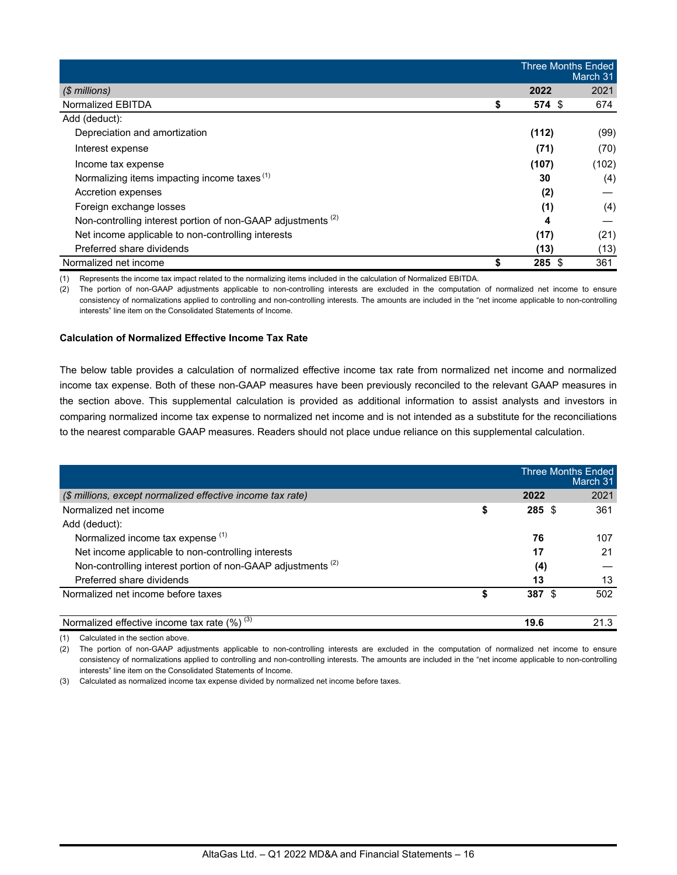|                                                                         |       | <b>Three Months Ended</b><br>March 31 |  |  |  |
|-------------------------------------------------------------------------|-------|---------------------------------------|--|--|--|
| $$$ millions)                                                           | 2022  | 2021                                  |  |  |  |
| Normalized EBITDA                                                       | \$    | $574$ \$<br>674                       |  |  |  |
| Add (deduct):                                                           |       |                                       |  |  |  |
| Depreciation and amortization                                           | (112) | (99)                                  |  |  |  |
| Interest expense                                                        |       | (71)<br>(70)                          |  |  |  |
| Income tax expense                                                      | (107) | (102)                                 |  |  |  |
| Normalizing items impacting income taxes <sup>(1)</sup>                 |       | (4)<br>30                             |  |  |  |
| Accretion expenses                                                      |       | (2)                                   |  |  |  |
| Foreign exchange losses                                                 |       | (4)<br>(1)                            |  |  |  |
| Non-controlling interest portion of non-GAAP adjustments <sup>(2)</sup> |       | 4                                     |  |  |  |
| Net income applicable to non-controlling interests                      |       | (17)<br>(21)                          |  |  |  |
| Preferred share dividends                                               |       | (13)<br>(13)                          |  |  |  |
| Normalized net income                                                   | \$    | $285$ \$<br>361                       |  |  |  |

(1) Represents the income tax impact related to the normalizing items included in the calculation of Normalized EBITDA.

(2) The portion of non-GAAP adjustments applicable to non-controlling interests are excluded in the computation of normalized net income to ensure consistency of normalizations applied to controlling and non-controlling interests. The amounts are included in the "net income applicable to non-controlling interests" line item on the Consolidated Statements of Income.

#### **Calculation of Normalized Effective Income Tax Rate**

The below table provides a calculation of normalized effective income tax rate from normalized net income and normalized income tax expense. Both of these non-GAAP measures have been previously reconciled to the relevant GAAP measures in the section above. This supplemental calculation is provided as additional information to assist analysts and investors in comparing normalized income tax expense to normalized net income and is not intended as a substitute for the reconciliations to the nearest comparable GAAP measures. Readers should not place undue reliance on this supplemental calculation.

|                                                                         |    |          | <b>Three Months Ended</b><br>March 31 |
|-------------------------------------------------------------------------|----|----------|---------------------------------------|
| (\$ millions, except normalized effective income tax rate)              |    | 2022     | 2021                                  |
| Normalized net income                                                   | \$ | $285$ \$ | 361                                   |
| Add (deduct):                                                           |    |          |                                       |
| Normalized income tax expense (1)                                       |    | 76       | 107                                   |
| Net income applicable to non-controlling interests                      |    | 17       | 21                                    |
| Non-controlling interest portion of non-GAAP adjustments <sup>(2)</sup> |    | (4)      |                                       |
| Preferred share dividends                                               |    | 13       | 13                                    |
| Normalized net income before taxes                                      | S  | 387S     | 502                                   |
| Normalized effective income tax rate $(\%)^{(3)}$                       |    | 19.6     | 21.3                                  |

(1) Calculated in the section above.

(2) The portion of non-GAAP adjustments applicable to non-controlling interests are excluded in the computation of normalized net income to ensure consistency of normalizations applied to controlling and non-controlling interests. The amounts are included in the "net income applicable to non-controlling interests" line item on the Consolidated Statements of Income.

(3) Calculated as normalized income tax expense divided by normalized net income before taxes.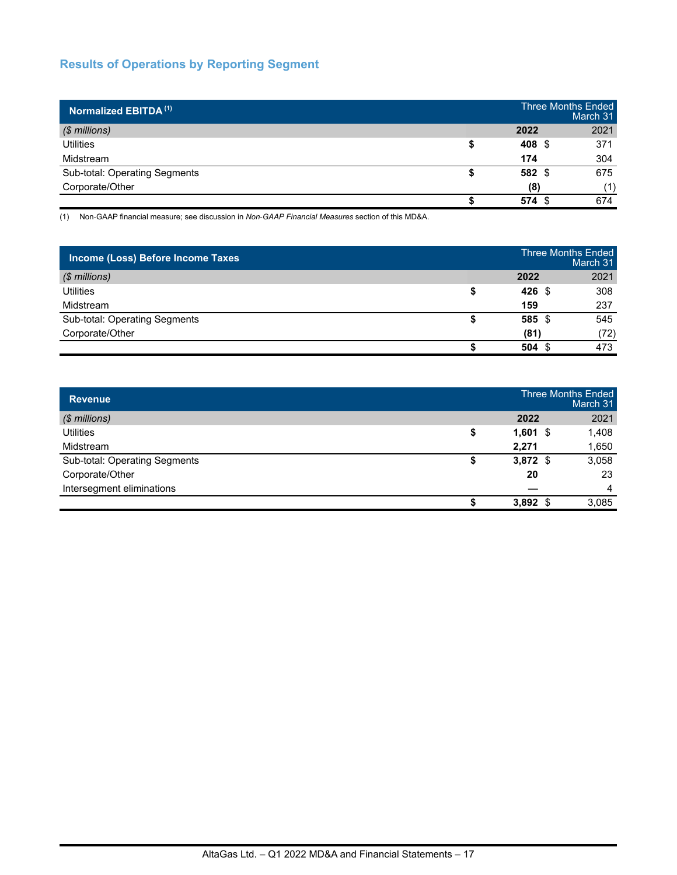# **Results of Operations by Reporting Segment**

| Normalized EBITDA <sup>(1)</sup> |             | <b>Three Months Ended</b><br>March 31 |
|----------------------------------|-------------|---------------------------------------|
| $$$ millions)                    | 2022        | 2021                                  |
| <b>Utilities</b>                 | 408<br>- \$ | 371                                   |
| Midstream                        | 174         | 304                                   |
| Sub-total: Operating Segments    | 582 \$      | 675                                   |
| Corporate/Other                  | (8)         | (1)                                   |
|                                  | 574<br>- \$ | 674                                   |

(1) Non-GAAP financial measure; see discussion in *Non*-*GAAP Financial Measures* section of this MD&A.

| Income (Loss) Before Income Taxes |                  | <b>Three Months Ended</b><br>March 31 |
|-----------------------------------|------------------|---------------------------------------|
| $$$ millions)                     | 2022             | 2021                                  |
| Utilities                         | $426 \text{ } $$ | 308                                   |
| Midstream                         | 159              | 237                                   |
| Sub-total: Operating Segments     | 585 \$           | 545                                   |
| Corporate/Other                   | (81)             | (72)                                  |
|                                   | 504S             | 473                                   |

| <b>Revenue</b>                |             | <b>Three Months Ended</b><br>March 31 |
|-------------------------------|-------------|---------------------------------------|
| $$$ millions)                 | 2022        | 2021                                  |
| <b>Utilities</b>              | \$<br>1,601 | 1,408<br>- \$                         |
| Midstream                     | 2,271       | 1,650                                 |
| Sub-total: Operating Segments | $3,872$ \$  | 3,058                                 |
| Corporate/Other               | 20          | 23                                    |
| Intersegment eliminations     |             | $\overline{4}$                        |
|                               | $3,892$ \$  | 3,085                                 |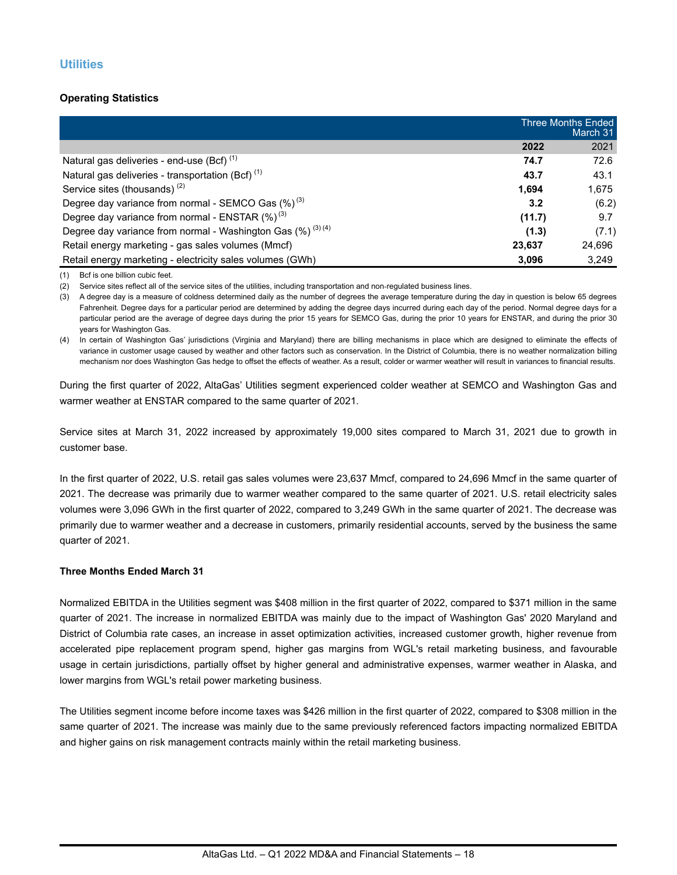### **Operating Statistics**

|                                                                  |        | <b>Three Months Ended</b><br>March 31 |
|------------------------------------------------------------------|--------|---------------------------------------|
|                                                                  | 2022   | 2021                                  |
| Natural gas deliveries - end-use (Bcf) <sup>(1)</sup>            | 74.7   | 72.6                                  |
| Natural gas deliveries - transportation (Bcf) $(1)$              | 43.7   | 43.1                                  |
| Service sites (thousands) <sup>(2)</sup>                         | 1.694  | 1,675                                 |
| Degree day variance from normal - SEMCO Gas $(\%)^{(3)}$         | 3.2    | (6.2)                                 |
| Degree day variance from normal - ENSTAR $(\%)^{(3)}$            | (11.7) | 9.7                                   |
| Degree day variance from normal - Washington Gas $(\%)^{(3)(4)}$ | (1.3)  | (7.1)                                 |
| Retail energy marketing - gas sales volumes (Mmcf)               | 23,637 | 24.696                                |
| Retail energy marketing - electricity sales volumes (GWh)        | 3.096  | 3,249                                 |

(1) Bcf is one billion cubic feet.

(2) Service sites reflect all of the service sites of the utilities, including transportation and non-regulated business lines.

(3) A degree day is a measure of coldness determined daily as the number of degrees the average temperature during the day in question is below 65 degrees Fahrenheit. Degree days for a particular period are determined by adding the degree days incurred during each day of the period. Normal degree days for a particular period are the average of degree days during the prior 15 years for SEMCO Gas, during the prior 10 years for ENSTAR, and during the prior 30 years for Washington Gas.

(4) In certain of Washington Gas' jurisdictions (Virginia and Maryland) there are billing mechanisms in place which are designed to eliminate the effects of variance in customer usage caused by weather and other factors such as conservation. In the District of Columbia, there is no weather normalization billing mechanism nor does Washington Gas hedge to offset the effects of weather. As a result, colder or warmer weather will result in variances to financial results.

During the first quarter of 2022, AltaGas' Utilities segment experienced colder weather at SEMCO and Washington Gas and warmer weather at ENSTAR compared to the same quarter of 2021.

Service sites at March 31, 2022 increased by approximately 19,000 sites compared to March 31, 2021 due to growth in customer base.

In the first quarter of 2022, U.S. retail gas sales volumes were 23,637 Mmcf, compared to 24,696 Mmcf in the same quarter of 2021. The decrease was primarily due to warmer weather compared to the same quarter of 2021. U.S. retail electricity sales volumes were 3,096 GWh in the first quarter of 2022, compared to 3,249 GWh in the same quarter of 2021. The decrease was primarily due to warmer weather and a decrease in customers, primarily residential accounts, served by the business the same quarter of 2021.

#### **Three Months Ended March 31**

Normalized EBITDA in the Utilities segment was \$408 million in the first quarter of 2022, compared to \$371 million in the same quarter of 2021. The increase in normalized EBITDA was mainly due to the impact of Washington Gas' 2020 Maryland and District of Columbia rate cases, an increase in asset optimization activities, increased customer growth, higher revenue from accelerated pipe replacement program spend, higher gas margins from WGL's retail marketing business, and favourable usage in certain jurisdictions, partially offset by higher general and administrative expenses, warmer weather in Alaska, and lower margins from WGL's retail power marketing business.

The Utilities segment income before income taxes was \$426 million in the first quarter of 2022, compared to \$308 million in the same quarter of 2021. The increase was mainly due to the same previously referenced factors impacting normalized EBITDA and higher gains on risk management contracts mainly within the retail marketing business.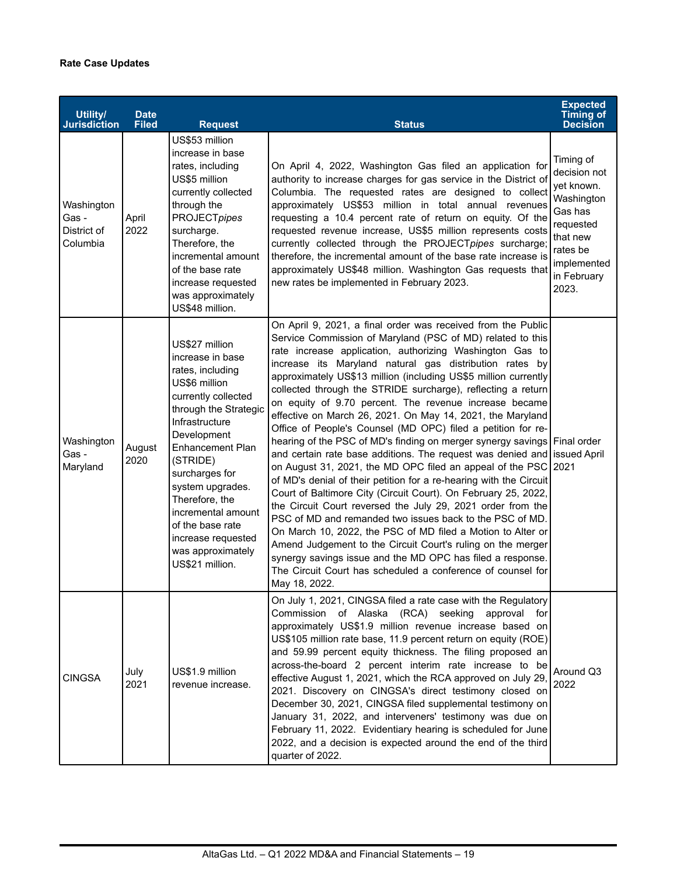| Utility/<br><b>Jurisdiction</b>                | <b>Date</b><br><b>Filed</b> | <b>Request</b>                                                                                                                                                                                                                                                                                                                                                  | <b>Status</b>                                                                                                                                                                                                                                                                                                                                                                                                                                                                                                                                                                                                                                                                                                                                                                                                                                                                                                                                                                                                                                                                                                                                                                                                                                                                                                                                         | <b>Expected</b><br><b>Timing of</b><br><b>Decision</b>                                                                                       |
|------------------------------------------------|-----------------------------|-----------------------------------------------------------------------------------------------------------------------------------------------------------------------------------------------------------------------------------------------------------------------------------------------------------------------------------------------------------------|-------------------------------------------------------------------------------------------------------------------------------------------------------------------------------------------------------------------------------------------------------------------------------------------------------------------------------------------------------------------------------------------------------------------------------------------------------------------------------------------------------------------------------------------------------------------------------------------------------------------------------------------------------------------------------------------------------------------------------------------------------------------------------------------------------------------------------------------------------------------------------------------------------------------------------------------------------------------------------------------------------------------------------------------------------------------------------------------------------------------------------------------------------------------------------------------------------------------------------------------------------------------------------------------------------------------------------------------------------|----------------------------------------------------------------------------------------------------------------------------------------------|
| Washington<br>Gas -<br>District of<br>Columbia | April<br>2022               | US\$53 million<br>increase in base<br>rates, including<br>US\$5 million<br>currently collected<br>through the<br><b>PROJECTpipes</b><br>surcharge.<br>Therefore, the<br>incremental amount<br>of the base rate<br>increase requested<br>was approximately<br>US\$48 million.                                                                                    | On April 4, 2022, Washington Gas filed an application for<br>authority to increase charges for gas service in the District of<br>Columbia. The requested rates are designed to collect<br>approximately US\$53 million in total annual revenues<br>requesting a 10.4 percent rate of return on equity. Of the<br>requested revenue increase, US\$5 million represents costs<br>currently collected through the PROJECTpipes surcharge;<br>therefore, the incremental amount of the base rate increase is<br>approximately US\$48 million. Washington Gas requests that<br>new rates be implemented in February 2023.                                                                                                                                                                                                                                                                                                                                                                                                                                                                                                                                                                                                                                                                                                                                  | Timing of<br>decision not<br>yet known.<br>Washington<br>Gas has<br>requested<br>that new<br>rates be<br>implemented<br>in February<br>2023. |
| Washington<br>Gas -<br>Maryland                | August<br>2020              | US\$27 million<br>increase in base<br>rates, including<br>US\$6 million<br>currently collected<br>through the Strategic<br>Infrastructure<br>Development<br><b>Enhancement Plan</b><br>(STRIDE)<br>surcharges for<br>system upgrades.<br>Therefore, the<br>incremental amount<br>of the base rate<br>increase requested<br>was approximately<br>US\$21 million. | On April 9, 2021, a final order was received from the Public<br>Service Commission of Maryland (PSC of MD) related to this<br>rate increase application, authorizing Washington Gas to<br>increase its Maryland natural gas distribution rates by<br>approximately US\$13 million (including US\$5 million currently<br>collected through the STRIDE surcharge), reflecting a return<br>on equity of 9.70 percent. The revenue increase became<br>effective on March 26, 2021. On May 14, 2021, the Maryland<br>Office of People's Counsel (MD OPC) filed a petition for re-<br>hearing of the PSC of MD's finding on merger synergy savings Final order<br>and certain rate base additions. The request was denied and issued April<br>on August 31, 2021, the MD OPC filed an appeal of the PSC 2021<br>of MD's denial of their petition for a re-hearing with the Circuit<br>Court of Baltimore City (Circuit Court). On February 25, 2022,<br>the Circuit Court reversed the July 29, 2021 order from the<br>PSC of MD and remanded two issues back to the PSC of MD.<br>On March 10, 2022, the PSC of MD filed a Motion to Alter or<br>Amend Judgement to the Circuit Court's ruling on the merger<br>synergy savings issue and the MD OPC has filed a response.<br>The Circuit Court has scheduled a conference of counsel for<br>May 18, 2022. |                                                                                                                                              |
| <b>CINGSA</b>                                  | July<br>2021                | US\$1.9 million<br>revenue increase.                                                                                                                                                                                                                                                                                                                            | On July 1, 2021, CINGSA filed a rate case with the Regulatory<br>Commission of Alaska (RCA) seeking approval for<br>approximately US\$1.9 million revenue increase based on<br>US\$105 million rate base, 11.9 percent return on equity (ROE)<br>and 59.99 percent equity thickness. The filing proposed an<br>across-the-board 2 percent interim rate increase to be<br>effective August 1, 2021, which the RCA approved on July 29,<br>2021. Discovery on CINGSA's direct testimony closed on<br>December 30, 2021, CINGSA filed supplemental testimony on<br>January 31, 2022, and interveners' testimony was due on<br>February 11, 2022. Evidentiary hearing is scheduled for June<br>2022, and a decision is expected around the end of the third<br>quarter of 2022.                                                                                                                                                                                                                                                                                                                                                                                                                                                                                                                                                                           | Around Q3<br>2022                                                                                                                            |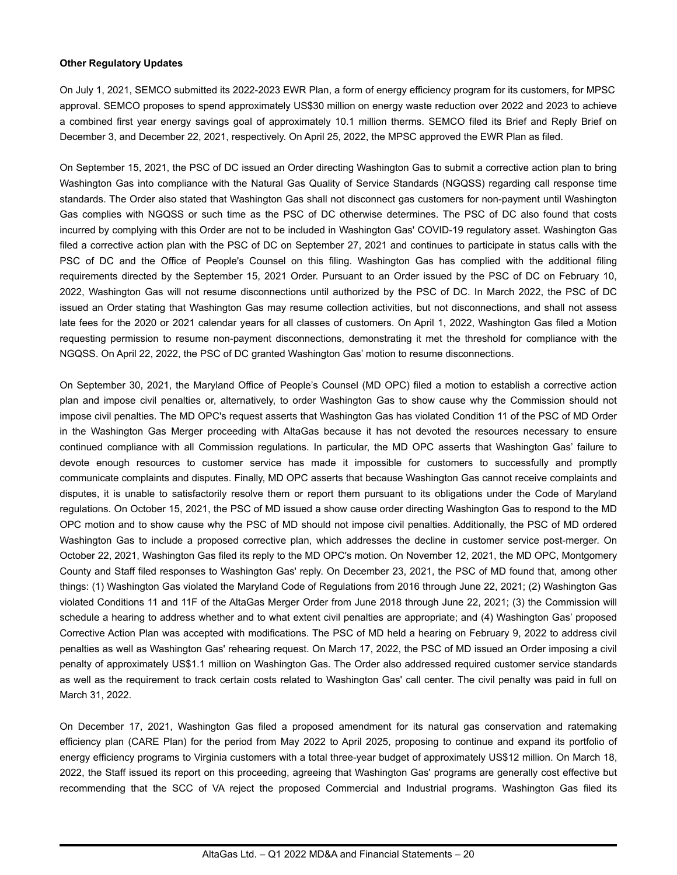#### **Other Regulatory Updates**

On July 1, 2021, SEMCO submitted its 2022-2023 EWR Plan, a form of energy efficiency program for its customers, for MPSC approval. SEMCO proposes to spend approximately US\$30 million on energy waste reduction over 2022 and 2023 to achieve a combined first year energy savings goal of approximately 10.1 million therms. SEMCO filed its Brief and Reply Brief on December 3, and December 22, 2021, respectively. On April 25, 2022, the MPSC approved the EWR Plan as filed.

On September 15, 2021, the PSC of DC issued an Order directing Washington Gas to submit a corrective action plan to bring Washington Gas into compliance with the Natural Gas Quality of Service Standards (NGQSS) regarding call response time standards. The Order also stated that Washington Gas shall not disconnect gas customers for non-payment until Washington Gas complies with NGQSS or such time as the PSC of DC otherwise determines. The PSC of DC also found that costs incurred by complying with this Order are not to be included in Washington Gas' COVID-19 regulatory asset. Washington Gas filed a corrective action plan with the PSC of DC on September 27, 2021 and continues to participate in status calls with the PSC of DC and the Office of People's Counsel on this filing. Washington Gas has complied with the additional filing requirements directed by the September 15, 2021 Order. Pursuant to an Order issued by the PSC of DC on February 10, 2022, Washington Gas will not resume disconnections until authorized by the PSC of DC. In March 2022, the PSC of DC issued an Order stating that Washington Gas may resume collection activities, but not disconnections, and shall not assess late fees for the 2020 or 2021 calendar years for all classes of customers. On April 1, 2022, Washington Gas filed a Motion requesting permission to resume non-payment disconnections, demonstrating it met the threshold for compliance with the NGQSS. On April 22, 2022, the PSC of DC granted Washington Gas' motion to resume disconnections.

On September 30, 2021, the Maryland Office of People's Counsel (MD OPC) filed a motion to establish a corrective action plan and impose civil penalties or, alternatively, to order Washington Gas to show cause why the Commission should not impose civil penalties. The MD OPC's request asserts that Washington Gas has violated Condition 11 of the PSC of MD Order in the Washington Gas Merger proceeding with AltaGas because it has not devoted the resources necessary to ensure continued compliance with all Commission regulations. In particular, the MD OPC asserts that Washington Gas' failure to devote enough resources to customer service has made it impossible for customers to successfully and promptly communicate complaints and disputes. Finally, MD OPC asserts that because Washington Gas cannot receive complaints and disputes, it is unable to satisfactorily resolve them or report them pursuant to its obligations under the Code of Maryland regulations. On October 15, 2021, the PSC of MD issued a show cause order directing Washington Gas to respond to the MD OPC motion and to show cause why the PSC of MD should not impose civil penalties. Additionally, the PSC of MD ordered Washington Gas to include a proposed corrective plan, which addresses the decline in customer service post-merger. On October 22, 2021, Washington Gas filed its reply to the MD OPC's motion. On November 12, 2021, the MD OPC, Montgomery County and Staff filed responses to Washington Gas' reply. On December 23, 2021, the PSC of MD found that, among other things: (1) Washington Gas violated the Maryland Code of Regulations from 2016 through June 22, 2021; (2) Washington Gas violated Conditions 11 and 11F of the AltaGas Merger Order from June 2018 through June 22, 2021; (3) the Commission will schedule a hearing to address whether and to what extent civil penalties are appropriate; and (4) Washington Gas' proposed Corrective Action Plan was accepted with modifications. The PSC of MD held a hearing on February 9, 2022 to address civil penalties as well as Washington Gas' rehearing request. On March 17, 2022, the PSC of MD issued an Order imposing a civil penalty of approximately US\$1.1 million on Washington Gas. The Order also addressed required customer service standards as well as the requirement to track certain costs related to Washington Gas' call center. The civil penalty was paid in full on March 31, 2022.

On December 17, 2021, Washington Gas filed a proposed amendment for its natural gas conservation and ratemaking efficiency plan (CARE Plan) for the period from May 2022 to April 2025, proposing to continue and expand its portfolio of energy efficiency programs to Virginia customers with a total three-year budget of approximately US\$12 million. On March 18, 2022, the Staff issued its report on this proceeding, agreeing that Washington Gas' programs are generally cost effective but recommending that the SCC of VA reject the proposed Commercial and Industrial programs. Washington Gas filed its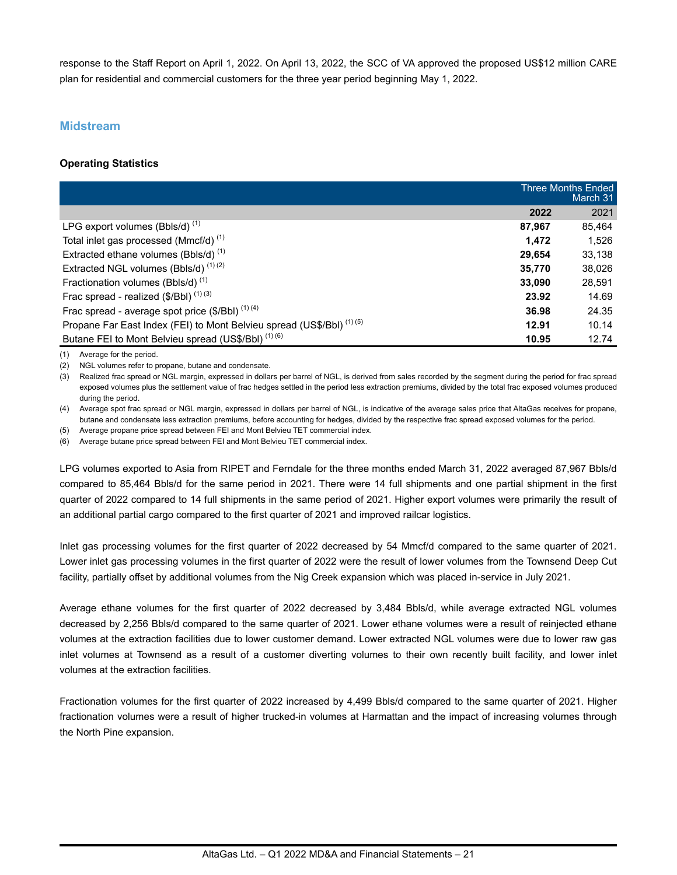response to the Staff Report on April 1, 2022. On April 13, 2022, the SCC of VA approved the proposed US\$12 million CARE plan for residential and commercial customers for the three year period beginning May 1, 2022.

### **Midstream**

### **Operating Statistics**

|                                                                                  |        | <b>Three Months Ended</b><br>March 31 |
|----------------------------------------------------------------------------------|--------|---------------------------------------|
|                                                                                  | 2022   | 2021                                  |
| LPG export volumes (Bbls/d) $(1)$                                                | 87.967 | 85.464                                |
| Total inlet gas processed (Mmcf/d) <sup>(1)</sup>                                | 1.472  | 1,526                                 |
| Extracted ethane volumes (Bbls/d) <sup>(1)</sup>                                 | 29.654 | 33,138                                |
| Extracted NGL volumes (Bbls/d) <sup>(1)(2)</sup>                                 | 35,770 | 38,026                                |
| Fractionation volumes (Bbls/d) <sup>(1)</sup>                                    | 33,090 | 28,591                                |
| Frac spread - realized $(\$/Bbl)$ <sup><math>(1)(3)</math></sup>                 | 23.92  | 14.69                                 |
| Frac spread - average spot price $(\frac{6}{2}I\text{Bbl})^{(1)(4)}$             | 36.98  | 24.35                                 |
| Propane Far East Index (FEI) to Mont Belvieu spread (US\$/BbI) <sup>(1)(5)</sup> | 12.91  | 10.14                                 |
| Butane FEI to Mont Belvieu spread (US\$/Bbl) <sup>(1)(6)</sup>                   | 10.95  | 12.74                                 |

(1) Average for the period.

(2) NGL volumes refer to propane, butane and condensate.

(3) Realized frac spread or NGL margin, expressed in dollars per barrel of NGL, is derived from sales recorded by the segment during the period for frac spread exposed volumes plus the settlement value of frac hedges settled in the period less extraction premiums, divided by the total frac exposed volumes produced during the period.

(4) Average spot frac spread or NGL margin, expressed in dollars per barrel of NGL, is indicative of the average sales price that AltaGas receives for propane, butane and condensate less extraction premiums, before accounting for hedges, divided by the respective frac spread exposed volumes for the period.

(5) Average propane price spread between FEI and Mont Belvieu TET commercial index.

(6) Average butane price spread between FEI and Mont Belvieu TET commercial index.

LPG volumes exported to Asia from RIPET and Ferndale for the three months ended March 31, 2022 averaged 87,967 Bbls/d compared to 85,464 Bbls/d for the same period in 2021. There were 14 full shipments and one partial shipment in the first quarter of 2022 compared to 14 full shipments in the same period of 2021. Higher export volumes were primarily the result of an additional partial cargo compared to the first quarter of 2021 and improved railcar logistics.

Inlet gas processing volumes for the first quarter of 2022 decreased by 54 Mmcf/d compared to the same quarter of 2021. Lower inlet gas processing volumes in the first quarter of 2022 were the result of lower volumes from the Townsend Deep Cut facility, partially offset by additional volumes from the Nig Creek expansion which was placed in-service in July 2021.

Average ethane volumes for the first quarter of 2022 decreased by 3,484 Bbls/d, while average extracted NGL volumes decreased by 2,256 Bbls/d compared to the same quarter of 2021. Lower ethane volumes were a result of reinjected ethane volumes at the extraction facilities due to lower customer demand. Lower extracted NGL volumes were due to lower raw gas inlet volumes at Townsend as a result of a customer diverting volumes to their own recently built facility, and lower inlet volumes at the extraction facilities.

Fractionation volumes for the first quarter of 2022 increased by 4,499 Bbls/d compared to the same quarter of 2021. Higher fractionation volumes were a result of higher trucked-in volumes at Harmattan and the impact of increasing volumes through the North Pine expansion.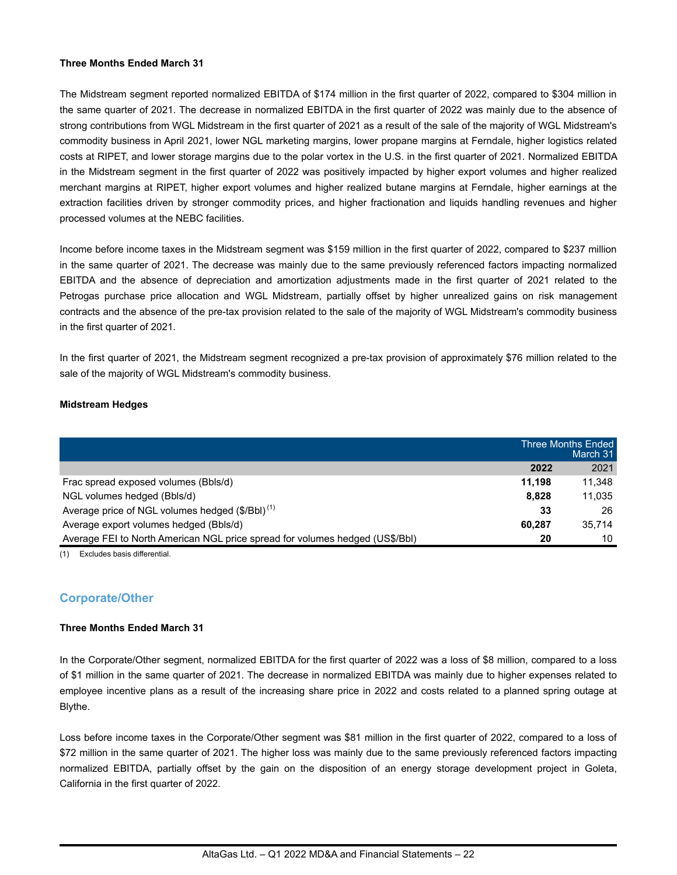#### **Three Months Ended March 31**

The Midstream segment reported normalized EBITDA of \$174 million in the first quarter of 2022, compared to \$304 million in the same quarter of 2021. The decrease in normalized EBITDA in the first quarter of 2022 was mainly due to the absence of strong contributions from WGL Midstream in the first quarter of 2021 as a result of the sale of the majority of WGL Midstream's commodity business in April 2021, lower NGL marketing margins, lower propane margins at Ferndale, higher logistics related costs at RIPET, and lower storage margins due to the polar vortex in the U.S. in the first quarter of 2021. Normalized EBITDA in the Midstream segment in the first quarter of 2022 was positively impacted by higher export volumes and higher realized merchant margins at RIPET, higher export volumes and higher realized butane margins at Ferndale, higher earnings at the extraction facilities driven by stronger commodity prices, and higher fractionation and liquids handling revenues and higher processed volumes at the NEBC facilities.

Income before income taxes in the Midstream segment was \$159 million in the first quarter of 2022, compared to \$237 million in the same quarter of 2021. The decrease was mainly due to the same previously referenced factors impacting normalized EBITDA and the absence of depreciation and amortization adjustments made in the first quarter of 2021 related to the Petrogas purchase price allocation and WGL Midstream, partially offset by higher unrealized gains on risk management contracts and the absence of the pre-tax provision related to the sale of the majority of WGL Midstream's commodity business in the first quarter of 2021.

In the first quarter of 2021, the Midstream segment recognized a pre-tax provision of approximately \$76 million related to the sale of the majority of WGL Midstream's commodity business.

### **Midstream Hedges**

|                                                                              |        | Three Months Ended<br>March 31 |
|------------------------------------------------------------------------------|--------|--------------------------------|
|                                                                              | 2022   | 2021                           |
| Frac spread exposed volumes (Bbls/d)                                         | 11.198 | 11.348                         |
| NGL volumes hedged (Bbls/d)                                                  | 8.828  | 11.035                         |
| Average price of NGL volumes hedged (\$/BbI) <sup>(1)</sup>                  | 33     | 26                             |
| Average export volumes hedged (Bbls/d)                                       | 60.287 | 35.714                         |
| Average FEI to North American NGL price spread for volumes hedged (US\$/BbI) | 20     | 10                             |

(1) Excludes basis differential.

## **Corporate/Other**

### **Three Months Ended March 31**

In the Corporate/Other segment, normalized EBITDA for the first quarter of 2022 was a loss of \$8 million, compared to a loss of \$1 million in the same quarter of 2021. The decrease in normalized EBITDA was mainly due to higher expenses related to employee incentive plans as a result of the increasing share price in 2022 and costs related to a planned spring outage at Blythe.

Loss before income taxes in the Corporate/Other segment was \$81 million in the first quarter of 2022, compared to a loss of \$72 million in the same quarter of 2021. The higher loss was mainly due to the same previously referenced factors impacting normalized EBITDA, partially offset by the gain on the disposition of an energy storage development project in Goleta, California in the first quarter of 2022.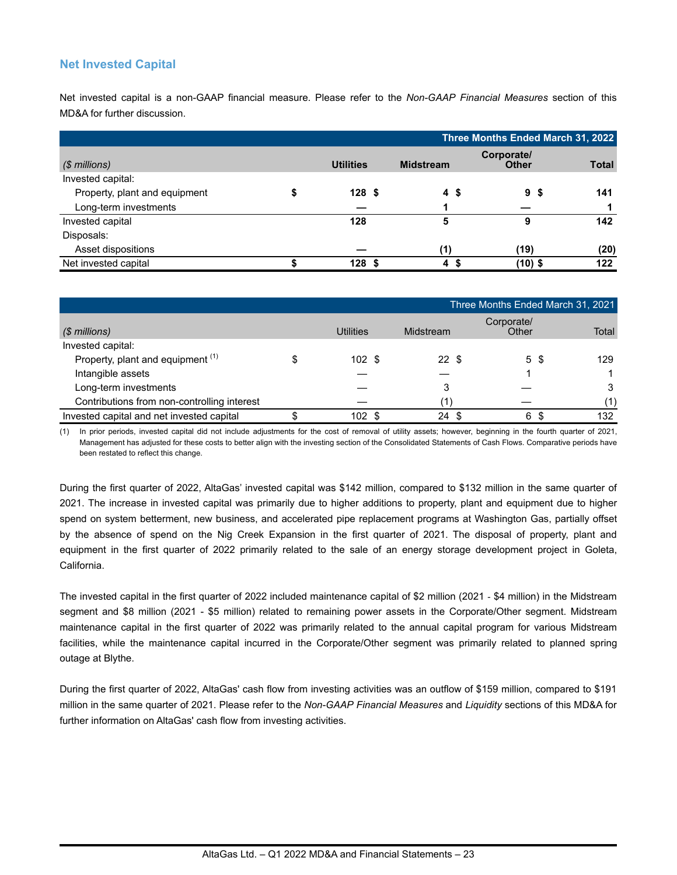## **Net Invested Capital**

Net invested capital is a non-GAAP financial measure. Please refer to the *Non-GAAP Financial Measures* section of this MD&A for further discussion.

|                               |                  |                  | Three Months Ended March 31, 2022 |              |
|-------------------------------|------------------|------------------|-----------------------------------|--------------|
| $(S$ millions)                | <b>Utilities</b> | <b>Midstream</b> | Corporate/<br><b>Other</b>        | <b>Total</b> |
| Invested capital:             |                  |                  |                                   |              |
| Property, plant and equipment | 128 <sup>5</sup> | 4\$              | 9<br>\$                           | 141          |
| Long-term investments         |                  |                  |                                   |              |
| Invested capital              | 128              | 5                | 9                                 | 142          |
| Disposals:                    |                  |                  |                                   |              |
| Asset dispositions            |                  | (1)              | (19)                              | (20)         |
| Net invested capital          | 128S             | £.<br>4          | $(10)$ \$                         | 122          |

|                                             |           |            | Three Months Ended March 31, 2021 |       |
|---------------------------------------------|-----------|------------|-----------------------------------|-------|
| (\$ millions)                               | Utilities | Midstream  | Corporate/<br>Other               | Total |
| Invested capital:                           |           |            |                                   |       |
| Property, plant and equipment (1)           | 102S      | 22S        | 5\$                               | 129   |
| Intangible assets                           |           |            |                                   |       |
| Long-term investments                       |           | 3          |                                   |       |
| Contributions from non-controlling interest |           |            |                                   | (1)   |
| Invested capital and net invested capital   | 102 \$    | 24<br>- \$ | 6<br>S                            | 132   |

(1) In prior periods, invested capital did not include adjustments for the cost of removal of utility assets; however, beginning in the fourth quarter of 2021, Management has adjusted for these costs to better align with the investing section of the Consolidated Statements of Cash Flows. Comparative periods have been restated to reflect this change.

During the first quarter of 2022, AltaGas' invested capital was \$142 million, compared to \$132 million in the same quarter of 2021. The increase in invested capital was primarily due to higher additions to property, plant and equipment due to higher spend on system betterment, new business, and accelerated pipe replacement programs at Washington Gas, partially offset by the absence of spend on the Nig Creek Expansion in the first quarter of 2021. The disposal of property, plant and equipment in the first quarter of 2022 primarily related to the sale of an energy storage development project in Goleta, California.

The invested capital in the first quarter of 2022 included maintenance capital of \$2 million (2021 - \$4 million) in the Midstream segment and \$8 million (2021 - \$5 million) related to remaining power assets in the Corporate/Other segment. Midstream maintenance capital in the first quarter of 2022 was primarily related to the annual capital program for various Midstream facilities, while the maintenance capital incurred in the Corporate/Other segment was primarily related to planned spring outage at Blythe.

During the first quarter of 2022, AltaGas' cash flow from investing activities was an outflow of \$159 million, compared to \$191 million in the same quarter of 2021. Please refer to the *Non-GAAP Financial Measures* and *Liquidity* sections of this MD&A for further information on AltaGas' cash flow from investing activities.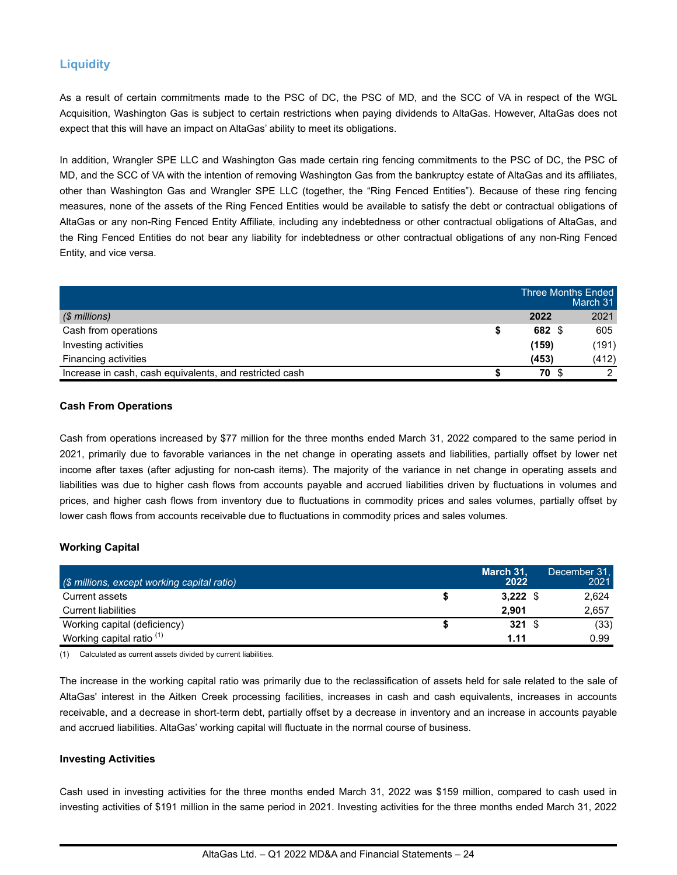# **Liquidity**

As a result of certain commitments made to the PSC of DC, the PSC of MD, and the SCC of VA in respect of the WGL Acquisition, Washington Gas is subject to certain restrictions when paying dividends to AltaGas. However, AltaGas does not expect that this will have an impact on AltaGas' ability to meet its obligations.

In addition, Wrangler SPE LLC and Washington Gas made certain ring fencing commitments to the PSC of DC, the PSC of MD, and the SCC of VA with the intention of removing Washington Gas from the bankruptcy estate of AltaGas and its affiliates, other than Washington Gas and Wrangler SPE LLC (together, the "Ring Fenced Entities"). Because of these ring fencing measures, none of the assets of the Ring Fenced Entities would be available to satisfy the debt or contractual obligations of AltaGas or any non-Ring Fenced Entity Affiliate, including any indebtedness or other contractual obligations of AltaGas, and the Ring Fenced Entities do not bear any liability for indebtedness or other contractual obligations of any non-Ring Fenced Entity, and vice versa.

|                                                         | <b>Three Months Ended</b> | March 31 |
|---------------------------------------------------------|---------------------------|----------|
| $$$ millions)                                           | 2022                      | 2021     |
| Cash from operations                                    | 682 \$                    | 605      |
| Investing activities                                    | (159)                     | (191)    |
| Financing activities                                    | (453)                     | (412)    |
| Increase in cash, cash equivalents, and restricted cash | 70 S                      | ◠        |

#### **Cash From Operations**

Cash from operations increased by \$77 million for the three months ended March 31, 2022 compared to the same period in 2021, primarily due to favorable variances in the net change in operating assets and liabilities, partially offset by lower net income after taxes (after adjusting for non-cash items). The majority of the variance in net change in operating assets and liabilities was due to higher cash flows from accounts payable and accrued liabilities driven by fluctuations in volumes and prices, and higher cash flows from inventory due to fluctuations in commodity prices and sales volumes, partially offset by lower cash flows from accounts receivable due to fluctuations in commodity prices and sales volumes.

#### **Working Capital**

| (\$ millions, except working capital ratio) | March 31,<br>2022 | December 31.<br>2021 |
|---------------------------------------------|-------------------|----------------------|
| Current assets                              | $3,222$ \$        | 2,624                |
| <b>Current liabilities</b>                  | 2.901             | 2,657                |
| Working capital (deficiency)                | $321 \text{ } $$  | (33)                 |
| Working capital ratio <sup>(1)</sup>        | 1.11              | 0.99                 |

(1) Calculated as current assets divided by current liabilities.

The increase in the working capital ratio was primarily due to the reclassification of assets held for sale related to the sale of AltaGas' interest in the Aitken Creek processing facilities, increases in cash and cash equivalents, increases in accounts receivable, and a decrease in short-term debt, partially offset by a decrease in inventory and an increase in accounts payable and accrued liabilities. AltaGas' working capital will fluctuate in the normal course of business.

#### **Investing Activities**

Cash used in investing activities for the three months ended March 31, 2022 was \$159 million, compared to cash used in investing activities of \$191 million in the same period in 2021. Investing activities for the three months ended March 31, 2022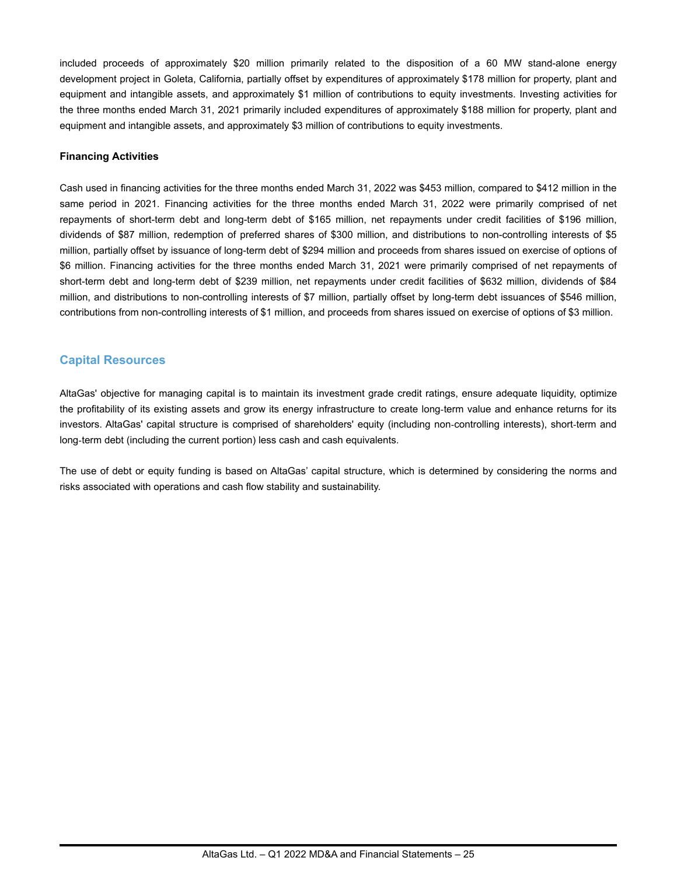included proceeds of approximately \$20 million primarily related to the disposition of a 60 MW stand-alone energy development project in Goleta, California, partially offset by expenditures of approximately \$178 million for property, plant and equipment and intangible assets, and approximately \$1 million of contributions to equity investments. Investing activities for the three months ended March 31, 2021 primarily included expenditures of approximately \$188 million for property, plant and equipment and intangible assets, and approximately \$3 million of contributions to equity investments.

#### **Financing Activities**

Cash used in financing activities for the three months ended March 31, 2022 was \$453 million, compared to \$412 million in the same period in 2021. Financing activities for the three months ended March 31, 2022 were primarily comprised of net repayments of short-term debt and long-term debt of \$165 million, net repayments under credit facilities of \$196 million, dividends of \$87 million, redemption of preferred shares of \$300 million, and distributions to non-controlling interests of \$5 million, partially offset by issuance of long-term debt of \$294 million and proceeds from shares issued on exercise of options of \$6 million. Financing activities for the three months ended March 31, 2021 were primarily comprised of net repayments of short-term debt and long-term debt of \$239 million, net repayments under credit facilities of \$632 million, dividends of \$84 million, and distributions to non-controlling interests of \$7 million, partially offset by long-term debt issuances of \$546 million, contributions from non-controlling interests of \$1 million, and proceeds from shares issued on exercise of options of \$3 million.

# **Capital Resources**

AltaGas' objective for managing capital is to maintain its investment grade credit ratings, ensure adequate liquidity, optimize the profitability of its existing assets and grow its energy infrastructure to create long-term value and enhance returns for its investors. AltaGas' capital structure is comprised of shareholders' equity (including non-controlling interests), short-term and long-term debt (including the current portion) less cash and cash equivalents.

The use of debt or equity funding is based on AltaGas' capital structure, which is determined by considering the norms and risks associated with operations and cash flow stability and sustainability.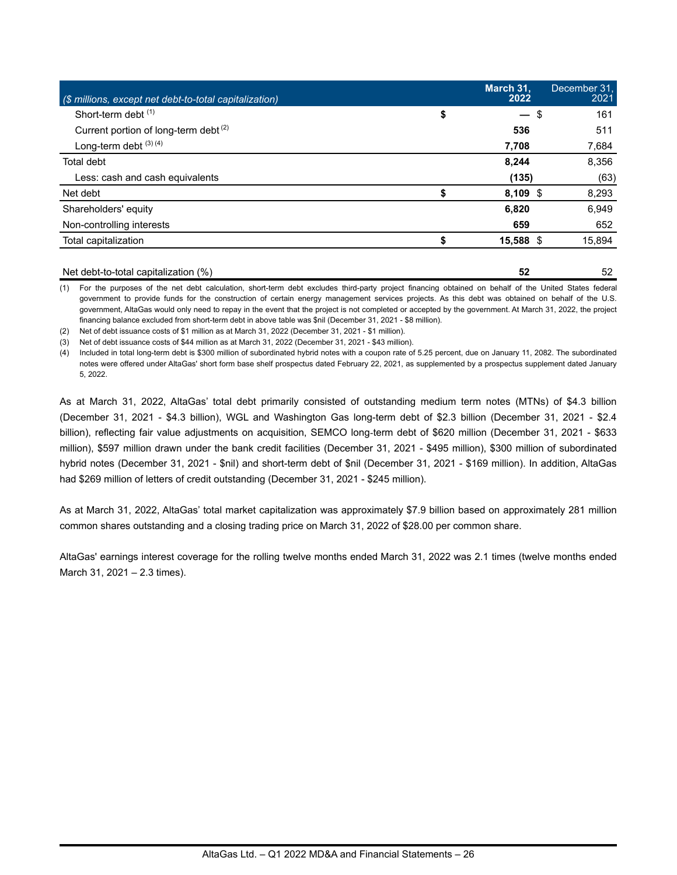| (\$ millions, except net debt-to-total capitalization) | March 31.<br>2022 | December 31.<br>2021 |
|--------------------------------------------------------|-------------------|----------------------|
| Short-term debt (1)                                    | \$<br>$-$ \$      | 161                  |
| Current portion of long-term debt <sup>(2)</sup>       | 536               | 511                  |
| Long-term debt $(3)$ $(4)$                             | 7,708             | 7,684                |
| Total debt                                             | 8,244             | 8,356                |
| Less: cash and cash equivalents                        | (135)             | (63)                 |
| Net debt                                               | $8,109$ \$        | 8,293                |
| Shareholders' equity                                   | 6,820             | 6.949                |
| Non-controlling interests                              | 659               | 652                  |
| Total capitalization                                   | 15,588 \$         | 15,894               |
|                                                        |                   |                      |

Net debt-to-total capitalization (%) **52** 52 (1) For the purposes of the net debt calculation, short-term debt excludes third-party project financing obtained on behalf of the United States federal government to provide funds for the construction of certain energy management services projects. As this debt was obtained on behalf of the U.S. government, AltaGas would only need to repay in the event that the project is not completed or accepted by the government. At March 31, 2022, the project

financing balance excluded from short-term debt in above table was \$nil (December 31, 2021 - \$8 million).

(2) Net of debt issuance costs of \$1 million as at March 31, 2022 (December 31, 2021 - \$1 million).

(3) Net of debt issuance costs of \$44 million as at March 31, 2022 (December 31, 2021 - \$43 million).

(4) Included in total long-term debt is \$300 million of subordinated hybrid notes with a coupon rate of 5.25 percent, due on January 11, 2082. The subordinated notes were offered under AltaGas' short form base shelf prospectus dated February 22, 2021, as supplemented by a prospectus supplement dated January 5, 2022.

As at March 31, 2022, AltaGas' total debt primarily consisted of outstanding medium term notes (MTNs) of \$4.3 billion (December 31, 2021 - \$4.3 billion), WGL and Washington Gas long-term debt of \$2.3 billion (December 31, 2021 - \$2.4 billion), reflecting fair value adjustments on acquisition, SEMCO long-term debt of \$620 million (December 31, 2021 - \$633 million), \$597 million drawn under the bank credit facilities (December 31, 2021 - \$495 million), \$300 million of subordinated hybrid notes (December 31, 2021 - \$nil) and short-term debt of \$nil (December 31, 2021 - \$169 million). In addition, AltaGas had \$269 million of letters of credit outstanding (December 31, 2021 - \$245 million).

As at March 31, 2022, AltaGas' total market capitalization was approximately \$7.9 billion based on approximately 281 million common shares outstanding and a closing trading price on March 31, 2022 of \$28.00 per common share.

AltaGas' earnings interest coverage for the rolling twelve months ended March 31, 2022 was 2.1 times (twelve months ended March 31, 2021 – 2.3 times).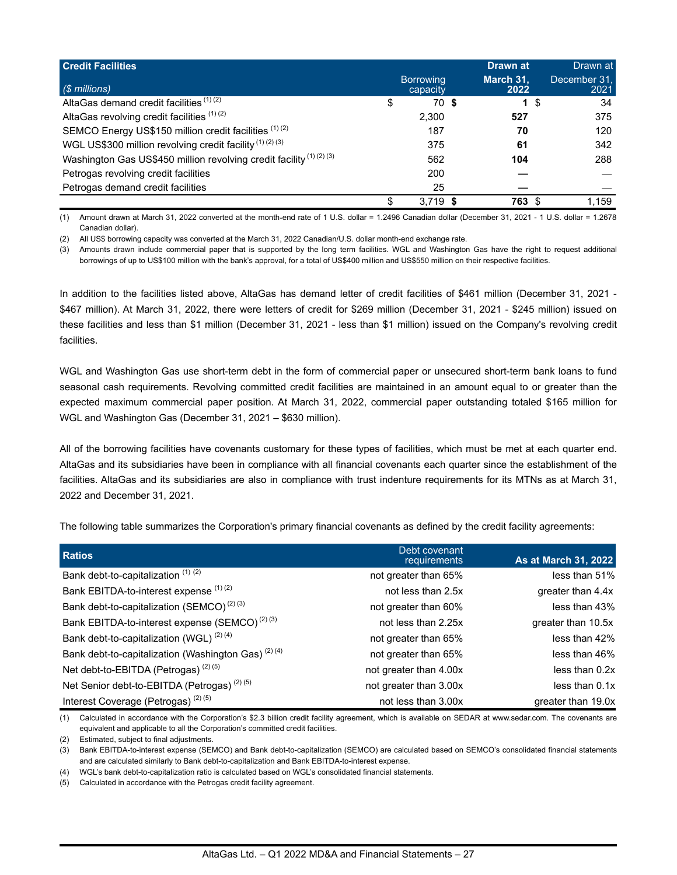| <b>Credit Facilities</b>                                                      | <b>Borrowing</b> | Drawn at<br>March 31, |      | Drawn at<br>December 31. |
|-------------------------------------------------------------------------------|------------------|-----------------------|------|--------------------------|
| $(S$ millions)                                                                | capacity         | 2022                  |      | 2021                     |
| AltaGas demand credit facilities (1) (2)                                      | \$<br>70 \$      |                       | 1 \$ | 34                       |
| AltaGas revolving credit facilities (1)(2)                                    | 2,300            | 527                   |      | 375                      |
| SEMCO Energy US\$150 million credit facilities (1)(2)                         | 187              | 70                    |      | 120                      |
| WGL US\$300 million revolving credit facility $(1)(2)(3)$                     | 375              | 61                    |      | 342                      |
| Washington Gas US\$450 million revolving credit facility <sup>(1)(2)(3)</sup> | 562              | 104                   |      | 288                      |
| Petrogas revolving credit facilities                                          | 200              |                       |      |                          |
| Petrogas demand credit facilities                                             | 25               |                       |      |                          |
|                                                                               | 3.719            | 763                   |      | 1.159                    |

(1) Amount drawn at March 31, 2022 converted at the month-end rate of 1 U.S. dollar = 1.2496 Canadian dollar (December 31, 2021 - 1 U.S. dollar = 1.2678 Canadian dollar).

(2) All US\$ borrowing capacity was converted at the March 31, 2022 Canadian/U.S. dollar month-end exchange rate.

(3) Amounts drawn include commercial paper that is supported by the long term facilities. WGL and Washington Gas have the right to request additional borrowings of up to US\$100 million with the bank's approval, for a total of US\$400 million and US\$550 million on their respective facilities.

In addition to the facilities listed above, AltaGas has demand letter of credit facilities of \$461 million (December 31, 2021 - \$467 million). At March 31, 2022, there were letters of credit for \$269 million (December 31, 2021 - \$245 million) issued on these facilities and less than \$1 million (December 31, 2021 - less than \$1 million) issued on the Company's revolving credit facilities.

WGL and Washington Gas use short-term debt in the form of commercial paper or unsecured short-term bank loans to fund seasonal cash requirements. Revolving committed credit facilities are maintained in an amount equal to or greater than the expected maximum commercial paper position. At March 31, 2022, commercial paper outstanding totaled \$165 million for WGL and Washington Gas (December 31, 2021 – \$630 million).

All of the borrowing facilities have covenants customary for these types of facilities, which must be met at each quarter end. AltaGas and its subsidiaries have been in compliance with all financial covenants each quarter since the establishment of the facilities. AltaGas and its subsidiaries are also in compliance with trust indenture requirements for its MTNs as at March 31, 2022 and December 31, 2021.

The following table summarizes the Corporation's primary financial covenants as defined by the credit facility agreements:

| <b>Ratios</b>                                                  | Debt covenant<br>requirements | As at March 31, 2022 |
|----------------------------------------------------------------|-------------------------------|----------------------|
| Bank debt-to-capitalization $(1)$ $(2)$                        | not greater than 65%          | less than 51%        |
| Bank EBITDA-to-interest expense (1)(2)                         | not less than 2.5x            | greater than 4.4x    |
| Bank debt-to-capitalization (SEMCO) <sup>(2)(3)</sup>          | not greater than 60%          | less than 43%        |
| Bank EBITDA-to-interest expense (SEMCO) <sup>(2)(3)</sup>      | not less than 2.25x           | greater than 10.5x   |
| Bank debt-to-capitalization (WGL) <sup>(2)(4)</sup>            | not greater than 65%          | less than 42%        |
| Bank debt-to-capitalization (Washington Gas) <sup>(2)(4)</sup> | not greater than 65%          | less than 46%        |
| Net debt-to-EBITDA (Petrogas) <sup>(2)(5)</sup>                | not greater than 4.00x        | less than 0.2x       |
| Net Senior debt-to-EBITDA (Petrogas) <sup>(2)(5)</sup>         | not greater than 3.00x        | less than 0.1x       |
| Interest Coverage (Petrogas) <sup>(2)(5)</sup>                 | not less than 3.00x           | greater than 19.0x   |

(1) Calculated in accordance with the Corporation's \$2.3 billion credit facility agreement, which is available on SEDAR at www.sedar.com. The covenants are equivalent and applicable to all the Corporation's committed credit facilities.

(2) Estimated, subject to final adjustments.

(3) Bank EBITDA-to-interest expense (SEMCO) and Bank debt-to-capitalization (SEMCO) are calculated based on SEMCO's consolidated financial statements and are calculated similarly to Bank debt-to-capitalization and Bank EBITDA-to-interest expense.

(4) WGL's bank debt-to-capitalization ratio is calculated based on WGL's consolidated financial statements.

(5) Calculated in accordance with the Petrogas credit facility agreement.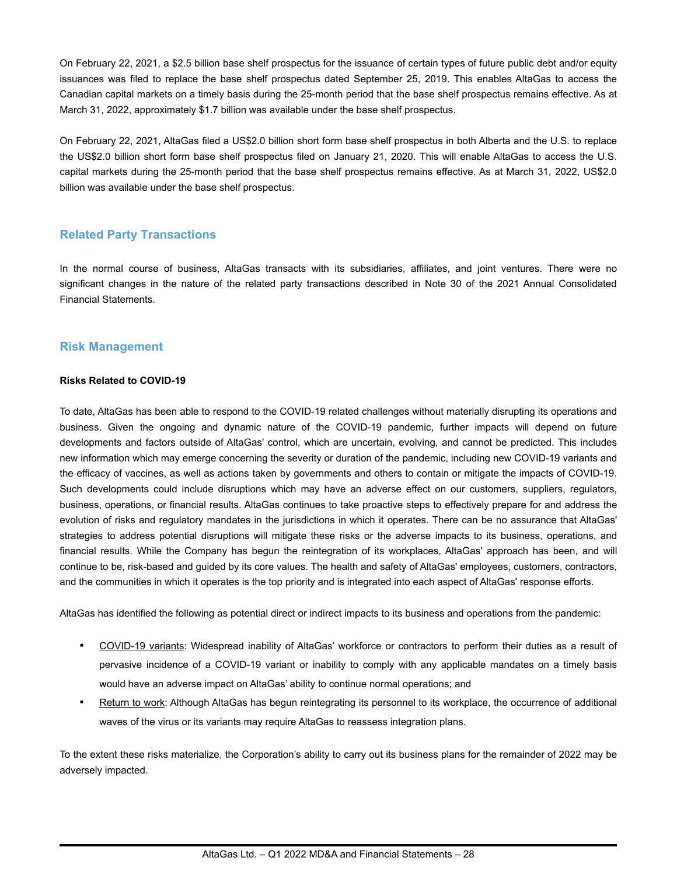On February 22, 2021, a \$2.5 billion base shelf prospectus for the issuance of certain types of future public debt and/or equity issuances was filed to replace the base shelf prospectus dated September 25, 2019. This enables AltaGas to access the Canadian capital markets on a timely basis during the 25-month period that the base shelf prospectus remains effective. As at March 31, 2022, approximately \$1.7 billion was available under the base shelf prospectus.

On February 22, 2021, AltaGas filed a US\$2.0 billion short form base shelf prospectus in both Alberta and the U.S. to replace the US\$2.0 billion short form base shelf prospectus filed on January 21, 2020. This will enable AltaGas to access the U.S. capital markets during the 25-month period that the base shelf prospectus remains effective. As at March 31, 2022, US\$2.0 billion was available under the base shelf prospectus.

## **Related Party Transactions**

In the normal course of business, AltaGas transacts with its subsidiaries, affiliates, and joint ventures. There were no significant changes in the nature of the related party transactions described in Note 30 of the 2021 Annual Consolidated Financial Statements.

## **Risk Management**

#### **Risks Related to COVID-19**

To date, AltaGas has been able to respond to the COVID-19 related challenges without materially disrupting its operations and business. Given the ongoing and dynamic nature of the COVID-19 pandemic, further impacts will depend on future developments and factors outside of AltaGas' control, which are uncertain, evolving, and cannot be predicted. This includes new information which may emerge concerning the severity or duration of the pandemic, including new COVID-19 variants and the efficacy of vaccines, as well as actions taken by governments and others to contain or mitigate the impacts of COVID-19. Such developments could include disruptions which may have an adverse effect on our customers, suppliers, regulators, business, operations, or financial results. AltaGas continues to take proactive steps to effectively prepare for and address the evolution of risks and regulatory mandates in the jurisdictions in which it operates. There can be no assurance that AltaGas' strategies to address potential disruptions will mitigate these risks or the adverse impacts to its business, operations, and financial results. While the Company has begun the reintegration of its workplaces, AltaGas' approach has been, and will continue to be, risk-based and guided by its core values. The health and safety of AltaGas' employees, customers, contractors, and the communities in which it operates is the top priority and is integrated into each aspect of AltaGas' response efforts.

AltaGas has identified the following as potential direct or indirect impacts to its business and operations from the pandemic:

- COVID-19 variants: Widespread inability of AltaGas' workforce or contractors to perform their duties as a result of pervasive incidence of a COVID-19 variant or inability to comply with any applicable mandates on a timely basis would have an adverse impact on AltaGas' ability to continue normal operations; and
- Return to work: Although AltaGas has begun reintegrating its personnel to its workplace, the occurrence of additional waves of the virus or its variants may require AltaGas to reassess integration plans.

To the extent these risks materialize, the Corporation's ability to carry out its business plans for the remainder of 2022 may be adversely impacted.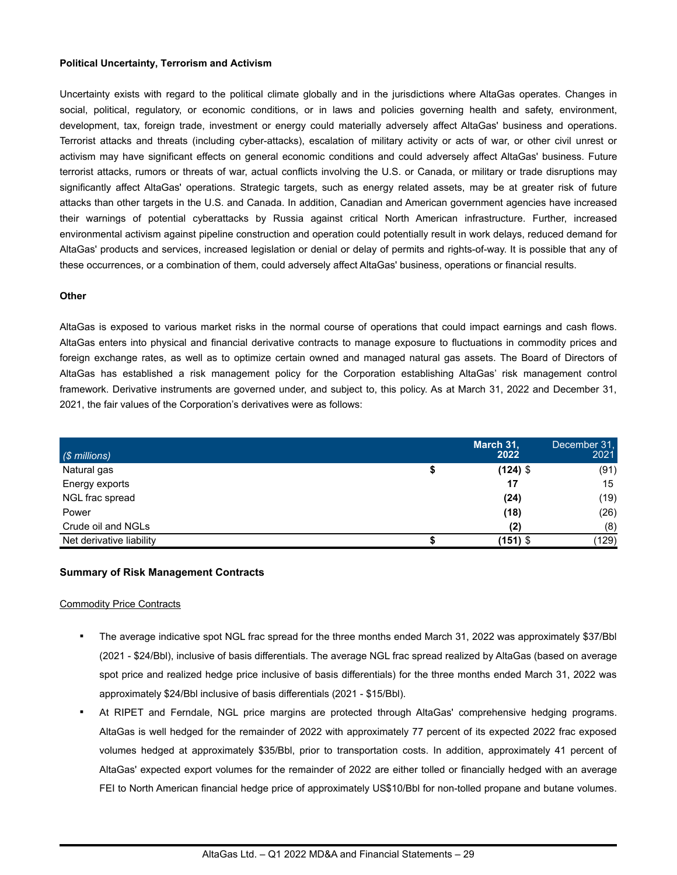#### **Political Uncertainty, Terrorism and Activism**

Uncertainty exists with regard to the political climate globally and in the jurisdictions where AltaGas operates. Changes in social, political, regulatory, or economic conditions, or in laws and policies governing health and safety, environment, development, tax, foreign trade, investment or energy could materially adversely affect AltaGas' business and operations. Terrorist attacks and threats (including cyber-attacks), escalation of military activity or acts of war, or other civil unrest or activism may have significant effects on general economic conditions and could adversely affect AltaGas' business. Future terrorist attacks, rumors or threats of war, actual conflicts involving the U.S. or Canada, or military or trade disruptions may significantly affect AltaGas' operations. Strategic targets, such as energy related assets, may be at greater risk of future attacks than other targets in the U.S. and Canada. In addition, Canadian and American government agencies have increased their warnings of potential cyberattacks by Russia against critical North American infrastructure. Further, increased environmental activism against pipeline construction and operation could potentially result in work delays, reduced demand for AltaGas' products and services, increased legislation or denial or delay of permits and rights-of-way. It is possible that any of these occurrences, or a combination of them, could adversely affect AltaGas' business, operations or financial results.

#### **Other**

AltaGas is exposed to various market risks in the normal course of operations that could impact earnings and cash flows. AltaGas enters into physical and financial derivative contracts to manage exposure to fluctuations in commodity prices and foreign exchange rates, as well as to optimize certain owned and managed natural gas assets. The Board of Directors of AltaGas has established a risk management policy for the Corporation establishing AltaGas' risk management control framework. Derivative instruments are governed under, and subject to, this policy. As at March 31, 2022 and December 31, 2021, the fair values of the Corporation's derivatives were as follows:

| $(S$ millions)           | March 31,<br>2022 | December 31.<br>2021 |
|--------------------------|-------------------|----------------------|
| Natural gas              | $(124)$ \$        | (91)                 |
| Energy exports           | 17                | 15                   |
| NGL frac spread          | (24)              | (19)                 |
| Power                    | (18)              | (26)                 |
| Crude oil and NGLs       | (2)               | (8)                  |
| Net derivative liability | $(151)$ \$        | (129)                |

#### **Summary of Risk Management Contracts**

#### Commodity Price Contracts

- The average indicative spot NGL frac spread for the three months ended March 31, 2022 was approximately \$37/Bbl (2021 - \$24/Bbl), inclusive of basis differentials. The average NGL frac spread realized by AltaGas (based on average spot price and realized hedge price inclusive of basis differentials) for the three months ended March 31, 2022 was approximately \$24/Bbl inclusive of basis differentials (2021 - \$15/Bbl).
- At RIPET and Ferndale, NGL price margins are protected through AltaGas' comprehensive hedging programs. AltaGas is well hedged for the remainder of 2022 with approximately 77 percent of its expected 2022 frac exposed volumes hedged at approximately \$35/Bbl, prior to transportation costs. In addition, approximately 41 percent of AltaGas' expected export volumes for the remainder of 2022 are either tolled or financially hedged with an average FEI to North American financial hedge price of approximately US\$10/Bbl for non-tolled propane and butane volumes.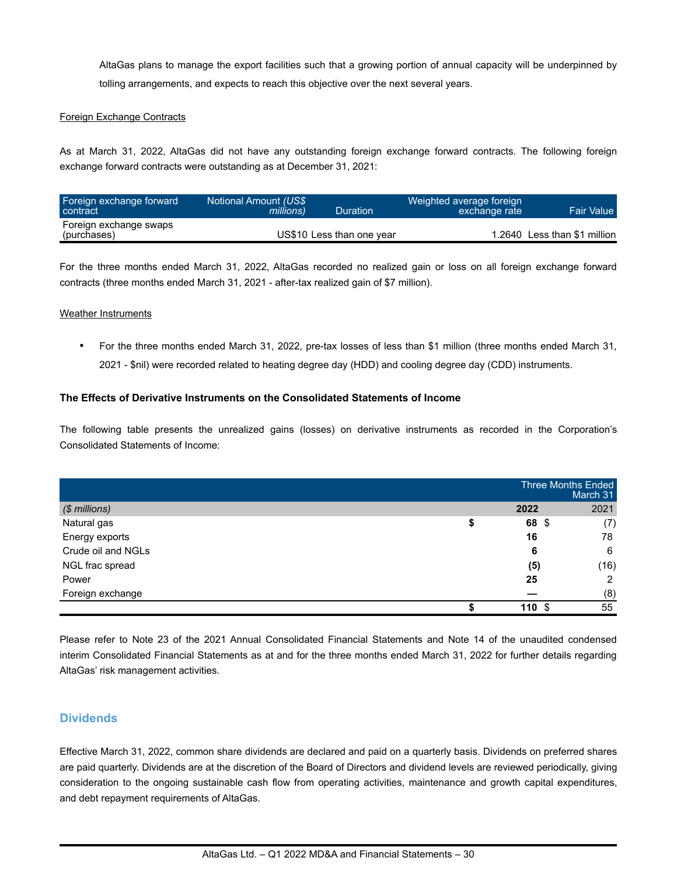AltaGas plans to manage the export facilities such that a growing portion of annual capacity will be underpinned by tolling arrangements, and expects to reach this objective over the next several years.

#### Foreign Exchange Contracts

As at March 31, 2022, AltaGas did not have any outstanding foreign exchange forward contracts. The following foreign exchange forward contracts were outstanding as at December 31, 2021:

| Foreign exchange forward<br>contract  | Notional Amount (US\$<br><i>millions</i> ) | Duration                  | Weighted average foreign<br>exchange rate | <b>Fair Value</b>            |
|---------------------------------------|--------------------------------------------|---------------------------|-------------------------------------------|------------------------------|
| Foreign exchange swaps<br>(purchases) |                                            | US\$10 Less than one year |                                           | 1.2640 Less than \$1 million |

For the three months ended March 31, 2022, AltaGas recorded no realized gain or loss on all foreign exchange forward contracts (three months ended March 31, 2021 - after-tax realized gain of \$7 million).

#### Weather Instruments

▪ For the three months ended March 31, 2022, pre-tax losses of less than \$1 million (three months ended March 31, 2021 - \$nil) were recorded related to heating degree day (HDD) and cooling degree day (CDD) instruments.

#### **The Effects of Derivative Instruments on the Consolidated Statements of Income**

The following table presents the unrealized gains (losses) on derivative instruments as recorded in the Corporation's Consolidated Statements of Income:

|                    | Three Months Ended | March 31 |
|--------------------|--------------------|----------|
| (\$ millions)      | 2022               | 2021     |
| Natural gas        | 68 \$              | (7)      |
| Energy exports     | 16                 | 78       |
| Crude oil and NGLs | 6                  | 6        |
| NGL frac spread    | (5)                | (16)     |
| Power              | 25                 | 2        |
| Foreign exchange   |                    | (8)      |
|                    | <b>110 \$</b>      | 55       |

Please refer to Note 23 of the 2021 Annual Consolidated Financial Statements and Note 14 of the unaudited condensed interim Consolidated Financial Statements as at and for the three months ended March 31, 2022 for further details regarding AltaGas' risk management activities.

## **Dividends**

Effective March 31, 2022, common share dividends are declared and paid on a quarterly basis. Dividends on preferred shares are paid quarterly. Dividends are at the discretion of the Board of Directors and dividend levels are reviewed periodically, giving consideration to the ongoing sustainable cash flow from operating activities, maintenance and growth capital expenditures, and debt repayment requirements of AltaGas.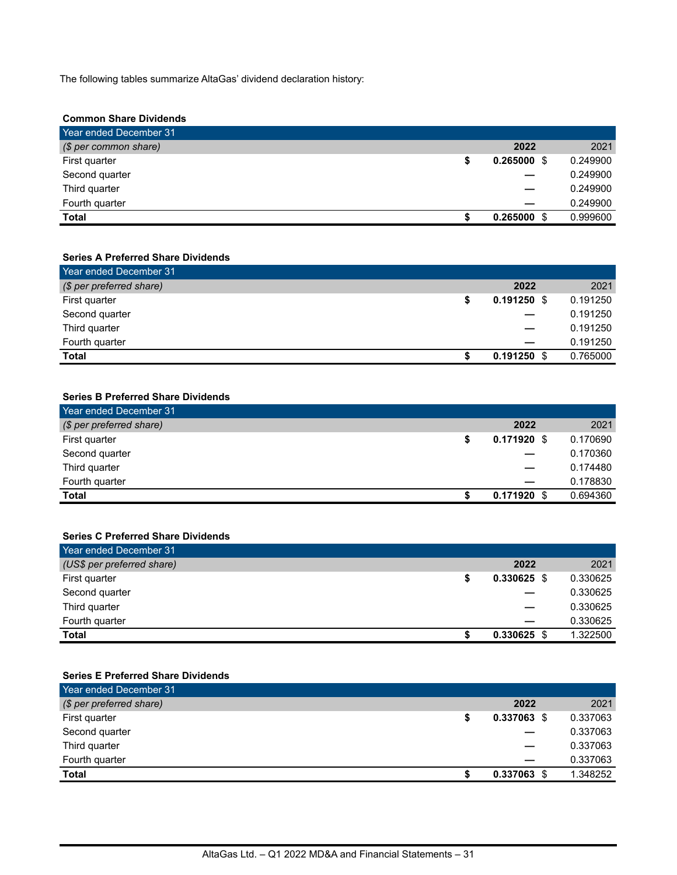The following tables summarize AltaGas' dividend declaration history:

#### **Common Share Dividends**

| Year ended December 31 |          |               |
|------------------------|----------|---------------|
| (\$ per common share)  | 2022     | 2021          |
| First quarter          | 0.265000 | 0.249900<br>S |
| Second quarter         |          | 0.249900      |
| Third quarter          |          | 0.249900      |
| Fourth quarter         |          | 0.249900      |
| <b>Total</b>           | 0.265000 | 0.999600<br>S |

#### **Series A Preferred Share Dividends**

| Year ended December 31   |               |          |
|--------------------------|---------------|----------|
| (\$ per preferred share) | 2022          | 2021     |
| First quarter            | $0.191250$ \$ | 0.191250 |
| Second quarter           |               | 0.191250 |
| Third quarter            |               | 0.191250 |
| Fourth quarter           |               | 0.191250 |
| <b>Total</b>             | $0.191250$ \$ | 0.765000 |

### **Series B Preferred Share Dividends**

| Year ended December 31   |               |          |
|--------------------------|---------------|----------|
| (\$ per preferred share) | 2022          | 2021     |
| First quarter            | $0.171920$ \$ | 0.170690 |
| Second quarter           |               | 0.170360 |
| Third quarter            |               | 0.174480 |
| Fourth quarter           |               | 0.178830 |
| Total                    | 0.171920      | 0.694360 |

### **Series C Preferred Share Dividends**

| Year ended December 31     |               |          |
|----------------------------|---------------|----------|
| (US\$ per preferred share) | 2022          | 2021     |
| First quarter              | $0.330625$ \$ | 0.330625 |
| Second quarter             |               | 0.330625 |
| Third quarter              |               | 0.330625 |
| Fourth quarter             |               | 0.330625 |
| <b>Total</b>               | 0.330625      | 1.322500 |

# **Series E Preferred Share Dividends**

| Year ended December 31   |               |          |
|--------------------------|---------------|----------|
| (\$ per preferred share) | 2022          | 2021     |
| First quarter            | $0.337063$ \$ | 0.337063 |
| Second quarter           |               | 0.337063 |
| Third quarter            |               | 0.337063 |
| Fourth quarter           |               | 0.337063 |
| <b>Total</b>             | 0.337063      | 1.348252 |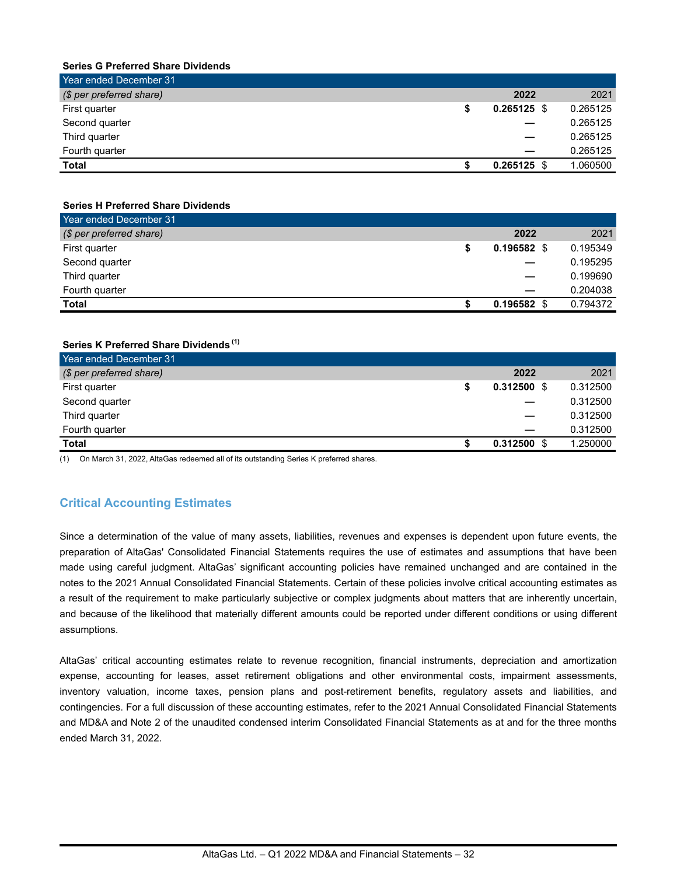#### **Series G Preferred Share Dividends**

| Year ended December 31   |               |          |
|--------------------------|---------------|----------|
| (\$ per preferred share) | 2022          | 2021     |
| First quarter            | $0.265125$ \$ | 0.265125 |
| Second quarter           |               | 0.265125 |
| Third quarter            |               | 0.265125 |
| Fourth quarter           |               | 0.265125 |
| Total                    | 0.265125      | 1.060500 |

#### **Series H Preferred Share Dividends**

| Year ended December 31   |               |          |
|--------------------------|---------------|----------|
| (\$ per preferred share) | 2022          | 2021     |
| First quarter            | $0.196582$ \$ | 0.195349 |
| Second quarter           |               | 0.195295 |
| Third quarter            |               | 0.199690 |
| Fourth quarter           |               | 0.204038 |
| Total                    | $0.196582$ \$ | 0.794372 |

#### **Series K Preferred Share Dividends (1)**

| Year ended December 31   |               |          |
|--------------------------|---------------|----------|
| (\$ per preferred share) | 2022          | 2021     |
| First quarter            | $0.312500$ \$ | 0.312500 |
| Second quarter           |               | 0.312500 |
| Third quarter            |               | 0.312500 |
| Fourth quarter           |               | 0.312500 |
| <b>Total</b>             | $0.312500$ \$ | 1.250000 |

(1) On March 31, 2022, AltaGas redeemed all of its outstanding Series K preferred shares.

## **Critical Accounting Estimates**

Since a determination of the value of many assets, liabilities, revenues and expenses is dependent upon future events, the preparation of AltaGas' Consolidated Financial Statements requires the use of estimates and assumptions that have been made using careful judgment. AltaGas' significant accounting policies have remained unchanged and are contained in the notes to the 2021 Annual Consolidated Financial Statements. Certain of these policies involve critical accounting estimates as a result of the requirement to make particularly subjective or complex judgments about matters that are inherently uncertain, and because of the likelihood that materially different amounts could be reported under different conditions or using different assumptions.

AltaGas' critical accounting estimates relate to revenue recognition, financial instruments, depreciation and amortization expense, accounting for leases, asset retirement obligations and other environmental costs, impairment assessments, inventory valuation, income taxes, pension plans and post-retirement benefits, regulatory assets and liabilities, and contingencies. For a full discussion of these accounting estimates, refer to the 2021 Annual Consolidated Financial Statements and MD&A and Note 2 of the unaudited condensed interim Consolidated Financial Statements as at and for the three months ended March 31, 2022.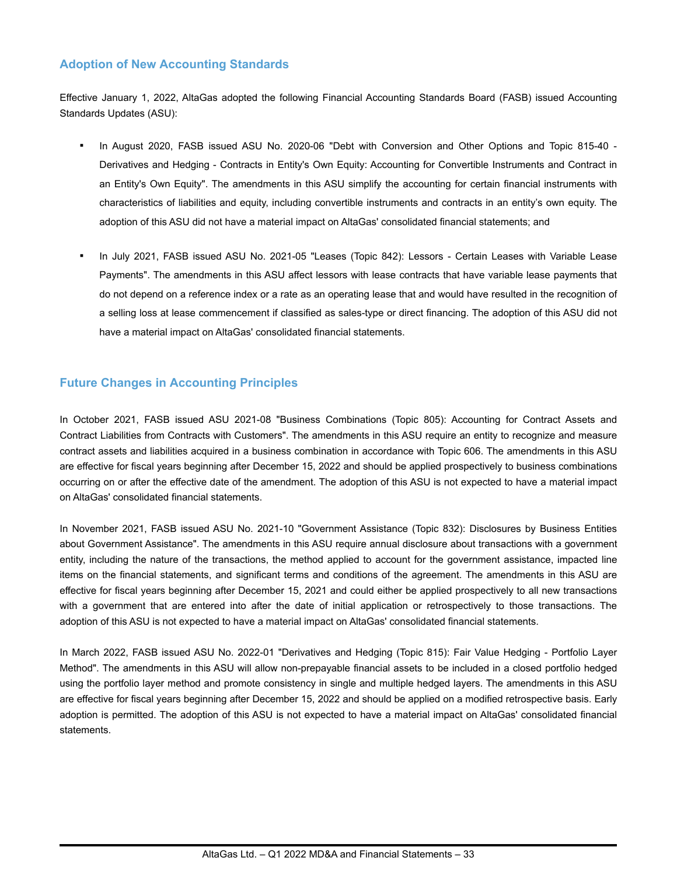# **Adoption of New Accounting Standards**

Effective January 1, 2022, AltaGas adopted the following Financial Accounting Standards Board (FASB) issued Accounting Standards Updates (ASU):

- In August 2020, FASB issued ASU No. 2020-06 "Debt with Conversion and Other Options and Topic 815-40 -Derivatives and Hedging - Contracts in Entity's Own Equity: Accounting for Convertible Instruments and Contract in an Entity's Own Equity". The amendments in this ASU simplify the accounting for certain financial instruments with characteristics of liabilities and equity, including convertible instruments and contracts in an entity's own equity. The adoption of this ASU did not have a material impact on AltaGas' consolidated financial statements; and
- In July 2021, FASB issued ASU No. 2021-05 "Leases (Topic 842): Lessors Certain Leases with Variable Lease Payments". The amendments in this ASU affect lessors with lease contracts that have variable lease payments that do not depend on a reference index or a rate as an operating lease that and would have resulted in the recognition of a selling loss at lease commencement if classified as sales-type or direct financing. The adoption of this ASU did not have a material impact on AltaGas' consolidated financial statements.

# **Future Changes in Accounting Principles**

In October 2021, FASB issued ASU 2021-08 "Business Combinations (Topic 805): Accounting for Contract Assets and Contract Liabilities from Contracts with Customers". The amendments in this ASU require an entity to recognize and measure contract assets and liabilities acquired in a business combination in accordance with Topic 606. The amendments in this ASU are effective for fiscal years beginning after December 15, 2022 and should be applied prospectively to business combinations occurring on or after the effective date of the amendment. The adoption of this ASU is not expected to have a material impact on AltaGas' consolidated financial statements.

In November 2021, FASB issued ASU No. 2021-10 "Government Assistance (Topic 832): Disclosures by Business Entities about Government Assistance". The amendments in this ASU require annual disclosure about transactions with a government entity, including the nature of the transactions, the method applied to account for the government assistance, impacted line items on the financial statements, and significant terms and conditions of the agreement. The amendments in this ASU are effective for fiscal years beginning after December 15, 2021 and could either be applied prospectively to all new transactions with a government that are entered into after the date of initial application or retrospectively to those transactions. The adoption of this ASU is not expected to have a material impact on AltaGas' consolidated financial statements.

In March 2022, FASB issued ASU No. 2022-01 "Derivatives and Hedging (Topic 815): Fair Value Hedging - Portfolio Layer Method". The amendments in this ASU will allow non-prepayable financial assets to be included in a closed portfolio hedged using the portfolio layer method and promote consistency in single and multiple hedged layers. The amendments in this ASU are effective for fiscal years beginning after December 15, 2022 and should be applied on a modified retrospective basis. Early adoption is permitted. The adoption of this ASU is not expected to have a material impact on AltaGas' consolidated financial statements.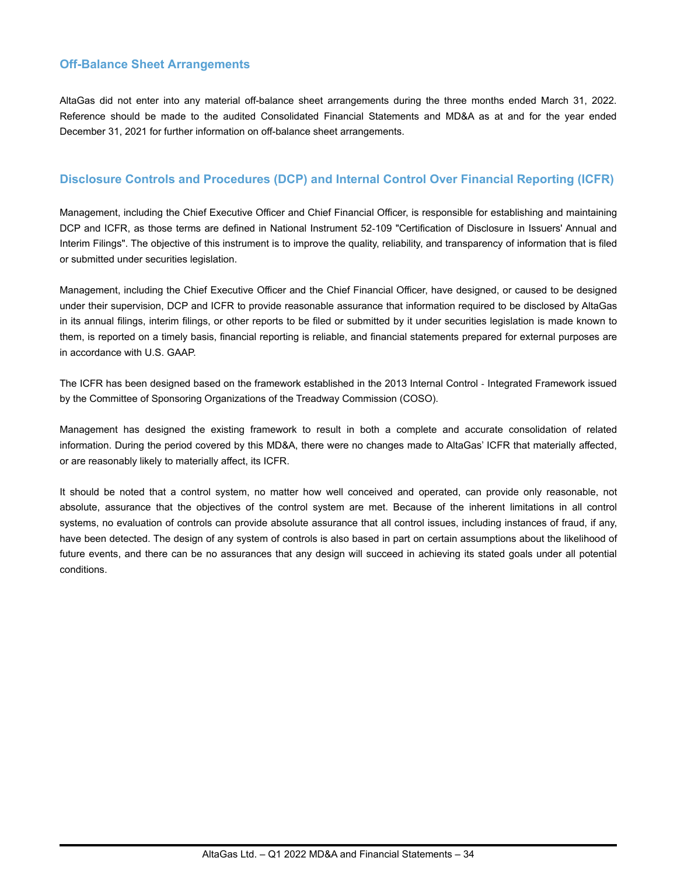# **Off-Balance Sheet Arrangements**

AltaGas did not enter into any material off-balance sheet arrangements during the three months ended March 31, 2022. Reference should be made to the audited Consolidated Financial Statements and MD&A as at and for the year ended December 31, 2021 for further information on off-balance sheet arrangements.

# **Disclosure Controls and Procedures (DCP) and Internal Control Over Financial Reporting (ICFR)**

Management, including the Chief Executive Officer and Chief Financial Officer, is responsible for establishing and maintaining DCP and ICFR, as those terms are defined in National Instrument 52-109 "Certification of Disclosure in Issuers' Annual and Interim Filings". The objective of this instrument is to improve the quality, reliability, and transparency of information that is filed or submitted under securities legislation.

Management, including the Chief Executive Officer and the Chief Financial Officer, have designed, or caused to be designed under their supervision, DCP and ICFR to provide reasonable assurance that information required to be disclosed by AltaGas in its annual filings, interim filings, or other reports to be filed or submitted by it under securities legislation is made known to them, is reported on a timely basis, financial reporting is reliable, and financial statements prepared for external purposes are in accordance with U.S. GAAP.

The ICFR has been designed based on the framework established in the 2013 Internal Control - Integrated Framework issued by the Committee of Sponsoring Organizations of the Treadway Commission (COSO).

Management has designed the existing framework to result in both a complete and accurate consolidation of related information. During the period covered by this MD&A, there were no changes made to AltaGas' ICFR that materially affected, or are reasonably likely to materially affect, its ICFR.

It should be noted that a control system, no matter how well conceived and operated, can provide only reasonable, not absolute, assurance that the objectives of the control system are met. Because of the inherent limitations in all control systems, no evaluation of controls can provide absolute assurance that all control issues, including instances of fraud, if any, have been detected. The design of any system of controls is also based in part on certain assumptions about the likelihood of future events, and there can be no assurances that any design will succeed in achieving its stated goals under all potential conditions.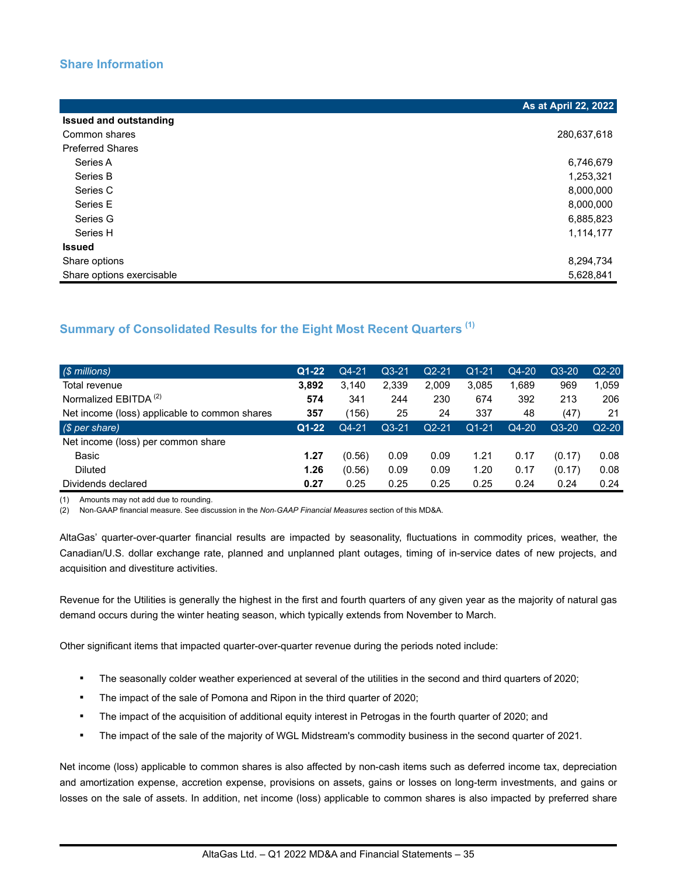# **Share Information**

|                               | As at April 22, 2022 |
|-------------------------------|----------------------|
| <b>Issued and outstanding</b> |                      |
| Common shares                 | 280,637,618          |
| <b>Preferred Shares</b>       |                      |
| Series A                      | 6,746,679            |
| Series B                      | 1,253,321            |
| Series C                      | 8,000,000            |
| Series E                      | 8,000,000            |
| Series G                      | 6,885,823            |
| Series H                      | 1,114,177            |
| <b>Issued</b>                 |                      |
| Share options                 | 8,294,734            |
| Share options exercisable     | 5,628,841            |

# **Summary of Consolidated Results for the Eight Most Recent Quarters (1)**

| $\sqrt{\$$ millions)                          | $Q1 - 22$ | Q4-21   | $Q3-21$ | $Q2 - 21$ | $Q1 - 21$ | Q4-20 | $Q3-20$ | $Q2-20$ |
|-----------------------------------------------|-----------|---------|---------|-----------|-----------|-------|---------|---------|
| Total revenue                                 | 3.892     | 3.140   | 2,339   | 2,009     | 3,085     | 1,689 | 969     | 1,059   |
| Normalized EBITDA <sup>(2)</sup>              | 574       | 341     | 244     | 230       | 674       | 392   | 213     | 206     |
| Net income (loss) applicable to common shares | 357       | (156)   | 25      | 24        | 337       | 48    | (47)    | 21      |
| (S per share)                                 | $Q1-22$   | $Q4-21$ | $Q3-21$ | $Q2-21$   | $Q1 - 21$ | Q4-20 | $Q3-20$ | $Q2-20$ |
| Net income (loss) per common share            |           |         |         |           |           |       |         |         |
| Basic                                         | 1.27      | (0.56)  | 0.09    | 0.09      | 1.21      | 0.17  | (0.17)  | 0.08    |
| <b>Diluted</b>                                | 1.26      | (0.56)  | 0.09    | 0.09      | 1.20      | 0.17  | (0.17)  | 0.08    |
| Dividends declared                            | 0.27      | 0.25    | 0.25    | 0.25      | 0.25      | 0.24  | 0.24    | 0.24    |

(1) Amounts may not add due to rounding.

(2) Non-GAAP financial measure. See discussion in the *Non*-*GAAP Financial Measures* section of this MD&A.

AltaGas' quarter-over-quarter financial results are impacted by seasonality, fluctuations in commodity prices, weather, the Canadian/U.S. dollar exchange rate, planned and unplanned plant outages, timing of in-service dates of new projects, and acquisition and divestiture activities.

Revenue for the Utilities is generally the highest in the first and fourth quarters of any given year as the majority of natural gas demand occurs during the winter heating season, which typically extends from November to March.

Other significant items that impacted quarter-over-quarter revenue during the periods noted include:

- The seasonally colder weather experienced at several of the utilities in the second and third quarters of 2020;
- **•** The impact of the sale of Pomona and Ripon in the third quarter of 2020;
- The impact of the acquisition of additional equity interest in Petrogas in the fourth quarter of 2020; and
- The impact of the sale of the majority of WGL Midstream's commodity business in the second quarter of 2021.

Net income (loss) applicable to common shares is also affected by non-cash items such as deferred income tax, depreciation and amortization expense, accretion expense, provisions on assets, gains or losses on long-term investments, and gains or losses on the sale of assets. In addition, net income (loss) applicable to common shares is also impacted by preferred share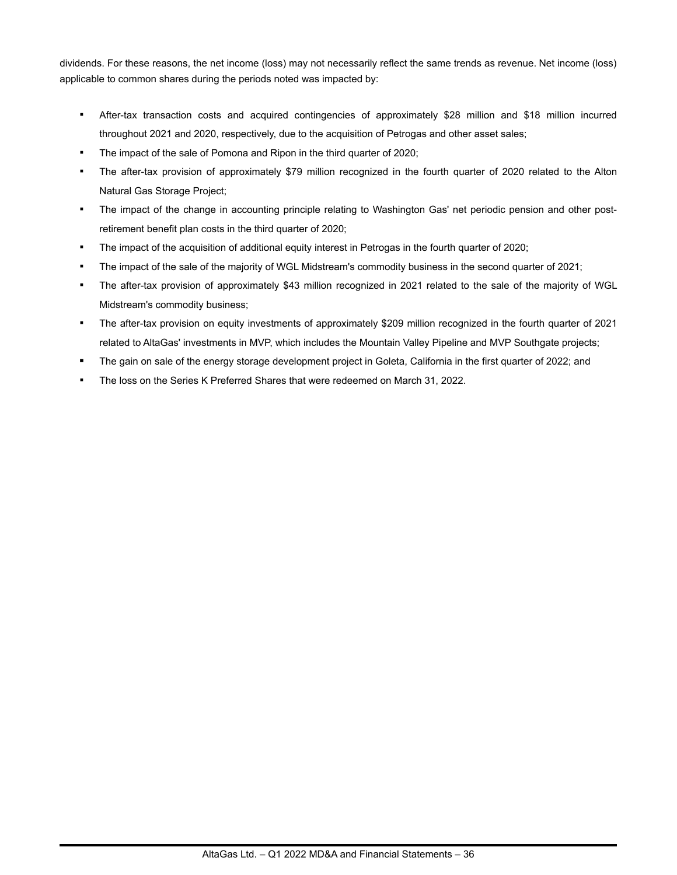dividends. For these reasons, the net income (loss) may not necessarily reflect the same trends as revenue. Net income (loss) applicable to common shares during the periods noted was impacted by:

- After-tax transaction costs and acquired contingencies of approximately \$28 million and \$18 million incurred throughout 2021 and 2020, respectively, due to the acquisition of Petrogas and other asset sales;
- The impact of the sale of Pomona and Ripon in the third quarter of 2020;
- The after-tax provision of approximately \$79 million recognized in the fourth quarter of 2020 related to the Alton Natural Gas Storage Project;
- The impact of the change in accounting principle relating to Washington Gas' net periodic pension and other postretirement benefit plan costs in the third quarter of 2020;
- The impact of the acquisition of additional equity interest in Petrogas in the fourth quarter of 2020;
- The impact of the sale of the majority of WGL Midstream's commodity business in the second quarter of 2021;
- The after-tax provision of approximately \$43 million recognized in 2021 related to the sale of the majority of WGL Midstream's commodity business;
- The after-tax provision on equity investments of approximately \$209 million recognized in the fourth quarter of 2021 related to AltaGas' investments in MVP, which includes the Mountain Valley Pipeline and MVP Southgate projects;
- **▪** The gain on sale of the energy storage development project in Goleta, California in the first quarter of 2022; and
- The loss on the Series K Preferred Shares that were redeemed on March 31, 2022.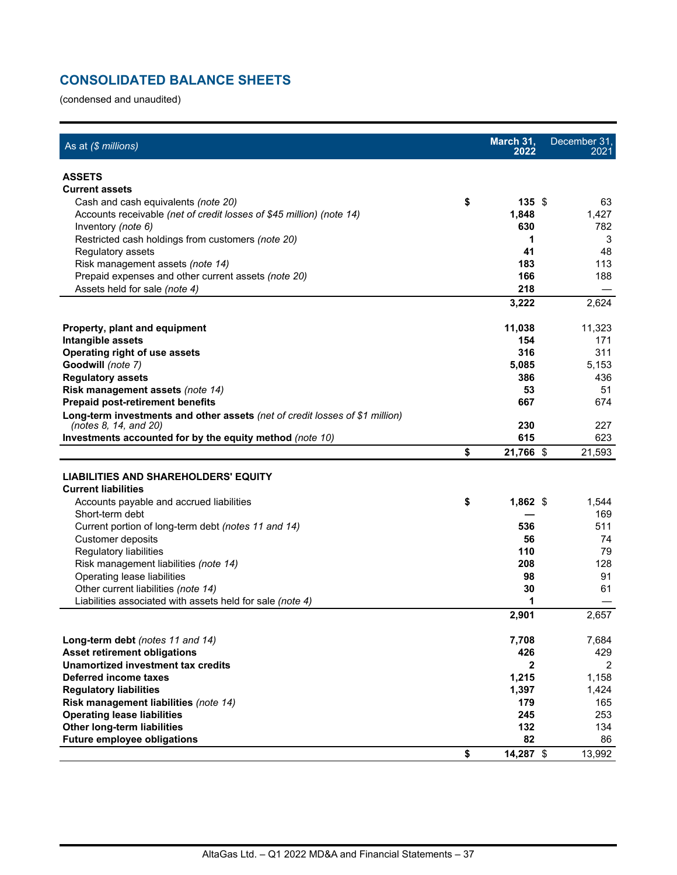# **CONSOLIDATED BALANCE SHEETS**

(condensed and unaudited)

| As at (\$ millions)                                                          | March 31,<br>2022 | December 31,<br>2021 |
|------------------------------------------------------------------------------|-------------------|----------------------|
| <b>ASSETS</b>                                                                |                   |                      |
| <b>Current assets</b>                                                        |                   |                      |
| Cash and cash equivalents (note 20)                                          | \$<br>135S        | 63                   |
| Accounts receivable (net of credit losses of \$45 million) (note 14)         | 1,848             | 1,427                |
| Inventory (note 6)                                                           | 630               | 782                  |
| Restricted cash holdings from customers (note 20)                            | 1                 | 3                    |
| Regulatory assets                                                            | 41                | 48                   |
| Risk management assets (note 14)                                             | 183               | 113                  |
| Prepaid expenses and other current assets (note 20)                          | 166               | 188                  |
| Assets held for sale (note 4)                                                | 218               |                      |
|                                                                              | 3,222             | 2,624                |
| <b>Property, plant and equipment</b>                                         | 11,038            | 11,323               |
| Intangible assets                                                            | 154               | 171                  |
| <b>Operating right of use assets</b>                                         | 316               | 311                  |
| Goodwill (note 7)                                                            | 5,085             | 5,153                |
| <b>Regulatory assets</b>                                                     | 386               | 436                  |
| Risk management assets (note 14)                                             | 53                | 51                   |
| <b>Prepaid post-retirement benefits</b>                                      | 667               | 674                  |
| Long-term investments and other assets (net of credit losses of \$1 million) |                   |                      |
| (notes 8, 14, and 20)                                                        | 230               | 227                  |
| Investments accounted for by the equity method (note 10)                     | 615               | 623                  |
|                                                                              | \$<br>21,766 \$   | 21,593               |
| <b>LIABILITIES AND SHAREHOLDERS' EQUITY</b>                                  |                   |                      |
| <b>Current liabilities</b>                                                   |                   |                      |
| Accounts payable and accrued liabilities                                     | \$<br>$1,862$ \$  | 1,544                |
| Short-term debt                                                              |                   | 169                  |
| Current portion of long-term debt (notes 11 and 14)                          | 536               | 511                  |
| Customer deposits                                                            | 56                | 74                   |
| Regulatory liabilities                                                       | 110               | 79                   |
| Risk management liabilities (note 14)                                        | 208               | 128                  |
| Operating lease liabilities                                                  | 98                | 91                   |
| Other current liabilities (note 14)                                          | 30                | 61                   |
| Liabilities associated with assets held for sale (note 4)                    | 1                 |                      |
|                                                                              | 2,901             | 2,657                |
| Long-term debt (notes 11 and 14)                                             | 7,708             | 7,684                |
| <b>Asset retirement obligations</b>                                          | 426               | 429                  |
| Unamortized investment tax credits                                           | $\mathbf{2}$      | 2                    |
| Deferred income taxes                                                        | 1,215             | 1,158                |
| <b>Regulatory liabilities</b>                                                | 1,397             | 1,424                |
| Risk management liabilities (note 14)                                        | 179               | 165                  |
| <b>Operating lease liabilities</b>                                           | 245               | 253                  |
| <b>Other long-term liabilities</b>                                           | 132               | 134                  |
| <b>Future employee obligations</b>                                           | 82                | 86                   |
|                                                                              | \$<br>14,287 \$   | 13,992               |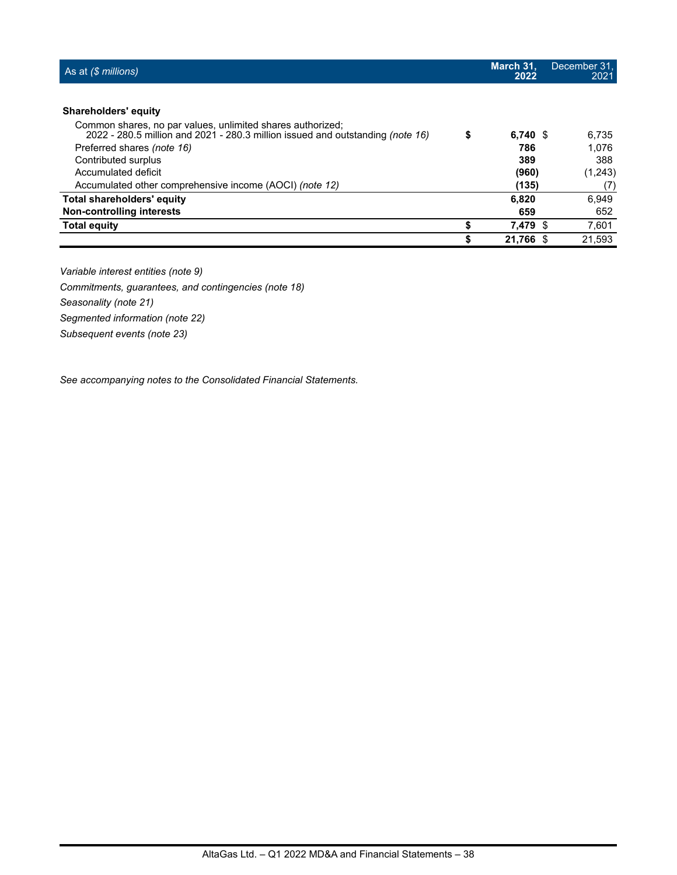| As at $($ millions)$                                                                                                                         | March 31,<br>2022 | December 31,<br>2021 |
|----------------------------------------------------------------------------------------------------------------------------------------------|-------------------|----------------------|
|                                                                                                                                              |                   |                      |
| Shareholders' equity                                                                                                                         |                   |                      |
| Common shares, no par values, unlimited shares authorized;<br>2022 - 280.5 million and 2021 - 280.3 million issued and outstanding (note 16) | \$<br>$6,740$ \$  | 6.735                |
| Preferred shares (note 16)                                                                                                                   | 786               | 1.076                |
| Contributed surplus                                                                                                                          | 389               | 388                  |
| Accumulated deficit                                                                                                                          | (960)             | (1,243)              |
| Accumulated other comprehensive income (AOCI) (note 12)                                                                                      | (135)             | (7)                  |
| <b>Total shareholders' equity</b>                                                                                                            | 6,820             | 6,949                |
| Non-controlling interests                                                                                                                    | 659               | 652                  |
| <b>Total equity</b>                                                                                                                          | \$<br>7,479 \$    | 7,601                |
|                                                                                                                                              | 21.766 \$         | 21.593               |

*Variable interest entities (note 9)*

*Commitments, guarantees, and contingencies (note 18)*

*Seasonality (note 21)*

*Segmented information (note 22)*

*Subsequent events (note 23)*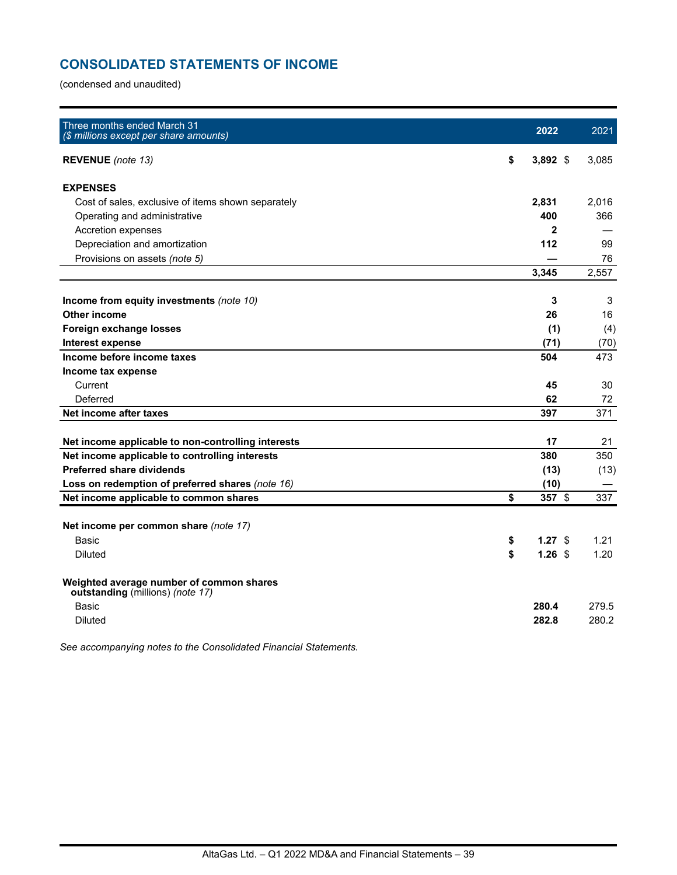# **CONSOLIDATED STATEMENTS OF INCOME**

(condensed and unaudited)

| Three months ended March 31<br>(\$ millions except per share amounts)        | 2022             | 2021  |
|------------------------------------------------------------------------------|------------------|-------|
| <b>REVENUE</b> (note 13)                                                     | \$<br>$3,892$ \$ | 3,085 |
| <b>EXPENSES</b>                                                              |                  |       |
| Cost of sales, exclusive of items shown separately                           | 2,831            | 2.016 |
| Operating and administrative                                                 | 400              | 366   |
| Accretion expenses                                                           | 2                |       |
| Depreciation and amortization                                                | 112              | 99    |
| Provisions on assets (note 5)                                                |                  | 76    |
|                                                                              | 3,345            | 2,557 |
| Income from equity investments (note 10)                                     | 3                | 3     |
| <b>Other income</b>                                                          | 26               | 16    |
| Foreign exchange losses                                                      | (1)              | (4)   |
| Interest expense                                                             | (71)             | (70)  |
| Income before income taxes                                                   | 504              | 473   |
| Income tax expense                                                           |                  |       |
| Current                                                                      | 45               | 30    |
| Deferred                                                                     | 62               | 72    |
| Net income after taxes                                                       | 397              | 371   |
| Net income applicable to non-controlling interests                           | 17               | 21    |
| Net income applicable to controlling interests                               | 380              | 350   |
| <b>Preferred share dividends</b>                                             | (13)             | (13)  |
| Loss on redemption of preferred shares (note 16)                             | (10)             |       |
| Net income applicable to common shares                                       | \$<br>357 \$     | 337   |
|                                                                              |                  |       |
| Net income per common share (note 17)                                        |                  |       |
| Basic                                                                        | \$<br>$1.27$ \$  | 1.21  |
| <b>Diluted</b>                                                               | \$<br>$1.26$ \$  | 1.20  |
| Weighted average number of common shares<br>outstanding (millions) (note 17) |                  |       |
| <b>Basic</b>                                                                 | 280.4            | 279.5 |
| <b>Diluted</b>                                                               | 282.8            | 280.2 |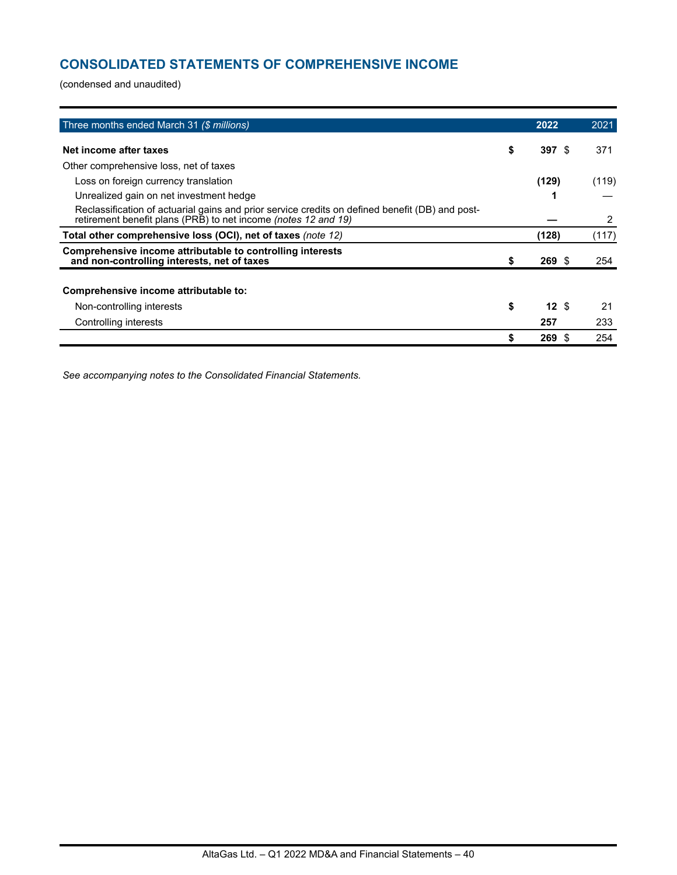# **CONSOLIDATED STATEMENTS OF COMPREHENSIVE INCOME**

(condensed and unaudited)

| Three months ended March 31 (\$ millions)                                                                                                                         | 2022           | 2021  |
|-------------------------------------------------------------------------------------------------------------------------------------------------------------------|----------------|-------|
| Net income after taxes                                                                                                                                            | \$<br>397S     | 371   |
| Other comprehensive loss, net of taxes                                                                                                                            |                |       |
| Loss on foreign currency translation                                                                                                                              | (129)          | (119) |
| Unrealized gain on net investment hedge                                                                                                                           |                |       |
| Reclassification of actuarial gains and prior service credits on defined benefit (DB) and post-<br>retirement benefit plans (PRB) to net income (notes 12 and 19) |                | 2     |
| Total other comprehensive loss (OCI), net of taxes (note 12)                                                                                                      | (128)          | (117) |
| Comprehensive income attributable to controlling interests<br>and non-controlling interests, net of taxes                                                         | \$<br>$269$ \$ | 254   |
|                                                                                                                                                                   |                |       |
| Comprehensive income attributable to:                                                                                                                             |                |       |
| Non-controlling interests                                                                                                                                         | \$<br>12S      | 21    |
| Controlling interests                                                                                                                                             | 257            | 233   |
|                                                                                                                                                                   | \$<br>269S     | 254   |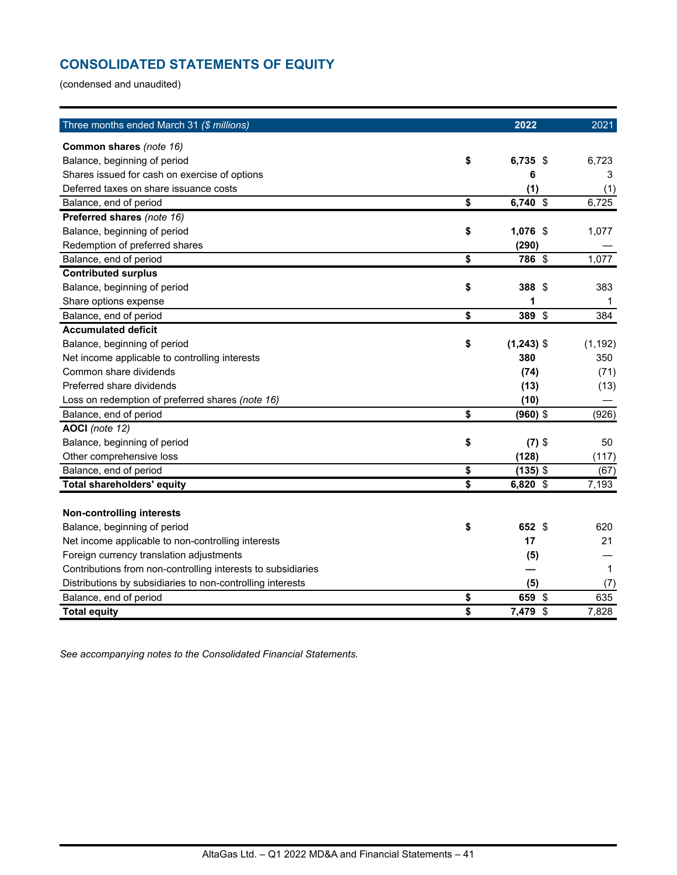# **CONSOLIDATED STATEMENTS OF EQUITY**

(condensed and unaudited)

| Three months ended March 31 (\$ millions)                    |                 | 2022         | 2021        |
|--------------------------------------------------------------|-----------------|--------------|-------------|
| Common shares (note 16)                                      |                 |              |             |
| Balance, beginning of period                                 | \$              | $6,735$ \$   | 6,723       |
| Shares issued for cash on exercise of options                |                 | 6            | 3           |
| Deferred taxes on share issuance costs                       |                 | (1)          | (1)         |
| Balance, end of period                                       | \$              | 6,740 \$     | 6,725       |
| Preferred shares (note 16)                                   |                 |              |             |
| Balance, beginning of period                                 | \$              | 1,076 \$     | 1,077       |
| Redemption of preferred shares                               |                 | (290)        |             |
| Balance, end of period                                       | \$              | 786 \$       | 1,077       |
| <b>Contributed surplus</b>                                   |                 |              |             |
| Balance, beginning of period                                 | \$              | 388<br>- \$  | 383         |
| Share options expense                                        |                 | 1            | 1           |
| Balance, end of period                                       | \$              | 389 \$       | 384         |
| <b>Accumulated deficit</b>                                   |                 |              |             |
| Balance, beginning of period                                 | \$              | $(1,243)$ \$ | (1, 192)    |
| Net income applicable to controlling interests               |                 | 380          | 350         |
| Common share dividends                                       |                 | (74)         | (71)        |
| Preferred share dividends                                    |                 | (13)         | (13)        |
| Loss on redemption of preferred shares (note 16)             |                 | (10)         |             |
| Balance, end of period                                       | \$              | $(960)$ \$   | (926)       |
| AOCI (note 12)                                               |                 |              |             |
| Balance, beginning of period                                 | \$              | $(7)$ \$     | 50          |
| Other comprehensive loss                                     |                 | (128)        | (117)       |
| Balance, end of period                                       | \$              | $(135)$ \$   | (67)        |
| <b>Total shareholders' equity</b>                            | $\overline{\$}$ | 6,820 \$     | 7,193       |
|                                                              |                 |              |             |
| <b>Non-controlling interests</b>                             |                 |              |             |
| Balance, beginning of period                                 | \$              | 652 \$       | 620         |
| Net income applicable to non-controlling interests           |                 | 17           | 21          |
| Foreign currency translation adjustments                     |                 | (5)          |             |
| Contributions from non-controlling interests to subsidiaries |                 |              | $\mathbf 1$ |
| Distributions by subsidiaries to non-controlling interests   |                 | (5)          | (7)         |
| Balance, end of period                                       | \$              | 659<br>\$    | 635         |
| <b>Total equity</b>                                          | \$              | 7,479 \$     | 7,828       |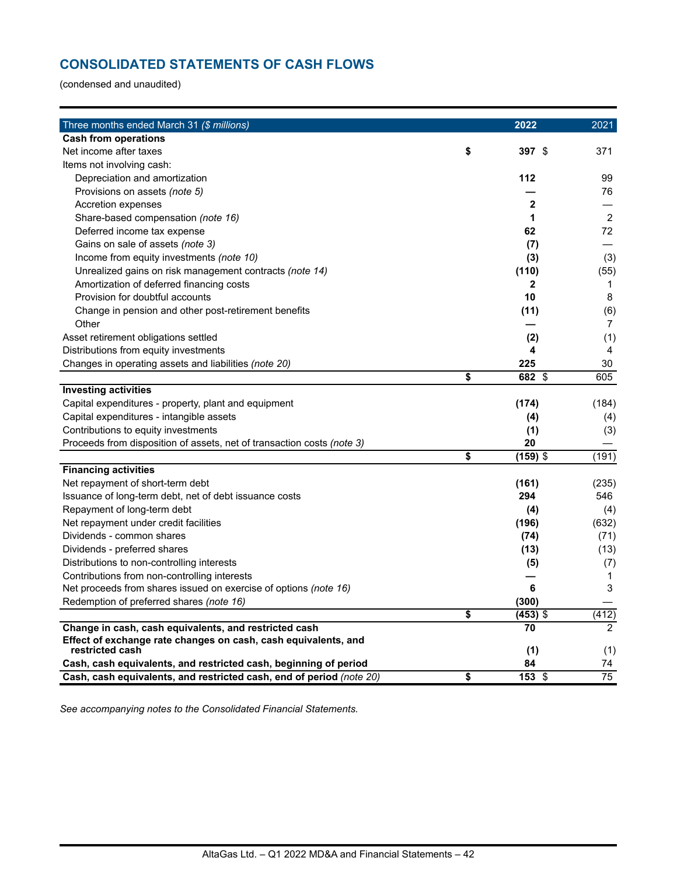# **CONSOLIDATED STATEMENTS OF CASH FLOWS**

(condensed and unaudited)

| Three months ended March 31 (\$ millions)                              | 2022             | 2021           |
|------------------------------------------------------------------------|------------------|----------------|
| <b>Cash from operations</b>                                            |                  |                |
| Net income after taxes                                                 | \$<br>397 \$     | 371            |
| Items not involving cash:                                              |                  |                |
| Depreciation and amortization                                          | 112              | 99             |
| Provisions on assets (note 5)                                          |                  | 76             |
| Accretion expenses                                                     | $\mathbf{2}$     |                |
| Share-based compensation (note 16)                                     | 1                | $\overline{2}$ |
| Deferred income tax expense                                            | 62               | 72             |
| Gains on sale of assets (note 3)                                       | (7)              |                |
| Income from equity investments (note 10)                               | (3)              | (3)            |
| Unrealized gains on risk management contracts (note 14)                | (110)            | (55)           |
| Amortization of deferred financing costs                               | $\mathbf{2}$     | $\mathbf 1$    |
| Provision for doubtful accounts                                        | 10               | 8              |
| Change in pension and other post-retirement benefits                   | (11)             | (6)            |
| Other                                                                  |                  | $\overline{7}$ |
| Asset retirement obligations settled                                   | (2)              | (1)            |
| Distributions from equity investments                                  | 4                | 4              |
| Changes in operating assets and liabilities (note 20)                  | 225              | 30             |
|                                                                        | \$<br>682 \$     | 605            |
| <b>Investing activities</b>                                            |                  |                |
| Capital expenditures - property, plant and equipment                   | (174)            | (184)          |
| Capital expenditures - intangible assets                               | (4)              | (4)            |
| Contributions to equity investments                                    | (1)              | (3)            |
| Proceeds from disposition of assets, net of transaction costs (note 3) | 20               |                |
|                                                                        | \$<br>$(159)$ \$ | (191)          |
| <b>Financing activities</b>                                            |                  |                |
| Net repayment of short-term debt                                       | (161)            | (235)          |
| Issuance of long-term debt, net of debt issuance costs                 | 294              | 546            |
| Repayment of long-term debt                                            | (4)              | (4)            |
| Net repayment under credit facilities                                  | (196)            | (632)          |
| Dividends - common shares                                              | (74)             | (71)           |
| Dividends - preferred shares                                           | (13)             | (13)           |
| Distributions to non-controlling interests                             | (5)              | (7)            |
| Contributions from non-controlling interests                           |                  | $\mathbf 1$    |
| Net proceeds from shares issued on exercise of options (note 16)       | 6                | 3              |
| Redemption of preferred shares (note 16)                               | (300)            |                |
|                                                                        | \$<br>$(453)$ \$ | (412)          |
| Change in cash, cash equivalents, and restricted cash                  | 70               | 2              |
| Effect of exchange rate changes on cash, cash equivalents, and         |                  |                |
| restricted cash                                                        | (1)              | (1)            |
| Cash, cash equivalents, and restricted cash, beginning of period       | 84               | 74             |
| Cash, cash equivalents, and restricted cash, end of period (note 20)   | \$<br>$153$ \$   | 75             |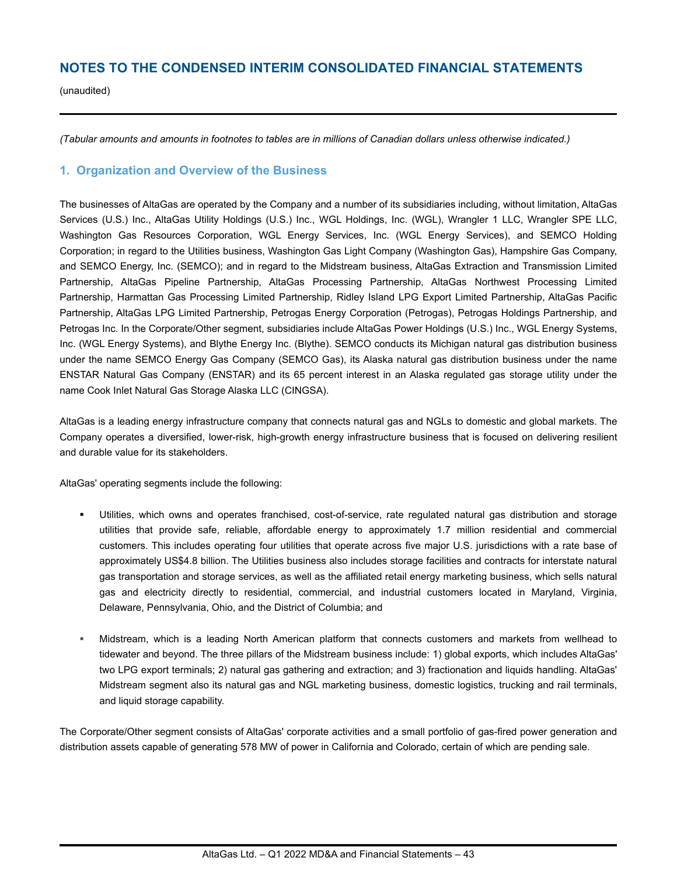# **NOTES TO THE CONDENSED INTERIM CONSOLIDATED FINANCIAL STATEMENTS**

(unaudited)

*(Tabular amounts and amounts in footnotes to tables are in millions of Canadian dollars unless otherwise indicated.)*

### **1. Organization and Overview of the Business**

The businesses of AltaGas are operated by the Company and a number of its subsidiaries including, without limitation, AltaGas Services (U.S.) Inc., AltaGas Utility Holdings (U.S.) Inc., WGL Holdings, Inc. (WGL), Wrangler 1 LLC, Wrangler SPE LLC, Washington Gas Resources Corporation, WGL Energy Services, Inc. (WGL Energy Services), and SEMCO Holding Corporation; in regard to the Utilities business, Washington Gas Light Company (Washington Gas), Hampshire Gas Company, and SEMCO Energy, Inc. (SEMCO); and in regard to the Midstream business, AltaGas Extraction and Transmission Limited Partnership, AltaGas Pipeline Partnership, AltaGas Processing Partnership, AltaGas Northwest Processing Limited Partnership, Harmattan Gas Processing Limited Partnership, Ridley Island LPG Export Limited Partnership, AltaGas Pacific Partnership, AltaGas LPG Limited Partnership, Petrogas Energy Corporation (Petrogas), Petrogas Holdings Partnership, and Petrogas Inc. In the Corporate/Other segment, subsidiaries include AltaGas Power Holdings (U.S.) Inc., WGL Energy Systems, Inc. (WGL Energy Systems), and Blythe Energy Inc. (Blythe). SEMCO conducts its Michigan natural gas distribution business under the name SEMCO Energy Gas Company (SEMCO Gas), its Alaska natural gas distribution business under the name ENSTAR Natural Gas Company (ENSTAR) and its 65 percent interest in an Alaska regulated gas storage utility under the name Cook Inlet Natural Gas Storage Alaska LLC (CINGSA).

AltaGas is a leading energy infrastructure company that connects natural gas and NGLs to domestic and global markets. The Company operates a diversified, lower-risk, high-growth energy infrastructure business that is focused on delivering resilient and durable value for its stakeholders.

AltaGas' operating segments include the following:

- Utilities, which owns and operates franchised, cost-of-service, rate regulated natural gas distribution and storage utilities that provide safe, reliable, affordable energy to approximately 1.7 million residential and commercial customers. This includes operating four utilities that operate across five major U.S. jurisdictions with a rate base of approximately US\$4.8 billion. The Utilities business also includes storage facilities and contracts for interstate natural gas transportation and storage services, as well as the affiliated retail energy marketing business, which sells natural gas and electricity directly to residential, commercial, and industrial customers located in Maryland, Virginia, Delaware, Pennsylvania, Ohio, and the District of Columbia; and
- § Midstream, which is a leading North American platform that connects customers and markets from wellhead to tidewater and beyond. The three pillars of the Midstream business include: 1) global exports, which includes AltaGas' two LPG export terminals; 2) natural gas gathering and extraction; and 3) fractionation and liquids handling. AltaGas' Midstream segment also its natural gas and NGL marketing business, domestic logistics, trucking and rail terminals, and liquid storage capability.

The Corporate/Other segment consists of AltaGas' corporate activities and a small portfolio of gas-fired power generation and distribution assets capable of generating 578 MW of power in California and Colorado, certain of which are pending sale.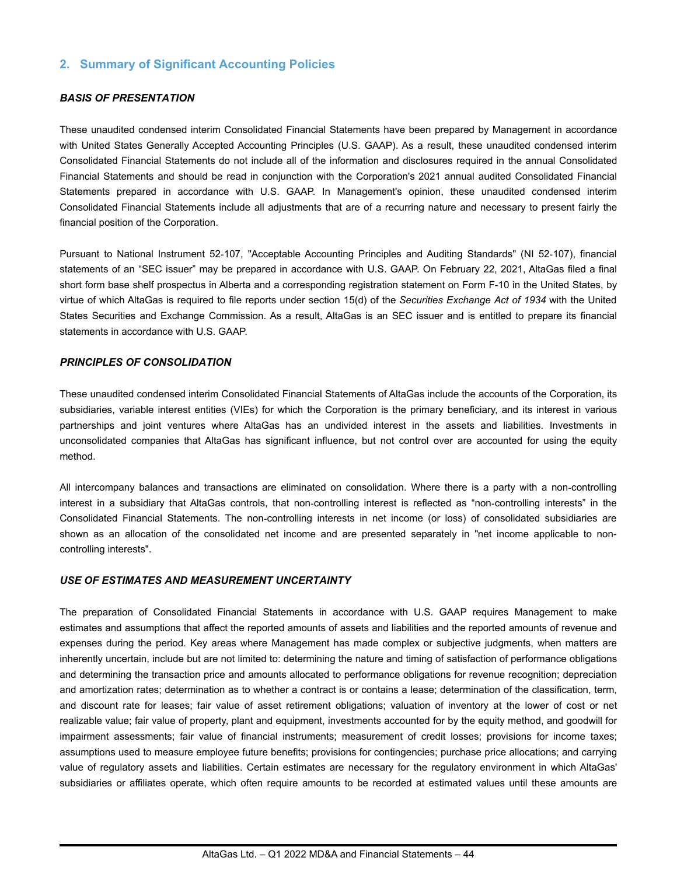# **2. Summary of Significant Accounting Policies**

#### *BASIS OF PRESENTATION*

These unaudited condensed interim Consolidated Financial Statements have been prepared by Management in accordance with United States Generally Accepted Accounting Principles (U.S. GAAP). As a result, these unaudited condensed interim Consolidated Financial Statements do not include all of the information and disclosures required in the annual Consolidated Financial Statements and should be read in conjunction with the Corporation's 2021 annual audited Consolidated Financial Statements prepared in accordance with U.S. GAAP. In Management's opinion, these unaudited condensed interim Consolidated Financial Statements include all adjustments that are of a recurring nature and necessary to present fairly the financial position of the Corporation.

Pursuant to National Instrument 52-107, "Acceptable Accounting Principles and Auditing Standards" (NI 52-107), financial statements of an "SEC issuer" may be prepared in accordance with U.S. GAAP. On February 22, 2021, AltaGas filed a final short form base shelf prospectus in Alberta and a corresponding registration statement on Form F-10 in the United States, by virtue of which AltaGas is required to file reports under section 15(d) of the *Securities Exchange Act of 1934* with the United States Securities and Exchange Commission. As a result, AltaGas is an SEC issuer and is entitled to prepare its financial statements in accordance with U.S. GAAP.

#### *PRINCIPLES OF CONSOLIDATION*

These unaudited condensed interim Consolidated Financial Statements of AltaGas include the accounts of the Corporation, its subsidiaries, variable interest entities (VIEs) for which the Corporation is the primary beneficiary, and its interest in various partnerships and joint ventures where AltaGas has an undivided interest in the assets and liabilities. Investments in unconsolidated companies that AltaGas has significant influence, but not control over are accounted for using the equity method.

All intercompany balances and transactions are eliminated on consolidation. Where there is a party with a non-controlling interest in a subsidiary that AltaGas controls, that non-controlling interest is reflected as "non-controlling interests" in the Consolidated Financial Statements. The non-controlling interests in net income (or loss) of consolidated subsidiaries are shown as an allocation of the consolidated net income and are presented separately in "net income applicable to noncontrolling interests".

#### *USE OF ESTIMATES AND MEASUREMENT UNCERTAINTY*

The preparation of Consolidated Financial Statements in accordance with U.S. GAAP requires Management to make estimates and assumptions that affect the reported amounts of assets and liabilities and the reported amounts of revenue and expenses during the period. Key areas where Management has made complex or subjective judgments, when matters are inherently uncertain, include but are not limited to: determining the nature and timing of satisfaction of performance obligations and determining the transaction price and amounts allocated to performance obligations for revenue recognition; depreciation and amortization rates; determination as to whether a contract is or contains a lease; determination of the classification, term, and discount rate for leases; fair value of asset retirement obligations; valuation of inventory at the lower of cost or net realizable value; fair value of property, plant and equipment, investments accounted for by the equity method, and goodwill for impairment assessments; fair value of financial instruments; measurement of credit losses; provisions for income taxes; assumptions used to measure employee future benefits; provisions for contingencies; purchase price allocations; and carrying value of regulatory assets and liabilities. Certain estimates are necessary for the regulatory environment in which AltaGas' subsidiaries or affiliates operate, which often require amounts to be recorded at estimated values until these amounts are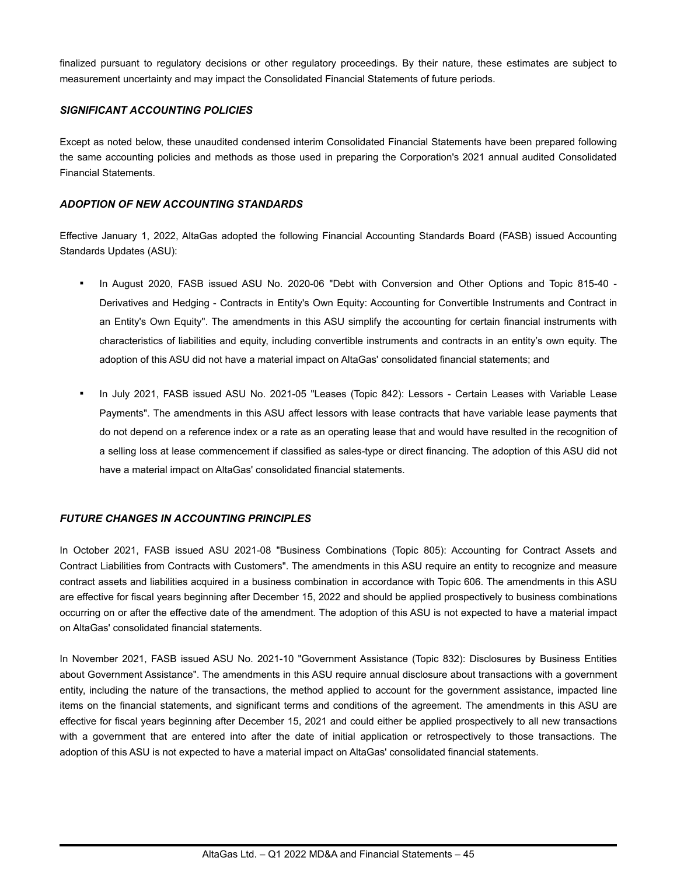finalized pursuant to regulatory decisions or other regulatory proceedings. By their nature, these estimates are subject to measurement uncertainty and may impact the Consolidated Financial Statements of future periods.

#### *SIGNIFICANT ACCOUNTING POLICIES*

Except as noted below, these unaudited condensed interim Consolidated Financial Statements have been prepared following the same accounting policies and methods as those used in preparing the Corporation's 2021 annual audited Consolidated Financial Statements.

#### *ADOPTION OF NEW ACCOUNTING STANDARDS*

Effective January 1, 2022, AltaGas adopted the following Financial Accounting Standards Board (FASB) issued Accounting Standards Updates (ASU):

- In August 2020, FASB issued ASU No. 2020-06 "Debt with Conversion and Other Options and Topic 815-40 -Derivatives and Hedging - Contracts in Entity's Own Equity: Accounting for Convertible Instruments and Contract in an Entity's Own Equity". The amendments in this ASU simplify the accounting for certain financial instruments with characteristics of liabilities and equity, including convertible instruments and contracts in an entity's own equity. The adoption of this ASU did not have a material impact on AltaGas' consolidated financial statements; and
- In July 2021, FASB issued ASU No. 2021-05 "Leases (Topic 842): Lessors Certain Leases with Variable Lease Payments". The amendments in this ASU affect lessors with lease contracts that have variable lease payments that do not depend on a reference index or a rate as an operating lease that and would have resulted in the recognition of a selling loss at lease commencement if classified as sales-type or direct financing. The adoption of this ASU did not have a material impact on AltaGas' consolidated financial statements.

#### *FUTURE CHANGES IN ACCOUNTING PRINCIPLES*

In October 2021, FASB issued ASU 2021-08 "Business Combinations (Topic 805): Accounting for Contract Assets and Contract Liabilities from Contracts with Customers". The amendments in this ASU require an entity to recognize and measure contract assets and liabilities acquired in a business combination in accordance with Topic 606. The amendments in this ASU are effective for fiscal years beginning after December 15, 2022 and should be applied prospectively to business combinations occurring on or after the effective date of the amendment. The adoption of this ASU is not expected to have a material impact on AltaGas' consolidated financial statements.

In November 2021, FASB issued ASU No. 2021-10 "Government Assistance (Topic 832): Disclosures by Business Entities about Government Assistance". The amendments in this ASU require annual disclosure about transactions with a government entity, including the nature of the transactions, the method applied to account for the government assistance, impacted line items on the financial statements, and significant terms and conditions of the agreement. The amendments in this ASU are effective for fiscal years beginning after December 15, 2021 and could either be applied prospectively to all new transactions with a government that are entered into after the date of initial application or retrospectively to those transactions. The adoption of this ASU is not expected to have a material impact on AltaGas' consolidated financial statements.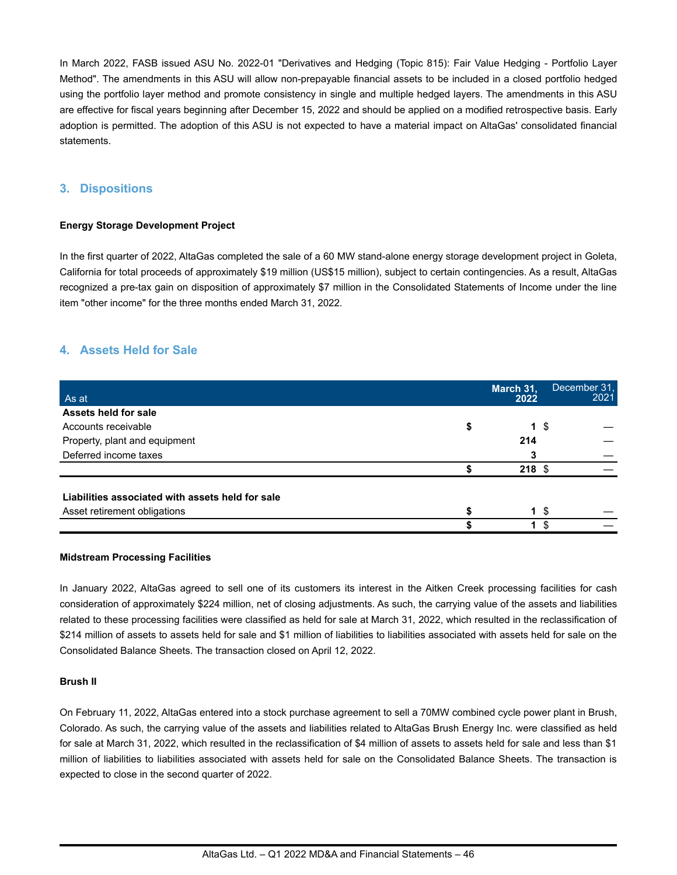In March 2022, FASB issued ASU No. 2022-01 "Derivatives and Hedging (Topic 815): Fair Value Hedging - Portfolio Layer Method". The amendments in this ASU will allow non-prepayable financial assets to be included in a closed portfolio hedged using the portfolio layer method and promote consistency in single and multiple hedged layers. The amendments in this ASU are effective for fiscal years beginning after December 15, 2022 and should be applied on a modified retrospective basis. Early adoption is permitted. The adoption of this ASU is not expected to have a material impact on AltaGas' consolidated financial statements.

# **3. Dispositions**

#### **Energy Storage Development Project**

In the first quarter of 2022, AltaGas completed the sale of a 60 MW stand-alone energy storage development project in Goleta, California for total proceeds of approximately \$19 million (US\$15 million), subject to certain contingencies. As a result, AltaGas recognized a pre-tax gain on disposition of approximately \$7 million in the Consolidated Statements of Income under the line item "other income" for the three months ended March 31, 2022.

# **4. Assets Held for Sale**

| As at                                            | March 31,<br>2022 | December 31.<br>2021 |
|--------------------------------------------------|-------------------|----------------------|
| Assets held for sale                             |                   |                      |
| Accounts receivable                              | \$<br>1 \$        |                      |
| Property, plant and equipment                    | 214               |                      |
| Deferred income taxes                            |                   |                      |
|                                                  | $218$ \$          |                      |
| Liabilities associated with assets held for sale |                   |                      |
| Asset retirement obligations                     | \$<br>$\mathbf 1$ |                      |
|                                                  | 1                 | S                    |

#### **Midstream Processing Facilities**

In January 2022, AltaGas agreed to sell one of its customers its interest in the Aitken Creek processing facilities for cash consideration of approximately \$224 million, net of closing adjustments. As such, the carrying value of the assets and liabilities related to these processing facilities were classified as held for sale at March 31, 2022, which resulted in the reclassification of \$214 million of assets to assets held for sale and \$1 million of liabilities to liabilities associated with assets held for sale on the Consolidated Balance Sheets. The transaction closed on April 12, 2022.

#### **Brush II**

On February 11, 2022, AltaGas entered into a stock purchase agreement to sell a 70MW combined cycle power plant in Brush, Colorado. As such, the carrying value of the assets and liabilities related to AltaGas Brush Energy Inc. were classified as held for sale at March 31, 2022, which resulted in the reclassification of \$4 million of assets to assets held for sale and less than \$1 million of liabilities to liabilities associated with assets held for sale on the Consolidated Balance Sheets. The transaction is expected to close in the second quarter of 2022.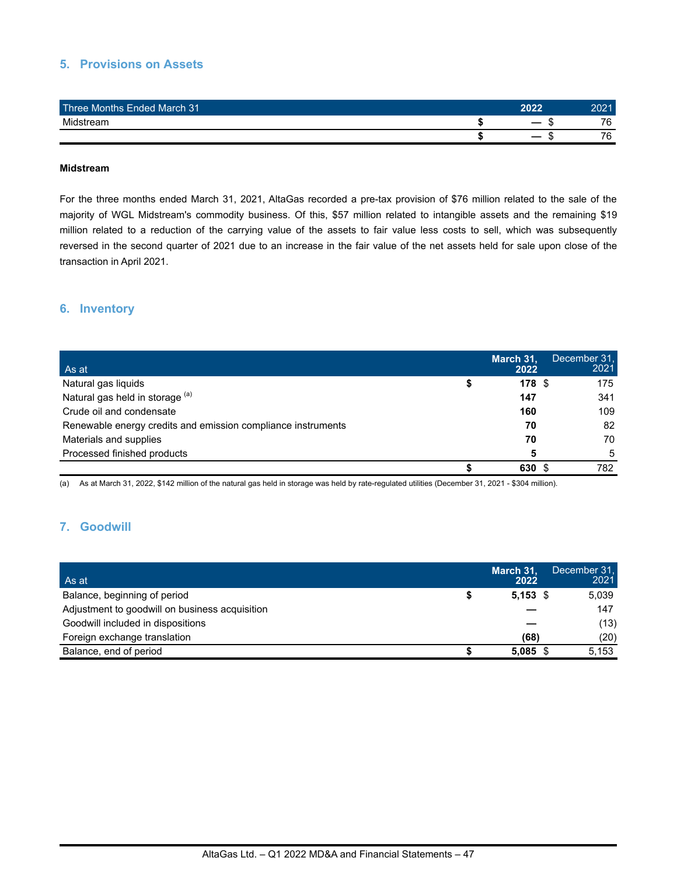# **5. Provisions on Assets**

| Three Months Ended March 31 | 2022 | 2021 |
|-----------------------------|------|------|
| Midstream                   | . п  | 76.  |
|                             |      | 76.  |

#### **Midstream**

For the three months ended March 31, 2021, AltaGas recorded a pre-tax provision of \$76 million related to the sale of the majority of WGL Midstream's commodity business. Of this, \$57 million related to intangible assets and the remaining \$19 million related to a reduction of the carrying value of the assets to fair value less costs to sell, which was subsequently reversed in the second quarter of 2021 due to an increase in the fair value of the net assets held for sale upon close of the transaction in April 2021.

### **6. Inventory**

| As at                                                        | March 31,<br>2022 | December 31,<br>2021 |
|--------------------------------------------------------------|-------------------|----------------------|
| Natural gas liquids                                          | 178 <sup>°</sup>  | 175                  |
| Natural gas held in storage (a)                              | 147               | 341                  |
| Crude oil and condensate                                     | 160               | 109                  |
| Renewable energy credits and emission compliance instruments | 70                | 82                   |
| Materials and supplies                                       | 70                | 70                   |
| Processed finished products                                  | 5                 | 5                    |
|                                                              | 630               | 782                  |

(a) As at March 31, 2022, \$142 million of the natural gas held in storage was held by rate-regulated utilities (December 31, 2021 - \$304 million).

## **7. Goodwill**

| As at                                          | March 31,<br>2022 | December 31.<br>2021 |
|------------------------------------------------|-------------------|----------------------|
| Balance, beginning of period                   | $5,153$ \$        | 5.039                |
| Adjustment to goodwill on business acquisition |                   | 147                  |
| Goodwill included in dispositions              |                   | (13)                 |
| Foreign exchange translation                   | (68)              | (20)                 |
| Balance, end of period                         | $5.085$ \$        | 5.153                |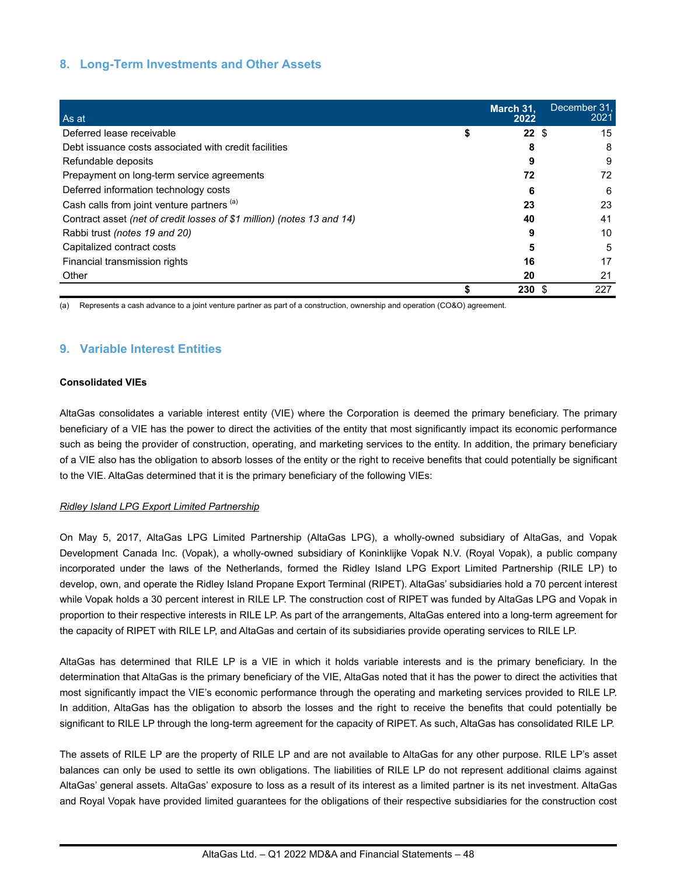# **8. Long-Term Investments and Other Assets**

| As at                                                                  | March 31,<br>2022 | December 31,<br>2021 |
|------------------------------------------------------------------------|-------------------|----------------------|
| Deferred lease receivable                                              | $22 \text{ }$ \$  | 15                   |
| Debt issuance costs associated with credit facilities                  | 8                 | 8                    |
| Refundable deposits                                                    | 9                 | 9                    |
| Prepayment on long-term service agreements                             | 72                | 72                   |
| Deferred information technology costs                                  | 6                 | 6                    |
| Cash calls from joint venture partners (a)                             | 23                | 23                   |
| Contract asset (net of credit losses of \$1 million) (notes 13 and 14) | 40                | 41                   |
| Rabbi trust (notes 19 and 20)                                          | 9                 | 10                   |
| Capitalized contract costs                                             | 5                 | 5                    |
| Financial transmission rights                                          | 16                | 17                   |
| Other                                                                  | 20                | 21                   |
|                                                                        | 230               | 227                  |

(a) Represents a cash advance to a joint venture partner as part of a construction, ownership and operation (CO&O) agreement.

# **9. Variable Interest Entities**

#### **Consolidated VIEs**

AltaGas consolidates a variable interest entity (VIE) where the Corporation is deemed the primary beneficiary. The primary beneficiary of a VIE has the power to direct the activities of the entity that most significantly impact its economic performance such as being the provider of construction, operating, and marketing services to the entity. In addition, the primary beneficiary of a VIE also has the obligation to absorb losses of the entity or the right to receive benefits that could potentially be significant to the VIE. AltaGas determined that it is the primary beneficiary of the following VIEs:

#### *Ridley Island LPG Export Limited Partnership*

On May 5, 2017, AltaGas LPG Limited Partnership (AltaGas LPG), a wholly-owned subsidiary of AltaGas, and Vopak Development Canada Inc. (Vopak), a wholly-owned subsidiary of Koninklijke Vopak N.V. (Royal Vopak), a public company incorporated under the laws of the Netherlands, formed the Ridley Island LPG Export Limited Partnership (RILE LP) to develop, own, and operate the Ridley Island Propane Export Terminal (RIPET). AltaGas' subsidiaries hold a 70 percent interest while Vopak holds a 30 percent interest in RILE LP. The construction cost of RIPET was funded by AltaGas LPG and Vopak in proportion to their respective interests in RILE LP. As part of the arrangements, AltaGas entered into a long-term agreement for the capacity of RIPET with RILE LP, and AltaGas and certain of its subsidiaries provide operating services to RILE LP.

AltaGas has determined that RILE LP is a VIE in which it holds variable interests and is the primary beneficiary. In the determination that AltaGas is the primary beneficiary of the VIE, AltaGas noted that it has the power to direct the activities that most significantly impact the VIE's economic performance through the operating and marketing services provided to RILE LP. In addition, AltaGas has the obligation to absorb the losses and the right to receive the benefits that could potentially be significant to RILE LP through the long-term agreement for the capacity of RIPET. As such, AltaGas has consolidated RILE LP.

The assets of RILE LP are the property of RILE LP and are not available to AltaGas for any other purpose. RILE LP's asset balances can only be used to settle its own obligations. The liabilities of RILE LP do not represent additional claims against AltaGas' general assets. AltaGas' exposure to loss as a result of its interest as a limited partner is its net investment. AltaGas and Royal Vopak have provided limited guarantees for the obligations of their respective subsidiaries for the construction cost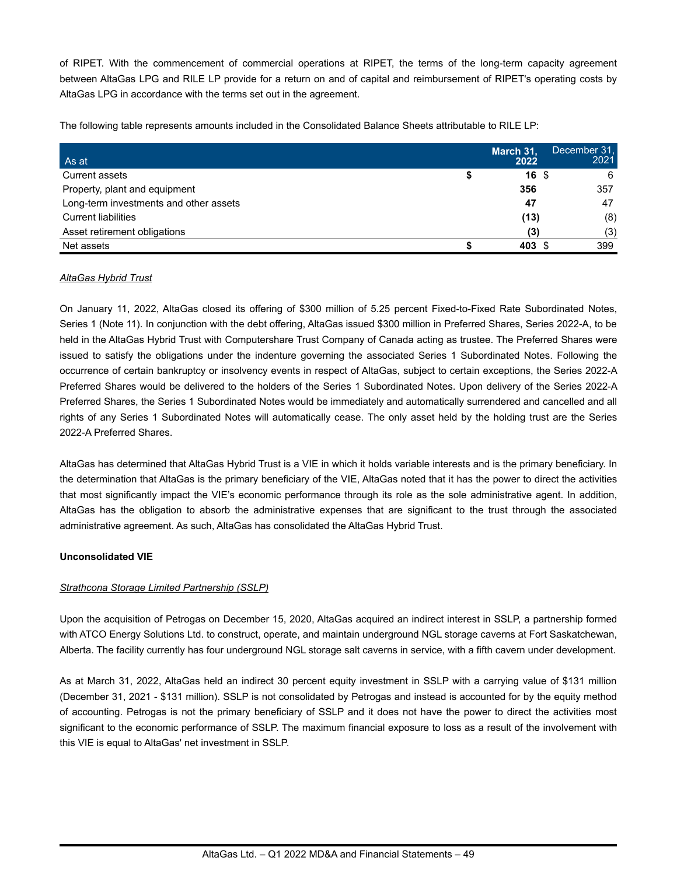of RIPET. With the commencement of commercial operations at RIPET, the terms of the long-term capacity agreement between AltaGas LPG and RILE LP provide for a return on and of capital and reimbursement of RIPET's operating costs by AltaGas LPG in accordance with the terms set out in the agreement.

The following table represents amounts included in the Consolidated Balance Sheets attributable to RILE LP:

| As at                                  | March 31,<br>2022 | December 31.<br>2021 |
|----------------------------------------|-------------------|----------------------|
| Current assets                         | 16 <sup>5</sup>   | 6                    |
| Property, plant and equipment          | 356               | 357                  |
| Long-term investments and other assets | 47                | 47                   |
| <b>Current liabilities</b>             | (13)              | (8)                  |
| Asset retirement obligations           | (3)               | (3)                  |
| Net assets                             | 403 \$            | 399                  |

#### *AltaGas Hybrid Trust*

On January 11, 2022, AltaGas closed its offering of \$300 million of 5.25 percent Fixed-to-Fixed Rate Subordinated Notes, Series 1 (Note 11). In conjunction with the debt offering, AltaGas issued \$300 million in Preferred Shares, Series 2022-A, to be held in the AltaGas Hybrid Trust with Computershare Trust Company of Canada acting as trustee. The Preferred Shares were issued to satisfy the obligations under the indenture governing the associated Series 1 Subordinated Notes. Following the occurrence of certain bankruptcy or insolvency events in respect of AltaGas, subject to certain exceptions, the Series 2022-A Preferred Shares would be delivered to the holders of the Series 1 Subordinated Notes. Upon delivery of the Series 2022-A Preferred Shares, the Series 1 Subordinated Notes would be immediately and automatically surrendered and cancelled and all rights of any Series 1 Subordinated Notes will automatically cease. The only asset held by the holding trust are the Series 2022-A Preferred Shares.

AltaGas has determined that AltaGas Hybrid Trust is a VIE in which it holds variable interests and is the primary beneficiary. In the determination that AltaGas is the primary beneficiary of the VIE, AltaGas noted that it has the power to direct the activities that most significantly impact the VIE's economic performance through its role as the sole administrative agent. In addition, AltaGas has the obligation to absorb the administrative expenses that are significant to the trust through the associated administrative agreement. As such, AltaGas has consolidated the AltaGas Hybrid Trust.

#### **Unconsolidated VIE**

#### *Strathcona Storage Limited Partnership (SSLP)*

Upon the acquisition of Petrogas on December 15, 2020, AltaGas acquired an indirect interest in SSLP, a partnership formed with ATCO Energy Solutions Ltd. to construct, operate, and maintain underground NGL storage caverns at Fort Saskatchewan, Alberta. The facility currently has four underground NGL storage salt caverns in service, with a fifth cavern under development.

As at March 31, 2022, AltaGas held an indirect 30 percent equity investment in SSLP with a carrying value of \$131 million (December 31, 2021 - \$131 million). SSLP is not consolidated by Petrogas and instead is accounted for by the equity method of accounting. Petrogas is not the primary beneficiary of SSLP and it does not have the power to direct the activities most significant to the economic performance of SSLP. The maximum financial exposure to loss as a result of the involvement with this VIE is equal to AltaGas' net investment in SSLP.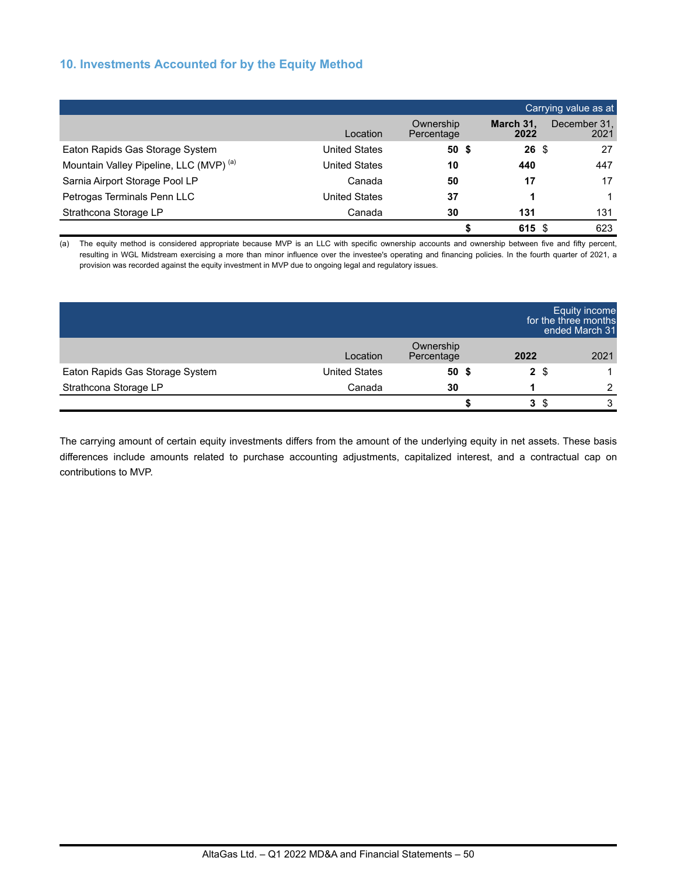# **10. Investments Accounted for by the Equity Method**

|                                                    |                      |                         |                   | Carrying value as at |
|----------------------------------------------------|----------------------|-------------------------|-------------------|----------------------|
|                                                    | Location             | Ownership<br>Percentage | March 31.<br>2022 | December 31,<br>2021 |
| Eaton Rapids Gas Storage System                    | <b>United States</b> | 50 <sup>5</sup>         | $26 \text{ }$ \$  | 27                   |
| Mountain Valley Pipeline, LLC (MVP) <sup>(a)</sup> | <b>United States</b> | 10                      | 440               | 447                  |
| Sarnia Airport Storage Pool LP                     | Canada               | 50                      | 17                | 17                   |
| Petrogas Terminals Penn LLC                        | <b>United States</b> | 37                      |                   |                      |
| Strathcona Storage LP                              | Canada               | 30                      | 131               | 131                  |
|                                                    |                      |                         | 615               | 623<br>S             |

(a) The equity method is considered appropriate because MVP is an LLC with specific ownership accounts and ownership between five and fifty percent, resulting in WGL Midstream exercising a more than minor influence over the investee's operating and financing policies. In the fourth quarter of 2021, a provision was recorded against the equity investment in MVP due to ongoing legal and regulatory issues.

|                                 |                      |                         |      | <b>Equity income</b><br>for the three months<br>ended March 31 |
|---------------------------------|----------------------|-------------------------|------|----------------------------------------------------------------|
|                                 | Location             | Ownership<br>Percentage | 2022 | 2021                                                           |
| Eaton Rapids Gas Storage System | <b>United States</b> | 50 <sup>5</sup>         | 2 \$ |                                                                |
| Strathcona Storage LP           | Canada               | 30                      |      | 2                                                              |
|                                 |                      |                         | 3 S  | 3                                                              |

The carrying amount of certain equity investments differs from the amount of the underlying equity in net assets. These basis differences include amounts related to purchase accounting adjustments, capitalized interest, and a contractual cap on contributions to MVP.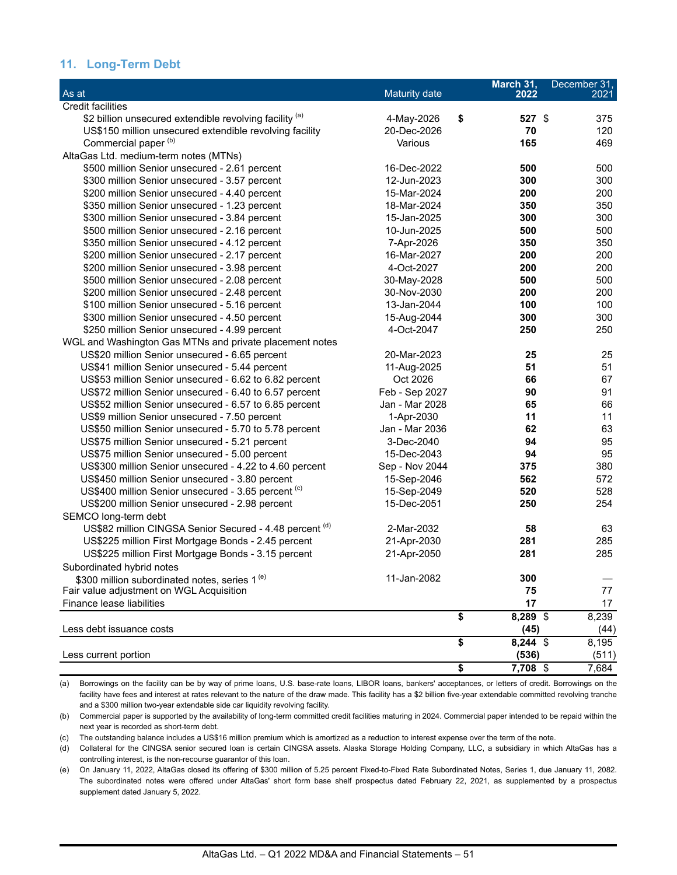## **11. Long-Term Debt**

| As at                                                     | Maturity date  | March 31,<br>2022 | December 31,<br>2021 |
|-----------------------------------------------------------|----------------|-------------------|----------------------|
| <b>Credit facilities</b>                                  |                |                   |                      |
| \$2 billion unsecured extendible revolving facility (a)   | 4-May-2026     | \$<br>527 \$      | 375                  |
| US\$150 million unsecured extendible revolving facility   | 20-Dec-2026    | 70                | 120                  |
| Commercial paper <sup>(b)</sup>                           | Various        | 165               | 469                  |
| AltaGas Ltd. medium-term notes (MTNs)                     |                |                   |                      |
| \$500 million Senior unsecured - 2.61 percent             | 16-Dec-2022    | 500               | 500                  |
| \$300 million Senior unsecured - 3.57 percent             | 12-Jun-2023    | 300               | 300                  |
| \$200 million Senior unsecured - 4.40 percent             | 15-Mar-2024    | 200               | 200                  |
| \$350 million Senior unsecured - 1.23 percent             | 18-Mar-2024    | 350               | 350                  |
| \$300 million Senior unsecured - 3.84 percent             | 15-Jan-2025    | 300               | 300                  |
| \$500 million Senior unsecured - 2.16 percent             | 10-Jun-2025    | 500               | 500                  |
| \$350 million Senior unsecured - 4.12 percent             | 7-Apr-2026     | 350               | 350                  |
| \$200 million Senior unsecured - 2.17 percent             | 16-Mar-2027    | 200               | 200                  |
| \$200 million Senior unsecured - 3.98 percent             | 4-Oct-2027     | 200               | 200                  |
| \$500 million Senior unsecured - 2.08 percent             | 30-May-2028    | 500               | 500                  |
| \$200 million Senior unsecured - 2.48 percent             | 30-Nov-2030    | 200               | 200                  |
| \$100 million Senior unsecured - 5.16 percent             | 13-Jan-2044    | 100               | 100                  |
| \$300 million Senior unsecured - 4.50 percent             | 15-Aug-2044    | 300               | 300                  |
| \$250 million Senior unsecured - 4.99 percent             | 4-Oct-2047     | 250               | 250                  |
| WGL and Washington Gas MTNs and private placement notes   |                |                   |                      |
| US\$20 million Senior unsecured - 6.65 percent            | 20-Mar-2023    | 25                | 25                   |
| US\$41 million Senior unsecured - 5.44 percent            | 11-Aug-2025    | 51                | 51                   |
| US\$53 million Senior unsecured - 6.62 to 6.82 percent    | Oct 2026       | 66                | 67                   |
| US\$72 million Senior unsecured - 6.40 to 6.57 percent    | Feb - Sep 2027 | 90                | 91                   |
| US\$52 million Senior unsecured - 6.57 to 6.85 percent    | Jan - Mar 2028 | 65                | 66                   |
| US\$9 million Senior unsecured - 7.50 percent             | 1-Apr-2030     | 11                | 11                   |
| US\$50 million Senior unsecured - 5.70 to 5.78 percent    | Jan - Mar 2036 | 62                | 63                   |
| US\$75 million Senior unsecured - 5.21 percent            | 3-Dec-2040     | 94                | 95                   |
| US\$75 million Senior unsecured - 5.00 percent            | 15-Dec-2043    | 94                | 95                   |
| US\$300 million Senior unsecured - 4.22 to 4.60 percent   | Sep - Nov 2044 | 375               | 380                  |
| US\$450 million Senior unsecured - 3.80 percent           | 15-Sep-2046    | 562               | 572                  |
| US\$400 million Senior unsecured - 3.65 percent (c)       | 15-Sep-2049    | 520               | 528                  |
| US\$200 million Senior unsecured - 2.98 percent           | 15-Dec-2051    | 250               | 254                  |
| SEMCO long-term debt                                      |                |                   |                      |
| US\$82 million CINGSA Senior Secured - 4.48 percent (d)   | 2-Mar-2032     | 58                | 63                   |
| US\$225 million First Mortgage Bonds - 2.45 percent       | 21-Apr-2030    | 281               | 285                  |
| US\$225 million First Mortgage Bonds - 3.15 percent       | 21-Apr-2050    | 281               | 285                  |
| Subordinated hybrid notes                                 |                |                   |                      |
| \$300 million subordinated notes, series 1 <sup>(e)</sup> | 11-Jan-2082    | 300               |                      |
| Fair value adjustment on WGL Acquisition                  |                | 75                | 77                   |
| Finance lease liabilities                                 |                | 17                | 17                   |
|                                                           |                | \$<br>8,289 \$    | 8,239                |
| Less debt issuance costs                                  |                | (45)              | (44)                 |
|                                                           |                | \$<br>8,244 \$    | 8,195                |
| Less current portion                                      |                | (536)             | (511)                |
|                                                           |                | \$<br>7.708 \$    | 7,684                |

(a) Borrowings on the facility can be by way of prime loans, U.S. base-rate loans, LIBOR loans, bankers' acceptances, or letters of credit. Borrowings on the facility have fees and interest at rates relevant to the nature of the draw made. This facility has a \$2 billion five-year extendable committed revolving tranche and a \$300 million two-year extendable side car liquidity revolving facility.

(b) Commercial paper is supported by the availability of long-term committed credit facilities maturing in 2024. Commercial paper intended to be repaid within the next year is recorded as short-term debt.

(c) The outstanding balance includes a US\$16 million premium which is amortized as a reduction to interest expense over the term of the note.

(d) Collateral for the CINGSA senior secured loan is certain CINGSA assets. Alaska Storage Holding Company, LLC, a subsidiary in which AltaGas has a controlling interest, is the non-recourse guarantor of this loan.

(e) On January 11, 2022, AltaGas closed its offering of \$300 million of 5.25 percent Fixed-to-Fixed Rate Subordinated Notes, Series 1, due January 11, 2082. The subordinated notes were offered under AltaGas' short form base shelf prospectus dated February 22, 2021, as supplemented by a prospectus supplement dated January 5, 2022.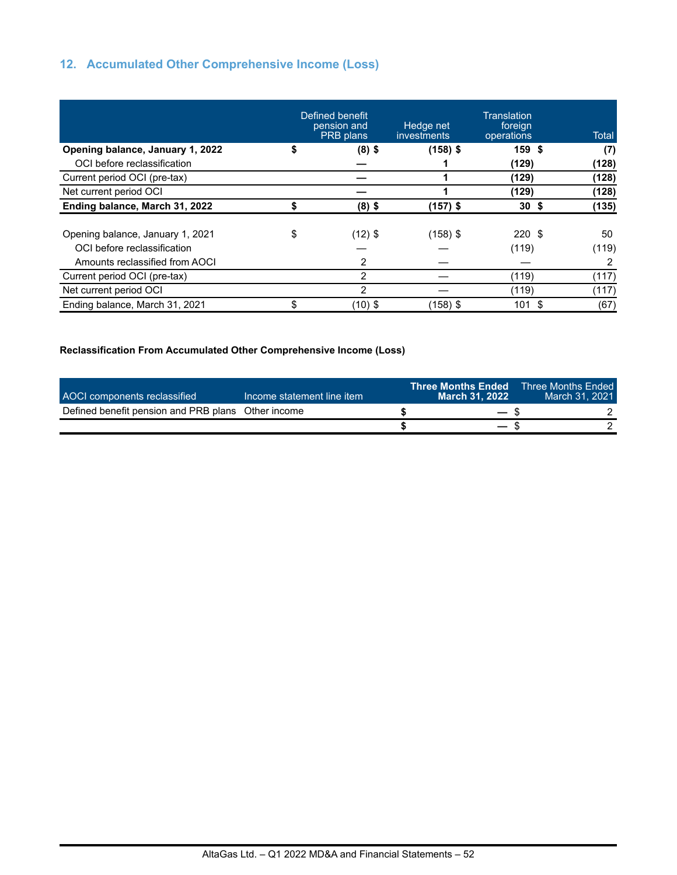# **12. Accumulated Other Comprehensive Income (Loss)**

|                                  |    | Defined benefit<br>pension and<br>PRB plans | Hedge net<br>investments | Translation<br>foreign<br>operations | <b>Total</b> |
|----------------------------------|----|---------------------------------------------|--------------------------|--------------------------------------|--------------|
| Opening balance, January 1, 2022 | S  | $(8)$ \$                                    | $(158)$ \$               | 159 \$                               | (7)          |
| OCI before reclassification      |    |                                             |                          | (129)                                | (128)        |
| Current period OCI (pre-tax)     |    |                                             |                          | (129)                                | (128)        |
| Net current period OCI           |    |                                             |                          | (129)                                | (128)        |
| Ending balance, March 31, 2022   |    | $(8)$ \$                                    | $(157)$ \$               | 30 <sup>5</sup>                      | (135)        |
| Opening balance, January 1, 2021 | \$ | $(12)$ \$                                   | $(158)$ \$               | 220S                                 | 50           |
| OCI before reclassification      |    |                                             |                          | (119)                                | (119)        |
| Amounts reclassified from AOCI   |    | 2                                           |                          |                                      |              |
| Current period OCI (pre-tax)     |    | 2                                           |                          | (119)                                | (117)        |
| Net current period OCI           |    | 2                                           |                          | (119)                                | (117)        |
| Ending balance, March 31, 2021   | \$ | $(10)$ \$                                   | (158) \$                 | 101                                  | \$.<br>(67)  |

### **Reclassification From Accumulated Other Comprehensive Income (Loss)**

| AOCI components reclassified                       | Income statement line item | Three Months Ended <b>\</b><br>March 31, 2022 | <b>Three Months Ended</b><br>March 31, 2021 |
|----------------------------------------------------|----------------------------|-----------------------------------------------|---------------------------------------------|
| Defined benefit pension and PRB plans Other income |                            | $ \ast$                                       |                                             |
|                                                    |                            | $\overline{\phantom{m}}$                      |                                             |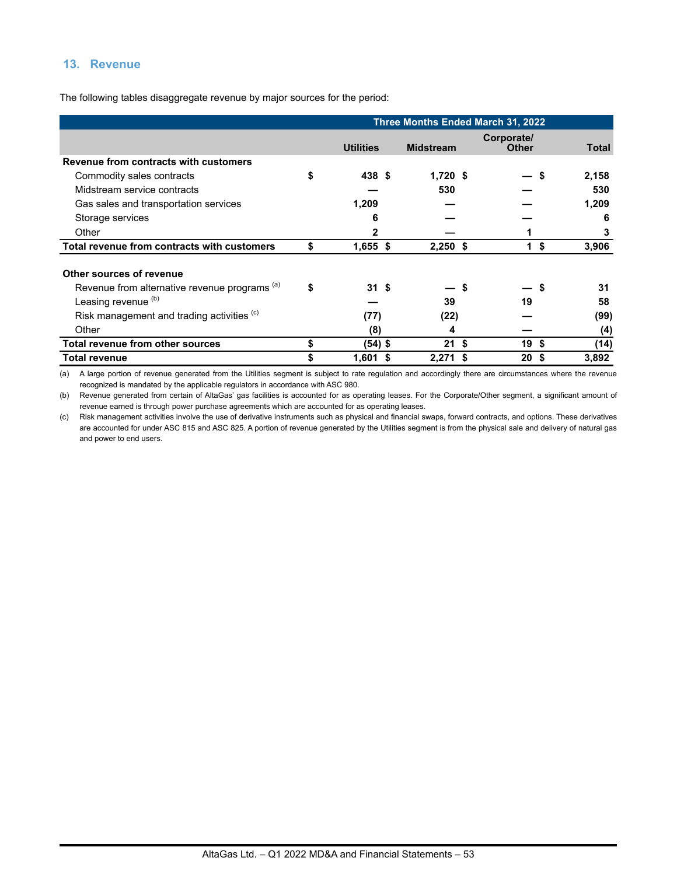# **13. Revenue**

The following tables disaggregate revenue by major sources for the period:

|                                                          | <b>Three Months Ended March 31, 2022</b> |                  |   |                  |    |                            |    |       |
|----------------------------------------------------------|------------------------------------------|------------------|---|------------------|----|----------------------------|----|-------|
|                                                          |                                          | <b>Utilities</b> |   | <b>Midstream</b> |    | Corporate/<br><b>Other</b> |    | Total |
| Revenue from contracts with customers                    |                                          |                  |   |                  |    |                            |    |       |
| Commodity sales contracts                                | \$                                       | 438 \$           |   | $1,720$ \$       |    |                            | S  | 2,158 |
| Midstream service contracts                              |                                          |                  |   | 530              |    |                            |    | 530   |
| Gas sales and transportation services                    |                                          | 1,209            |   |                  |    |                            |    | 1,209 |
| Storage services                                         |                                          | 6                |   |                  |    |                            |    | 6     |
| Other                                                    |                                          | $\mathbf{2}$     |   |                  |    |                            |    | 3     |
| Total revenue from contracts with customers              |                                          | $1,655$ \$       |   | $2,250$ \$       |    | 1                          | \$ | 3,906 |
| Other sources of revenue                                 |                                          |                  |   |                  |    |                            |    |       |
| Revenue from alternative revenue programs <sup>(a)</sup> | \$                                       | 31S              |   |                  | S  | — S                        |    | 31    |
| Leasing revenue <sup>(b)</sup>                           |                                          |                  |   | 39               |    | 19                         |    | 58    |
| Risk management and trading activities (c)               |                                          | (77)             |   | (22)             |    |                            |    | (99)  |
| Other                                                    |                                          | (8)              |   | 4                |    |                            |    | (4)   |
| <b>Total revenue from other sources</b>                  |                                          | (54) \$          |   | 21               | \$ | 19S                        |    | (14)  |
| <b>Total revenue</b>                                     |                                          | 1,601            | 5 | 2,271            | S  | 20                         | S  | 3,892 |

(a) A large portion of revenue generated from the Utilities segment is subject to rate regulation and accordingly there are circumstances where the revenue recognized is mandated by the applicable regulators in accordance with ASC 980.

(b) Revenue generated from certain of AltaGas' gas facilities is accounted for as operating leases. For the Corporate/Other segment, a significant amount of revenue earned is through power purchase agreements which are accounted for as operating leases.

(c) Risk management activities involve the use of derivative instruments such as physical and financial swaps, forward contracts, and options. These derivatives are accounted for under ASC 815 and ASC 825. A portion of revenue generated by the Utilities segment is from the physical sale and delivery of natural gas and power to end users.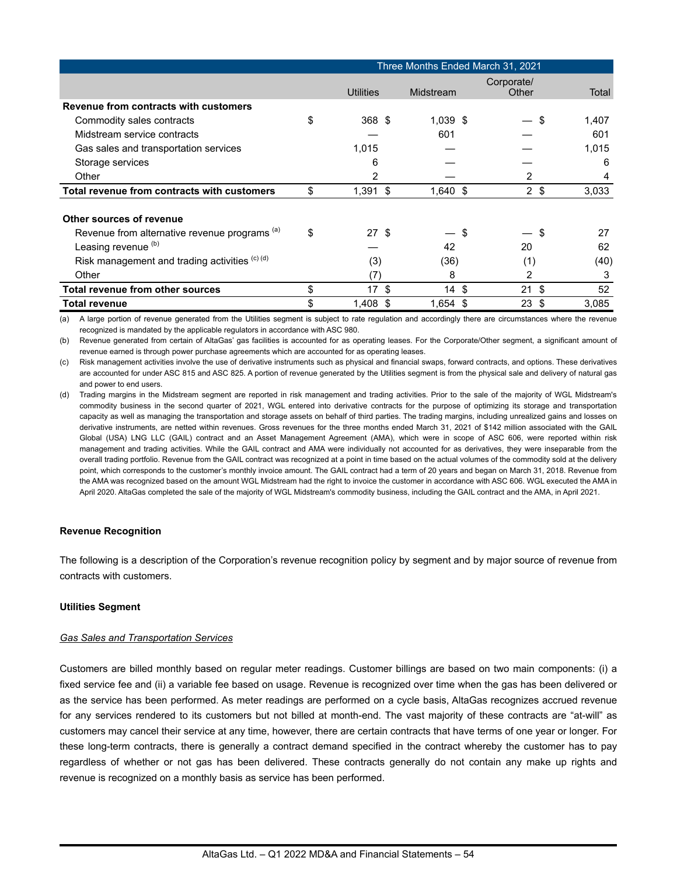|                                                          | Three Months Ended March 31, 2021 |            |                     |       |  |  |  |  |
|----------------------------------------------------------|-----------------------------------|------------|---------------------|-------|--|--|--|--|
|                                                          | <b>Utilities</b>                  | Midstream  | Corporate/<br>Other | Total |  |  |  |  |
| Revenue from contracts with customers                    |                                   |            |                     |       |  |  |  |  |
| Commodity sales contracts                                | \$<br>368 \$                      | $1,039$ \$ | S                   | 1,407 |  |  |  |  |
| Midstream service contracts                              |                                   | 601        |                     | 601   |  |  |  |  |
| Gas sales and transportation services                    | 1,015                             |            |                     | 1,015 |  |  |  |  |
| Storage services                                         | 6                                 |            |                     | 6     |  |  |  |  |
| Other                                                    | 2                                 |            | 2                   | 4     |  |  |  |  |
| Total revenue from contracts with customers              | \$<br>$1,391$ \$                  | $1,640$ \$ | $2 \sqrt{3}$        | 3,033 |  |  |  |  |
| Other sources of revenue                                 |                                   |            |                     |       |  |  |  |  |
| Revenue from alternative revenue programs <sup>(a)</sup> | \$<br>27S                         | \$         | S                   | 27    |  |  |  |  |
| Leasing revenue <sup>(b)</sup>                           |                                   | 42         | 20                  | 62    |  |  |  |  |
| Risk management and trading activities (c) (d)           | (3)                               | (36)       | (1)                 | (40)  |  |  |  |  |
| Other                                                    | (7)                               | 8          | 2                   | 3     |  |  |  |  |
| <b>Total revenue from other sources</b>                  | \$<br>$17 \text{ }$ \$            | 14S        | -\$<br>21           | 52    |  |  |  |  |
| <b>Total revenue</b>                                     | \$<br>$1,408$ \$                  | $1,654$ \$ | \$<br>23            | 3,085 |  |  |  |  |

(a) A large portion of revenue generated from the Utilities segment is subject to rate regulation and accordingly there are circumstances where the revenue recognized is mandated by the applicable regulators in accordance with ASC 980.

(b) Revenue generated from certain of AltaGas' gas facilities is accounted for as operating leases. For the Corporate/Other segment, a significant amount of revenue earned is through power purchase agreements which are accounted for as operating leases.

(c) Risk management activities involve the use of derivative instruments such as physical and financial swaps, forward contracts, and options. These derivatives are accounted for under ASC 815 and ASC 825. A portion of revenue generated by the Utilities segment is from the physical sale and delivery of natural gas and power to end users.

(d) Trading margins in the Midstream segment are reported in risk management and trading activities. Prior to the sale of the majority of WGL Midstream's commodity business in the second quarter of 2021, WGL entered into derivative contracts for the purpose of optimizing its storage and transportation capacity as well as managing the transportation and storage assets on behalf of third parties. The trading margins, including unrealized gains and losses on derivative instruments, are netted within revenues. Gross revenues for the three months ended March 31, 2021 of \$142 million associated with the GAIL Global (USA) LNG LLC (GAIL) contract and an Asset Management Agreement (AMA), which were in scope of ASC 606, were reported within risk management and trading activities. While the GAIL contract and AMA were individually not accounted for as derivatives, they were inseparable from the overall trading portfolio. Revenue from the GAIL contract was recognized at a point in time based on the actual volumes of the commodity sold at the delivery point, which corresponds to the customer's monthly invoice amount. The GAIL contract had a term of 20 years and began on March 31, 2018. Revenue from the AMA was recognized based on the amount WGL Midstream had the right to invoice the customer in accordance with ASC 606. WGL executed the AMA in April 2020. AltaGas completed the sale of the majority of WGL Midstream's commodity business, including the GAIL contract and the AMA, in April 2021.

#### **Revenue Recognition**

The following is a description of the Corporation's revenue recognition policy by segment and by major source of revenue from contracts with customers.

#### **Utilities Segment**

#### *Gas Sales and Transportation Services*

Customers are billed monthly based on regular meter readings. Customer billings are based on two main components: (i) a fixed service fee and (ii) a variable fee based on usage. Revenue is recognized over time when the gas has been delivered or as the service has been performed. As meter readings are performed on a cycle basis, AltaGas recognizes accrued revenue for any services rendered to its customers but not billed at month-end. The vast majority of these contracts are "at-will" as customers may cancel their service at any time, however, there are certain contracts that have terms of one year or longer. For these long-term contracts, there is generally a contract demand specified in the contract whereby the customer has to pay regardless of whether or not gas has been delivered. These contracts generally do not contain any make up rights and revenue is recognized on a monthly basis as service has been performed.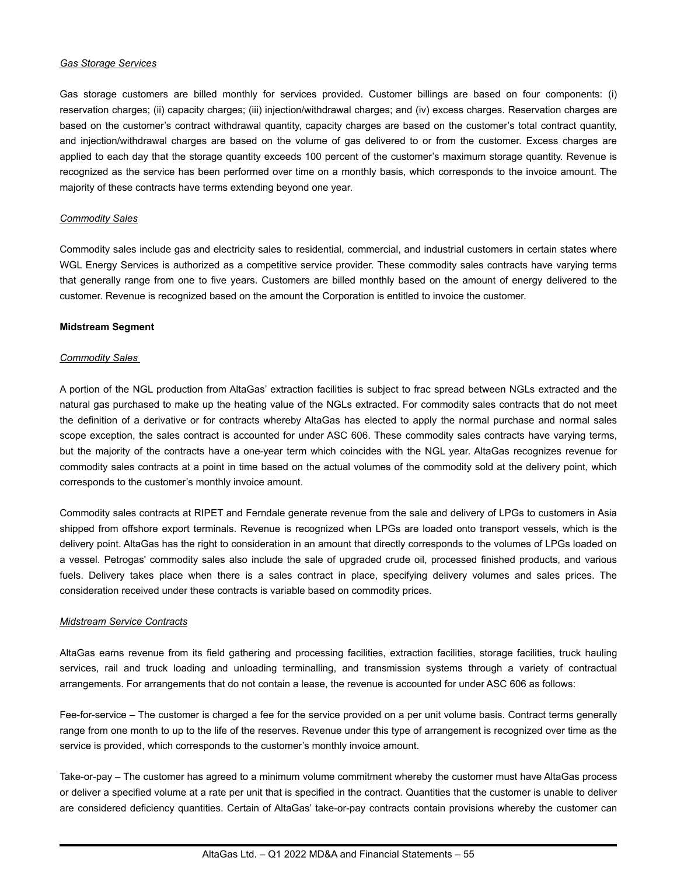#### *Gas Storage Services*

Gas storage customers are billed monthly for services provided. Customer billings are based on four components: (i) reservation charges; (ii) capacity charges; (iii) injection/withdrawal charges; and (iv) excess charges. Reservation charges are based on the customer's contract withdrawal quantity, capacity charges are based on the customer's total contract quantity, and injection/withdrawal charges are based on the volume of gas delivered to or from the customer. Excess charges are applied to each day that the storage quantity exceeds 100 percent of the customer's maximum storage quantity. Revenue is recognized as the service has been performed over time on a monthly basis, which corresponds to the invoice amount. The majority of these contracts have terms extending beyond one year.

#### *Commodity Sales*

Commodity sales include gas and electricity sales to residential, commercial, and industrial customers in certain states where WGL Energy Services is authorized as a competitive service provider. These commodity sales contracts have varying terms that generally range from one to five years. Customers are billed monthly based on the amount of energy delivered to the customer. Revenue is recognized based on the amount the Corporation is entitled to invoice the customer.

#### **Midstream Segment**

#### *Commodity Sales*

A portion of the NGL production from AltaGas' extraction facilities is subject to frac spread between NGLs extracted and the natural gas purchased to make up the heating value of the NGLs extracted. For commodity sales contracts that do not meet the definition of a derivative or for contracts whereby AltaGas has elected to apply the normal purchase and normal sales scope exception, the sales contract is accounted for under ASC 606. These commodity sales contracts have varying terms, but the majority of the contracts have a one-year term which coincides with the NGL year. AltaGas recognizes revenue for commodity sales contracts at a point in time based on the actual volumes of the commodity sold at the delivery point, which corresponds to the customer's monthly invoice amount.

Commodity sales contracts at RIPET and Ferndale generate revenue from the sale and delivery of LPGs to customers in Asia shipped from offshore export terminals. Revenue is recognized when LPGs are loaded onto transport vessels, which is the delivery point. AltaGas has the right to consideration in an amount that directly corresponds to the volumes of LPGs loaded on a vessel. Petrogas' commodity sales also include the sale of upgraded crude oil, processed finished products, and various fuels. Delivery takes place when there is a sales contract in place, specifying delivery volumes and sales prices. The consideration received under these contracts is variable based on commodity prices.

#### *Midstream Service Contracts*

AltaGas earns revenue from its field gathering and processing facilities, extraction facilities, storage facilities, truck hauling services, rail and truck loading and unloading terminalling, and transmission systems through a variety of contractual arrangements. For arrangements that do not contain a lease, the revenue is accounted for under ASC 606 as follows:

Fee-for-service – The customer is charged a fee for the service provided on a per unit volume basis. Contract terms generally range from one month to up to the life of the reserves. Revenue under this type of arrangement is recognized over time as the service is provided, which corresponds to the customer's monthly invoice amount.

Take-or-pay – The customer has agreed to a minimum volume commitment whereby the customer must have AltaGas process or deliver a specified volume at a rate per unit that is specified in the contract. Quantities that the customer is unable to deliver are considered deficiency quantities. Certain of AltaGas' take-or-pay contracts contain provisions whereby the customer can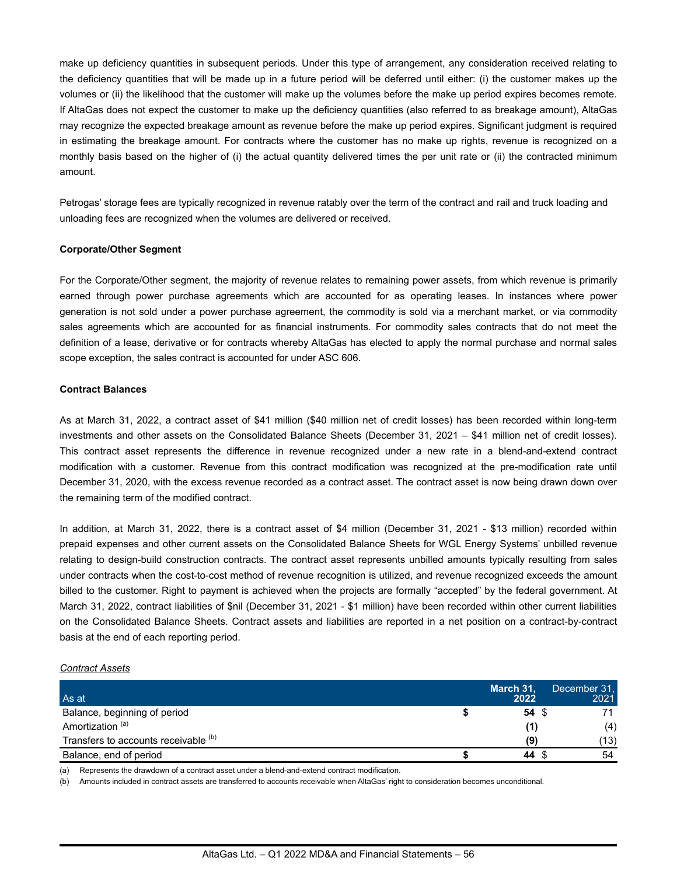make up deficiency quantities in subsequent periods. Under this type of arrangement, any consideration received relating to the deficiency quantities that will be made up in a future period will be deferred until either: (i) the customer makes up the volumes or (ii) the likelihood that the customer will make up the volumes before the make up period expires becomes remote. If AltaGas does not expect the customer to make up the deficiency quantities (also referred to as breakage amount), AltaGas may recognize the expected breakage amount as revenue before the make up period expires. Significant judgment is required in estimating the breakage amount. For contracts where the customer has no make up rights, revenue is recognized on a monthly basis based on the higher of (i) the actual quantity delivered times the per unit rate or (ii) the contracted minimum amount.

Petrogas' storage fees are typically recognized in revenue ratably over the term of the contract and rail and truck loading and unloading fees are recognized when the volumes are delivered or received.

#### **Corporate/Other Segment**

For the Corporate/Other segment, the majority of revenue relates to remaining power assets, from which revenue is primarily earned through power purchase agreements which are accounted for as operating leases. In instances where power generation is not sold under a power purchase agreement, the commodity is sold via a merchant market, or via commodity sales agreements which are accounted for as financial instruments. For commodity sales contracts that do not meet the definition of a lease, derivative or for contracts whereby AltaGas has elected to apply the normal purchase and normal sales scope exception, the sales contract is accounted for under ASC 606.

#### **Contract Balances**

As at March 31, 2022, a contract asset of \$41 million (\$40 million net of credit losses) has been recorded within long-term investments and other assets on the Consolidated Balance Sheets (December 31, 2021 – \$41 million net of credit losses). This contract asset represents the difference in revenue recognized under a new rate in a blend-and-extend contract modification with a customer. Revenue from this contract modification was recognized at the pre-modification rate until December 31, 2020, with the excess revenue recorded as a contract asset. The contract asset is now being drawn down over the remaining term of the modified contract.

In addition, at March 31, 2022, there is a contract asset of \$4 million (December 31, 2021 - \$13 million) recorded within prepaid expenses and other current assets on the Consolidated Balance Sheets for WGL Energy Systems' unbilled revenue relating to design-build construction contracts. The contract asset represents unbilled amounts typically resulting from sales under contracts when the cost-to-cost method of revenue recognition is utilized, and revenue recognized exceeds the amount billed to the customer. Right to payment is achieved when the projects are formally "accepted" by the federal government. At March 31, 2022, contract liabilities of \$nil (December 31, 2021 - \$1 million) have been recorded within other current liabilities on the Consolidated Balance Sheets. Contract assets and liabilities are reported in a net position on a contract-by-contract basis at the end of each reporting period.

#### *Contract Assets*

| As at                                | March 31,<br>2022 | December 31.<br>2021 |
|--------------------------------------|-------------------|----------------------|
| Balance, beginning of period         | 54 S              |                      |
| Amortization <sup>(a)</sup>          |                   | (4)                  |
| Transfers to accounts receivable (b) | (9)               | (13)                 |
| Balance, end of period               | 44 S              | 54                   |

(a) Represents the drawdown of a contract asset under a blend-and-extend contract modification.

(b) Amounts included in contract assets are transferred to accounts receivable when AltaGas' right to consideration becomes unconditional.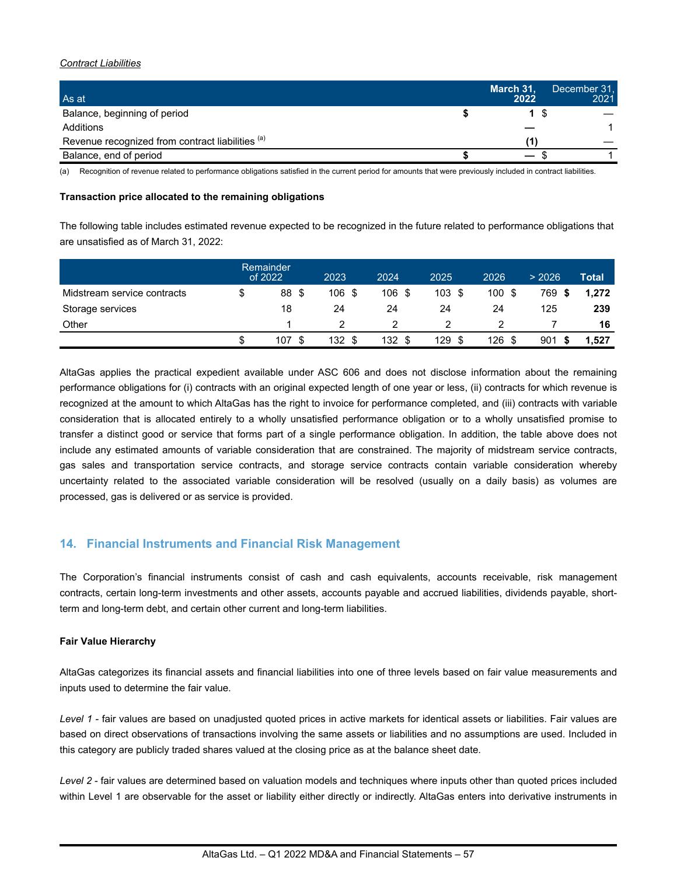#### *Contract Liabilities*

| As at                                            | March 31,<br>2022 | December 31,<br>2021 |
|--------------------------------------------------|-------------------|----------------------|
| Balance, beginning of period                     |                   |                      |
| Additions                                        |                   |                      |
| Revenue recognized from contract liabilities (a) |                   |                      |
| Balance, end of period                           | $\hspace{0.05cm}$ |                      |

(a) Recognition of revenue related to performance obligations satisfied in the current period for amounts that were previously included in contract liabilities.

#### **Transaction price allocated to the remaining obligations**

The following table includes estimated revenue expected to be recognized in the future related to performance obligations that are unsatisfied as of March 31, 2022:

|                             | Remainder<br>of 2022 | 2023   | 2024   | 2025 | 2026 | > 2026 | Total |
|-----------------------------|----------------------|--------|--------|------|------|--------|-------|
| Midstream service contracts | \$<br>88 \$          | 106 \$ | 106 \$ | 103S | 100S | 769    | 1.272 |
| Storage services            | 18                   | 24     | 24     | 24   | 24   | 125    | 239   |
| Other                       |                      |        |        |      |      |        | 16    |
|                             | \$<br>107            | 132 \$ | 132 \$ | 129  | 126  | 901    | 1.527 |

AltaGas applies the practical expedient available under ASC 606 and does not disclose information about the remaining performance obligations for (i) contracts with an original expected length of one year or less, (ii) contracts for which revenue is recognized at the amount to which AltaGas has the right to invoice for performance completed, and (iii) contracts with variable consideration that is allocated entirely to a wholly unsatisfied performance obligation or to a wholly unsatisfied promise to transfer a distinct good or service that forms part of a single performance obligation. In addition, the table above does not include any estimated amounts of variable consideration that are constrained. The majority of midstream service contracts, gas sales and transportation service contracts, and storage service contracts contain variable consideration whereby uncertainty related to the associated variable consideration will be resolved (usually on a daily basis) as volumes are processed, gas is delivered or as service is provided.

## **14. Financial Instruments and Financial Risk Management**

The Corporation's financial instruments consist of cash and cash equivalents, accounts receivable, risk management contracts, certain long-term investments and other assets, accounts payable and accrued liabilities, dividends payable, shortterm and long-term debt, and certain other current and long-term liabilities.

#### **Fair Value Hierarchy**

AltaGas categorizes its financial assets and financial liabilities into one of three levels based on fair value measurements and inputs used to determine the fair value.

*Level 1* - fair values are based on unadjusted quoted prices in active markets for identical assets or liabilities. Fair values are based on direct observations of transactions involving the same assets or liabilities and no assumptions are used. Included in this category are publicly traded shares valued at the closing price as at the balance sheet date.

*Level 2* - fair values are determined based on valuation models and techniques where inputs other than quoted prices included within Level 1 are observable for the asset or liability either directly or indirectly. AltaGas enters into derivative instruments in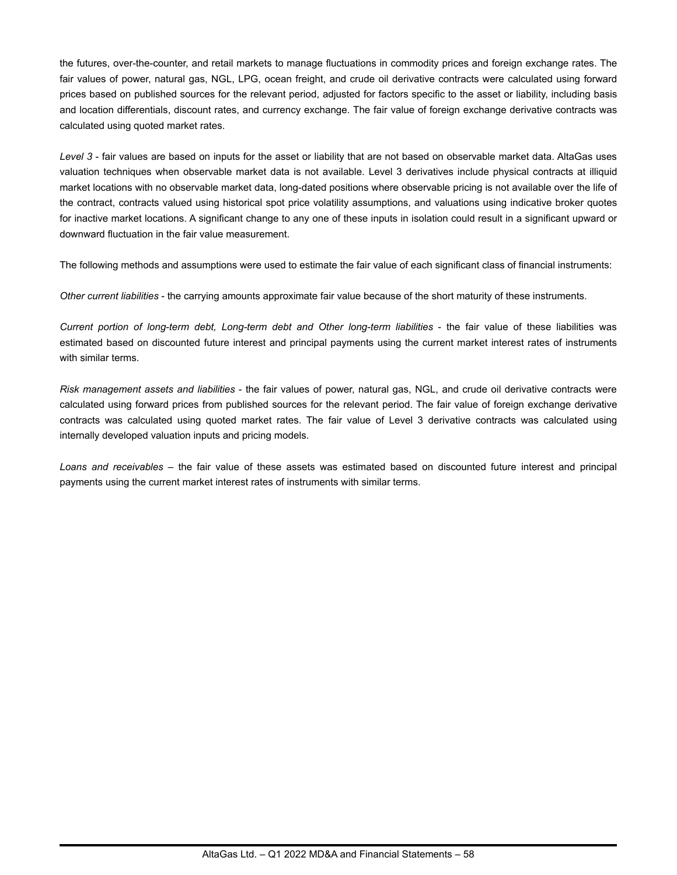the futures, over-the-counter, and retail markets to manage fluctuations in commodity prices and foreign exchange rates. The fair values of power, natural gas, NGL, LPG, ocean freight, and crude oil derivative contracts were calculated using forward prices based on published sources for the relevant period, adjusted for factors specific to the asset or liability, including basis and location differentials, discount rates, and currency exchange. The fair value of foreign exchange derivative contracts was calculated using quoted market rates.

*Level 3* - fair values are based on inputs for the asset or liability that are not based on observable market data. AltaGas uses valuation techniques when observable market data is not available. Level 3 derivatives include physical contracts at illiquid market locations with no observable market data, long-dated positions where observable pricing is not available over the life of the contract, contracts valued using historical spot price volatility assumptions, and valuations using indicative broker quotes for inactive market locations. A significant change to any one of these inputs in isolation could result in a significant upward or downward fluctuation in the fair value measurement.

The following methods and assumptions were used to estimate the fair value of each significant class of financial instruments:

*Other current liabilities* - the carrying amounts approximate fair value because of the short maturity of these instruments.

*Current portion of long-term debt, Long-term debt and Other long-term liabilities* - the fair value of these liabilities was estimated based on discounted future interest and principal payments using the current market interest rates of instruments with similar terms.

*Risk management assets and liabilities* - the fair values of power, natural gas, NGL, and crude oil derivative contracts were calculated using forward prices from published sources for the relevant period. The fair value of foreign exchange derivative contracts was calculated using quoted market rates. The fair value of Level 3 derivative contracts was calculated using internally developed valuation inputs and pricing models.

*Loans and receivables* – the fair value of these assets was estimated based on discounted future interest and principal payments using the current market interest rates of instruments with similar terms.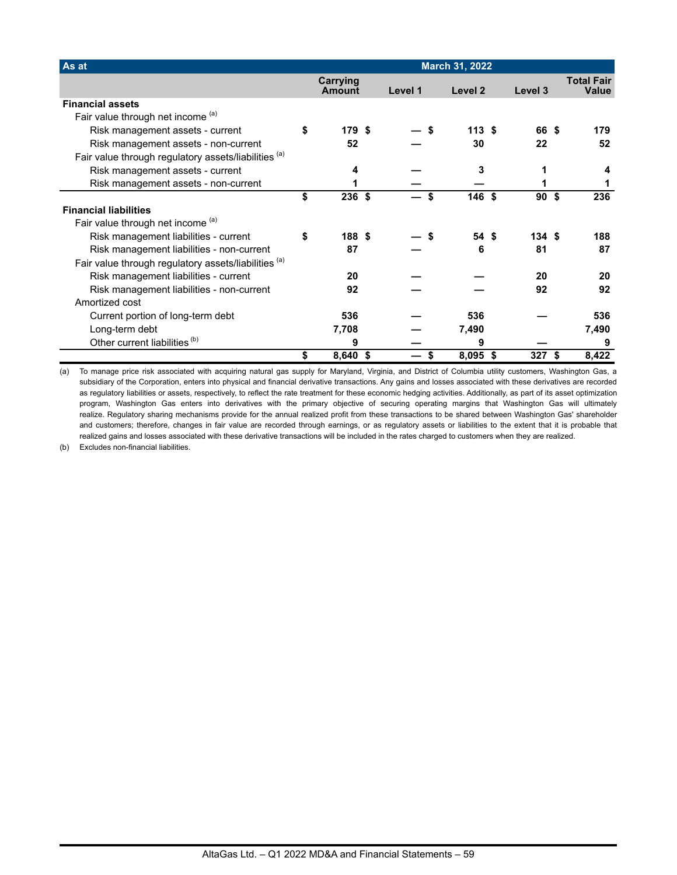| As at                                                | <b>March 31, 2022</b> |                           |      |         |    |          |                 |                                   |
|------------------------------------------------------|-----------------------|---------------------------|------|---------|----|----------|-----------------|-----------------------------------|
|                                                      |                       | <b>Carrying</b><br>Amount |      | Level 1 |    | Level 2  | Level 3         | <b>Total Fair</b><br><b>Value</b> |
| <b>Financial assets</b>                              |                       |                           |      |         |    |          |                 |                                   |
| Fair value through net income (a)                    |                       |                           |      |         |    |          |                 |                                   |
| Risk management assets - current                     | \$                    | 179 \$                    |      |         | \$ | 113S     | 66 \$           | 179                               |
| Risk management assets - non-current                 |                       | 52                        |      |         |    | 30       | 22              | 52                                |
| Fair value through regulatory assets/liabilities (a) |                       |                           |      |         |    |          |                 |                                   |
| Risk management assets - current                     |                       | 4                         |      |         |    | 3        |                 |                                   |
| Risk management assets - non-current                 |                       |                           |      |         |    |          |                 |                                   |
|                                                      | \$                    | 236                       | - \$ |         | \$ | 146 \$   | 90 <sup>5</sup> | 236                               |
| <b>Financial liabilities</b>                         |                       |                           |      |         |    |          |                 |                                   |
| Fair value through net income (a)                    |                       |                           |      |         |    |          |                 |                                   |
| Risk management liabilities - current                | \$                    | 188 \$                    |      |         |    | 54 \$    | 134S            | 188                               |
| Risk management liabilities - non-current            |                       | 87                        |      |         |    | 6        | 81              | 87                                |
| Fair value through regulatory assets/liabilities (a) |                       |                           |      |         |    |          |                 |                                   |
| Risk management liabilities - current                |                       | 20                        |      |         |    |          | 20              | 20                                |
| Risk management liabilities - non-current            |                       | 92                        |      |         |    |          | 92              | 92                                |
| Amortized cost                                       |                       |                           |      |         |    |          |                 |                                   |
| Current portion of long-term debt                    |                       | 536                       |      |         |    | 536      |                 | 536                               |
| Long-term debt                                       |                       | 7,708                     |      |         |    | 7,490    |                 | 7,490                             |
| Other current liabilities <sup>(b)</sup>             |                       | 9                         |      |         |    | 9        |                 | 9                                 |
|                                                      | \$                    | $8,640$ \$                |      |         | \$ | 8,095 \$ | 327             | \$<br>8,422                       |

(a) To manage price risk associated with acquiring natural gas supply for Maryland, Virginia, and District of Columbia utility customers, Washington Gas, a subsidiary of the Corporation, enters into physical and financial derivative transactions. Any gains and losses associated with these derivatives are recorded as regulatory liabilities or assets, respectively, to reflect the rate treatment for these economic hedging activities. Additionally, as part of its asset optimization program, Washington Gas enters into derivatives with the primary objective of securing operating margins that Washington Gas will ultimately realize. Regulatory sharing mechanisms provide for the annual realized profit from these transactions to be shared between Washington Gas' shareholder and customers; therefore, changes in fair value are recorded through earnings, or as regulatory assets or liabilities to the extent that it is probable that realized gains and losses associated with these derivative transactions will be included in the rates charged to customers when they are realized.

(b) Excludes non-financial liabilities.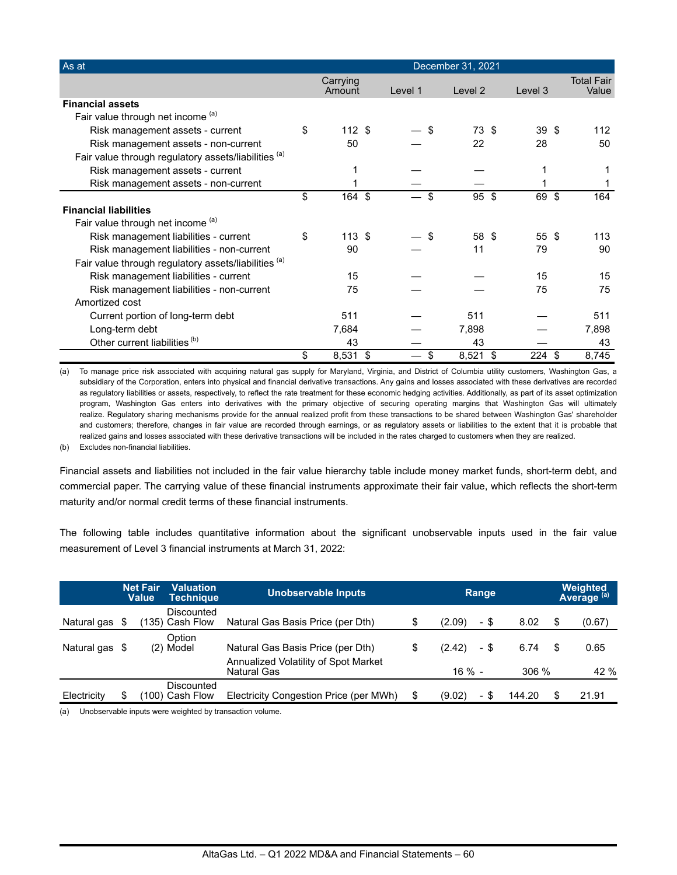| As at                                                |                    |     |         | December 31, 2021 |                 |                            |
|------------------------------------------------------|--------------------|-----|---------|-------------------|-----------------|----------------------------|
|                                                      | Carrying<br>Amount |     | Level 1 | Level 2           | Level 3         | <b>Total Fair</b><br>Value |
| <b>Financial assets</b>                              |                    |     |         |                   |                 |                            |
| Fair value through net income (a)                    |                    |     |         |                   |                 |                            |
| Risk management assets - current                     | \$<br>112S         |     |         | \$<br>73 \$       | 39S             | 112                        |
| Risk management assets - non-current                 | 50                 |     |         | 22                | 28              | 50                         |
| Fair value through regulatory assets/liabilities (a) |                    |     |         |                   |                 |                            |
| Risk management assets - current                     |                    |     |         |                   |                 |                            |
| Risk management assets - non-current                 |                    |     |         |                   |                 |                            |
|                                                      | \$<br>164          | -\$ |         | \$<br>95 \$       | 69              | \$<br>164                  |
| <b>Financial liabilities</b>                         |                    |     |         |                   |                 |                            |
| Fair value through net income (a)                    |                    |     |         |                   |                 |                            |
| Risk management liabilities - current                | \$<br>113S         |     |         | \$<br>58 \$       | $55 \text{ } $$ | 113                        |
| Risk management liabilities - non-current            | 90                 |     |         | 11                | 79              | 90                         |
| Fair value through regulatory assets/liabilities (a) |                    |     |         |                   |                 |                            |
| Risk management liabilities - current                | 15                 |     |         |                   | 15              | 15                         |
| Risk management liabilities - non-current            | 75                 |     |         |                   | 75              | 75                         |
| Amortized cost                                       |                    |     |         |                   |                 |                            |
| Current portion of long-term debt                    | 511                |     |         | 511               |                 | 511                        |
| Long-term debt                                       | 7,684              |     |         | 7,898             |                 | 7,898                      |
| Other current liabilities <sup>(b)</sup>             | 43                 |     |         | 43                |                 | 43                         |
|                                                      | \$<br>8,531        | \$  |         | \$<br>8,521       | \$<br>224       | \$<br>8,745                |

(a) To manage price risk associated with acquiring natural gas supply for Maryland, Virginia, and District of Columbia utility customers, Washington Gas, a subsidiary of the Corporation, enters into physical and financial derivative transactions. Any gains and losses associated with these derivatives are recorded as regulatory liabilities or assets, respectively, to reflect the rate treatment for these economic hedging activities. Additionally, as part of its asset optimization program, Washington Gas enters into derivatives with the primary objective of securing operating margins that Washington Gas will ultimately realize. Regulatory sharing mechanisms provide for the annual realized profit from these transactions to be shared between Washington Gas' shareholder and customers; therefore, changes in fair value are recorded through earnings, or as regulatory assets or liabilities to the extent that it is probable that realized gains and losses associated with these derivative transactions will be included in the rates charged to customers when they are realized.

(b) Excludes non-financial liabilities.

Financial assets and liabilities not included in the fair value hierarchy table include money market funds, short-term debt, and commercial paper. The carrying value of these financial instruments approximate their fair value, which reflects the short-term maturity and/or normal credit terms of these financial instruments.

The following table includes quantitative information about the significant unobservable inputs used in the fair value measurement of Level 3 financial instruments at March 31, 2022:

|                | <b>Net Fair</b><br>Valuation<br>Value<br>Techniaue |  | <b>Unobservable Inputs</b>   |                                                     | Range |           |      |          |     | Weighted<br>Average <sup>(a)</sup> |  |
|----------------|----------------------------------------------------|--|------------------------------|-----------------------------------------------------|-------|-----------|------|----------|-----|------------------------------------|--|
| Natural gas \$ |                                                    |  | Discounted<br>135) Cash Flow | Natural Gas Basis Price (per Dth)                   | \$    | (2.09)    | - \$ | 8.02     | \$. | (0.67)                             |  |
| Natural gas \$ |                                                    |  | Option<br>(2) Model          | Natural Gas Basis Price (per Dth)                   |       | (2.42)    | - \$ | 6.74     | S   | 0.65                               |  |
|                |                                                    |  |                              | Annualized Volatility of Spot Market<br>Natural Gas |       | $16 \% -$ |      | $306 \%$ |     | 42 %                               |  |
| Electricity    | S                                                  |  | Discounted<br>100) Cash Flow | Electricity Congestion Price (per MWh)              | S     | (9.02)    | - \$ | 144.20   | S   | 21.91                              |  |

(a) Unobservable inputs were weighted by transaction volume.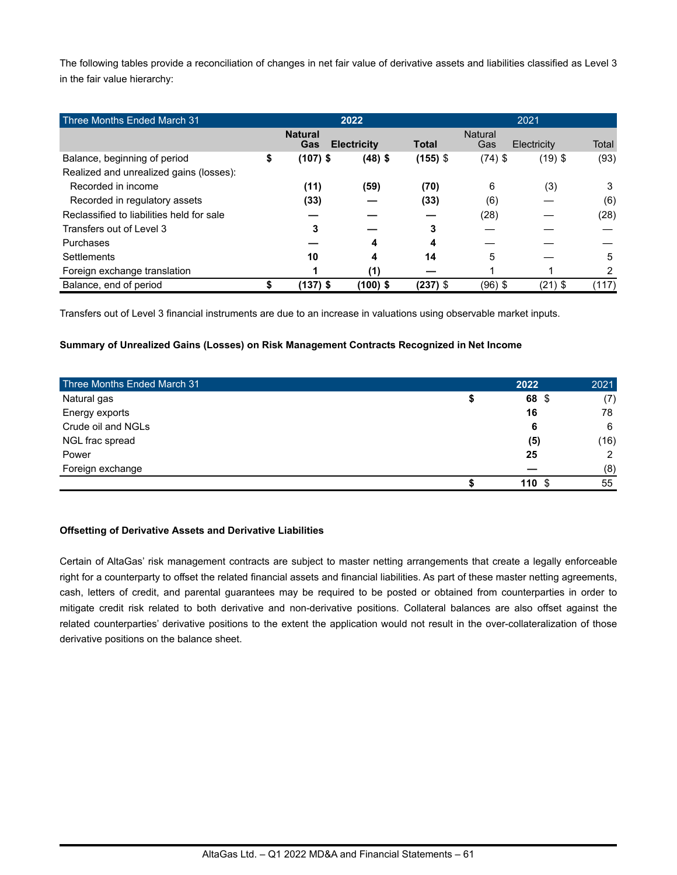The following tables provide a reconciliation of changes in net fair value of derivative assets and liabilities classified as Level 3 in the fair value hierarchy:

| Three Months Ended March 31               | 2022                  |                    |              | 2021                  |             |       |  |
|-------------------------------------------|-----------------------|--------------------|--------------|-----------------------|-------------|-------|--|
|                                           | <b>Natural</b><br>Gas | <b>Electricity</b> | <b>Total</b> | <b>Natural</b><br>Gas | Electricity | Total |  |
| Balance, beginning of period              | \$<br>$(107)$ \$      | $(48)$ \$          | $(155)$ \$   | $(74)$ \$             | $(19)$ \$   | (93)  |  |
| Realized and unrealized gains (losses):   |                       |                    |              |                       |             |       |  |
| Recorded in income                        | (11)                  | (59)               | (70)         | 6                     | (3)         | 3     |  |
| Recorded in regulatory assets             | (33)                  |                    | (33)         | (6)                   |             | (6)   |  |
| Reclassified to liabilities held for sale |                       |                    |              | (28)                  |             | (28)  |  |
| Transfers out of Level 3                  | 3                     |                    | 3            |                       |             |       |  |
| Purchases                                 |                       | 4                  | 4            |                       |             |       |  |
| Settlements                               | 10                    | 4                  | 14           | 5                     |             | 5     |  |
| Foreign exchange translation              |                       | (1)                |              |                       |             | 2     |  |
| Balance, end of period                    | (137) \$              | $(100)$ \$         | $(237)$ \$   | $(96)$ \$             | $(21)$ \$   | (117) |  |

Transfers out of Level 3 financial instruments are due to an increase in valuations using observable market inputs.

### **Summary of Unrealized Gains (Losses) on Risk Management Contracts Recognized in Net Income**

| Three Months Ended March 31 | 2022  | 2021 |
|-----------------------------|-------|------|
| Natural gas                 | 68 \$ | (7)  |
| Energy exports              | 16    | 78   |
| Crude oil and NGLs          | 6     | 6    |
| NGL frac spread             | (5)   | (16) |
| Power                       | 25    | 2    |
| Foreign exchange            |       | (8)  |
|                             | 110   | 55   |

#### **Offsetting of Derivative Assets and Derivative Liabilities**

Certain of AltaGas' risk management contracts are subject to master netting arrangements that create a legally enforceable right for a counterparty to offset the related financial assets and financial liabilities. As part of these master netting agreements, cash, letters of credit, and parental guarantees may be required to be posted or obtained from counterparties in order to mitigate credit risk related to both derivative and non-derivative positions. Collateral balances are also offset against the related counterparties' derivative positions to the extent the application would not result in the over-collateralization of those derivative positions on the balance sheet.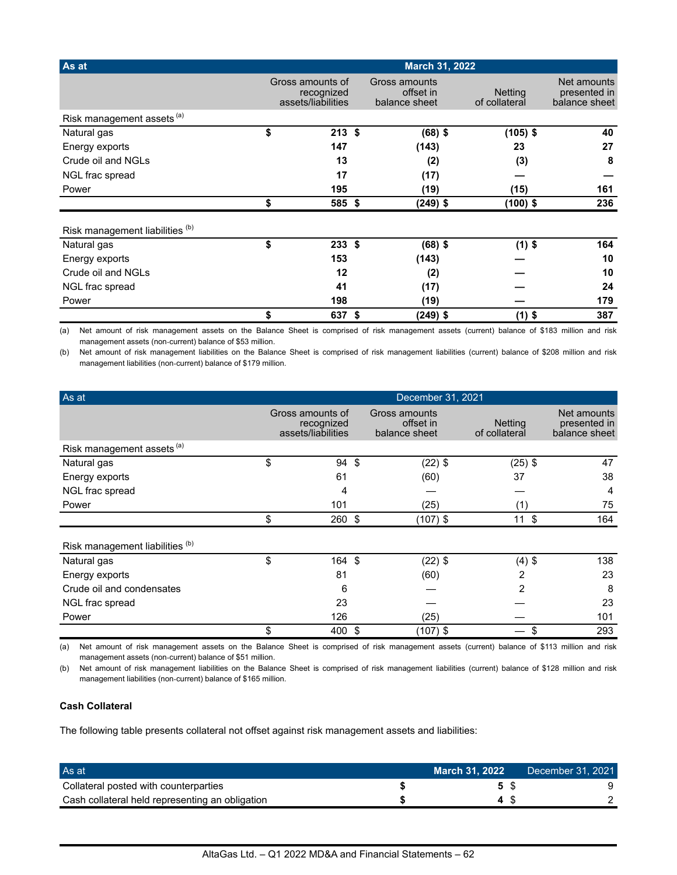| As at                                 |                                                      | <b>March 31, 2022</b>                       |                                 |                                              |
|---------------------------------------|------------------------------------------------------|---------------------------------------------|---------------------------------|----------------------------------------------|
|                                       | Gross amounts of<br>recognized<br>assets/liabilities | Gross amounts<br>offset in<br>balance sheet | <b>Netting</b><br>of collateral | Net amounts<br>presented in<br>balance sheet |
| Risk management assets <sup>(a)</sup> |                                                      |                                             |                                 |                                              |
| Natural gas                           | \$<br>$213$ \$                                       | $(68)$ \$                                   | $(105)$ \$                      | 40                                           |
| Energy exports                        | 147                                                  | (143)                                       | 23                              | 27                                           |
| Crude oil and NGLs                    | 13                                                   | (2)                                         | (3)                             | 8                                            |
| NGL frac spread                       | 17                                                   | (17)                                        |                                 |                                              |
| Power                                 | 195                                                  | (19)                                        | (15)                            | 161                                          |
|                                       | \$<br>585 \$                                         | $(249)$ \$                                  | $(100)$ \$                      | 236                                          |
| Risk management liabilities (b)       |                                                      |                                             |                                 |                                              |
| Natural gas                           | \$<br>$233$ \$                                       | $(68)$ \$                                   | $(1)$ \$                        | 164                                          |
| Energy exports                        | 153                                                  | (143)                                       |                                 | 10                                           |
| Crude oil and NGLs                    | 12                                                   | (2)                                         |                                 | 10                                           |
| NGL frac spread                       | 41                                                   | (17)                                        |                                 | 24                                           |
| Power                                 | 198                                                  | (19)                                        |                                 | 179                                          |
|                                       | \$<br>637 \$                                         | $(249)$ \$                                  | $(1)$ \$                        | 387                                          |

(a) Net amount of risk management assets on the Balance Sheet is comprised of risk management assets (current) balance of \$183 million and risk management assets (non-current) balance of \$53 million.

(b) Net amount of risk management liabilities on the Balance Sheet is comprised of risk management liabilities (current) balance of \$208 million and risk management liabilities (non-current) balance of \$179 million.

| As at                                 | December 31, 2021 |                                                      |     |                                             |                                 |                                              |  |  |
|---------------------------------------|-------------------|------------------------------------------------------|-----|---------------------------------------------|---------------------------------|----------------------------------------------|--|--|
|                                       |                   | Gross amounts of<br>recognized<br>assets/liabilities |     | Gross amounts<br>offset in<br>balance sheet | <b>Netting</b><br>of collateral | Net amounts<br>presented in<br>balance sheet |  |  |
| Risk management assets <sup>(a)</sup> |                   |                                                      |     |                                             |                                 |                                              |  |  |
| Natural gas                           | \$                | 94 \$                                                |     | $(22)$ \$                                   | $(25)$ \$                       | 47                                           |  |  |
| Energy exports                        |                   | 61                                                   |     | (60)                                        | 37                              | 38                                           |  |  |
| NGL frac spread                       |                   | 4                                                    |     |                                             |                                 | 4                                            |  |  |
| Power                                 |                   | 101                                                  |     | (25)                                        | (1)                             | 75                                           |  |  |
|                                       | \$                | 260 \$                                               |     | $(107)$ \$                                  | $11 \text{ } $$                 | 164                                          |  |  |
| Risk management liabilities (b)       |                   |                                                      |     |                                             |                                 |                                              |  |  |
| Natural gas                           | \$                | 164 \$                                               |     | $(22)$ \$                                   | $(4)$ \$                        | 138                                          |  |  |
| Energy exports                        |                   | 81                                                   |     | (60)                                        | 2                               | 23                                           |  |  |
| Crude oil and condensates             |                   | 6                                                    |     |                                             | 2                               | 8                                            |  |  |
| NGL frac spread                       |                   | 23                                                   |     |                                             |                                 | 23                                           |  |  |
| Power                                 |                   | 126                                                  |     | (25)                                        |                                 | 101                                          |  |  |
|                                       | \$                | 400                                                  | -\$ | $(107)$ \$                                  | \$                              | 293                                          |  |  |

(a) Net amount of risk management assets on the Balance Sheet is comprised of risk management assets (current) balance of \$113 million and risk management assets (non-current) balance of \$51 million.

(b) Net amount of risk management liabilities on the Balance Sheet is comprised of risk management liabilities (current) balance of \$128 million and risk management liabilities (non-current) balance of \$165 million.

### **Cash Collateral**

The following table presents collateral not offset against risk management assets and liabilities:

| As at                                           | March 31, 2022 | December 31, 2021 |
|-------------------------------------------------|----------------|-------------------|
| Collateral posted with counterparties           |                |                   |
| Cash collateral held representing an obligation |                |                   |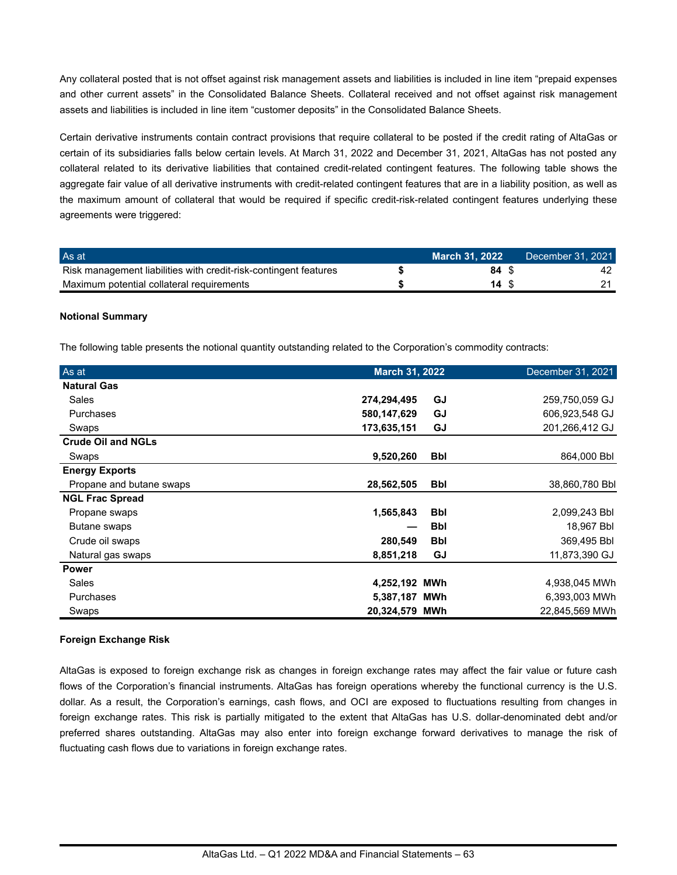Any collateral posted that is not offset against risk management assets and liabilities is included in line item "prepaid expenses and other current assets" in the Consolidated Balance Sheets. Collateral received and not offset against risk management assets and liabilities is included in line item "customer deposits" in the Consolidated Balance Sheets.

Certain derivative instruments contain contract provisions that require collateral to be posted if the credit rating of AltaGas or certain of its subsidiaries falls below certain levels. At March 31, 2022 and December 31, 2021, AltaGas has not posted any collateral related to its derivative liabilities that contained credit-related contingent features. The following table shows the aggregate fair value of all derivative instruments with credit-related contingent features that are in a liability position, as well as the maximum amount of collateral that would be required if specific credit-risk-related contingent features underlying these agreements were triggered:

| As at                                                            | March 31. 2022 | December 31, 2021 |
|------------------------------------------------------------------|----------------|-------------------|
| Risk management liabilities with credit-risk-contingent features | 84 S           |                   |
| Maximum potential collateral requirements                        | 14 S           |                   |

### **Notional Summary**

The following table presents the notional quantity outstanding related to the Corporation's commodity contracts:

| As at                     | March 31, 2022 |            | December 31, 2021 |
|---------------------------|----------------|------------|-------------------|
| <b>Natural Gas</b>        |                |            |                   |
| Sales                     | 274,294,495    | GJ         | 259,750,059 GJ    |
| Purchases                 | 580,147,629    | GJ         | 606,923,548 GJ    |
| Swaps                     | 173,635,151    | GJ         | 201,266,412 GJ    |
| <b>Crude Oil and NGLs</b> |                |            |                   |
| Swaps                     | 9,520,260      | <b>Bbl</b> | 864,000 Bbl       |
| <b>Energy Exports</b>     |                |            |                   |
| Propane and butane swaps  | 28,562,505     | <b>Bbl</b> | 38,860,780 Bbl    |
| <b>NGL Frac Spread</b>    |                |            |                   |
| Propane swaps             | 1,565,843      | <b>Bbl</b> | 2,099,243 Bbl     |
| <b>Butane swaps</b>       |                | <b>Bbl</b> | 18,967 Bbl        |
| Crude oil swaps           | 280,549        | <b>Bbl</b> | 369,495 Bbl       |
| Natural gas swaps         | 8,851,218      | GJ         | 11,873,390 GJ     |
| <b>Power</b>              |                |            |                   |
| Sales                     | 4,252,192 MWh  |            | 4,938,045 MWh     |
| Purchases                 | 5,387,187 MWh  |            | 6,393,003 MWh     |
| Swaps                     | 20,324,579 MWh |            | 22,845,569 MWh    |

### **Foreign Exchange Risk**

AltaGas is exposed to foreign exchange risk as changes in foreign exchange rates may affect the fair value or future cash flows of the Corporation's financial instruments. AltaGas has foreign operations whereby the functional currency is the U.S. dollar. As a result, the Corporation's earnings, cash flows, and OCI are exposed to fluctuations resulting from changes in foreign exchange rates. This risk is partially mitigated to the extent that AltaGas has U.S. dollar-denominated debt and/or preferred shares outstanding. AltaGas may also enter into foreign exchange forward derivatives to manage the risk of fluctuating cash flows due to variations in foreign exchange rates.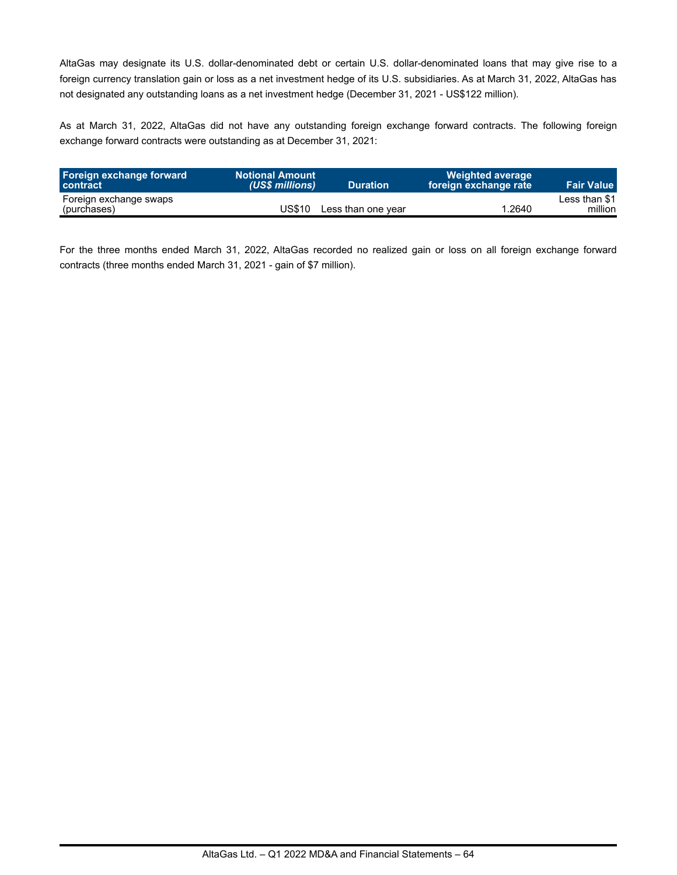AltaGas may designate its U.S. dollar-denominated debt or certain U.S. dollar-denominated loans that may give rise to a foreign currency translation gain or loss as a net investment hedge of its U.S. subsidiaries. As at March 31, 2022, AltaGas has not designated any outstanding loans as a net investment hedge (December 31, 2021 - US\$122 million).

As at March 31, 2022, AltaGas did not have any outstanding foreign exchange forward contracts. The following foreign exchange forward contracts were outstanding as at December 31, 2021:

| Foreign exchange forward<br><b>contract</b> | <b>Notional Amount</b><br>(US\$ millions) | <b>Duration</b>    | <b>Weighted average</b><br>foreign exchange rate | <b>Fair Value</b>        |
|---------------------------------------------|-------------------------------------------|--------------------|--------------------------------------------------|--------------------------|
| Foreign exchange swaps<br>(purchases)       | US\$10                                    | Less than one vear | 1.2640                                           | Less than \$1<br>million |

For the three months ended March 31, 2022, AltaGas recorded no realized gain or loss on all foreign exchange forward contracts (three months ended March 31, 2021 - gain of \$7 million).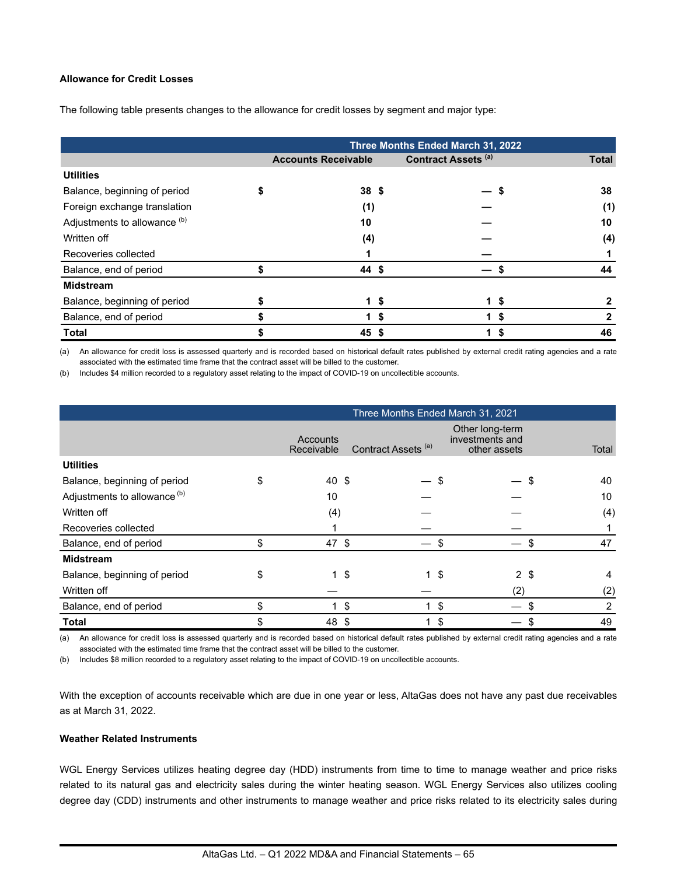#### **Allowance for Credit Losses**

The following table presents changes to the allowance for credit losses by segment and major type:

|                              |                            |    | Three Months Ended March 31, 2022 |     |              |
|------------------------------|----------------------------|----|-----------------------------------|-----|--------------|
|                              | <b>Accounts Receivable</b> |    | <b>Contract Assets (a)</b>        |     | <b>Total</b> |
| <b>Utilities</b>             |                            |    |                                   |     |              |
| Balance, beginning of period | 38 <sup>5</sup>            |    |                                   |     | 38           |
| Foreign exchange translation | (1)                        |    |                                   |     | (1)          |
| Adjustments to allowance (b) | 10                         |    |                                   |     | 10           |
| Written off                  | (4)                        |    |                                   |     | (4)          |
| Recoveries collected         |                            |    |                                   |     |              |
| Balance, end of period       | \$<br>44 \$                |    |                                   |     | 44           |
| <b>Midstream</b>             |                            |    |                                   |     |              |
| Balance, beginning of period | 1\$                        |    |                                   | 1\$ |              |
| Balance, end of period       |                            | \$ |                                   | \$  | 2            |
| <b>Total</b>                 | $45$ \$                    |    |                                   | \$  | 46           |

(a) An allowance for credit loss is assessed quarterly and is recorded based on historical default rates published by external credit rating agencies and a rate associated with the estimated time frame that the contract asset will be billed to the customer.

(b) Includes \$4 million recorded to a regulatory asset relating to the impact of COVID-19 on uncollectible accounts.

|                                         | Three Months Ended March 31, 2021 |                                |                                                    |                |  |  |  |  |  |
|-----------------------------------------|-----------------------------------|--------------------------------|----------------------------------------------------|----------------|--|--|--|--|--|
|                                         | Accounts<br>Receivable            | Contract Assets <sup>(a)</sup> | Other long-term<br>investments and<br>other assets | Total          |  |  |  |  |  |
| <b>Utilities</b>                        |                                   |                                |                                                    |                |  |  |  |  |  |
| Balance, beginning of period            | \$<br>40 \$                       |                                | S                                                  | 40<br>S        |  |  |  |  |  |
| Adjustments to allowance <sup>(b)</sup> | 10                                |                                |                                                    | 10             |  |  |  |  |  |
| Written off                             | (4)                               |                                |                                                    | (4)            |  |  |  |  |  |
| Recoveries collected                    |                                   |                                |                                                    |                |  |  |  |  |  |
| Balance, end of period                  | \$<br>47 \$                       |                                | S                                                  | 47<br>S        |  |  |  |  |  |
| <b>Midstream</b>                        |                                   |                                |                                                    |                |  |  |  |  |  |
| Balance, beginning of period            | \$<br>$1 \text{ } $$              | $\mathbf{1}$                   | 2 <sup>5</sup><br>\$                               | 4              |  |  |  |  |  |
| Written off                             |                                   |                                | (2)                                                | (2)            |  |  |  |  |  |
| Balance, end of period                  | \$                                | \$<br>1                        | \$                                                 | $\overline{2}$ |  |  |  |  |  |
| Total                                   | \$<br>48                          | \$                             | \$                                                 | 49             |  |  |  |  |  |

(a) An allowance for credit loss is assessed quarterly and is recorded based on historical default rates published by external credit rating agencies and a rate associated with the estimated time frame that the contract asset will be billed to the customer.

(b) Includes \$8 million recorded to a regulatory asset relating to the impact of COVID-19 on uncollectible accounts.

With the exception of accounts receivable which are due in one year or less, AltaGas does not have any past due receivables as at March 31, 2022.

### **Weather Related Instruments**

WGL Energy Services utilizes heating degree day (HDD) instruments from time to time to manage weather and price risks related to its natural gas and electricity sales during the winter heating season. WGL Energy Services also utilizes cooling degree day (CDD) instruments and other instruments to manage weather and price risks related to its electricity sales during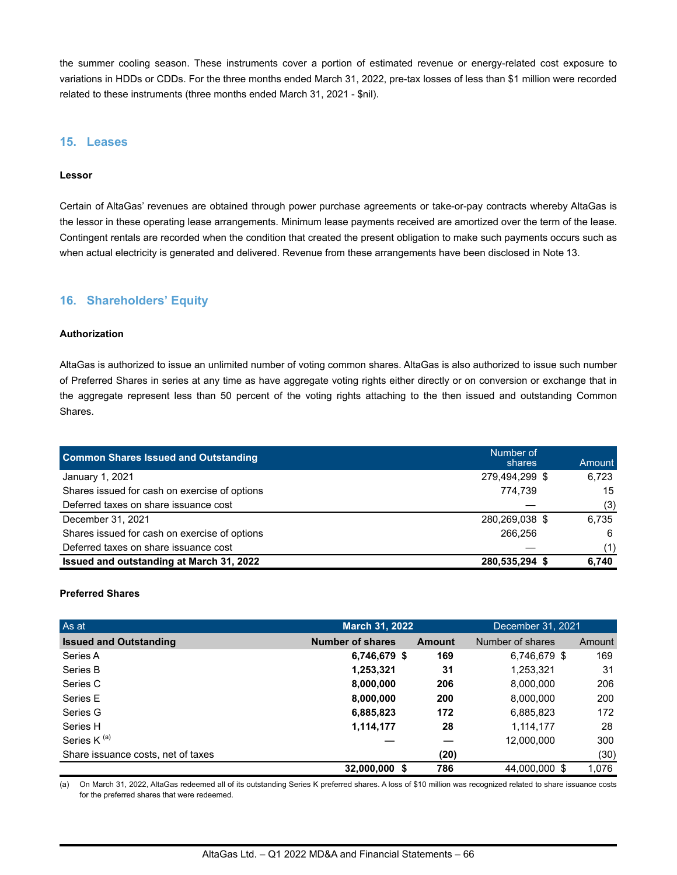the summer cooling season. These instruments cover a portion of estimated revenue or energy-related cost exposure to variations in HDDs or CDDs. For the three months ended March 31, 2022, pre-tax losses of less than \$1 million were recorded related to these instruments (three months ended March 31, 2021 - \$nil).

### **15. Leases**

#### **Lessor**

Certain of AltaGas' revenues are obtained through power purchase agreements or take-or-pay contracts whereby AltaGas is the lessor in these operating lease arrangements. Minimum lease payments received are amortized over the term of the lease. Contingent rentals are recorded when the condition that created the present obligation to make such payments occurs such as when actual electricity is generated and delivered. Revenue from these arrangements have been disclosed in Note 13.

## **16. Shareholders' Equity**

### **Authorization**

AltaGas is authorized to issue an unlimited number of voting common shares. AltaGas is also authorized to issue such number of Preferred Shares in series at any time as have aggregate voting rights either directly or on conversion or exchange that in the aggregate represent less than 50 percent of the voting rights attaching to the then issued and outstanding Common Shares.

| <b>Common Shares Issued and Outstanding</b>   | Number of<br>shares | Amount |
|-----------------------------------------------|---------------------|--------|
| January 1, 2021                               | 279,494,299 \$      | 6.723  |
| Shares issued for cash on exercise of options | 774.739             | 15     |
| Deferred taxes on share issuance cost         |                     | (3)    |
| December 31, 2021                             | 280,269,038 \$      | 6.735  |
| Shares issued for cash on exercise of options | 266.256             | 6      |
| Deferred taxes on share issuance cost         |                     | (1)    |
| Issued and outstanding at March 31, 2022      | 280,535,294 \$      | 6.740  |

#### **Preferred Shares**

| As at                              | March 31, 2022          |        | December 31, 2021 |        |  |
|------------------------------------|-------------------------|--------|-------------------|--------|--|
| <b>Issued and Outstanding</b>      | <b>Number of shares</b> | Amount | Number of shares  | Amount |  |
| Series A                           | 6,746,679 \$            | 169    | 6,746,679 \$      | 169    |  |
| Series B                           | 1,253,321               | 31     | 1,253,321         | 31     |  |
| Series C                           | 8,000,000               | 206    | 8,000,000         | 206    |  |
| Series E                           | 8,000,000               | 200    | 8,000,000         | 200    |  |
| Series G                           | 6,885,823               | 172    | 6,885,823         | 172    |  |
| Series H                           | 1,114,177               | 28     | 1,114,177         | 28     |  |
| Series K <sup>(a)</sup>            |                         |        | 12,000,000        | 300    |  |
| Share issuance costs, net of taxes |                         | (20)   |                   | (30)   |  |
|                                    | 32,000,000 \$           | 786    | 44,000,000 \$     | 1,076  |  |

(a) On March 31, 2022, AltaGas redeemed all of its outstanding Series K preferred shares. A loss of \$10 million was recognized related to share issuance costs for the preferred shares that were redeemed.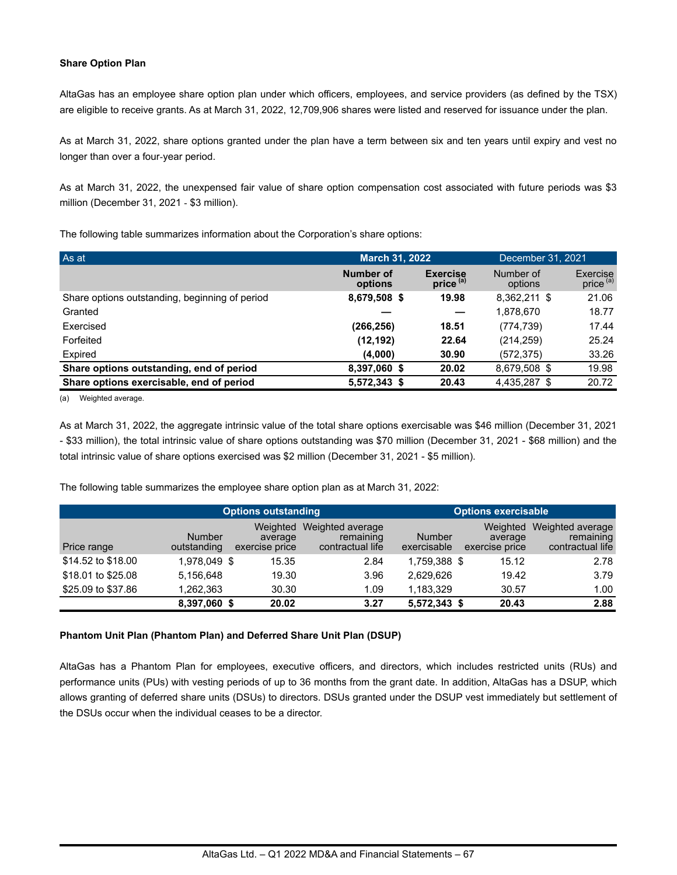### **Share Option Plan**

AltaGas has an employee share option plan under which officers, employees, and service providers (as defined by the TSX) are eligible to receive grants. As at March 31, 2022, 12,709,906 shares were listed and reserved for issuance under the plan.

As at March 31, 2022, share options granted under the plan have a term between six and ten years until expiry and vest no longer than over a four-year period.

As at March 31, 2022, the unexpensed fair value of share option compensation cost associated with future periods was \$3 million (December 31, 2021 - \$3 million).

The following table summarizes information about the Corporation's share options:

| As at                                          | <b>March 31, 2022</b> | December 31, 2021                       |                      |                                  |
|------------------------------------------------|-----------------------|-----------------------------------------|----------------------|----------------------------------|
|                                                | Number of<br>options  | <b>Exercise</b><br>price <sup>(a)</sup> | Number of<br>options | Exercise<br>price <sup>(a)</sup> |
| Share options outstanding, beginning of period | 8,679,508 \$          | 19.98                                   | 8,362,211 \$         | 21.06                            |
| Granted                                        |                       |                                         | 1,878,670            | 18.77                            |
| Exercised                                      | (266,256)             | 18.51                                   | (774, 739)           | 17.44                            |
| Forfeited                                      | (12, 192)             | 22.64                                   | (214, 259)           | 25.24                            |
| Expired                                        | (4,000)               | 30.90                                   | (572, 375)           | 33.26                            |
| Share options outstanding, end of period       | 8,397,060 \$          | 20.02                                   | 8.679.508 \$         | 19.98                            |
| Share options exercisable, end of period       | 5,572,343 \$          | 20.43                                   | 4,435,287 \$         | 20.72                            |

(a) Weighted average.

As at March 31, 2022, the aggregate intrinsic value of the total share options exercisable was \$46 million (December 31, 2021 - \$33 million), the total intrinsic value of share options outstanding was \$70 million (December 31, 2021 - \$68 million) and the total intrinsic value of share options exercised was \$2 million (December 31, 2021 - \$5 million).

The following table summarizes the employee share option plan as at March 31, 2022:

|                    |                              | <b>Options outstanding</b>            | <b>Options exercisable</b>                        |                              |                                       |                                                   |  |
|--------------------|------------------------------|---------------------------------------|---------------------------------------------------|------------------------------|---------------------------------------|---------------------------------------------------|--|
| Price range        | <b>Number</b><br>outstanding | Weighted<br>average<br>exercise price | Weighted average<br>remaining<br>contractual life | <b>Number</b><br>exercisable | Weighted<br>average<br>exercise price | Weighted average<br>remaining<br>contractual life |  |
| \$14.52 to \$18.00 | 1,978,049 \$                 | 15.35                                 | 2.84                                              | 1.759.388 \$                 | 15.12                                 | 2.78                                              |  |
| \$18.01 to \$25.08 | 5.156.648                    | 19.30                                 | 3.96                                              | 2,629,626                    | 19.42                                 | 3.79                                              |  |
| \$25.09 to \$37.86 | .262,363                     | 30.30                                 | 1.09                                              | 1.183.329                    | 30.57                                 | 1.00                                              |  |
|                    | 8,397,060 \$                 | 20.02                                 | 3.27                                              | 5,572,343 \$                 | 20.43                                 | 2.88                                              |  |

### **Phantom Unit Plan (Phantom Plan) and Deferred Share Unit Plan (DSUP)**

AltaGas has a Phantom Plan for employees, executive officers, and directors, which includes restricted units (RUs) and performance units (PUs) with vesting periods of up to 36 months from the grant date. In addition, AltaGas has a DSUP, which allows granting of deferred share units (DSUs) to directors. DSUs granted under the DSUP vest immediately but settlement of the DSUs occur when the individual ceases to be a director.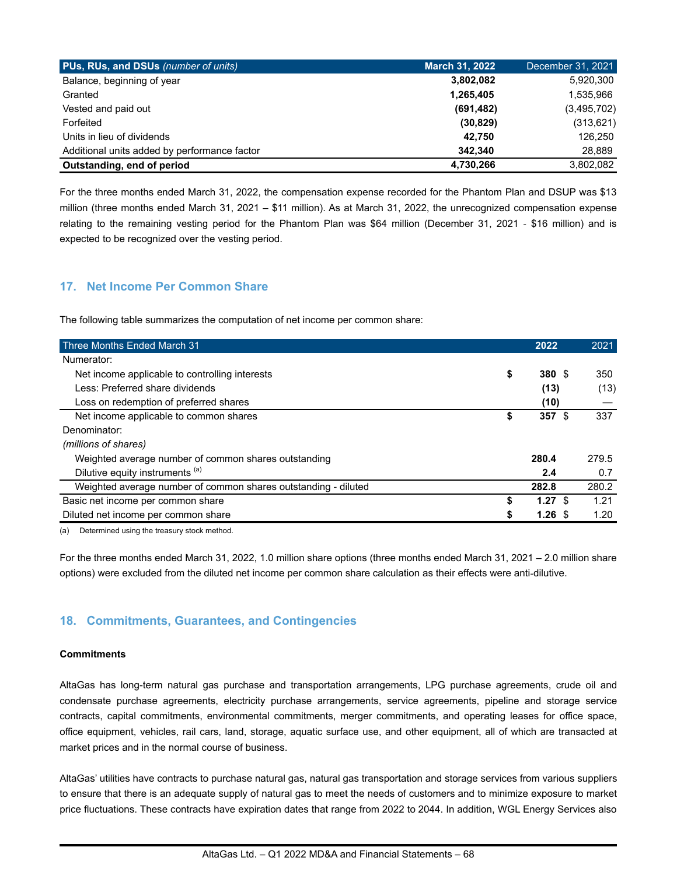| PUs, RUs, and DSUs (number of units)         | <b>March 31, 2022</b> | December 31, 2021 |
|----------------------------------------------|-----------------------|-------------------|
| Balance, beginning of year                   | 3,802,082             | 5,920,300         |
| Granted                                      | 1,265,405             | 1,535,966         |
| Vested and paid out                          | (691, 482)            | (3,495,702)       |
| Forfeited                                    | (30, 829)             | (313, 621)        |
| Units in lieu of dividends                   | 42.750                | 126,250           |
| Additional units added by performance factor | 342.340               | 28,889            |
| Outstanding, end of period                   | 4,730,266             | 3,802,082         |

For the three months ended March 31, 2022, the compensation expense recorded for the Phantom Plan and DSUP was \$13 million (three months ended March 31, 2021 – \$11 million). As at March 31, 2022, the unrecognized compensation expense relating to the remaining vesting period for the Phantom Plan was \$64 million (December 31, 2021 - \$16 million) and is expected to be recognized over the vesting period.

# **17. Net Income Per Common Share**

The following table summarizes the computation of net income per common share:

| Three Months Ended March 31                                    |    | 2022              | 2021  |
|----------------------------------------------------------------|----|-------------------|-------|
| Numerator:                                                     |    |                   |       |
| Net income applicable to controlling interests                 | \$ | 380 \$            | 350   |
| Less: Preferred share dividends                                |    | (13)              | (13)  |
| Loss on redemption of preferred shares                         |    | (10)              |       |
| Net income applicable to common shares                         | S  | 357S              | 337   |
| Denominator:                                                   |    |                   |       |
| (millions of shares)                                           |    |                   |       |
| Weighted average number of common shares outstanding           |    | 280.4             | 279.5 |
| Dilutive equity instruments (a)                                |    | 2.4               | 0.7   |
| Weighted average number of common shares outstanding - diluted |    | 282.8             | 280.2 |
| Basic net income per common share                              | \$ | $1.27 \text{ } $$ | 1.21  |
| Diluted net income per common share                            |    | 1.26 <sup>5</sup> | 1.20  |

(a) Determined using the treasury stock method.

For the three months ended March 31, 2022, 1.0 million share options (three months ended March 31, 2021 – 2.0 million share options) were excluded from the diluted net income per common share calculation as their effects were anti-dilutive.

# **18. Commitments, Guarantees, and Contingencies**

#### **Commitments**

AltaGas has long-term natural gas purchase and transportation arrangements, LPG purchase agreements, crude oil and condensate purchase agreements, electricity purchase arrangements, service agreements, pipeline and storage service contracts, capital commitments, environmental commitments, merger commitments, and operating leases for office space, office equipment, vehicles, rail cars, land, storage, aquatic surface use, and other equipment, all of which are transacted at market prices and in the normal course of business.

AltaGas' utilities have contracts to purchase natural gas, natural gas transportation and storage services from various suppliers to ensure that there is an adequate supply of natural gas to meet the needs of customers and to minimize exposure to market price fluctuations. These contracts have expiration dates that range from 2022 to 2044. In addition, WGL Energy Services also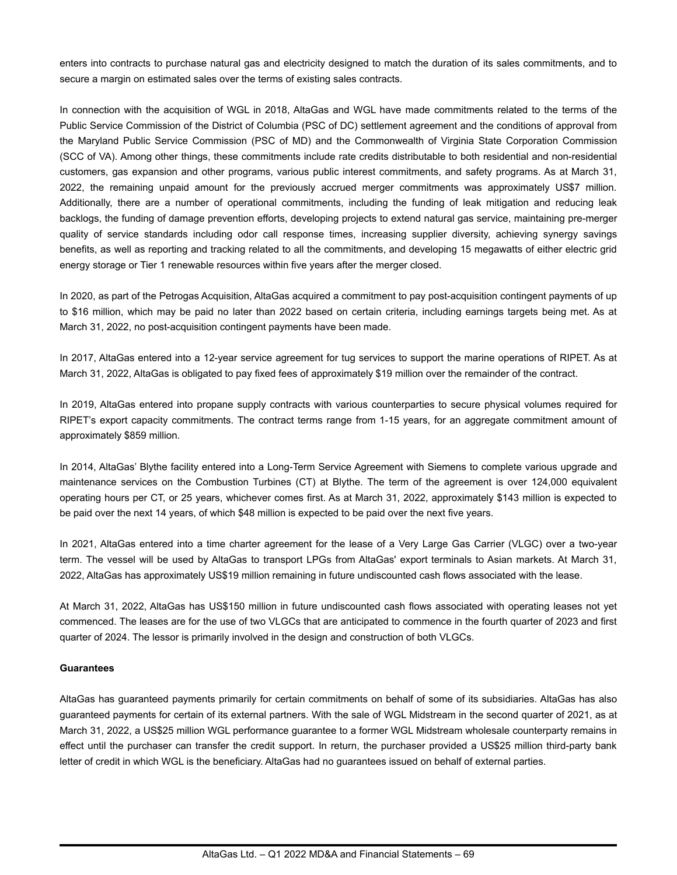enters into contracts to purchase natural gas and electricity designed to match the duration of its sales commitments, and to secure a margin on estimated sales over the terms of existing sales contracts.

In connection with the acquisition of WGL in 2018, AltaGas and WGL have made commitments related to the terms of the Public Service Commission of the District of Columbia (PSC of DC) settlement agreement and the conditions of approval from the Maryland Public Service Commission (PSC of MD) and the Commonwealth of Virginia State Corporation Commission (SCC of VA). Among other things, these commitments include rate credits distributable to both residential and non-residential customers, gas expansion and other programs, various public interest commitments, and safety programs. As at March 31, 2022, the remaining unpaid amount for the previously accrued merger commitments was approximately US\$7 million. Additionally, there are a number of operational commitments, including the funding of leak mitigation and reducing leak backlogs, the funding of damage prevention efforts, developing projects to extend natural gas service, maintaining pre-merger quality of service standards including odor call response times, increasing supplier diversity, achieving synergy savings benefits, as well as reporting and tracking related to all the commitments, and developing 15 megawatts of either electric grid energy storage or Tier 1 renewable resources within five years after the merger closed.

In 2020, as part of the Petrogas Acquisition, AltaGas acquired a commitment to pay post-acquisition contingent payments of up to \$16 million, which may be paid no later than 2022 based on certain criteria, including earnings targets being met. As at March 31, 2022, no post-acquisition contingent payments have been made.

In 2017, AltaGas entered into a 12-year service agreement for tug services to support the marine operations of RIPET. As at March 31, 2022, AltaGas is obligated to pay fixed fees of approximately \$19 million over the remainder of the contract.

In 2019, AltaGas entered into propane supply contracts with various counterparties to secure physical volumes required for RIPET's export capacity commitments. The contract terms range from 1-15 years, for an aggregate commitment amount of approximately \$859 million.

In 2014, AltaGas' Blythe facility entered into a Long-Term Service Agreement with Siemens to complete various upgrade and maintenance services on the Combustion Turbines (CT) at Blythe. The term of the agreement is over 124,000 equivalent operating hours per CT, or 25 years, whichever comes first. As at March 31, 2022, approximately \$143 million is expected to be paid over the next 14 years, of which \$48 million is expected to be paid over the next five years.

In 2021, AltaGas entered into a time charter agreement for the lease of a Very Large Gas Carrier (VLGC) over a two-year term. The vessel will be used by AltaGas to transport LPGs from AltaGas' export terminals to Asian markets. At March 31, 2022, AltaGas has approximately US\$19 million remaining in future undiscounted cash flows associated with the lease.

At March 31, 2022, AltaGas has US\$150 million in future undiscounted cash flows associated with operating leases not yet commenced. The leases are for the use of two VLGCs that are anticipated to commence in the fourth quarter of 2023 and first quarter of 2024. The lessor is primarily involved in the design and construction of both VLGCs.

#### **Guarantees**

AltaGas has guaranteed payments primarily for certain commitments on behalf of some of its subsidiaries. AltaGas has also guaranteed payments for certain of its external partners. With the sale of WGL Midstream in the second quarter of 2021, as at March 31, 2022, a US\$25 million WGL performance guarantee to a former WGL Midstream wholesale counterparty remains in effect until the purchaser can transfer the credit support. In return, the purchaser provided a US\$25 million third-party bank letter of credit in which WGL is the beneficiary. AltaGas had no guarantees issued on behalf of external parties.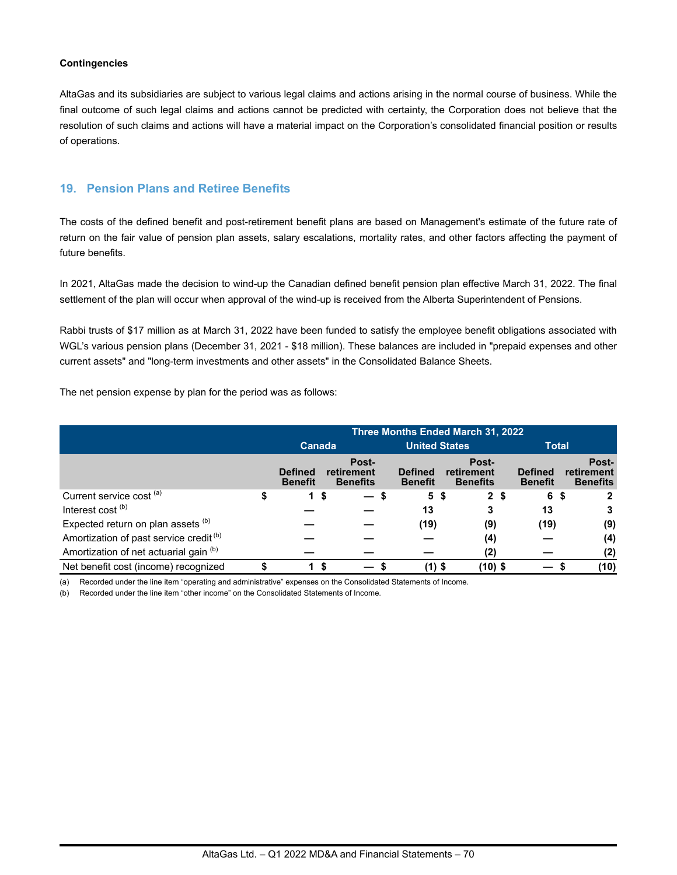### **Contingencies**

AltaGas and its subsidiaries are subject to various legal claims and actions arising in the normal course of business. While the final outcome of such legal claims and actions cannot be predicted with certainty, the Corporation does not believe that the resolution of such claims and actions will have a material impact on the Corporation's consolidated financial position or results of operations.

## **19. Pension Plans and Retiree Benefits**

The costs of the defined benefit and post-retirement benefit plans are based on Management's estimate of the future rate of return on the fair value of pension plan assets, salary escalations, mortality rates, and other factors affecting the payment of future benefits.

In 2021, AltaGas made the decision to wind-up the Canadian defined benefit pension plan effective March 31, 2022. The final settlement of the plan will occur when approval of the wind-up is received from the Alberta Superintendent of Pensions.

Rabbi trusts of \$17 million as at March 31, 2022 have been funded to satisfy the employee benefit obligations associated with WGL's various pension plans (December 31, 2021 - \$18 million). These balances are included in "prepaid expenses and other current assets" and "long-term investments and other assets" in the Consolidated Balance Sheets.

The net pension expense by plan for the period was as follows:

|                                                    | Three Months Ended March 31, 2022 |                                  |  |                                        |                                  |                                        |                |                                  |                                        |  |
|----------------------------------------------------|-----------------------------------|----------------------------------|--|----------------------------------------|----------------------------------|----------------------------------------|----------------|----------------------------------|----------------------------------------|--|
|                                                    |                                   | Canada                           |  |                                        | <b>United States</b>             |                                        |                | <b>Total</b>                     |                                        |  |
|                                                    |                                   | <b>Defined</b><br><b>Benefit</b> |  | Post-<br>retirement<br><b>Benefits</b> | <b>Defined</b><br><b>Benefit</b> | Post-<br>retirement<br><b>Benefits</b> |                | <b>Defined</b><br><b>Benefit</b> | Post-<br>retirement<br><b>Benefits</b> |  |
| Current service cost <sup>(a)</sup>                | 5                                 | 15                               |  | $\overline{\phantom{0}}$               | 5\$                              |                                        | 2 <sup>5</sup> | 6                                | - \$                                   |  |
| Interest cost <sup>(b)</sup>                       |                                   |                                  |  |                                        | 13                               | 3                                      |                | 13                               |                                        |  |
| Expected return on plan assets (b)                 |                                   |                                  |  |                                        | (19)                             | (9)                                    |                | (19)                             | (9)                                    |  |
| Amortization of past service credit <sup>(b)</sup> |                                   |                                  |  |                                        |                                  | (4)                                    |                |                                  | (4)                                    |  |
| Amortization of net actuarial gain (b)             |                                   |                                  |  |                                        |                                  | (2)                                    |                |                                  | (2)                                    |  |
| Net benefit cost (income) recognized               |                                   |                                  |  |                                        | (1)                              | (10) \$                                |                |                                  | (10)                                   |  |

(a) Recorded under the line item "operating and administrative" expenses on the Consolidated Statements of Income.

(b) Recorded under the line item "other income" on the Consolidated Statements of Income.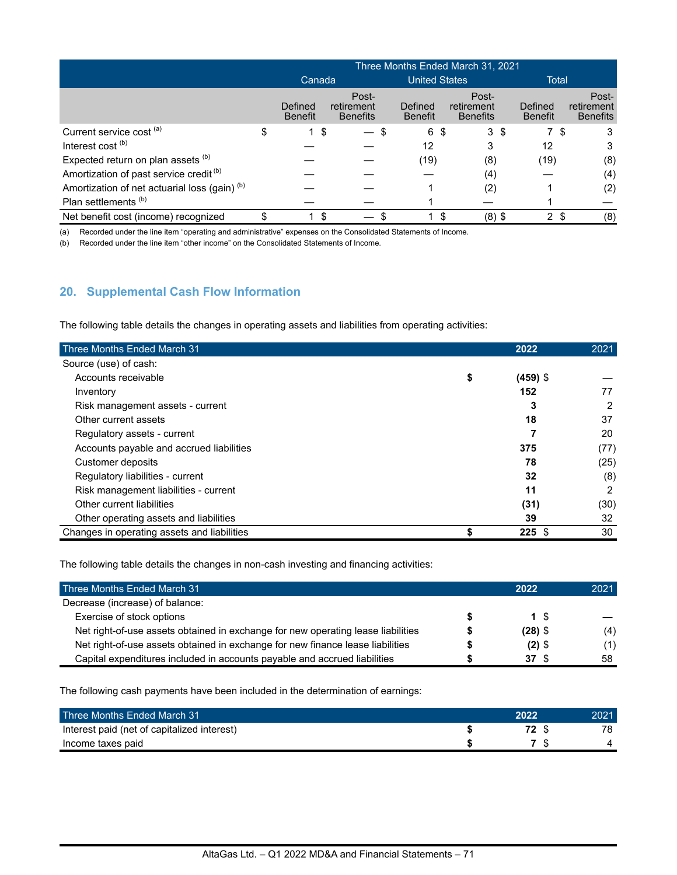|                                                          | Three Months Ended March 31, 2021 |                           |                                        |  |                           |     |                                        |    |                           |    |                                        |
|----------------------------------------------------------|-----------------------------------|---------------------------|----------------------------------------|--|---------------------------|-----|----------------------------------------|----|---------------------------|----|----------------------------------------|
|                                                          |                                   | Canada                    |                                        |  | <b>United States</b>      |     |                                        |    | Total                     |    |                                        |
|                                                          |                                   | Defined<br><b>Benefit</b> | Post-<br>retirement<br><b>Benefits</b> |  | Defined<br><b>Benefit</b> |     | Post-<br>retirement<br><b>Benefits</b> |    | Defined<br><b>Benefit</b> |    | Post-<br>retirement<br><b>Benefits</b> |
| Current service cost (a)                                 | \$                                |                           | - \$                                   |  | 6                         | \$  | 3                                      | \$ | 7\$                       |    | 3                                      |
| Interest cost <sup>(b)</sup>                             |                                   |                           |                                        |  | 12                        |     | 3                                      |    | 12                        |    | 3                                      |
| Expected return on plan assets (b)                       |                                   |                           |                                        |  | (19)                      |     | (8)                                    |    | (19)                      |    | (8)                                    |
| Amortization of past service credit <sup>(b)</sup>       |                                   |                           |                                        |  |                           |     | (4)                                    |    |                           |    | (4)                                    |
| Amortization of net actuarial loss (gain) <sup>(b)</sup> |                                   |                           |                                        |  |                           |     | (2)                                    |    |                           |    | (2)                                    |
| Plan settlements <sup>(b)</sup>                          |                                   |                           |                                        |  |                           |     |                                        |    |                           |    |                                        |
| Net benefit cost (income) recognized                     |                                   |                           |                                        |  |                           | \$. | $(8)$ \$                               |    | $\overline{2}$            | \$ | (8)                                    |

(a) Recorded under the line item "operating and administrative" expenses on the Consolidated Statements of Income.

(b) Recorded under the line item "other income" on the Consolidated Statements of Income.

# **20. Supplemental Cash Flow Information**

The following table details the changes in operating assets and liabilities from operating activities:

| Three Months Ended March 31                 | 2022             | 2021 |
|---------------------------------------------|------------------|------|
| Source (use) of cash:                       |                  |      |
| Accounts receivable                         | \$<br>$(459)$ \$ |      |
| Inventory                                   | 152              | 77   |
| Risk management assets - current            | 3                | 2    |
| Other current assets                        | 18               | 37   |
| Regulatory assets - current                 |                  | 20   |
| Accounts payable and accrued liabilities    | 375              | (77) |
| Customer deposits                           | 78               | (25) |
| Regulatory liabilities - current            | 32               | (8)  |
| Risk management liabilities - current       | 11               | 2    |
| Other current liabilities                   | (31)             | (30) |
| Other operating assets and liabilities      | 39               | 32   |
| Changes in operating assets and liabilities | $225$ \$         | 30   |

The following table details the changes in non-cash investing and financing activities:

| Three Months Ended March 31                                                      | 2022      | 2021 |
|----------------------------------------------------------------------------------|-----------|------|
| Decrease (increase) of balance:                                                  |           |      |
| Exercise of stock options                                                        | 1 S       |      |
| Net right-of-use assets obtained in exchange for new operating lease liabilities | $(28)$ \$ | (4)  |
| Net right-of-use assets obtained in exchange for new finance lease liabilities   | $(2)$ \$  | (1)  |
| Capital expenditures included in accounts payable and accrued liabilities        | 37 S      | 58   |

The following cash payments have been included in the determination of earnings:

| Three Months Ended March 31                 | 2022 | 2021 |
|---------------------------------------------|------|------|
| Interest paid (net of capitalized interest) |      | 78   |
| Income taxes paid                           |      |      |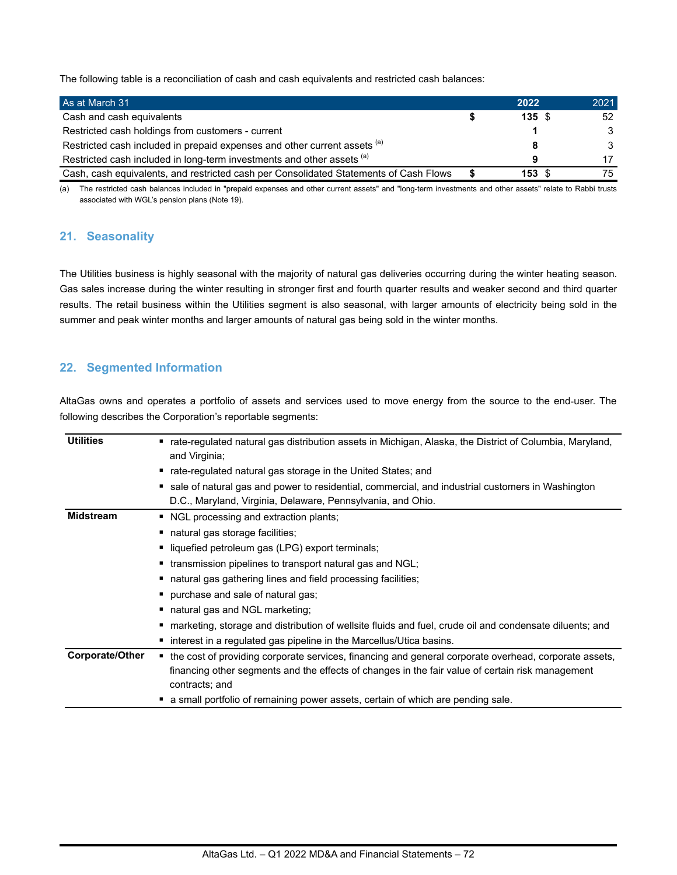The following table is a reconciliation of cash and cash equivalents and restricted cash balances:

| As at March 31                                                                        | 2022              | 2021          |
|---------------------------------------------------------------------------------------|-------------------|---------------|
| Cash and cash equivalents                                                             | 135S              | 52            |
| Restricted cash holdings from customers - current                                     |                   | $\mathcal{B}$ |
| Restricted cash included in prepaid expenses and other current assets (a)             |                   | $\mathcal{B}$ |
| Restricted cash included in long-term investments and other assets (a)                | a                 | 17            |
| Cash, cash equivalents, and restricted cash per Consolidated Statements of Cash Flows | $153 \text{ } $s$ | 75            |

(a) The restricted cash balances included in "prepaid expenses and other current assets" and "long-term investments and other assets" relate to Rabbi trusts associated with WGL's pension plans (Note 19).

## **21. Seasonality**

The Utilities business is highly seasonal with the majority of natural gas deliveries occurring during the winter heating season. Gas sales increase during the winter resulting in stronger first and fourth quarter results and weaker second and third quarter results. The retail business within the Utilities segment is also seasonal, with larger amounts of electricity being sold in the summer and peak winter months and larger amounts of natural gas being sold in the winter months.

# **22. Segmented Information**

AltaGas owns and operates a portfolio of assets and services used to move energy from the source to the end-user. The following describes the Corporation's reportable segments:

| <b>Utilities</b> | ■ rate-regulated natural gas distribution assets in Michigan, Alaska, the District of Columbia, Maryland, |
|------------------|-----------------------------------------------------------------------------------------------------------|
|                  | and Virginia;                                                                                             |
|                  | ■ rate-regulated natural gas storage in the United States; and                                            |
|                  | sale of natural gas and power to residential, commercial, and industrial customers in Washington          |
|                  | D.C., Maryland, Virginia, Delaware, Pennsylvania, and Ohio.                                               |
| <b>Midstream</b> | ■ NGL processing and extraction plants;                                                                   |
|                  | ■ natural gas storage facilities;                                                                         |
|                  | liquefied petroleum gas (LPG) export terminals;                                                           |
|                  | • transmission pipelines to transport natural gas and NGL;                                                |
|                  | ■ natural gas gathering lines and field processing facilities;                                            |
|                  | • purchase and sale of natural gas;                                                                       |
|                  | ■ natural gas and NGL marketing;                                                                          |
|                  | marketing, storage and distribution of wellsite fluids and fuel, crude oil and condensate diluents; and   |
|                  | • interest in a regulated gas pipeline in the Marcellus/Utica basins.                                     |
| Corporate/Other  | the cost of providing corporate services, financing and general corporate overhead, corporate assets,     |
|                  | financing other segments and the effects of changes in the fair value of certain risk management          |
|                  | contracts; and                                                                                            |
|                  | a small portfolio of remaining power assets, certain of which are pending sale.                           |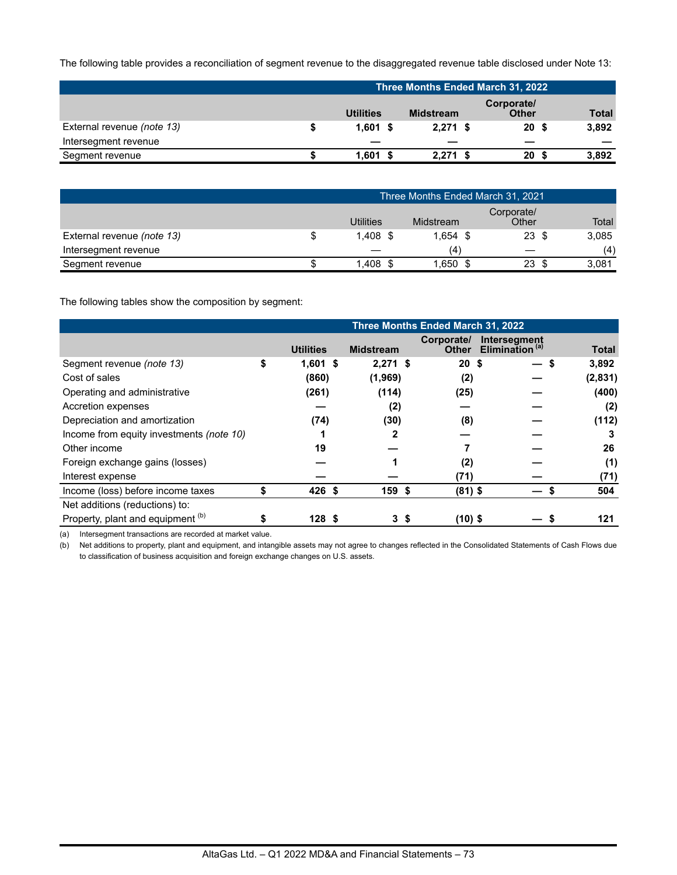The following table provides a reconciliation of segment revenue to the disaggregated revenue table disclosed under Note 13:

|                            | Three Months Ended March 31, 2022 |                  |                            |              |  |  |
|----------------------------|-----------------------------------|------------------|----------------------------|--------------|--|--|
|                            | <b>Utilities</b>                  | <b>Midstream</b> | Corporate/<br><b>Other</b> | <b>Total</b> |  |  |
| External revenue (note 13) | \$<br>$1.601$ \$                  | $2.271$ \$       | 20 <sup>5</sup>            | 3,892        |  |  |
| Intersegment revenue       | _                                 |                  |                            |              |  |  |
| Segment revenue            | $1.601$ \$                        | $2.271$ \$       | 20                         | 3,892        |  |  |

|                            | Three Months Ended March 31, 2021 |  |            |  |                     |  |       |
|----------------------------|-----------------------------------|--|------------|--|---------------------|--|-------|
|                            | <b>Utilities</b>                  |  | Midstream  |  | Corporate/<br>Other |  | Total |
| External revenue (note 13) | $1.408$ \$                        |  | $1.654$ \$ |  | $23 \text{ }$ \$    |  | 3,085 |
| Intersegment revenue       | __                                |  | (4)        |  |                     |  | (4)   |
| Segment revenue            | 1.408                             |  | 1,650 \$   |  | 23.                 |  | 3.081 |

The following tables show the composition by segment:

|                                          | Three Months Ended March 31, 2022 |                  |                  |                 |                                                  |              |
|------------------------------------------|-----------------------------------|------------------|------------------|-----------------|--------------------------------------------------|--------------|
|                                          |                                   | <b>Utilities</b> | <b>Midstream</b> | Corporate/      | Intersegment<br>Other Elimination <sup>(a)</sup> | <b>Total</b> |
| Segment revenue (note 13)                | \$                                | $1,601$ \$       | $2,271$ \$       | 20 <sup>5</sup> | —                                                | 3,892<br>\$  |
| Cost of sales                            |                                   | (860)            | (1,969)          | (2)             |                                                  | (2,831)      |
| Operating and administrative             |                                   | (261)            | (114)            | (25)            |                                                  | (400)        |
| Accretion expenses                       |                                   |                  | (2)              |                 |                                                  | (2)          |
| Depreciation and amortization            |                                   | (74)             | (30)             | (8)             |                                                  | (112)        |
| Income from equity investments (note 10) |                                   |                  | 2                |                 |                                                  |              |
| Other income                             |                                   | 19               |                  |                 |                                                  | 26           |
| Foreign exchange gains (losses)          |                                   |                  |                  | (2)             |                                                  | (1)          |
| Interest expense                         |                                   |                  |                  | (71)            |                                                  | (71)         |
| Income (loss) before income taxes        |                                   | 426 \$           | 159 \$           | $(81)$ \$       |                                                  | 504          |
| Net additions (reductions) to:           |                                   |                  |                  |                 |                                                  |              |
| Property, plant and equipment (b)        |                                   | 128S             | 3\$              | $(10)$ \$       |                                                  | 121          |

(a) Intersegment transactions are recorded at market value.

(b) Net additions to property, plant and equipment, and intangible assets may not agree to changes reflected in the Consolidated Statements of Cash Flows due to classification of business acquisition and foreign exchange changes on U.S. assets.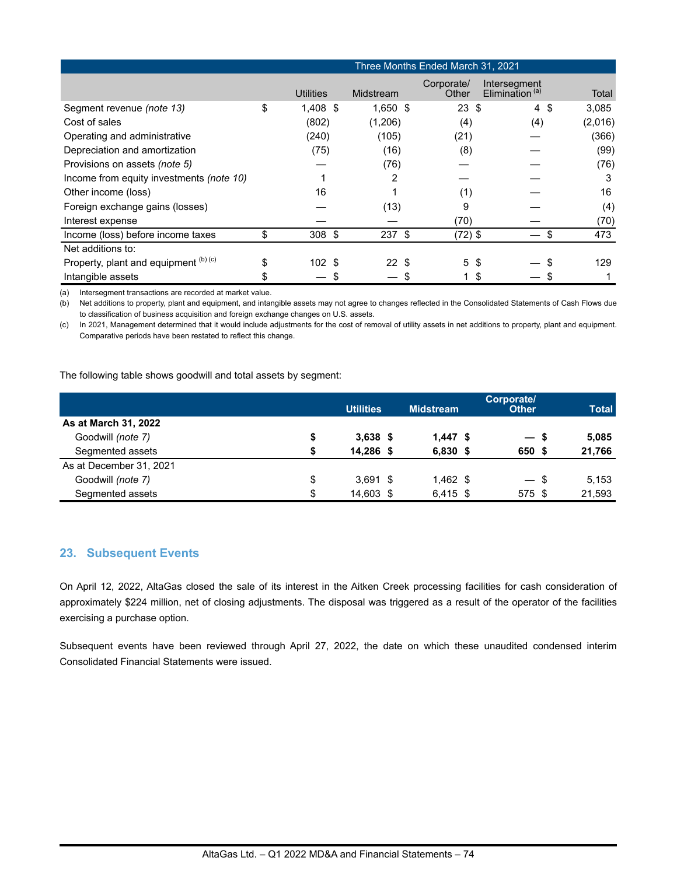|                                          |                        |            | Three Months Ended March 31, 2021 |                                            |         |
|------------------------------------------|------------------------|------------|-----------------------------------|--------------------------------------------|---------|
|                                          | <b>Utilities</b>       | Midstream  | Corporate/<br>Other               | Intersegment<br>Elimination <sup>(a)</sup> | Total   |
| Segment revenue (note 13)                | \$<br>$1,408$ \$       | $1,650$ \$ | $23 \text{ } $$                   | $4 \text{ } $$                             | 3,085   |
| Cost of sales                            | (802)                  | (1,206)    | (4)                               | (4)                                        | (2,016) |
| Operating and administrative             | (240)                  | (105)      | (21)                              |                                            | (366)   |
| Depreciation and amortization            | (75)                   | (16)       | (8)                               |                                            | (99)    |
| Provisions on assets (note 5)            |                        | (76)       |                                   |                                            | (76)    |
| Income from equity investments (note 10) |                        | 2          |                                   |                                            | 3       |
| Other income (loss)                      | 16                     |            | (1)                               |                                            | 16      |
| Foreign exchange gains (losses)          |                        | (13)       | 9                                 |                                            | (4)     |
| Interest expense                         |                        |            | (70)                              |                                            | (70)    |
| Income (loss) before income taxes        | \$<br>$308$ \$         | $237$ \$   | $(72)$ \$                         |                                            | 473     |
| Net additions to:                        |                        |            |                                   |                                            |         |
| Property, plant and equipment (b) (c)    | 102 <sub>2</sub><br>\$ | 22S        | 5<br>-\$                          |                                            | 129     |
| Intangible assets                        |                        |            |                                   | \$                                         |         |

(a) Intersegment transactions are recorded at market value.

(b) Net additions to property, plant and equipment, and intangible assets may not agree to changes reflected in the Consolidated Statements of Cash Flows due to classification of business acquisition and foreign exchange changes on U.S. assets.

(c) In 2021, Management determined that it would include adjustments for the cost of removal of utility assets in net additions to property, plant and equipment. Comparative periods have been restated to reflect this change.

The following table shows goodwill and total assets by segment:

|                         | <b>Utilities</b> | <b>Midstream</b> | Corporate/<br><b>Other</b> | <b>Total</b> |
|-------------------------|------------------|------------------|----------------------------|--------------|
| As at March 31, 2022    |                  |                  |                            |              |
| Goodwill (note 7)       | \$<br>$3,638$ \$ | $1.447$ \$       | $-5$                       | 5.085        |
| Segmented assets        | \$<br>14,286 \$  | $6,830$ \$       | 650 \$                     | 21,766       |
| As at December 31, 2021 |                  |                  |                            |              |
| Goodwill (note 7)       | \$<br>$3.691$ \$ | $1.462$ \$       | $-$ \$                     | 5,153        |
| Segmented assets        | \$<br>14,603 \$  | $6,415$ \$       | 575 \$                     | 21,593       |

## **23. Subsequent Events**

On April 12, 2022, AltaGas closed the sale of its interest in the Aitken Creek processing facilities for cash consideration of approximately \$224 million, net of closing adjustments. The disposal was triggered as a result of the operator of the facilities exercising a purchase option.

Subsequent events have been reviewed through April 27, 2022, the date on which these unaudited condensed interim Consolidated Financial Statements were issued.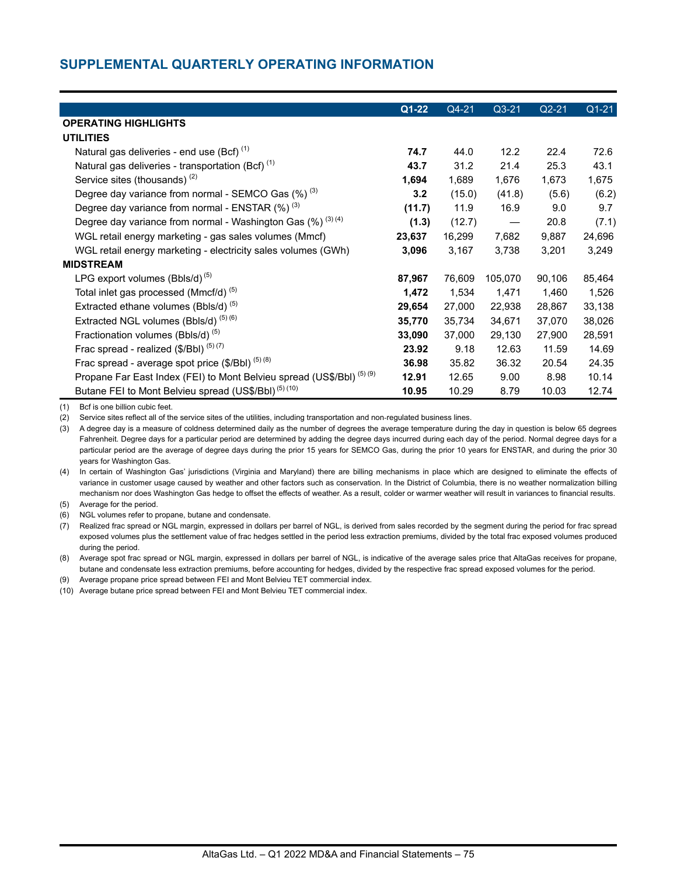# **SUPPLEMENTAL QUARTERLY OPERATING INFORMATION**

|                                                                                  | $Q1 - 22$ | Q4-21  | $Q3 - 21$ | $Q2-21$ | $Q1-21$ |
|----------------------------------------------------------------------------------|-----------|--------|-----------|---------|---------|
| <b>OPERATING HIGHLIGHTS</b>                                                      |           |        |           |         |         |
| <b>UTILITIES</b>                                                                 |           |        |           |         |         |
| Natural gas deliveries - end use (Bcf) <sup>(1)</sup>                            | 74.7      | 44.0   | 12.2      | 22.4    | 72.6    |
| Natural gas deliveries - transportation (Bcf) <sup>(1)</sup>                     | 43.7      | 31.2   | 21.4      | 25.3    | 43.1    |
| Service sites (thousands) <sup>(2)</sup>                                         | 1,694     | 1,689  | 1,676     | 1,673   | 1,675   |
|                                                                                  |           |        |           |         |         |
| Degree day variance from normal - SEMCO Gas $(\%)$ <sup>(3)</sup>                | 3.2       | (15.0) | (41.8)    | (5.6)   | (6.2)   |
| Degree day variance from normal - ENSTAR (%) <sup>(3)</sup>                      | (11.7)    | 11.9   | 16.9      | 9.0     | 9.7     |
| Degree day variance from normal - Washington Gas $(\%)^{(3)(4)}$                 | (1.3)     | (12.7) |           | 20.8    | (7.1)   |
| WGL retail energy marketing - gas sales volumes (Mmcf)                           | 23,637    | 16,299 | 7,682     | 9,887   | 24,696  |
| WGL retail energy marketing - electricity sales volumes (GWh)                    | 3,096     | 3,167  | 3,738     | 3,201   | 3,249   |
| <b>MIDSTREAM</b>                                                                 |           |        |           |         |         |
| LPG export volumes $(Bbls/d)^{(5)}$                                              | 87,967    | 76,609 | 105,070   | 90,106  | 85,464  |
| Total inlet gas processed (Mmcf/d) <sup>(5)</sup>                                | 1,472     | 1,534  | 1.471     | 1,460   | 1,526   |
| Extracted ethane volumes (Bbls/d) <sup>(5)</sup>                                 | 29,654    | 27,000 | 22,938    | 28,867  | 33,138  |
| Extracted NGL volumes (Bbls/d) <sup>(5)(6)</sup>                                 | 35,770    | 35,734 | 34,671    | 37,070  | 38,026  |
| Fractionation volumes (Bbls/d) <sup>(5)</sup>                                    | 33,090    | 37,000 | 29,130    | 27,900  | 28,591  |
| Frac spread - realized $(\frac{5}{Bb})^{(5)(7)}$                                 | 23.92     | 9.18   | 12.63     | 11.59   | 14.69   |
| Frac spread - average spot price $(\frac{5}{B}I)$ (5) (8)                        | 36.98     | 35.82  | 36.32     | 20.54   | 24.35   |
| Propane Far East Index (FEI) to Mont Belvieu spread (US\$/BbI) <sup>(5)(9)</sup> | 12.91     | 12.65  | 9.00      | 8.98    | 10.14   |
| Butane FEI to Mont Belvieu spread (US\$/Bbl) <sup>(5)(10)</sup>                  | 10.95     | 10.29  | 8.79      | 10.03   | 12.74   |

(1) Bcf is one billion cubic feet.

(2) Service sites reflect all of the service sites of the utilities, including transportation and non-regulated business lines.

(3) A degree day is a measure of coldness determined daily as the number of degrees the average temperature during the day in question is below 65 degrees Fahrenheit. Degree days for a particular period are determined by adding the degree days incurred during each day of the period. Normal degree days for a particular period are the average of degree days during the prior 15 years for SEMCO Gas, during the prior 10 years for ENSTAR, and during the prior 30 years for Washington Gas.

(4) In certain of Washington Gas' jurisdictions (Virginia and Maryland) there are billing mechanisms in place which are designed to eliminate the effects of variance in customer usage caused by weather and other factors such as conservation. In the District of Columbia, there is no weather normalization billing mechanism nor does Washington Gas hedge to offset the effects of weather. As a result, colder or warmer weather will result in variances to financial results.

(5) Average for the period.

(6) NGL volumes refer to propane, butane and condensate.

(7) Realized frac spread or NGL margin, expressed in dollars per barrel of NGL, is derived from sales recorded by the segment during the period for frac spread exposed volumes plus the settlement value of frac hedges settled in the period less extraction premiums, divided by the total frac exposed volumes produced during the period.

(8) Average spot frac spread or NGL margin, expressed in dollars per barrel of NGL, is indicative of the average sales price that AltaGas receives for propane, butane and condensate less extraction premiums, before accounting for hedges, divided by the respective frac spread exposed volumes for the period.

(9) Average propane price spread between FEI and Mont Belvieu TET commercial index.

(10) Average butane price spread between FEI and Mont Belvieu TET commercial index.